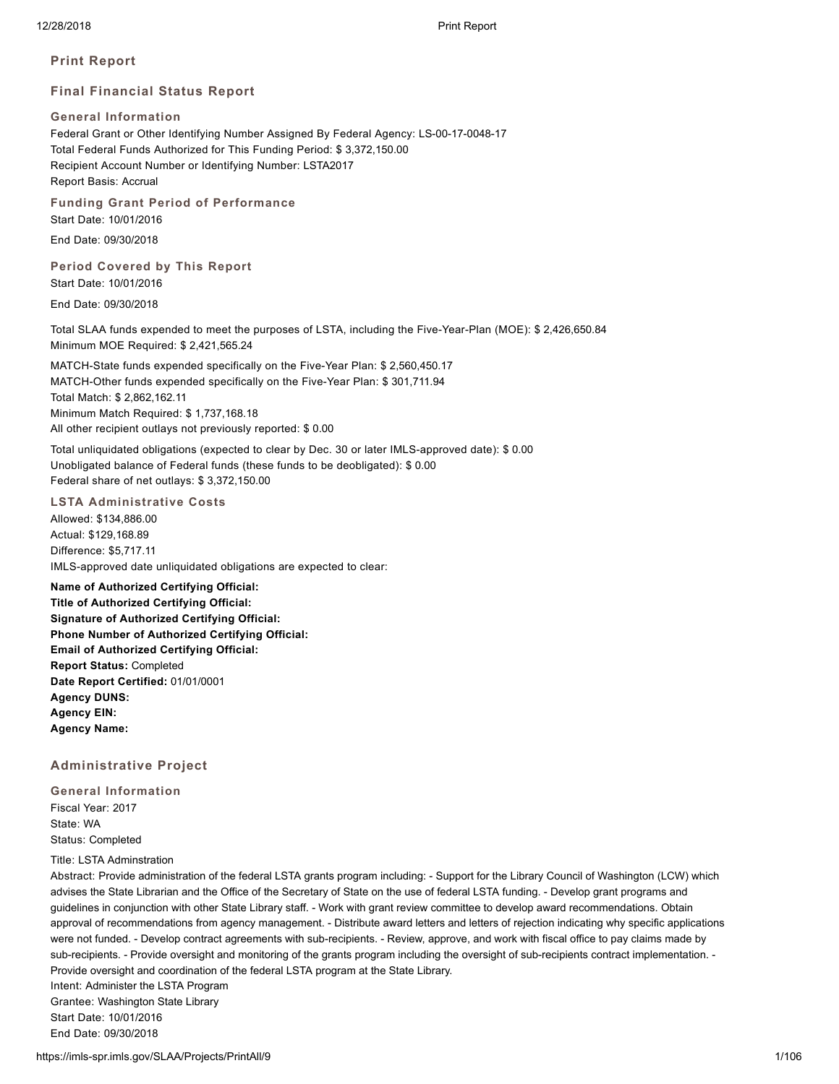**Print Report**

# **Final Financial Status Report**

# **General Information**

Federal Grant or Other Identifying Number Assigned By Federal Agency: LS-00-17-0048-17 Total Federal Funds Authorized for This Funding Period: \$ 3,372,150.00 Recipient Account Number or Identifying Number: LSTA2017 Report Basis: Accrual

**Funding Grant Period of Performance**

Start Date: 10/01/2016

End Date: 09/30/2018

# **Period Covered by This Report** Start Date: 10/01/2016

End Date: 09/30/2018

Total SLAA funds expended to meet the purposes of LSTA, including the Five-Year-Plan (MOE): \$ 2,426,650.84 Minimum MOE Required: \$ 2,421,565.24

MATCH-State funds expended specifically on the Five-Year Plan: \$ 2,560,450.17 MATCH-Other funds expended specifically on the Five-Year Plan: \$ 301,711.94 Total Match: \$ 2,862,162.11 Minimum Match Required: \$ 1,737,168.18 All other recipient outlays not previously reported: \$ 0.00

Total unliquidated obligations (expected to clear by Dec. 30 or later IMLS-approved date): \$ 0.00 Unobligated balance of Federal funds (these funds to be deobligated): \$ 0.00 Federal share of net outlays: \$ 3,372,150.00

# **LSTA Administrative Costs**

Allowed: \$134,886.00 Actual: \$129,168.89 Difference: \$5,717.11 IMLS-approved date unliquidated obligations are expected to clear:

**Name of Authorized Certifying Official: Title of Authorized Certifying Official: Signature of Authorized Certifying Official: Phone Number of Authorized Certifying Official: Email of Authorized Certifying Official: Report Status:** Completed **Date Report Certified:** 01/01/0001 **Agency DUNS: Agency EIN: Agency Name:**

# **Administrative Project**

**General Information** Fiscal Year: 2017 State: WA Status: Completed

## Title: LSTA Adminstration

End Date: 09/30/2018

Abstract: Provide administration of the federal LSTA grants program including: - Support for the Library Council of Washington (LCW) which advises the State Librarian and the Office of the Secretary of State on the use of federal LSTA funding. - Develop grant programs and guidelines in conjunction with other State Library staff. - Work with grant review committee to develop award recommendations. Obtain approval of recommendations from agency management. - Distribute award letters and letters of rejection indicating why specific applications were not funded. - Develop contract agreements with sub-recipients. - Review, approve, and work with fiscal office to pay claims made by sub-recipients. - Provide oversight and monitoring of the grants program including the oversight of sub-recipients contract implementation. - Provide oversight and coordination of the federal LSTA program at the State Library. Intent: Administer the LSTA Program Grantee: Washington State Library Start Date: 10/01/2016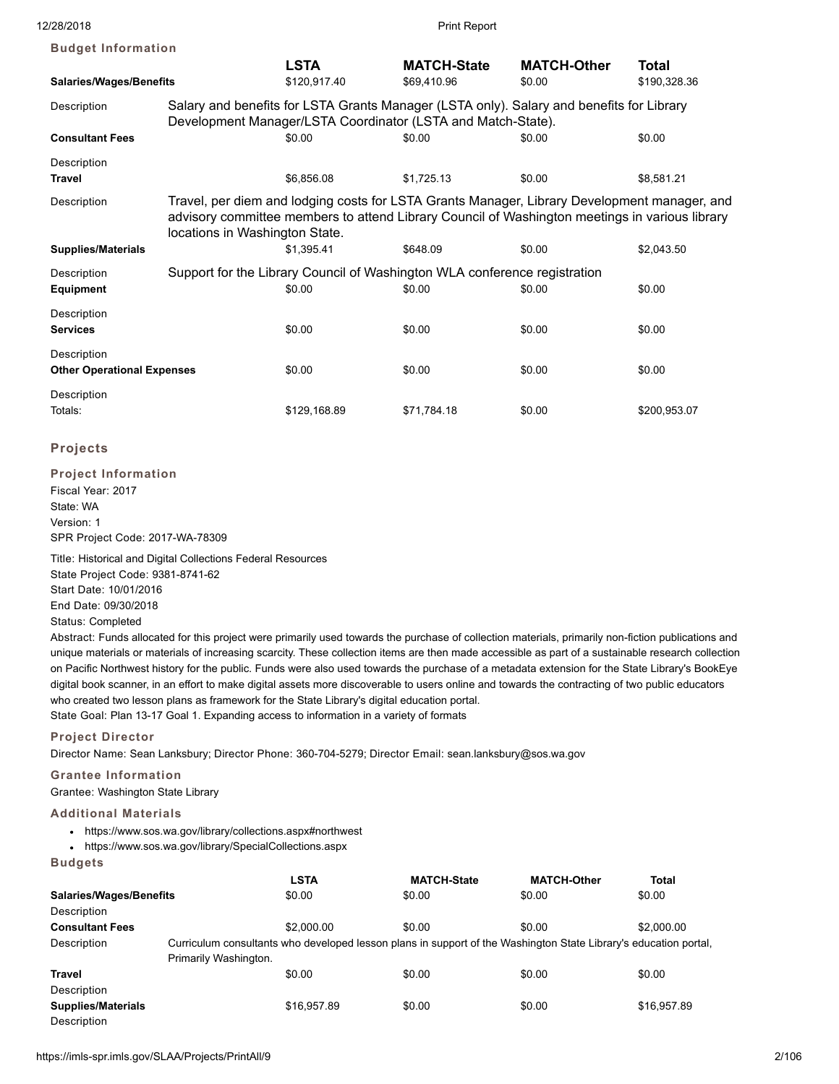| <b>Budget Information</b>                                                                                                                                               |                                |              |                                                                           |                                                                                                                                                                                                |              |
|-------------------------------------------------------------------------------------------------------------------------------------------------------------------------|--------------------------------|--------------|---------------------------------------------------------------------------|------------------------------------------------------------------------------------------------------------------------------------------------------------------------------------------------|--------------|
|                                                                                                                                                                         |                                | <b>LSTA</b>  | <b>MATCH-State</b>                                                        | <b>MATCH-Other</b>                                                                                                                                                                             | <b>Total</b> |
| <b>Salaries/Wages/Benefits</b>                                                                                                                                          |                                | \$120,917.40 | \$69,410.96                                                               | \$0.00                                                                                                                                                                                         | \$190,328.36 |
| Salary and benefits for LSTA Grants Manager (LSTA only). Salary and benefits for Library<br>Description<br>Development Manager/LSTA Coordinator (LSTA and Match-State). |                                |              |                                                                           |                                                                                                                                                                                                |              |
| <b>Consultant Fees</b>                                                                                                                                                  |                                | \$0.00       | \$0.00                                                                    | \$0.00                                                                                                                                                                                         | \$0.00       |
| Description                                                                                                                                                             |                                |              |                                                                           |                                                                                                                                                                                                |              |
| <b>Travel</b>                                                                                                                                                           |                                | \$6,856.08   | \$1,725.13                                                                | \$0.00                                                                                                                                                                                         | \$8,581.21   |
| Description                                                                                                                                                             | locations in Washington State. |              |                                                                           | Travel, per diem and lodging costs for LSTA Grants Manager, Library Development manager, and<br>advisory committee members to attend Library Council of Washington meetings in various library |              |
| <b>Supplies/Materials</b>                                                                                                                                               |                                | \$1.395.41   | \$648.09                                                                  | \$0.00                                                                                                                                                                                         | \$2,043.50   |
| Description                                                                                                                                                             |                                |              | Support for the Library Council of Washington WLA conference registration |                                                                                                                                                                                                |              |
| <b>Equipment</b>                                                                                                                                                        |                                | \$0.00       | \$0.00                                                                    | \$0.00                                                                                                                                                                                         | \$0.00       |
| Description<br><b>Services</b>                                                                                                                                          |                                | \$0.00       | \$0.00                                                                    | \$0.00                                                                                                                                                                                         | \$0.00       |
| Description                                                                                                                                                             |                                |              |                                                                           |                                                                                                                                                                                                |              |
| <b>Other Operational Expenses</b>                                                                                                                                       |                                | \$0.00       | \$0.00                                                                    | \$0.00                                                                                                                                                                                         | \$0.00       |
| Description<br>Totals:                                                                                                                                                  |                                | \$129,168.89 | \$71,784.18                                                               | \$0.00                                                                                                                                                                                         | \$200,953.07 |

# **Projects**

**Project Information** Fiscal Year: 2017 State: WA Version: 1 SPR Project Code: 2017-WA-78309

Title: Historical and Digital Collections Federal Resources State Project Code: 9381-8741-62 Start Date: 10/01/2016 End Date: 09/30/2018 Status: Completed

Abstract: Funds allocated for this project were primarily used towards the purchase of collection materials, primarily non-fiction publications and unique materials or materials of increasing scarcity. These collection items are then made accessible as part of a sustainable research collection on Pacific Northwest history for the public. Funds were also used towards the purchase of a metadata extension for the State Library's BookEye digital book scanner, in an effort to make digital assets more discoverable to users online and towards the contracting of two public educators who created two lesson plans as framework for the State Library's digital education portal. State Goal: Plan 13-17 Goal 1. Expanding access to information in a variety of formats

**Project Director**

Director Name: Sean Lanksbury; Director Phone: 360-704-5279; Director Email: sean.lanksbury@sos.wa.gov

# **Grantee Information**

Grantee: Washington State Library

# **Additional Materials**

- https://www.sos.wa.gov/library/collections.aspx#northwest
- https://www.sos.wa.gov/library/SpecialCollections.aspx

#### **Budgets**

|                                |                       | <b>LSTA</b>                                                                                                      | <b>MATCH-State</b> | <b>MATCH-Other</b> | <b>Total</b> |
|--------------------------------|-----------------------|------------------------------------------------------------------------------------------------------------------|--------------------|--------------------|--------------|
| <b>Salaries/Wages/Benefits</b> |                       | \$0.00                                                                                                           | \$0.00             | \$0.00             | \$0.00       |
| Description                    |                       |                                                                                                                  |                    |                    |              |
| <b>Consultant Fees</b>         |                       | \$2,000.00                                                                                                       | \$0.00             | \$0.00             | \$2,000.00   |
| Description                    |                       | Curriculum consultants who developed lesson plans in support of the Washington State Library's education portal, |                    |                    |              |
|                                | Primarily Washington. |                                                                                                                  |                    |                    |              |
| Travel                         |                       | \$0.00                                                                                                           | \$0.00             | \$0.00             | \$0.00       |
| Description                    |                       |                                                                                                                  |                    |                    |              |
| Supplies/Materials             |                       | \$16,957.89                                                                                                      | \$0.00             | \$0.00             | \$16,957.89  |
| Description                    |                       |                                                                                                                  |                    |                    |              |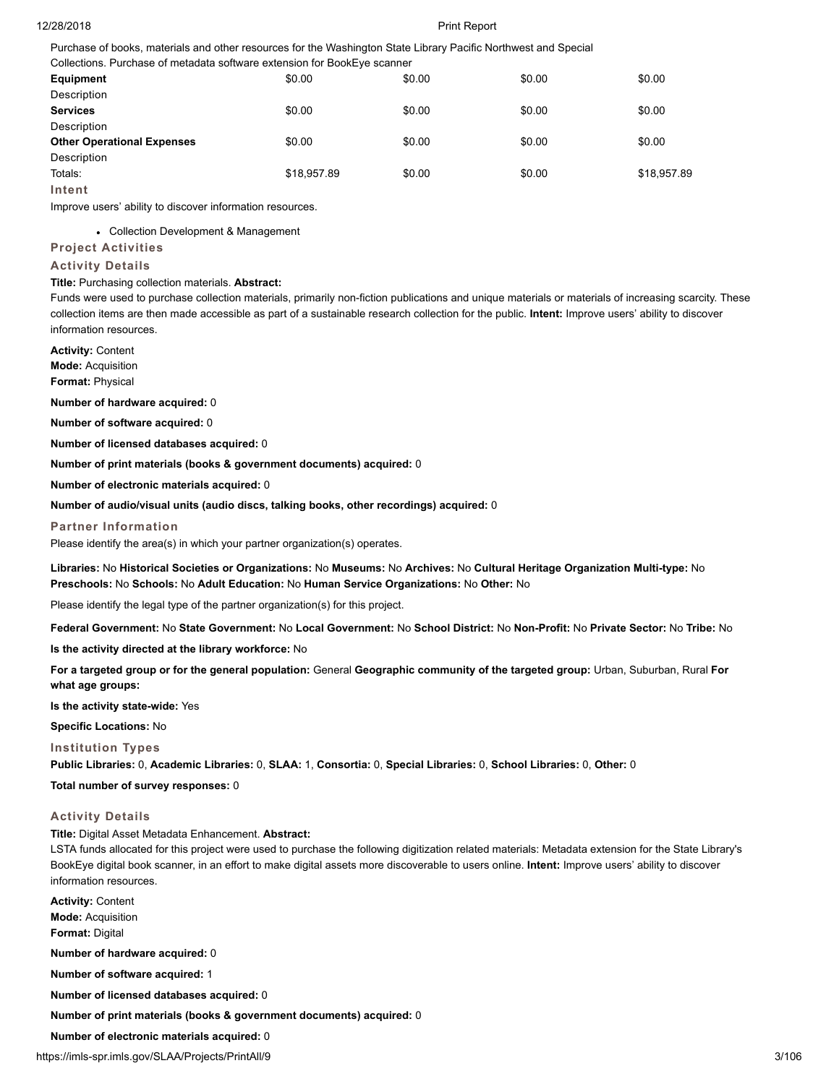Purchase of books, materials and other resources for the Washington State Library Pacific Northwest and Special Collections. Purchase of metadata software extension for BookEye scanner

| Collections. Purchase of metadata software extension for BookEye scanner |             |        |        |             |
|--------------------------------------------------------------------------|-------------|--------|--------|-------------|
| Equipment                                                                | \$0.00      | \$0.00 | \$0.00 | \$0.00      |
| Description                                                              |             |        |        |             |
| <b>Services</b>                                                          | \$0.00      | \$0.00 | \$0.00 | \$0.00      |
| Description                                                              |             |        |        |             |
| <b>Other Operational Expenses</b>                                        | \$0.00      | \$0.00 | \$0.00 | \$0.00      |
| Description                                                              |             |        |        |             |
| Totals:                                                                  | \$18,957.89 | \$0.00 | \$0.00 | \$18,957.89 |
| Intent                                                                   |             |        |        |             |

Improve users' ability to discover information resources.

Collection Development & Management

# **Project Activities**

# **Activity Details**

# **Title:** Purchasing collection materials. **Abstract:**

Funds were used to purchase collection materials, primarily non-fiction publications and unique materials or materials of increasing scarcity. These collection items are then made accessible as part of a sustainable research collection for the public. **Intent:** Improve users' ability to discover information resources.

**Activity:** Content **Mode:** Acquisition

**Format:** Physical

**Number of hardware acquired:** 0

**Number of software acquired:** 0

**Number of licensed databases acquired:** 0

**Number of print materials (books & government documents) acquired:** 0

**Number of electronic materials acquired:** 0

**Number of audio/visual units (audio discs, talking books, other recordings) acquired:** 0

#### **Partner Information**

Please identify the area(s) in which your partner organization(s) operates.

**Libraries:** No **Historical Societies or Organizations:** No **Museums:** No **Archives:** No **Cultural Heritage Organization Multi-type:** No **Preschools:** No **Schools:** No **Adult Education:** No **Human Service Organizations:** No **Other:** No

Please identify the legal type of the partner organization(s) for this project.

**Federal Government:** No **State Government:** No **Local Government:** No **School District:** No **Non-Profit:** No **Private Sector:** No **Tribe:** No

**Is the activity directed at the library workforce:** No

**For a targeted group or for the general population:** General **Geographic community of the targeted group:** Urban, Suburban, Rural **For what age groups:**

**Is the activity state-wide:** Yes

**Specific Locations:** No

## **Institution Types**

**Public Libraries:** 0, **Academic Libraries:** 0, **SLAA:** 1, **Consortia:** 0, **Special Libraries:** 0, **School Libraries:** 0, **Other:** 0

**Total number of survey responses:** 0

## **Activity Details**

**Title:** Digital Asset Metadata Enhancement. **Abstract:**

LSTA funds allocated for this project were used to purchase the following digitization related materials: Metadata extension for the State Library's BookEye digital book scanner, in an effort to make digital assets more discoverable to users online. **Intent:** Improve users' ability to discover information resources.

**Activity:** Content **Mode:** Acquisition **Format:** Digital

**Number of hardware acquired:** 0

**Number of software acquired:** 1

**Number of licensed databases acquired:** 0

**Number of print materials (books & government documents) acquired:** 0

**Number of electronic materials acquired:** 0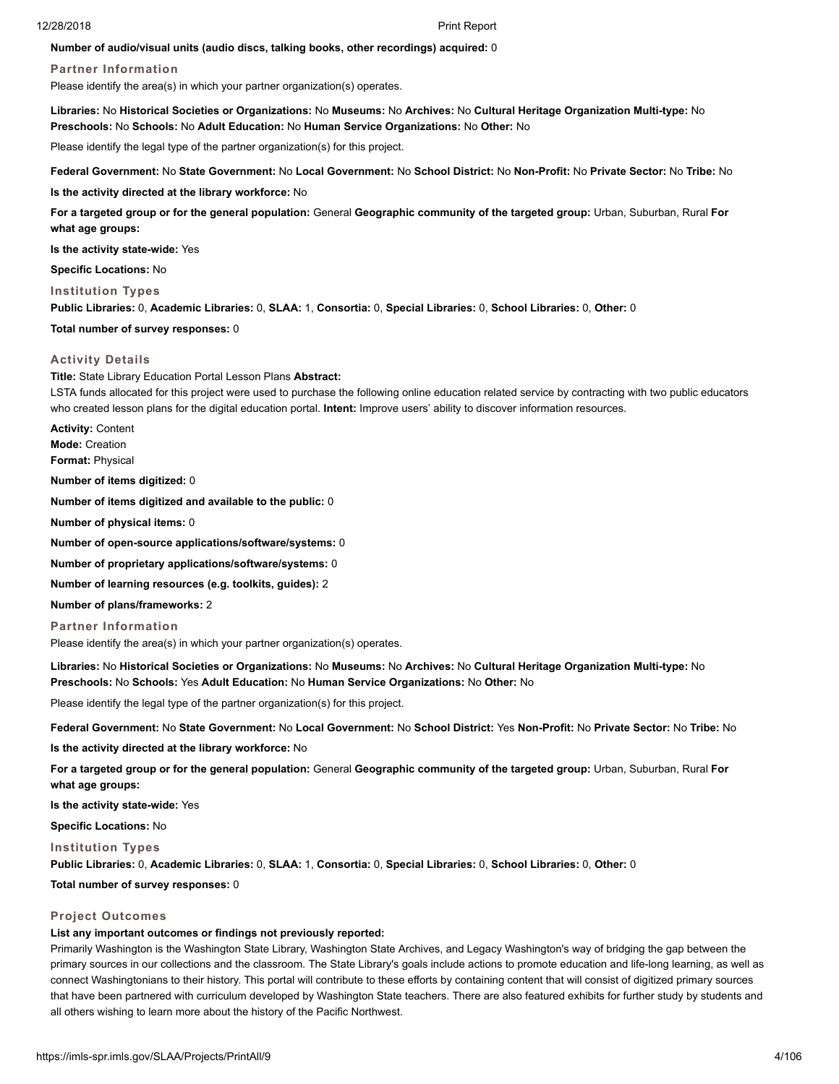#### **Number of audio/visual units (audio discs, talking books, other recordings) acquired:** 0

## **Partner Information**

Please identify the area(s) in which your partner organization(s) operates.

**Libraries:** No **Historical Societies or Organizations:** No **Museums:** No **Archives:** No **Cultural Heritage Organization Multi-type:** No **Preschools:** No **Schools:** No **Adult Education:** No **Human Service Organizations:** No **Other:** No

Please identify the legal type of the partner organization(s) for this project.

**Federal Government:** No **State Government:** No **Local Government:** No **School District:** No **Non-Profit:** No **Private Sector:** No **Tribe:** No

**Is the activity directed at the library workforce:** No

**For a targeted group or for the general population:** General **Geographic community of the targeted group:** Urban, Suburban, Rural **For what age groups:**

**Is the activity state-wide:** Yes

**Specific Locations:** No

**Institution Types**

**Public Libraries:** 0, **Academic Libraries:** 0, **SLAA:** 1, **Consortia:** 0, **Special Libraries:** 0, **School Libraries:** 0, **Other:** 0

#### **Total number of survey responses:** 0

#### **Activity Details**

**Title:** State Library Education Portal Lesson Plans **Abstract:**

LSTA funds allocated for this project were used to purchase the following online education related service by contracting with two public educators who created lesson plans for the digital education portal. **Intent:** Improve users' ability to discover information resources.

**Activity:** Content **Mode:** Creation **Format:** Physical

**Number of items digitized:** 0

**Number of items digitized and available to the public:** 0

**Number of physical items:** 0

**Number of open-source applications/software/systems:** 0

**Number of proprietary applications/software/systems:** 0

**Number of learning resources (e.g. toolkits, guides):** 2

**Number of plans/frameworks:** 2

**Partner Information**

Please identify the area(s) in which your partner organization(s) operates.

**Libraries:** No **Historical Societies or Organizations:** No **Museums:** No **Archives:** No **Cultural Heritage Organization Multi-type:** No **Preschools:** No **Schools:** Yes **Adult Education:** No **Human Service Organizations:** No **Other:** No

Please identify the legal type of the partner organization(s) for this project.

**Federal Government:** No **State Government:** No **Local Government:** No **School District:** Yes **Non-Profit:** No **Private Sector:** No **Tribe:** No

**Is the activity directed at the library workforce:** No

**For a targeted group or for the general population:** General **Geographic community of the targeted group:** Urban, Suburban, Rural **For what age groups:**

**Is the activity state-wide:** Yes

**Specific Locations:** No

#### **Institution Types**

**Public Libraries:** 0, **Academic Libraries:** 0, **SLAA:** 1, **Consortia:** 0, **Special Libraries:** 0, **School Libraries:** 0, **Other:** 0

**Total number of survey responses:** 0

## **Project Outcomes**

#### **List any important outcomes or findings not previously reported:**

Primarily Washington is the Washington State Library, Washington State Archives, and Legacy Washington's way of bridging the gap between the primary sources in our collections and the classroom. The State Library's goals include actions to promote education and life-long learning, as well as connect Washingtonians to their history. This portal will contribute to these efforts by containing content that will consist of digitized primary sources that have been partnered with curriculum developed by Washington State teachers. There are also featured exhibits for further study by students and all others wishing to learn more about the history of the Pacific Northwest.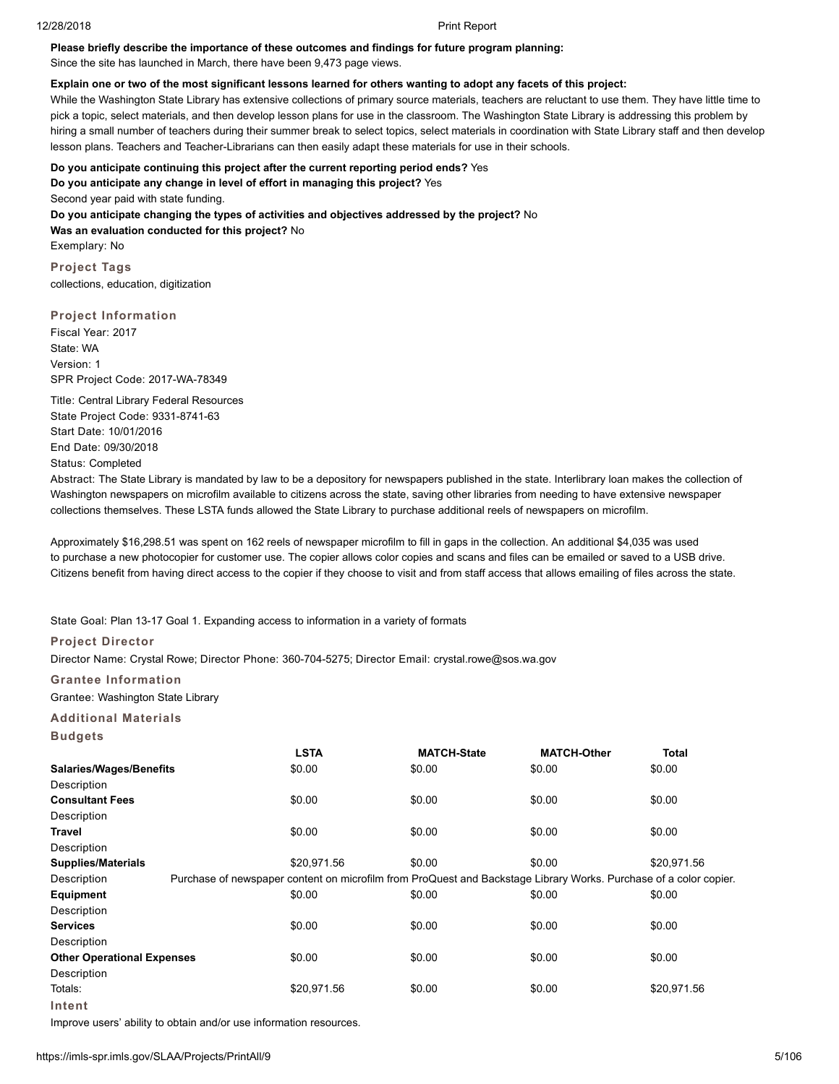## **Please briefly describe the importance of these outcomes and findings for future program planning:**

Since the site has launched in March, there have been 9,473 page views.

#### **Explain one or two of the most significant lessons learned for others wanting to adopt any facets of this project:**

While the Washington State Library has extensive collections of primary source materials, teachers are reluctant to use them. They have little time to pick a topic, select materials, and then develop lesson plans for use in the classroom. The Washington State Library is addressing this problem by hiring a small number of teachers during their summer break to select topics, select materials in coordination with State Library staff and then develop lesson plans. Teachers and Teacher-Librarians can then easily adapt these materials for use in their schools.

#### **Do you anticipate continuing this project after the current reporting period ends?** Yes

**Do you anticipate any change in level of effort in managing this project?** Yes

Second year paid with state funding. **Do you anticipate changing the types of activities and objectives addressed by the project?** No **Was an evaluation conducted for this project?** No Exemplary: No

**Project Tags** collections, education, digitization

# **Project Information**

Fiscal Year: 2017 State: WA Version: 1 SPR Project Code: 2017-WA-78349

Title: Central Library Federal Resources State Project Code: 9331-8741-63 Start Date: 10/01/2016 End Date: 09/30/2018 Status: Completed

Abstract: The State Library is mandated by law to be a depository for newspapers published in the state. Interlibrary loan makes the collection of Washington newspapers on microfilm available to citizens across the state, saving other libraries from needing to have extensive newspaper collections themselves. These LSTA funds allowed the State Library to purchase additional reels of newspapers on microfilm.

Approximately \$16,298.51 was spent on 162 reels of newspaper microfilm to fill in gaps in the collection. An additional \$4,035 was used to purchase a new photocopier for customer use. The copier allows color copies and scans and files can be emailed or saved to a USB drive. Citizens benefit from having direct access to the copier if they choose to visit and from staff access that allows emailing of files across the state.

State Goal: Plan 13-17 Goal 1. Expanding access to information in a variety of formats

# **Project Director**

Director Name: Crystal Rowe; Director Phone: 360-704-5275; Director Email: crystal.rowe@sos.wa.gov

#### **Grantee Information**

Grantee: Washington State Library

**Additional Materials Budgets**

|                                   | <b>LSTA</b>                                                                                                       | <b>MATCH-State</b> | <b>MATCH-Other</b> | Total       |
|-----------------------------------|-------------------------------------------------------------------------------------------------------------------|--------------------|--------------------|-------------|
| <b>Salaries/Wages/Benefits</b>    | \$0.00                                                                                                            | \$0.00             | \$0.00             | \$0.00      |
| Description                       |                                                                                                                   |                    |                    |             |
| <b>Consultant Fees</b>            | \$0.00                                                                                                            | \$0.00             | \$0.00             | \$0.00      |
| Description                       |                                                                                                                   |                    |                    |             |
| Travel                            | \$0.00                                                                                                            | \$0.00             | \$0.00             | \$0.00      |
| Description                       |                                                                                                                   |                    |                    |             |
| <b>Supplies/Materials</b>         | \$20,971.56                                                                                                       | \$0.00             | \$0.00             | \$20,971.56 |
| Description                       | Purchase of newspaper content on microfilm from ProQuest and Backstage Library Works. Purchase of a color copier. |                    |                    |             |
| Equipment                         | \$0.00                                                                                                            | \$0.00             | \$0.00             | \$0.00      |
| Description                       |                                                                                                                   |                    |                    |             |
| <b>Services</b>                   | \$0.00                                                                                                            | \$0.00             | \$0.00             | \$0.00      |
| Description                       |                                                                                                                   |                    |                    |             |
| <b>Other Operational Expenses</b> | \$0.00                                                                                                            | \$0.00             | \$0.00             | \$0.00      |
| Description                       |                                                                                                                   |                    |                    |             |
| Totals:                           | \$20,971.56                                                                                                       | \$0.00             | \$0.00             | \$20,971.56 |
| Intent                            |                                                                                                                   |                    |                    |             |

Improve users' ability to obtain and/or use information resources.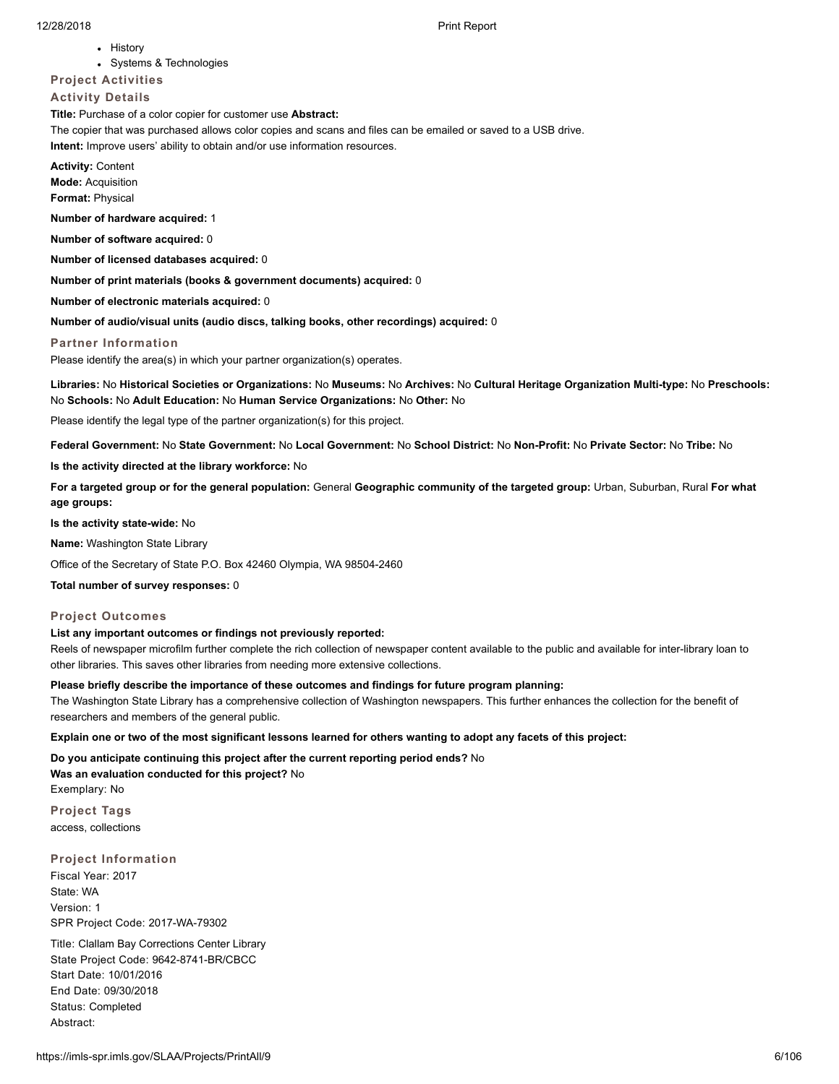• History

Systems & Technologies

#### **Project Activities**

## **Activity Details**

**Title:** Purchase of a color copier for customer use **Abstract:**

The copier that was purchased allows color copies and scans and files can be emailed or saved to a USB drive. **Intent:** Improve users' ability to obtain and/or use information resources.

**Activity:** Content **Mode:** Acquisition **Format:** Physical

**Number of hardware acquired:** 1

**Number of software acquired:** 0

**Number of licensed databases acquired:** 0

**Number of print materials (books & government documents) acquired:** 0

**Number of electronic materials acquired:** 0

**Number of audio/visual units (audio discs, talking books, other recordings) acquired:** 0

## **Partner Information**

Please identify the area(s) in which your partner organization(s) operates.

**Libraries:** No **Historical Societies or Organizations:** No **Museums:** No **Archives:** No **Cultural Heritage Organization Multi-type:** No **Preschools:** No **Schools:** No **Adult Education:** No **Human Service Organizations:** No **Other:** No

Please identify the legal type of the partner organization(s) for this project.

**Federal Government:** No **State Government:** No **Local Government:** No **School District:** No **Non-Profit:** No **Private Sector:** No **Tribe:** No

**Is the activity directed at the library workforce:** No

**For a targeted group or for the general population:** General **Geographic community of the targeted group:** Urban, Suburban, Rural **For what age groups:**

**Is the activity state-wide:** No

**Name:** Washington State Library

Office of the Secretary of State P.O. Box 42460 Olympia, WA 98504-2460

**Total number of survey responses:** 0

## **Project Outcomes**

#### **List any important outcomes or findings not previously reported:**

Reels of newspaper microfilm further complete the rich collection of newspaper content available to the public and available for inter-library loan to other libraries. This saves other libraries from needing more extensive collections.

## **Please briefly describe the importance of these outcomes and findings for future program planning:**

The Washington State Library has a comprehensive collection of Washington newspapers. This further enhances the collection for the benefit of researchers and members of the general public.

**Explain one or two of the most significant lessons learned for others wanting to adopt any facets of this project:**

**Do you anticipate continuing this project after the current reporting period ends?** No

**Was an evaluation conducted for this project?** No Exemplary: No

**Project Tags** access, collections

**Project Information** Fiscal Year: 2017 State: WA Version: 1 SPR Project Code: 2017-WA-79302

Title: Clallam Bay Corrections Center Library State Project Code: 9642-8741-BR/CBCC Start Date: 10/01/2016 End Date: 09/30/2018 Status: Completed Abstract: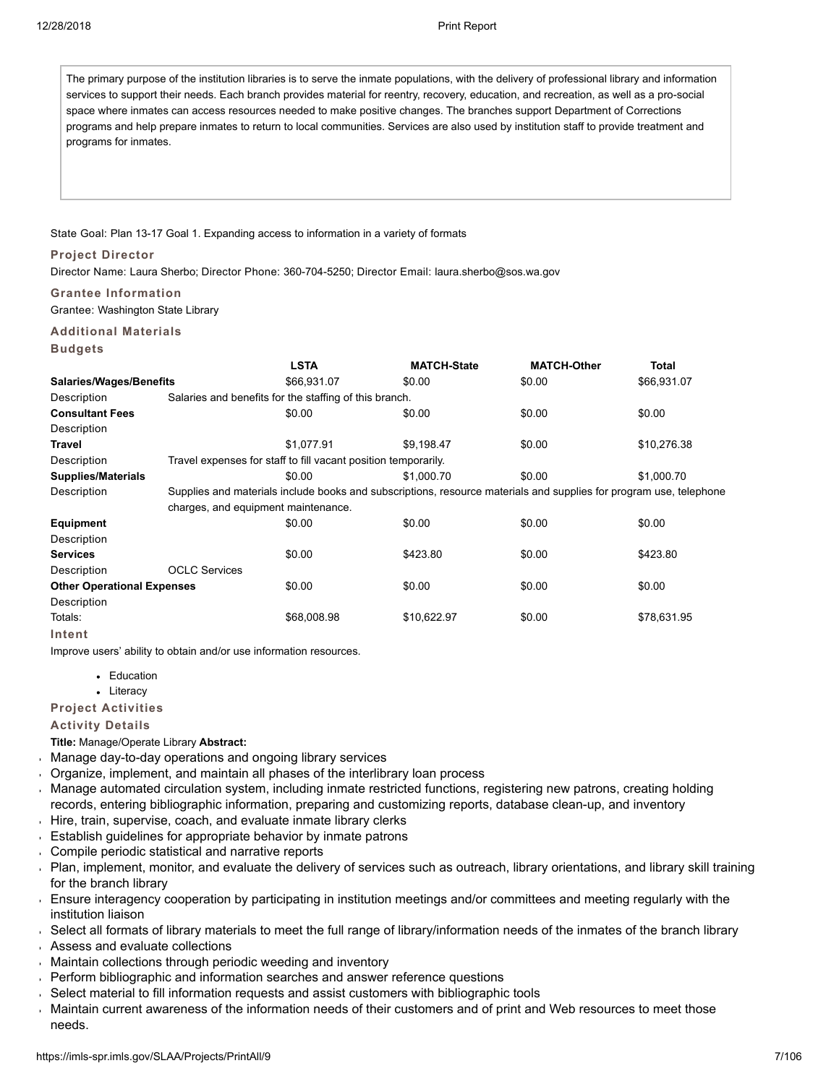The primary purpose of the institution libraries is to serve the inmate populations, with the delivery of professional library and information services to support their needs. Each branch provides material for reentry, recovery, education, and recreation, as well as a pro-social space where inmates can access resources needed to make positive changes. The branches support Department of Corrections programs and help prepare inmates to return to local communities. Services are also used by institution staff to provide treatment and programs for inmates.

# State Goal: Plan 13-17 Goal 1. Expanding access to information in a variety of formats

# **Project Director**

Director Name: Laura Sherbo; Director Phone: 360-704-5250; Director Email: laura.sherbo@sos.wa.gov

# **Grantee Information**

Grantee: Washington State Library

# **Additional Materials**

# **Budgets**

|                                   |                                     | <b>LSTA</b>                                                    | <b>MATCH-State</b>                                                                                                 | <b>MATCH-Other</b> | Total       |
|-----------------------------------|-------------------------------------|----------------------------------------------------------------|--------------------------------------------------------------------------------------------------------------------|--------------------|-------------|
| <b>Salaries/Wages/Benefits</b>    |                                     | \$66,931.07                                                    | \$0.00                                                                                                             | \$0.00             | \$66,931.07 |
| Description                       |                                     | Salaries and benefits for the staffing of this branch.         |                                                                                                                    |                    |             |
| <b>Consultant Fees</b>            |                                     | \$0.00                                                         | \$0.00                                                                                                             | \$0.00             | \$0.00      |
| Description                       |                                     |                                                                |                                                                                                                    |                    |             |
| Travel                            |                                     | \$1,077.91                                                     | \$9,198.47                                                                                                         | \$0.00             | \$10,276.38 |
| Description                       |                                     | Travel expenses for staff to fill vacant position temporarily. |                                                                                                                    |                    |             |
| <b>Supplies/Materials</b>         |                                     | \$0.00                                                         | \$1,000.70                                                                                                         | \$0.00             | \$1,000.70  |
| Description                       |                                     |                                                                | Supplies and materials include books and subscriptions, resource materials and supplies for program use, telephone |                    |             |
|                                   | charges, and equipment maintenance. |                                                                |                                                                                                                    |                    |             |
| <b>Equipment</b>                  |                                     | \$0.00                                                         | \$0.00                                                                                                             | \$0.00             | \$0.00      |
| Description                       |                                     |                                                                |                                                                                                                    |                    |             |
| <b>Services</b>                   |                                     | \$0.00                                                         | \$423.80                                                                                                           | \$0.00             | \$423.80    |
| Description                       | <b>OCLC Services</b>                |                                                                |                                                                                                                    |                    |             |
| <b>Other Operational Expenses</b> |                                     | \$0.00                                                         | \$0.00                                                                                                             | \$0.00             | \$0.00      |
| Description                       |                                     |                                                                |                                                                                                                    |                    |             |
| Totals:                           |                                     | \$68,008.98                                                    | \$10,622.97                                                                                                        | \$0.00             | \$78,631.95 |
| Intent                            |                                     |                                                                |                                                                                                                    |                    |             |

Improve users' ability to obtain and/or use information resources.

- Education
- Literacy

# **Project Activities**

# **Activity Details**

**Title:** Manage/Operate Library **Abstract:**

- Manage day-to-day operations and ongoing library services
- Organize, implement, and maintain all phases of the interlibrary loan process
- Manage automated circulation system, including inmate restricted functions, registering new patrons, creating holding records, entering bibliographic information, preparing and customizing reports, database clean-up, and inventory
- Hire, train, supervise, coach, and evaluate inmate library clerks
- Establish guidelines for appropriate behavior by inmate patrons  $\mathbf{r}$
- Compile periodic statistical and narrative reports
- Plan, implement, monitor, and evaluate the delivery of services such as outreach, library orientations, and library skill training for the branch library
- Ensure interagency cooperation by participating in institution meetings and/or committees and meeting regularly with the institution liaison
- Select all formats of library materials to meet the full range of library/information needs of the inmates of the branch library
- Assess and evaluate collections
- Maintain collections through periodic weeding and inventory
- Perform bibliographic and information searches and answer reference questions
- Select material to fill information requests and assist customers with bibliographic tools  $\mathbf{r}$
- $\mathbf{r}$ Maintain current awareness of the information needs of their customers and of print and Web resources to meet those needs.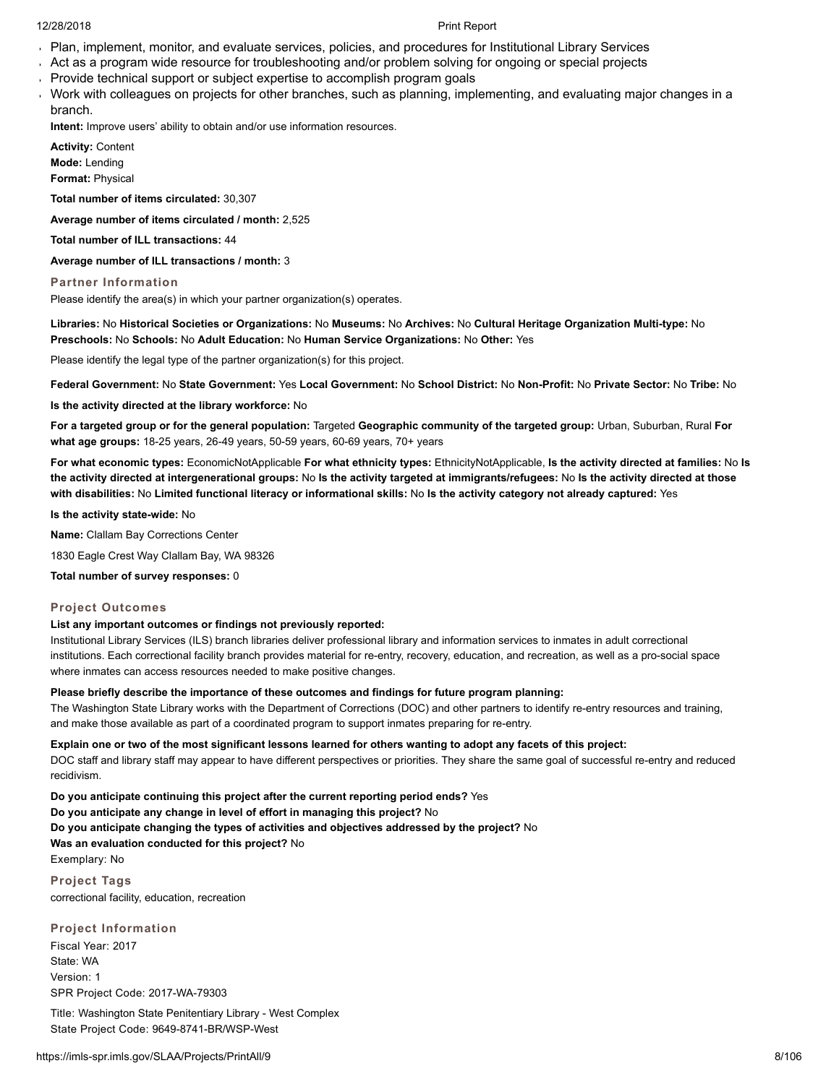- Plan, implement, monitor, and evaluate services, policies, and procedures for Institutional Library Services
- Act as a program wide resource for troubleshooting and/or problem solving for ongoing or special projects
- Provide technical support or subject expertise to accomplish program goals
- Work with colleagues on projects for other branches, such as planning, implementing, and evaluating major changes in a branch.

**Intent:** Improve users' ability to obtain and/or use information resources.

**Activity:** Content **Mode:** Lending **Format:** Physical

**Total number of items circulated:** 30,307

**Average number of items circulated / month:** 2,525

**Total number of ILL transactions:** 44

**Average number of ILL transactions / month:** 3

**Partner Information**

Please identify the area(s) in which your partner organization(s) operates.

**Libraries:** No **Historical Societies or Organizations:** No **Museums:** No **Archives:** No **Cultural Heritage Organization Multi-type:** No **Preschools:** No **Schools:** No **Adult Education:** No **Human Service Organizations:** No **Other:** Yes

Please identify the legal type of the partner organization(s) for this project.

**Federal Government:** No **State Government:** Yes **Local Government:** No **School District:** No **Non-Profit:** No **Private Sector:** No **Tribe:** No

**Is the activity directed at the library workforce:** No

**For a targeted group or for the general population:** Targeted **Geographic community of the targeted group:** Urban, Suburban, Rural **For what age groups:** 18-25 years, 26-49 years, 50-59 years, 60-69 years, 70+ years

**For what economic types:** EconomicNotApplicable **For what ethnicity types:** EthnicityNotApplicable, **Is the activity directed at families:** No **Is the activity directed at intergenerational groups:** No **Is the activity targeted at immigrants/refugees:** No **Is the activity directed at those with disabilities:** No **Limited functional literacy or informational skills:** No **Is the activity category not already captured:** Yes

**Is the activity state-wide:** No

**Name:** Clallam Bay Corrections Center

1830 Eagle Crest Way Clallam Bay, WA 98326

**Total number of survey responses:** 0

# **Project Outcomes**

# **List any important outcomes or findings not previously reported:**

Institutional Library Services (ILS) branch libraries deliver professional library and information services to inmates in adult correctional institutions. Each correctional facility branch provides material for re-entry, recovery, education, and recreation, as well as a pro-social space where inmates can access resources needed to make positive changes.

# **Please briefly describe the importance of these outcomes and findings for future program planning:**

The Washington State Library works with the Department of Corrections (DOC) and other partners to identify re-entry resources and training, and make those available as part of a coordinated program to support inmates preparing for re-entry.

**Explain one or two of the most significant lessons learned for others wanting to adopt any facets of this project:**

DOC staff and library staff may appear to have different perspectives or priorities. They share the same goal of successful re-entry and reduced recidivism.

**Do you anticipate continuing this project after the current reporting period ends?** Yes **Do you anticipate any change in level of effort in managing this project?** No **Do you anticipate changing the types of activities and objectives addressed by the project?** No **Was an evaluation conducted for this project?** No Exemplary: No

**Project Tags** correctional facility, education, recreation

**Project Information** Fiscal Year: 2017 State: WA Version: 1 SPR Project Code: 2017-WA-79303

Title: Washington State Penitentiary Library - West Complex State Project Code: 9649-8741-BR/WSP-West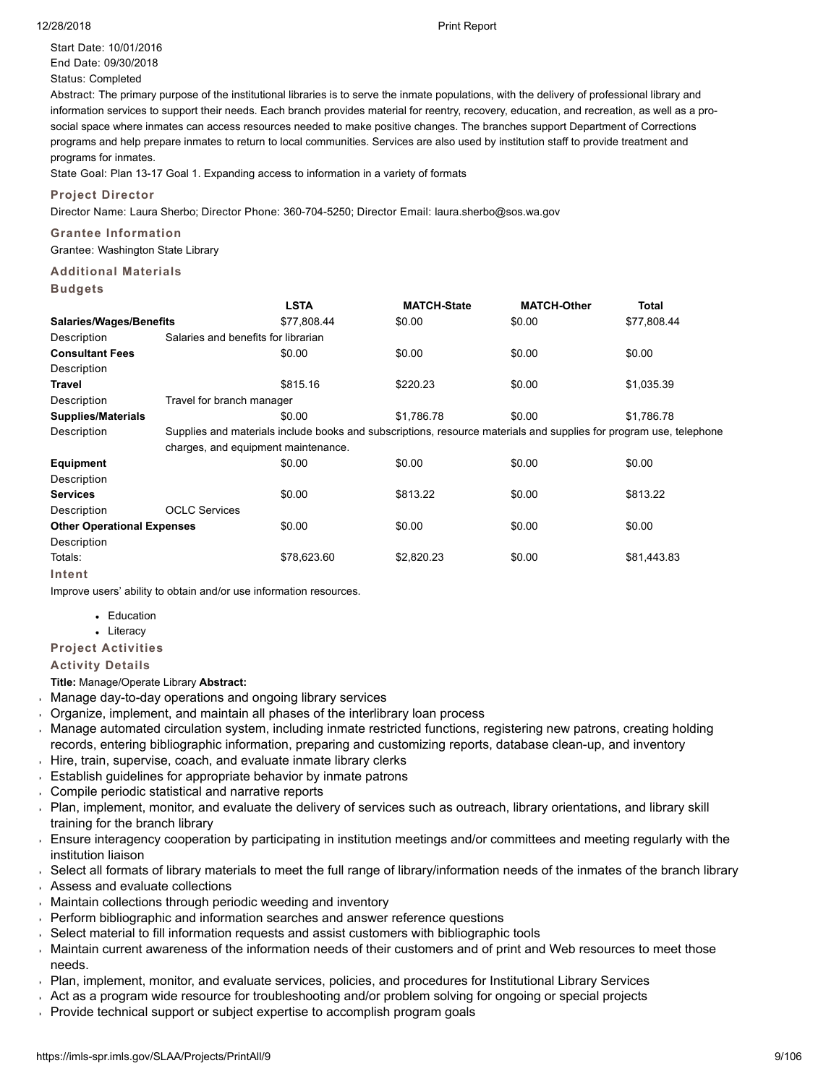Start Date: 10/01/2016 End Date: 09/30/2018 Status: Completed

Abstract: The primary purpose of the institutional libraries is to serve the inmate populations, with the delivery of professional library and information services to support their needs. Each branch provides material for reentry, recovery, education, and recreation, as well as a prosocial space where inmates can access resources needed to make positive changes. The branches support Department of Corrections programs and help prepare inmates to return to local communities. Services are also used by institution staff to provide treatment and programs for inmates.

State Goal: Plan 13-17 Goal 1. Expanding access to information in a variety of formats

# **Project Director**

Director Name: Laura Sherbo; Director Phone: 360-704-5250; Director Email: laura.sherbo@sos.wa.gov

# **Grantee Information** Grantee: Washington State Library

# **Additional Materials**

| н | uaa |  | ല |  |
|---|-----|--|---|--|
|---|-----|--|---|--|

|                                   |                                                                                                                    | <b>LSTA</b> | <b>MATCH-State</b> | <b>MATCH-Other</b> | Total       |  |
|-----------------------------------|--------------------------------------------------------------------------------------------------------------------|-------------|--------------------|--------------------|-------------|--|
| <b>Salaries/Wages/Benefits</b>    |                                                                                                                    | \$77,808.44 | \$0.00             | \$0.00             | \$77,808.44 |  |
| Description                       | Salaries and benefits for librarian                                                                                |             |                    |                    |             |  |
| <b>Consultant Fees</b>            |                                                                                                                    | \$0.00      | \$0.00             | \$0.00             | \$0.00      |  |
| Description                       |                                                                                                                    |             |                    |                    |             |  |
| Travel                            |                                                                                                                    | \$815.16    | \$220.23           | \$0.00             | \$1,035.39  |  |
| Description                       | Travel for branch manager                                                                                          |             |                    |                    |             |  |
| <b>Supplies/Materials</b>         |                                                                                                                    | \$0.00      | \$1,786.78         | \$0.00             | \$1,786.78  |  |
| Description                       | Supplies and materials include books and subscriptions, resource materials and supplies for program use, telephone |             |                    |                    |             |  |
|                                   | charges, and equipment maintenance.                                                                                |             |                    |                    |             |  |
| <b>Equipment</b>                  |                                                                                                                    | \$0.00      | \$0.00             | \$0.00             | \$0.00      |  |
| Description                       |                                                                                                                    |             |                    |                    |             |  |
| <b>Services</b>                   |                                                                                                                    | \$0.00      | \$813.22           | \$0.00             | \$813.22    |  |
| Description                       | <b>OCLC Services</b>                                                                                               |             |                    |                    |             |  |
| <b>Other Operational Expenses</b> |                                                                                                                    | \$0.00      | \$0.00             | \$0.00             | \$0.00      |  |
| Description                       |                                                                                                                    |             |                    |                    |             |  |
| Totals:                           |                                                                                                                    | \$78,623.60 | \$2,820.23         | \$0.00             | \$81,443.83 |  |
| Intent                            |                                                                                                                    |             |                    |                    |             |  |

Improve users' ability to obtain and/or use information resources.

• Education

• Literacy

# **Project Activities**

# **Activity Details**

**Title:** Manage/Operate Library **Abstract:**

- Manage day-to-day operations and ongoing library services
- $\overline{ }$ Organize, implement, and maintain all phases of the interlibrary loan process
- Manage automated circulation system, including inmate restricted functions, registering new patrons, creating holding records, entering bibliographic information, preparing and customizing reports, database clean-up, and inventory
- Hire, train, supervise, coach, and evaluate inmate library clerks
- **Establish guidelines for appropriate behavior by inmate patrons**
- Compile periodic statistical and narrative reports
- Plan, implement, monitor, and evaluate the delivery of services such as outreach, library orientations, and library skill  $\mathbf{r}$ training for the branch library
- Ensure interagency cooperation by participating in institution meetings and/or committees and meeting regularly with the institution liaison
- Select all formats of library materials to meet the full range of library/information needs of the inmates of the branch library
- Assess and evaluate collections
- Maintain collections through periodic weeding and inventory
- Perform bibliographic and information searches and answer reference questions
- Select material to fill information requests and assist customers with bibliographic tools
- Maintain current awareness of the information needs of their customers and of print and Web resources to meet those needs.
- Plan, implement, monitor, and evaluate services, policies, and procedures for Institutional Library Services
- Act as a program wide resource for troubleshooting and/or problem solving for ongoing or special projects
- Provide technical support or subject expertise to accomplish program goals

#### 12/28/2018 Print Report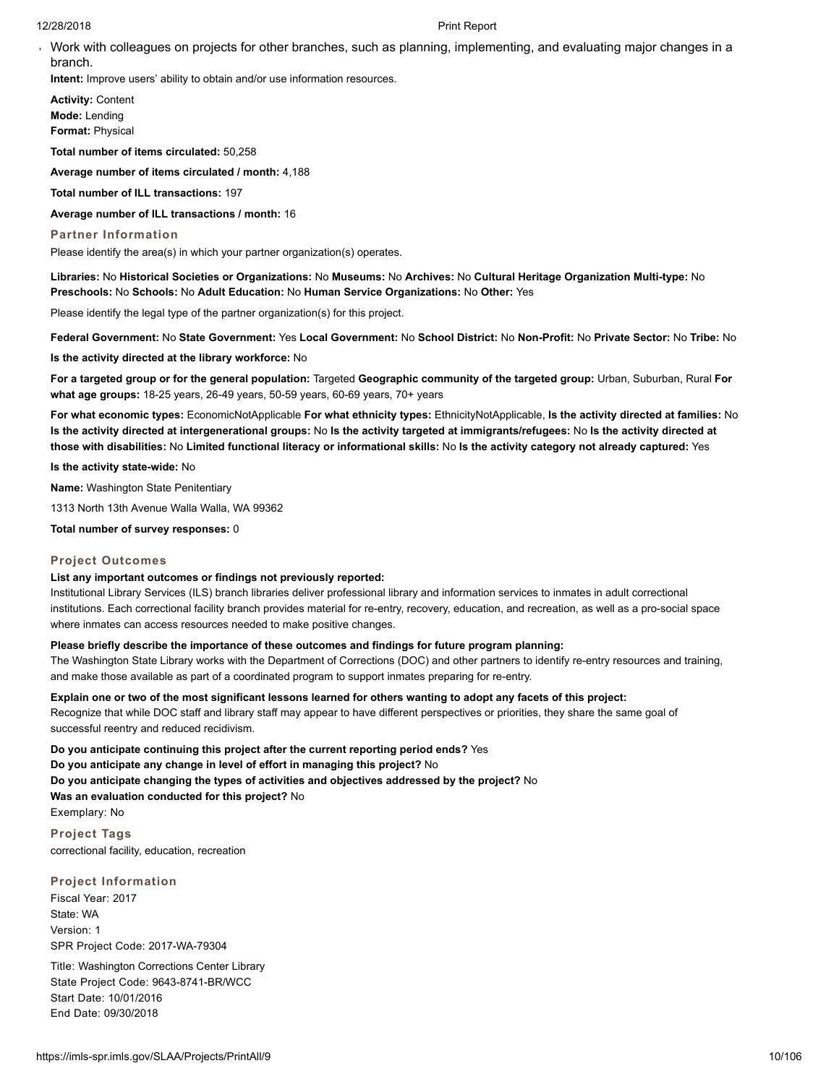Work with colleagues on projects for other branches, such as planning, implementing, and evaluating major changes in a branch.

**Intent:** Improve users' ability to obtain and/or use information resources.

**Activity:** Content **Mode:** Lending **Format:** Physical

**Total number of items circulated:** 50,258

**Average number of items circulated / month:** 4,188

**Total number of ILL transactions:** 197

**Average number of ILL transactions / month:** 16

#### **Partner Information**

Please identify the area(s) in which your partner organization(s) operates.

**Libraries:** No **Historical Societies or Organizations:** No **Museums:** No **Archives:** No **Cultural Heritage Organization Multi-type:** No **Preschools:** No **Schools:** No **Adult Education:** No **Human Service Organizations:** No **Other:** Yes

Please identify the legal type of the partner organization(s) for this project.

**Federal Government:** No **State Government:** Yes **Local Government:** No **School District:** No **Non-Profit:** No **Private Sector:** No **Tribe:** No

**Is the activity directed at the library workforce:** No

**For a targeted group or for the general population:** Targeted **Geographic community of the targeted group:** Urban, Suburban, Rural **For what age groups:** 18-25 years, 26-49 years, 50-59 years, 60-69 years, 70+ years

**For what economic types:** EconomicNotApplicable **For what ethnicity types:** EthnicityNotApplicable, **Is the activity directed at families:** No **Is the activity directed at intergenerational groups:** No **Is the activity targeted at immigrants/refugees:** No **Is the activity directed at those with disabilities:** No **Limited functional literacy or informational skills:** No **Is the activity category not already captured:** Yes

**Is the activity state-wide:** No

**Name:** Washington State Penitentiary

1313 North 13th Avenue Walla Walla, WA 99362

**Total number of survey responses:** 0

#### **Project Outcomes**

#### **List any important outcomes or findings not previously reported:**

Institutional Library Services (ILS) branch libraries deliver professional library and information services to inmates in adult correctional institutions. Each correctional facility branch provides material for re-entry, recovery, education, and recreation, as well as a pro-social space where inmates can access resources needed to make positive changes.

## **Please briefly describe the importance of these outcomes and findings for future program planning:**

The Washington State Library works with the Department of Corrections (DOC) and other partners to identify re-entry resources and training, and make those available as part of a coordinated program to support inmates preparing for re-entry.

**Explain one or two of the most significant lessons learned for others wanting to adopt any facets of this project:**

Recognize that while DOC staff and library staff may appear to have different perspectives or priorities, they share the same goal of successful reentry and reduced recidivism.

**Do you anticipate continuing this project after the current reporting period ends?** Yes **Do you anticipate any change in level of effort in managing this project?** No **Do you anticipate changing the types of activities and objectives addressed by the project?** No **Was an evaluation conducted for this project?** No Exemplary: No

**Project Tags** correctional facility, education, recreation

**Project Information** Fiscal Year: 2017 State: WA Version: 1 SPR Project Code: 2017-WA-79304

Title: Washington Corrections Center Library State Project Code: 9643-8741-BR/WCC Start Date: 10/01/2016 End Date: 09/30/2018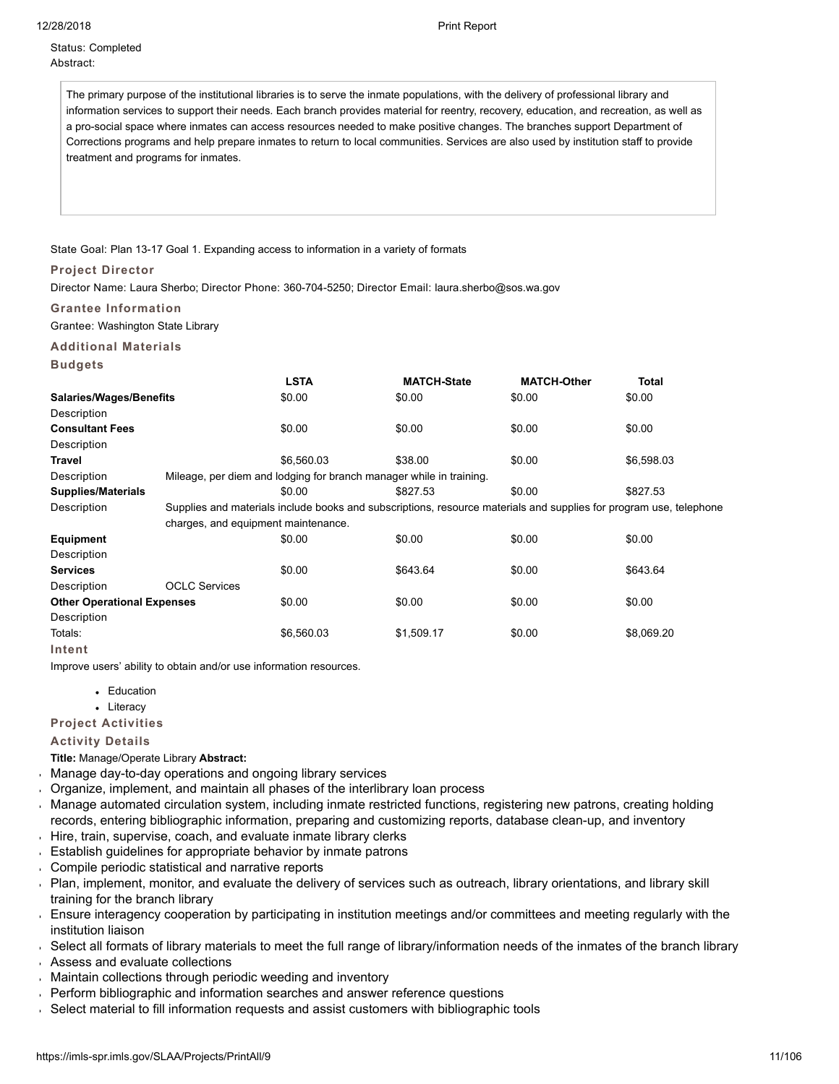# Status: Completed Abstract:

The primary purpose of the institutional libraries is to serve the inmate populations, with the delivery of professional library and information services to support their needs. Each branch provides material for reentry, recovery, education, and recreation, as well as a pro-social space where inmates can access resources needed to make positive changes. The branches support Department of Corrections programs and help prepare inmates to return to local communities. Services are also used by institution staff to provide treatment and programs for inmates.

## State Goal: Plan 13-17 Goal 1. Expanding access to information in a variety of formats

## **Project Director**

Director Name: Laura Sherbo; Director Phone: 360-704-5250; Director Email: laura.sherbo@sos.wa.gov

# **Grantee Information**

Grantee: Washington State Library

# **Additional Materials**

|                                   |                                                                                                                    | <b>LSTA</b>                                                         | <b>MATCH-State</b> | <b>MATCH-Other</b> | <b>Total</b> |
|-----------------------------------|--------------------------------------------------------------------------------------------------------------------|---------------------------------------------------------------------|--------------------|--------------------|--------------|
| <b>Salaries/Wages/Benefits</b>    |                                                                                                                    | \$0.00                                                              | \$0.00             | \$0.00             | \$0.00       |
| Description                       |                                                                                                                    |                                                                     |                    |                    |              |
| <b>Consultant Fees</b>            |                                                                                                                    | \$0.00                                                              | \$0.00             | \$0.00             | \$0.00       |
| Description                       |                                                                                                                    |                                                                     |                    |                    |              |
| Travel                            |                                                                                                                    | \$6.560.03                                                          | \$38.00            | \$0.00             | \$6,598.03   |
| Description                       |                                                                                                                    | Mileage, per diem and lodging for branch manager while in training. |                    |                    |              |
| <b>Supplies/Materials</b>         |                                                                                                                    | \$0.00                                                              | \$827.53           | \$0.00             | \$827.53     |
| Description                       | Supplies and materials include books and subscriptions, resource materials and supplies for program use, telephone |                                                                     |                    |                    |              |
|                                   | charges, and equipment maintenance.                                                                                |                                                                     |                    |                    |              |
| Equipment                         |                                                                                                                    | \$0.00                                                              | \$0.00             | \$0.00             | \$0.00       |
| Description                       |                                                                                                                    |                                                                     |                    |                    |              |
| <b>Services</b>                   |                                                                                                                    | \$0.00                                                              | \$643.64           | \$0.00             | \$643.64     |
| Description                       | <b>OCLC Services</b>                                                                                               |                                                                     |                    |                    |              |
| <b>Other Operational Expenses</b> |                                                                                                                    | \$0.00                                                              | \$0.00             | \$0.00             | \$0.00       |
| Description                       |                                                                                                                    |                                                                     |                    |                    |              |
| Totals:                           |                                                                                                                    | \$6,560.03                                                          | \$1,509.17         | \$0.00             | \$8,069.20   |
| Intent                            |                                                                                                                    |                                                                     |                    |                    |              |

Improve users' ability to obtain and/or use information resources.

- Education
- Literacy

# **Project Activities**

# **Activity Details**

## **Title:** Manage/Operate Library **Abstract:**

- Manage day-to-day operations and ongoing library services  $\ddot{\phantom{1}}$
- Organize, implement, and maintain all phases of the interlibrary loan process
- Manage automated circulation system, including inmate restricted functions, registering new patrons, creating holding ¥. records, entering bibliographic information, preparing and customizing reports, database clean-up, and inventory
- Hire, train, supervise, coach, and evaluate inmate library clerks  $\bar{\mathbf{r}}$
- Establish guidelines for appropriate behavior by inmate patrons
- Compile periodic statistical and narrative reports  $\mathbf{r}$
- Plan, implement, monitor, and evaluate the delivery of services such as outreach, library orientations, and library skill training for the branch library
- Ensure interagency cooperation by participating in institution meetings and/or committees and meeting regularly with the institution liaison
- Select all formats of library materials to meet the full range of library/information needs of the inmates of the branch library
- Assess and evaluate collections
- Maintain collections through periodic weeding and inventory
- Perform bibliographic and information searches and answer reference questions
- Select material to fill information requests and assist customers with bibliographic tools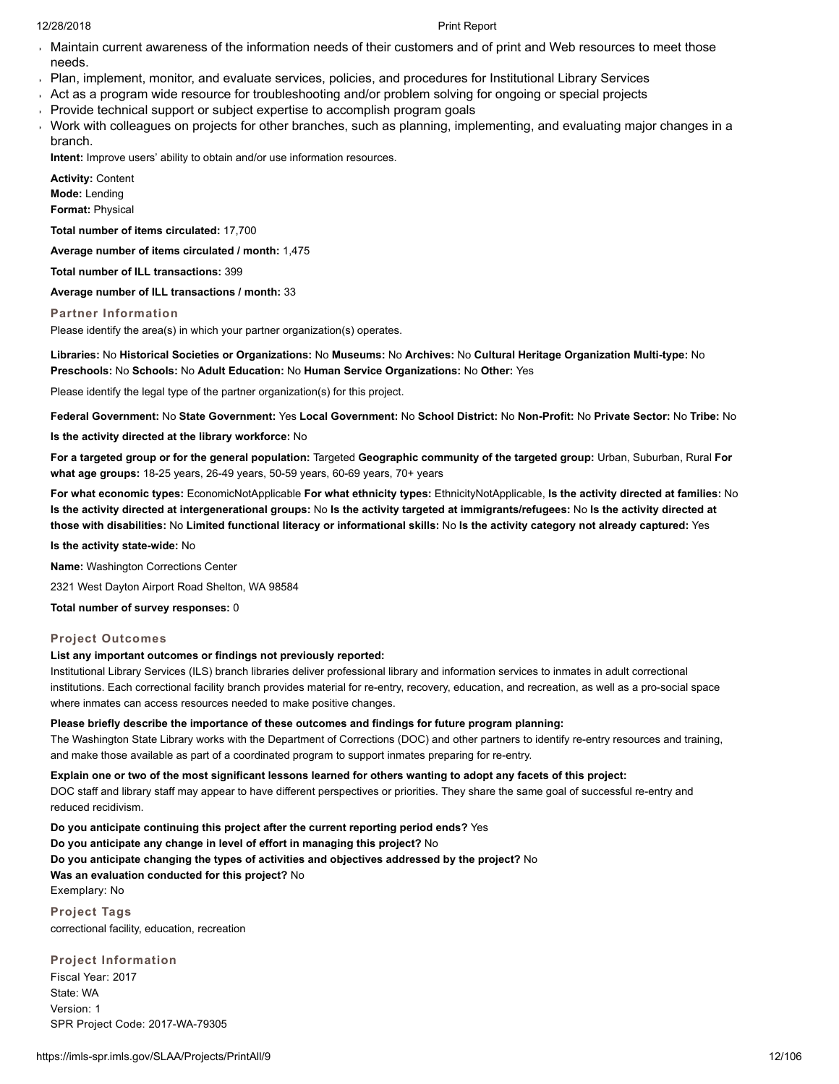- Maintain current awareness of the information needs of their customers and of print and Web resources to meet those needs.
- Plan, implement, monitor, and evaluate services, policies, and procedures for Institutional Library Services
- Act as a program wide resource for troubleshooting and/or problem solving for ongoing or special projects
- Provide technical support or subject expertise to accomplish program goals
- Work with colleagues on projects for other branches, such as planning, implementing, and evaluating major changes in a branch.

**Intent:** Improve users' ability to obtain and/or use information resources.

**Activity:** Content **Mode:** Lending **Format:** Physical

**Total number of items circulated:** 17,700

**Average number of items circulated / month:** 1,475

**Total number of ILL transactions:** 399

**Average number of ILL transactions / month:** 33

**Partner Information**

Please identify the area(s) in which your partner organization(s) operates.

**Libraries:** No **Historical Societies or Organizations:** No **Museums:** No **Archives:** No **Cultural Heritage Organization Multi-type:** No **Preschools:** No **Schools:** No **Adult Education:** No **Human Service Organizations:** No **Other:** Yes

Please identify the legal type of the partner organization(s) for this project.

**Federal Government:** No **State Government:** Yes **Local Government:** No **School District:** No **Non-Profit:** No **Private Sector:** No **Tribe:** No

**Is the activity directed at the library workforce:** No

**For a targeted group or for the general population:** Targeted **Geographic community of the targeted group:** Urban, Suburban, Rural **For what age groups:** 18-25 years, 26-49 years, 50-59 years, 60-69 years, 70+ years

**For what economic types:** EconomicNotApplicable **For what ethnicity types:** EthnicityNotApplicable, **Is the activity directed at families:** No **Is the activity directed at intergenerational groups:** No **Is the activity targeted at immigrants/refugees:** No **Is the activity directed at those with disabilities:** No **Limited functional literacy or informational skills:** No **Is the activity category not already captured:** Yes

**Is the activity state-wide:** No

**Name:** Washington Corrections Center

2321 West Dayton Airport Road Shelton, WA 98584

**Total number of survey responses:** 0

# **Project Outcomes**

# **List any important outcomes or findings not previously reported:**

Institutional Library Services (ILS) branch libraries deliver professional library and information services to inmates in adult correctional institutions. Each correctional facility branch provides material for re-entry, recovery, education, and recreation, as well as a pro-social space where inmates can access resources needed to make positive changes.

# **Please briefly describe the importance of these outcomes and findings for future program planning:**

The Washington State Library works with the Department of Corrections (DOC) and other partners to identify re-entry resources and training, and make those available as part of a coordinated program to support inmates preparing for re-entry.

**Explain one or two of the most significant lessons learned for others wanting to adopt any facets of this project:**

DOC staff and library staff may appear to have different perspectives or priorities. They share the same goal of successful re-entry and reduced recidivism.

**Do you anticipate continuing this project after the current reporting period ends?** Yes

**Do you anticipate any change in level of effort in managing this project?** No

**Do you anticipate changing the types of activities and objectives addressed by the project?** No

# **Was an evaluation conducted for this project?** No

Exemplary: No

**Project Tags** correctional facility, education, recreation

**Project Information** Fiscal Year: 2017 State: WA

Version: 1 SPR Project Code: 2017-WA-79305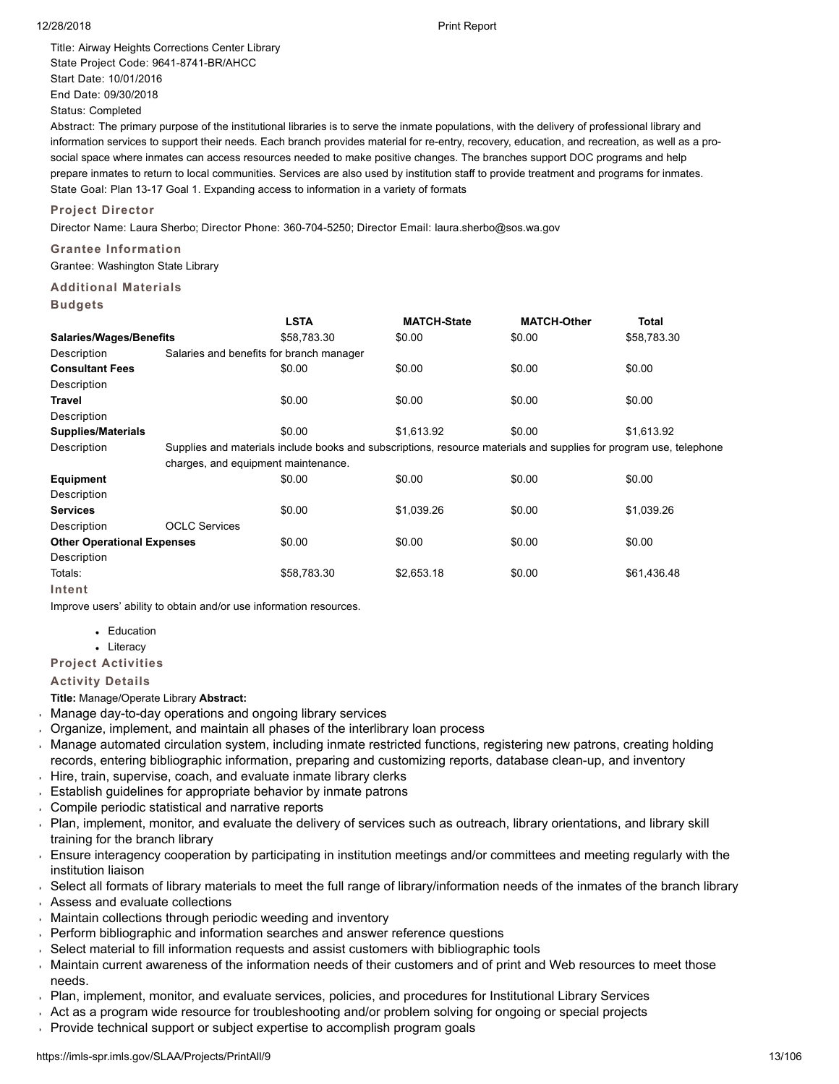Title: Airway Heights Corrections Center Library State Project Code: 9641-8741-BR/AHCC Start Date: 10/01/2016 End Date: 09/30/2018 Status: Completed

Abstract: The primary purpose of the institutional libraries is to serve the inmate populations, with the delivery of professional library and information services to support their needs. Each branch provides material for re-entry, recovery, education, and recreation, as well as a prosocial space where inmates can access resources needed to make positive changes. The branches support DOC programs and help prepare inmates to return to local communities. Services are also used by institution staff to provide treatment and programs for inmates. State Goal: Plan 13-17 Goal 1. Expanding access to information in a variety of formats

# **Project Director**

Director Name: Laura Sherbo; Director Phone: 360-704-5250; Director Email: laura.sherbo@sos.wa.gov

# **Grantee Information**

Grantee: Washington State Library

# **Additional Materials**

**Budgets**

|                                   |                                     | <b>LSTA</b>                                                                                                        | <b>MATCH-State</b> | <b>MATCH-Other</b> | <b>Total</b> |  |  |
|-----------------------------------|-------------------------------------|--------------------------------------------------------------------------------------------------------------------|--------------------|--------------------|--------------|--|--|
| <b>Salaries/Wages/Benefits</b>    |                                     | \$58,783.30                                                                                                        | \$0.00             | \$0.00             | \$58,783.30  |  |  |
| Description                       |                                     | Salaries and benefits for branch manager                                                                           |                    |                    |              |  |  |
| <b>Consultant Fees</b>            |                                     | \$0.00                                                                                                             | \$0.00             | \$0.00             | \$0.00       |  |  |
| Description                       |                                     |                                                                                                                    |                    |                    |              |  |  |
| Travel                            |                                     | \$0.00                                                                                                             | \$0.00             | \$0.00             | \$0.00       |  |  |
| Description                       |                                     |                                                                                                                    |                    |                    |              |  |  |
| <b>Supplies/Materials</b>         |                                     | \$0.00                                                                                                             | \$1,613.92         | \$0.00             | \$1,613.92   |  |  |
| Description                       |                                     | Supplies and materials include books and subscriptions, resource materials and supplies for program use, telephone |                    |                    |              |  |  |
|                                   | charges, and equipment maintenance. |                                                                                                                    |                    |                    |              |  |  |
| <b>Equipment</b>                  |                                     | \$0.00                                                                                                             | \$0.00             | \$0.00             | \$0.00       |  |  |
| Description                       |                                     |                                                                                                                    |                    |                    |              |  |  |
| <b>Services</b>                   |                                     | \$0.00                                                                                                             | \$1,039.26         | \$0.00             | \$1,039.26   |  |  |
| Description                       | <b>OCLC Services</b>                |                                                                                                                    |                    |                    |              |  |  |
| <b>Other Operational Expenses</b> |                                     | \$0.00                                                                                                             | \$0.00             | \$0.00             | \$0.00       |  |  |
| Description                       |                                     |                                                                                                                    |                    |                    |              |  |  |
| Totals:                           |                                     | \$58,783.30                                                                                                        | \$2,653.18         | \$0.00             | \$61,436.48  |  |  |
| Intent                            |                                     |                                                                                                                    |                    |                    |              |  |  |

Improve users' ability to obtain and/or use information resources.

- Education
- Literacy

**Project Activities**

# **Activity Details**

**Title:** Manage/Operate Library **Abstract:**

- Manage day-to-day operations and ongoing library services
- Organize, implement, and maintain all phases of the interlibrary loan process
- Manage automated circulation system, including inmate restricted functions, registering new patrons, creating holding records, entering bibliographic information, preparing and customizing reports, database clean-up, and inventory
- Hire, train, supervise, coach, and evaluate inmate library clerks
- Establish guidelines for appropriate behavior by inmate patrons  $\mathbf{r}^{\pm}$
- Compile periodic statistical and narrative reports  $\mathbf{r}$
- Plan, implement, monitor, and evaluate the delivery of services such as outreach, library orientations, and library skill  $\mathbf{r}$ training for the branch library
- Ensure interagency cooperation by participating in institution meetings and/or committees and meeting regularly with the institution liaison
- Select all formats of library materials to meet the full range of library/information needs of the inmates of the branch library
- Assess and evaluate collections
- Maintain collections through periodic weeding and inventory
- Perform bibliographic and information searches and answer reference questions
- Select material to fill information requests and assist customers with bibliographic tools
- Maintain current awareness of the information needs of their customers and of print and Web resources to meet those needs.
- Plan, implement, monitor, and evaluate services, policies, and procedures for Institutional Library Services
- Act as a program wide resource for troubleshooting and/or problem solving for ongoing or special projects
- Provide technical support or subject expertise to accomplish program goals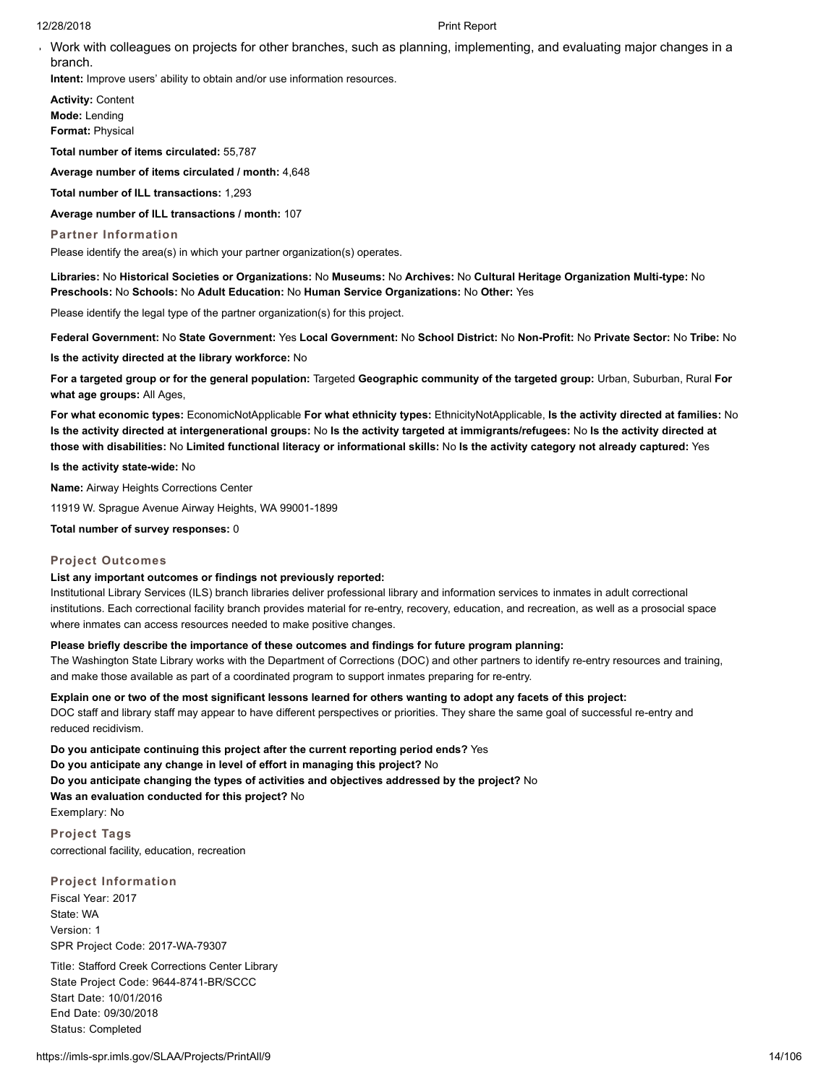Work with colleagues on projects for other branches, such as planning, implementing, and evaluating major changes in a branch.

**Intent:** Improve users' ability to obtain and/or use information resources.

**Activity:** Content **Mode:** Lending **Format:** Physical

**Total number of items circulated:** 55,787

**Average number of items circulated / month:** 4,648

**Total number of ILL transactions:** 1,293

**Average number of ILL transactions / month:** 107

#### **Partner Information**

Please identify the area(s) in which your partner organization(s) operates.

**Libraries:** No **Historical Societies or Organizations:** No **Museums:** No **Archives:** No **Cultural Heritage Organization Multi-type:** No **Preschools:** No **Schools:** No **Adult Education:** No **Human Service Organizations:** No **Other:** Yes

Please identify the legal type of the partner organization(s) for this project.

**Federal Government:** No **State Government:** Yes **Local Government:** No **School District:** No **Non-Profit:** No **Private Sector:** No **Tribe:** No

**Is the activity directed at the library workforce:** No

**For a targeted group or for the general population:** Targeted **Geographic community of the targeted group:** Urban, Suburban, Rural **For what age groups:** All Ages,

**For what economic types:** EconomicNotApplicable **For what ethnicity types:** EthnicityNotApplicable, **Is the activity directed at families:** No **Is the activity directed at intergenerational groups:** No **Is the activity targeted at immigrants/refugees:** No **Is the activity directed at those with disabilities:** No **Limited functional literacy or informational skills:** No **Is the activity category not already captured:** Yes

**Is the activity state-wide:** No

**Name:** Airway Heights Corrections Center

11919 W. Sprague Avenue Airway Heights, WA 99001-1899

**Total number of survey responses:** 0

#### **Project Outcomes**

#### **List any important outcomes or findings not previously reported:**

Institutional Library Services (ILS) branch libraries deliver professional library and information services to inmates in adult correctional institutions. Each correctional facility branch provides material for re-entry, recovery, education, and recreation, as well as a prosocial space where inmates can access resources needed to make positive changes.

# **Please briefly describe the importance of these outcomes and findings for future program planning:**

The Washington State Library works with the Department of Corrections (DOC) and other partners to identify re-entry resources and training, and make those available as part of a coordinated program to support inmates preparing for re-entry.

**Explain one or two of the most significant lessons learned for others wanting to adopt any facets of this project:**

DOC staff and library staff may appear to have different perspectives or priorities. They share the same goal of successful re-entry and reduced recidivism.

**Do you anticipate continuing this project after the current reporting period ends?** Yes **Do you anticipate any change in level of effort in managing this project?** No **Do you anticipate changing the types of activities and objectives addressed by the project?** No **Was an evaluation conducted for this project?** No Exemplary: No

**Project Tags** correctional facility, education, recreation

**Project Information** Fiscal Year: 2017 State: WA Version: 1 SPR Project Code: 2017-WA-79307

Title: Stafford Creek Corrections Center Library State Project Code: 9644-8741-BR/SCCC Start Date: 10/01/2016 End Date: 09/30/2018 Status: Completed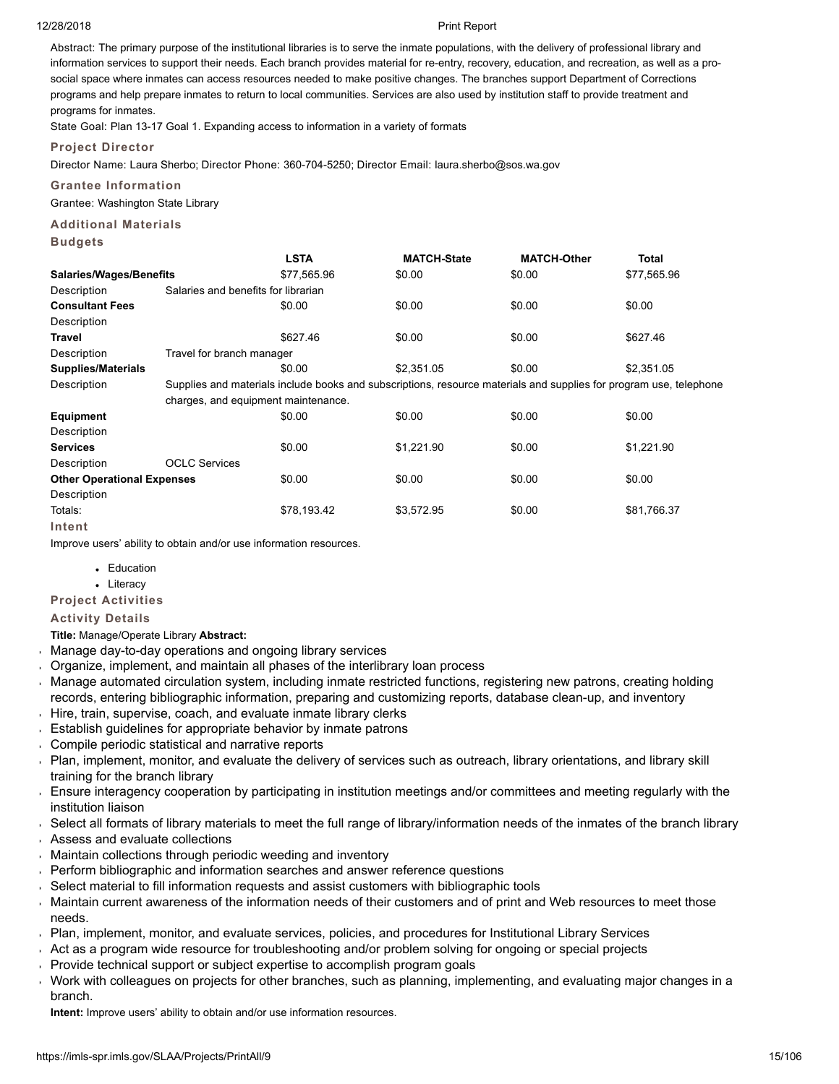Abstract: The primary purpose of the institutional libraries is to serve the inmate populations, with the delivery of professional library and information services to support their needs. Each branch provides material for re-entry, recovery, education, and recreation, as well as a prosocial space where inmates can access resources needed to make positive changes. The branches support Department of Corrections programs and help prepare inmates to return to local communities. Services are also used by institution staff to provide treatment and programs for inmates.

State Goal: Plan 13-17 Goal 1. Expanding access to information in a variety of formats

# **Project Director**

Director Name: Laura Sherbo; Director Phone: 360-704-5250; Director Email: laura.sherbo@sos.wa.gov

# **Grantee Information**

Grantee: Washington State Library

# **Additional Materials**

| <b>Budgets</b>                                                     |                                     |                                                                                                                    |                    |                    |              |
|--------------------------------------------------------------------|-------------------------------------|--------------------------------------------------------------------------------------------------------------------|--------------------|--------------------|--------------|
|                                                                    |                                     | <b>LSTA</b>                                                                                                        | <b>MATCH-State</b> | <b>MATCH-Other</b> | <b>Total</b> |
| <b>Salaries/Wages/Benefits</b>                                     |                                     | \$77,565.96                                                                                                        | \$0.00             | \$0.00             | \$77,565.96  |
| Description                                                        | Salaries and benefits for librarian |                                                                                                                    |                    |                    |              |
| <b>Consultant Fees</b>                                             |                                     | \$0.00                                                                                                             | \$0.00             | \$0.00             | \$0.00       |
| Description                                                        |                                     |                                                                                                                    |                    |                    |              |
| <b>Travel</b>                                                      |                                     | \$627.46                                                                                                           | \$0.00             | \$0.00             | \$627.46     |
| Description                                                        | Travel for branch manager           |                                                                                                                    |                    |                    |              |
| <b>Supplies/Materials</b>                                          |                                     | \$0.00                                                                                                             | \$2,351.05         | \$0.00             | \$2,351.05   |
| Description                                                        |                                     | Supplies and materials include books and subscriptions, resource materials and supplies for program use, telephone |                    |                    |              |
|                                                                    | charges, and equipment maintenance. |                                                                                                                    |                    |                    |              |
| <b>Equipment</b>                                                   |                                     | \$0.00                                                                                                             | \$0.00             | \$0.00             | \$0.00       |
| Description                                                        |                                     |                                                                                                                    |                    |                    |              |
| <b>Services</b>                                                    |                                     | \$0.00                                                                                                             | \$1,221.90         | \$0.00             | \$1,221.90   |
| Description                                                        | <b>OCLC Services</b>                |                                                                                                                    |                    |                    |              |
| <b>Other Operational Expenses</b>                                  |                                     | \$0.00                                                                                                             | \$0.00             | \$0.00             | \$0.00       |
| Description                                                        |                                     |                                                                                                                    |                    |                    |              |
| Totals:                                                            |                                     | \$78,193.42                                                                                                        | \$3,572.95         | \$0.00             | \$81,766.37  |
| Intent                                                             |                                     |                                                                                                                    |                    |                    |              |
| Improve users' ability to obtain and/or use information resources. |                                     |                                                                                                                    |                    |                    |              |

- Education
- Literacy

**Project Activities**

# **Activity Details**

**Title:** Manage/Operate Library **Abstract:**

- Manage day-to-day operations and ongoing library services
- Organize, implement, and maintain all phases of the interlibrary loan process
- Manage automated circulation system, including inmate restricted functions, registering new patrons, creating holding records, entering bibliographic information, preparing and customizing reports, database clean-up, and inventory
- Hire, train, supervise, coach, and evaluate inmate library clerks
- Establish guidelines for appropriate behavior by inmate patrons  $\ddot{\phantom{a}}$
- Compile periodic statistical and narrative reports
- Plan, implement, monitor, and evaluate the delivery of services such as outreach, library orientations, and library skill training for the branch library
- Ensure interagency cooperation by participating in institution meetings and/or committees and meeting regularly with the institution liaison
- Select all formats of library materials to meet the full range of library/information needs of the inmates of the branch library
- Assess and evaluate collections
- Maintain collections through periodic weeding and inventory
- Perform bibliographic and information searches and answer reference questions
- Select material to fill information requests and assist customers with bibliographic tools  $\mathbf{r}$
- Maintain current awareness of the information needs of their customers and of print and Web resources to meet those  $\mathbf{r}$ needs.
- Plan, implement, monitor, and evaluate services, policies, and procedures for Institutional Library Services
- Act as a program wide resource for troubleshooting and/or problem solving for ongoing or special projects
- Provide technical support or subject expertise to accomplish program goals
- Work with colleagues on projects for other branches, such as planning, implementing, and evaluating major changes in a k. branch.

**Intent:** Improve users' ability to obtain and/or use information resources.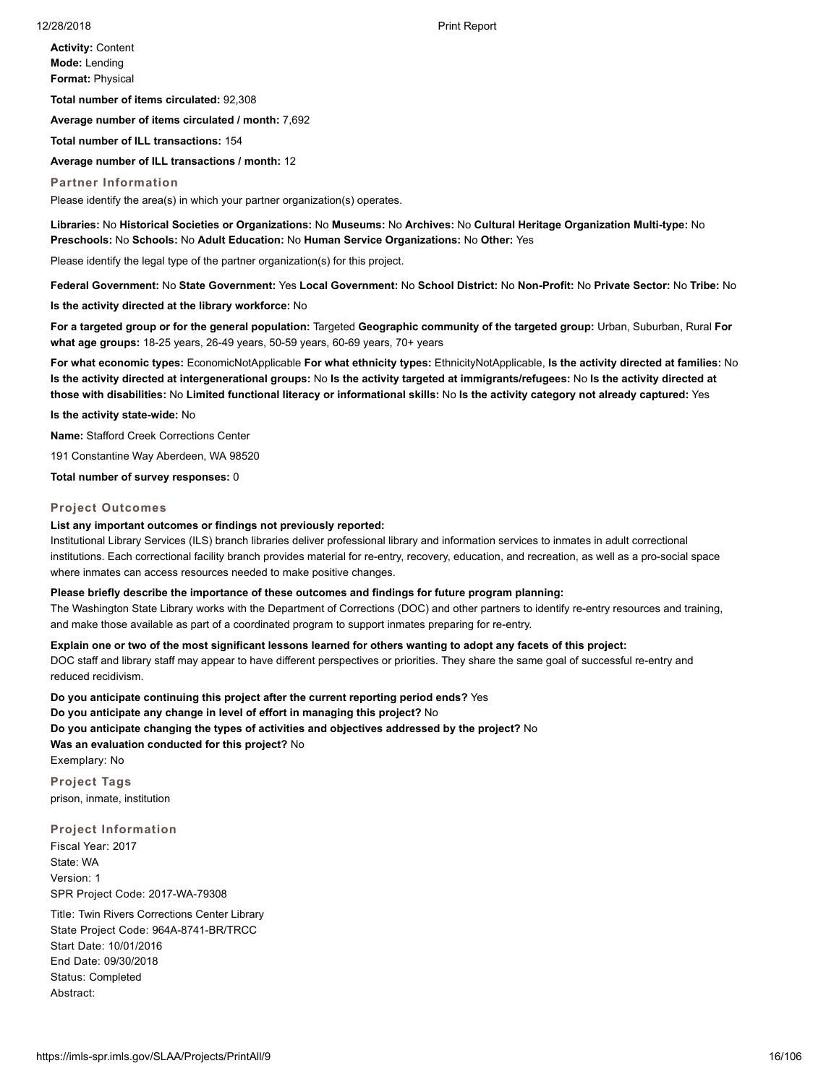**Activity:** Content **Mode:** Lending **Format:** Physical

**Total number of items circulated:** 92,308

**Average number of items circulated / month:** 7,692

**Total number of ILL transactions:** 154

**Average number of ILL transactions / month:** 12

**Partner Information**

Please identify the area(s) in which your partner organization(s) operates.

**Libraries:** No **Historical Societies or Organizations:** No **Museums:** No **Archives:** No **Cultural Heritage Organization Multi-type:** No **Preschools:** No **Schools:** No **Adult Education:** No **Human Service Organizations:** No **Other:** Yes

Please identify the legal type of the partner organization(s) for this project.

**Federal Government:** No **State Government:** Yes **Local Government:** No **School District:** No **Non-Profit:** No **Private Sector:** No **Tribe:** No

**Is the activity directed at the library workforce:** No

**For a targeted group or for the general population:** Targeted **Geographic community of the targeted group:** Urban, Suburban, Rural **For what age groups:** 18-25 years, 26-49 years, 50-59 years, 60-69 years, 70+ years

**For what economic types:** EconomicNotApplicable **For what ethnicity types:** EthnicityNotApplicable, **Is the activity directed at families:** No **Is the activity directed at intergenerational groups:** No **Is the activity targeted at immigrants/refugees:** No **Is the activity directed at those with disabilities:** No **Limited functional literacy or informational skills:** No **Is the activity category not already captured:** Yes

**Is the activity state-wide:** No

**Name:** Stafford Creek Corrections Center

191 Constantine Way Aberdeen, WA 98520

**Total number of survey responses:** 0

## **Project Outcomes**

#### **List any important outcomes or findings not previously reported:**

Institutional Library Services (ILS) branch libraries deliver professional library and information services to inmates in adult correctional institutions. Each correctional facility branch provides material for re-entry, recovery, education, and recreation, as well as a pro-social space where inmates can access resources needed to make positive changes.

#### **Please briefly describe the importance of these outcomes and findings for future program planning:**

The Washington State Library works with the Department of Corrections (DOC) and other partners to identify re-entry resources and training, and make those available as part of a coordinated program to support inmates preparing for re-entry.

**Explain one or two of the most significant lessons learned for others wanting to adopt any facets of this project:**

DOC staff and library staff may appear to have different perspectives or priorities. They share the same goal of successful re-entry and reduced recidivism.

**Do you anticipate continuing this project after the current reporting period ends?** Yes

**Do you anticipate any change in level of effort in managing this project?** No

**Do you anticipate changing the types of activities and objectives addressed by the project?** No

**Was an evaluation conducted for this project?** No

Exemplary: No

**Project Tags** prison, inmate, institution

# **Project Information**

Fiscal Year: 2017 State: WA Version: 1 SPR Project Code: 2017-WA-79308

Title: Twin Rivers Corrections Center Library State Project Code: 964A-8741-BR/TRCC Start Date: 10/01/2016 End Date: 09/30/2018 Status: Completed Abstract: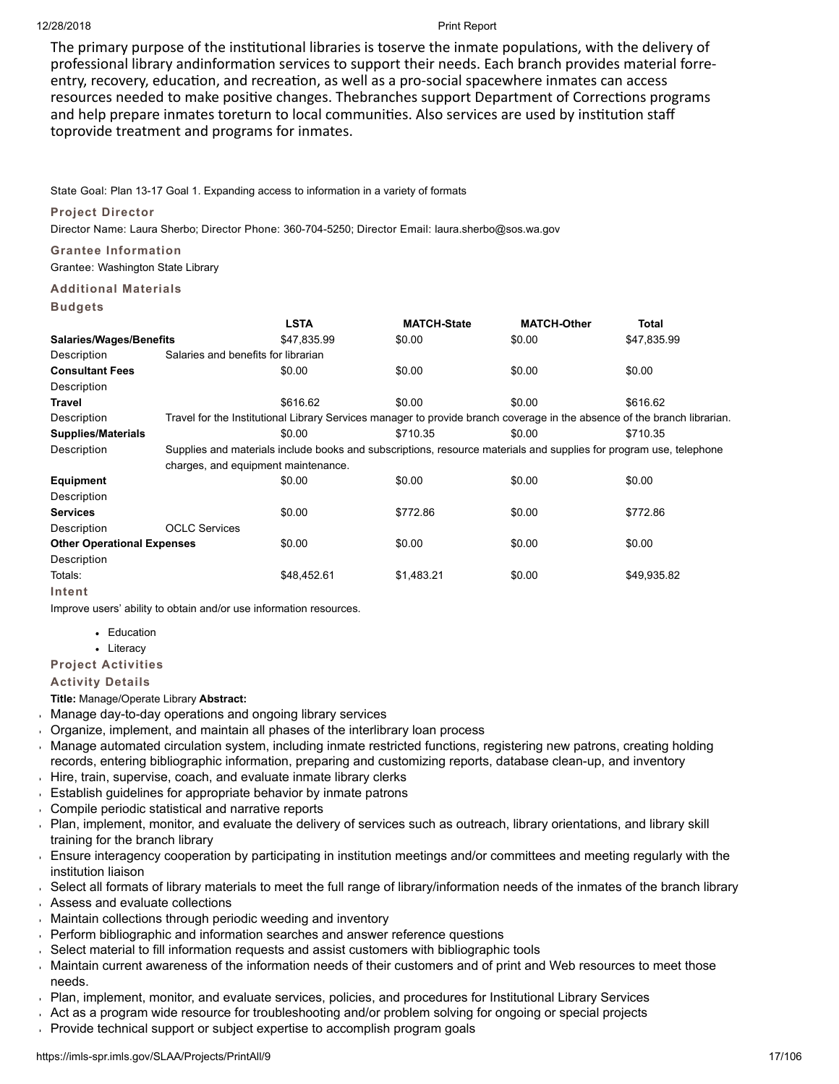The primary purpose of the institutional libraries is toserve the inmate populations, with the delivery of professional library andinformation services to support their needs. Each branch provides material forreentry, recovery, education, and recreation, as well as a pro-social spacewhere inmates can access resources needed to make positive changes. Thebranches support Department of Corrections programs and help prepare inmates toreturn to local communities. Also services are used by institution staff toprovide treatment and programs for inmates.

State Goal: Plan 13-17 Goal 1. Expanding access to information in a variety of formats

# **Project Director**

Director Name: Laura Sherbo; Director Phone: 360-704-5250; Director Email: laura.sherbo@sos.wa.gov

# **Grantee Information**

Grantee: Washington State Library

# **Additional Materials**

|                                   |                                                                                                                    | <b>LSTA</b> | <b>MATCH-State</b>                                                                                                       | <b>MATCH-Other</b> | Total       |  |  |
|-----------------------------------|--------------------------------------------------------------------------------------------------------------------|-------------|--------------------------------------------------------------------------------------------------------------------------|--------------------|-------------|--|--|
| <b>Salaries/Wages/Benefits</b>    |                                                                                                                    | \$47,835.99 | \$0.00                                                                                                                   | \$0.00             | \$47,835.99 |  |  |
| Description                       | Salaries and benefits for librarian                                                                                |             |                                                                                                                          |                    |             |  |  |
| <b>Consultant Fees</b>            |                                                                                                                    | \$0.00      | \$0.00                                                                                                                   | \$0.00             | \$0.00      |  |  |
| Description                       |                                                                                                                    |             |                                                                                                                          |                    |             |  |  |
| Travel                            |                                                                                                                    | \$616.62    | \$0.00                                                                                                                   | \$0.00             | \$616.62    |  |  |
| Description                       |                                                                                                                    |             | Travel for the Institutional Library Services manager to provide branch coverage in the absence of the branch librarian. |                    |             |  |  |
| <b>Supplies/Materials</b>         |                                                                                                                    | \$0.00      | \$710.35                                                                                                                 | \$0.00             | \$710.35    |  |  |
| Description                       | Supplies and materials include books and subscriptions, resource materials and supplies for program use, telephone |             |                                                                                                                          |                    |             |  |  |
|                                   | charges, and equipment maintenance.                                                                                |             |                                                                                                                          |                    |             |  |  |
| Equipment                         |                                                                                                                    | \$0.00      | \$0.00                                                                                                                   | \$0.00             | \$0.00      |  |  |
| Description                       |                                                                                                                    |             |                                                                                                                          |                    |             |  |  |
| <b>Services</b>                   |                                                                                                                    | \$0.00      | \$772.86                                                                                                                 | \$0.00             | \$772.86    |  |  |
| Description                       | <b>OCLC Services</b>                                                                                               |             |                                                                                                                          |                    |             |  |  |
| <b>Other Operational Expenses</b> |                                                                                                                    | \$0.00      | \$0.00                                                                                                                   | \$0.00             | \$0.00      |  |  |
| Description                       |                                                                                                                    |             |                                                                                                                          |                    |             |  |  |
| Totals:                           |                                                                                                                    | \$48,452.61 | \$1,483.21                                                                                                               | \$0.00             | \$49,935.82 |  |  |
| Intent                            |                                                                                                                    |             |                                                                                                                          |                    |             |  |  |

Improve users' ability to obtain and/or use information resources.

- Education
- Literacy

**Project Activities**

# **Activity Details**

**Title:** Manage/Operate Library **Abstract:**

- Manage day-to-day operations and ongoing library services
- Organize, implement, and maintain all phases of the interlibrary loan process
- Manage automated circulation system, including inmate restricted functions, registering new patrons, creating holding records, entering bibliographic information, preparing and customizing reports, database clean-up, and inventory
- Hire, train, supervise, coach, and evaluate inmate library clerks
- Establish guidelines for appropriate behavior by inmate patrons  $\mathbf{r}^{\top}$
- Compile periodic statistical and narrative reports
- Plan, implement, monitor, and evaluate the delivery of services such as outreach, library orientations, and library skill training for the branch library
- Ensure interagency cooperation by participating in institution meetings and/or committees and meeting regularly with the institution liaison
- Select all formats of library materials to meet the full range of library/information needs of the inmates of the branch library Assess and evaluate collections
- Maintain collections through periodic weeding and inventory
- Perform bibliographic and information searches and answer reference questions
- Select material to fill information requests and assist customers with bibliographic tools
- Maintain current awareness of the information needs of their customers and of print and Web resources to meet those needs.
- Plan, implement, monitor, and evaluate services, policies, and procedures for Institutional Library Services
- Act as a program wide resource for troubleshooting and/or problem solving for ongoing or special projects
- Provide technical support or subject expertise to accomplish program goals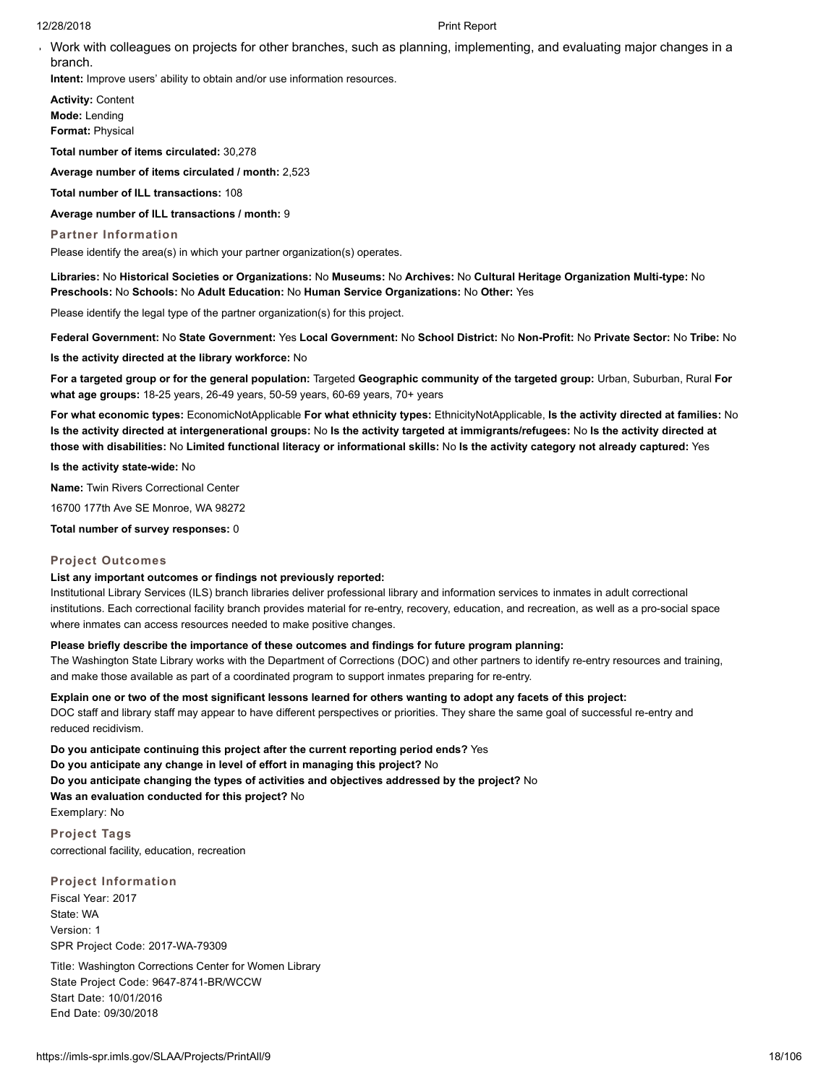Work with colleagues on projects for other branches, such as planning, implementing, and evaluating major changes in a branch.

**Intent:** Improve users' ability to obtain and/or use information resources.

**Activity:** Content **Mode:** Lending **Format:** Physical

**Total number of items circulated:** 30,278

**Average number of items circulated / month:** 2,523

**Total number of ILL transactions:** 108

**Average number of ILL transactions / month:** 9

#### **Partner Information**

Please identify the area(s) in which your partner organization(s) operates.

**Libraries:** No **Historical Societies or Organizations:** No **Museums:** No **Archives:** No **Cultural Heritage Organization Multi-type:** No **Preschools:** No **Schools:** No **Adult Education:** No **Human Service Organizations:** No **Other:** Yes

Please identify the legal type of the partner organization(s) for this project.

**Federal Government:** No **State Government:** Yes **Local Government:** No **School District:** No **Non-Profit:** No **Private Sector:** No **Tribe:** No

**Is the activity directed at the library workforce:** No

**For a targeted group or for the general population:** Targeted **Geographic community of the targeted group:** Urban, Suburban, Rural **For what age groups:** 18-25 years, 26-49 years, 50-59 years, 60-69 years, 70+ years

**For what economic types:** EconomicNotApplicable **For what ethnicity types:** EthnicityNotApplicable, **Is the activity directed at families:** No **Is the activity directed at intergenerational groups:** No **Is the activity targeted at immigrants/refugees:** No **Is the activity directed at those with disabilities:** No **Limited functional literacy or informational skills:** No **Is the activity category not already captured:** Yes

**Is the activity state-wide:** No

**Name:** Twin Rivers Correctional Center

16700 177th Ave SE Monroe, WA 98272

**Total number of survey responses:** 0

#### **Project Outcomes**

#### **List any important outcomes or findings not previously reported:**

Institutional Library Services (ILS) branch libraries deliver professional library and information services to inmates in adult correctional institutions. Each correctional facility branch provides material for re-entry, recovery, education, and recreation, as well as a pro-social space where inmates can access resources needed to make positive changes.

# **Please briefly describe the importance of these outcomes and findings for future program planning:**

The Washington State Library works with the Department of Corrections (DOC) and other partners to identify re-entry resources and training, and make those available as part of a coordinated program to support inmates preparing for re-entry.

# **Explain one or two of the most significant lessons learned for others wanting to adopt any facets of this project:**

DOC staff and library staff may appear to have different perspectives or priorities. They share the same goal of successful re-entry and reduced recidivism.

**Do you anticipate continuing this project after the current reporting period ends?** Yes **Do you anticipate any change in level of effort in managing this project?** No **Do you anticipate changing the types of activities and objectives addressed by the project?** No **Was an evaluation conducted for this project?** No Exemplary: No

**Project Tags** correctional facility, education, recreation

**Project Information** Fiscal Year: 2017 State: WA Version: 1 SPR Project Code: 2017-WA-79309

Title: Washington Corrections Center for Women Library State Project Code: 9647-8741-BR/WCCW Start Date: 10/01/2016 End Date: 09/30/2018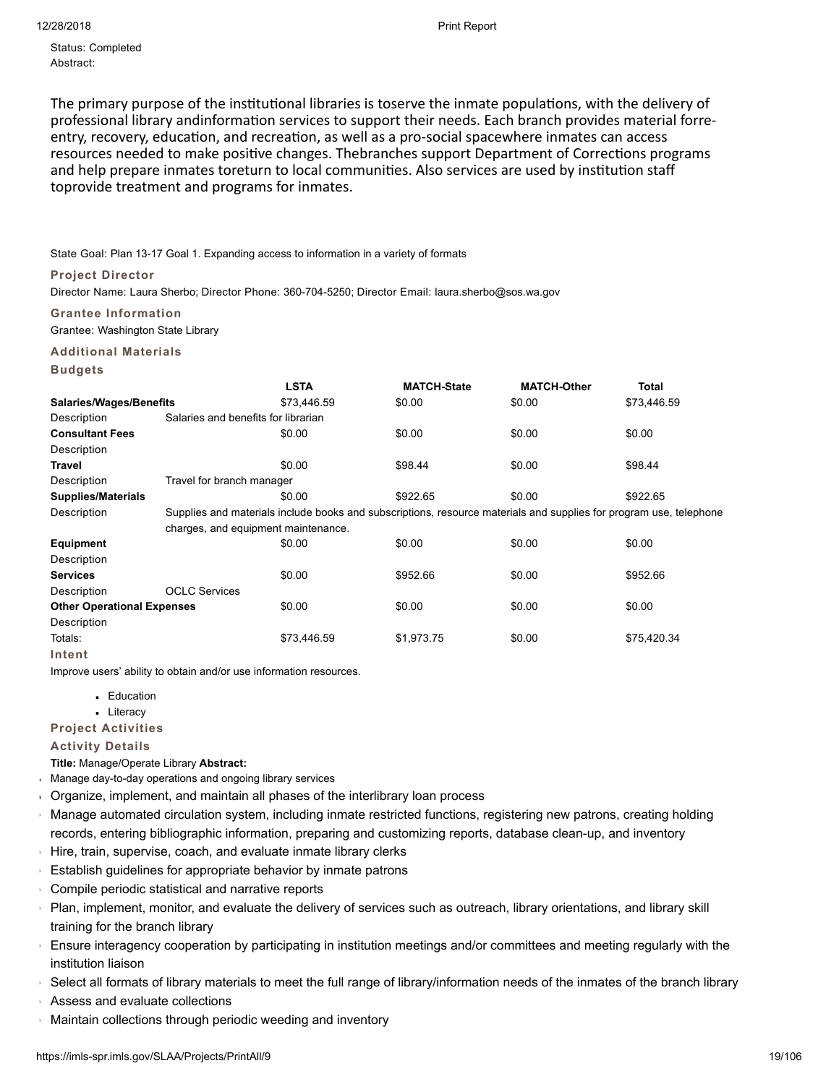Status: Completed Abstract:

The primary purpose of the institutional libraries is toserve the inmate populations, with the delivery of professional library andinformation services to support their needs. Each branch provides material forreentry, recovery, education, and recreation, as well as a pro-social spacewhere inmates can access resources needed to make positive changes. Thebranches support Department of Corrections programs and help prepare inmates toreturn to local communities. Also services are used by institution staff toprovide treatment and programs for inmates.

# State Goal: Plan 13-17 Goal 1. Expanding access to information in a variety of formats

# **Project Director**

Director Name: Laura Sherbo; Director Phone: 360-704-5250; Director Email: laura.sherbo@sos.wa.gov

**Grantee Information**

Grantee: Washington State Library

# **Additional Materials**

# **Budgets**

|                                   |                                                                                                                    | <b>LSTA</b> | <b>MATCH-State</b> | <b>MATCH-Other</b> | <b>Total</b> |  |  |
|-----------------------------------|--------------------------------------------------------------------------------------------------------------------|-------------|--------------------|--------------------|--------------|--|--|
| <b>Salaries/Wages/Benefits</b>    |                                                                                                                    | \$73.446.59 | \$0.00             | \$0.00             | \$73,446.59  |  |  |
| Description                       | Salaries and benefits for librarian                                                                                |             |                    |                    |              |  |  |
| <b>Consultant Fees</b>            |                                                                                                                    | \$0.00      | \$0.00             | \$0.00             | \$0.00       |  |  |
| Description                       |                                                                                                                    |             |                    |                    |              |  |  |
| Travel                            |                                                                                                                    | \$0.00      | \$98.44            | \$0.00             | \$98.44      |  |  |
| Description                       | Travel for branch manager                                                                                          |             |                    |                    |              |  |  |
| Supplies/Materials                |                                                                                                                    | \$0.00      | \$922.65           | \$0.00             | \$922.65     |  |  |
| Description                       | Supplies and materials include books and subscriptions, resource materials and supplies for program use, telephone |             |                    |                    |              |  |  |
|                                   | charges, and equipment maintenance.                                                                                |             |                    |                    |              |  |  |
| <b>Equipment</b>                  |                                                                                                                    | \$0.00      | \$0.00             | \$0.00             | \$0.00       |  |  |
| Description                       |                                                                                                                    |             |                    |                    |              |  |  |
| <b>Services</b>                   |                                                                                                                    | \$0.00      | \$952.66           | \$0.00             | \$952.66     |  |  |
| Description                       | <b>OCLC Services</b>                                                                                               |             |                    |                    |              |  |  |
| <b>Other Operational Expenses</b> |                                                                                                                    | \$0.00      | \$0.00             | \$0.00             | \$0.00       |  |  |
| Description                       |                                                                                                                    |             |                    |                    |              |  |  |
| Totals:                           |                                                                                                                    | \$73,446.59 | \$1,973.75         | \$0.00             | \$75,420.34  |  |  |
|                                   |                                                                                                                    |             |                    |                    |              |  |  |

## **Intent**

Improve users' ability to obtain and/or use information resources.

- Education
- Literacy

**Project Activities**

# **Activity Details**

**Title:** Manage/Operate Library **Abstract:**

- Manage day-to-day operations and ongoing library services
- Organize, implement, and maintain all phases of the interlibrary loan process  $\bar{\mathbf{r}}$
- Manage automated circulation system, including inmate restricted functions, registering new patrons, creating holding records, entering bibliographic information, preparing and customizing reports, database clean-up, and inventory
- Hire, train, supervise, coach, and evaluate inmate library clerks
- Establish guidelines for appropriate behavior by inmate patrons
- Compile periodic statistical and narrative reports
- Plan, implement, monitor, and evaluate the delivery of services such as outreach, library orientations, and library skill training for the branch library
- Ensure interagency cooperation by participating in institution meetings and/or committees and meeting regularly with the institution liaison
- Select all formats of library materials to meet the full range of library/information needs of the inmates of the branch library
- Assess and evaluate collections
- Maintain collections through periodic weeding and inventory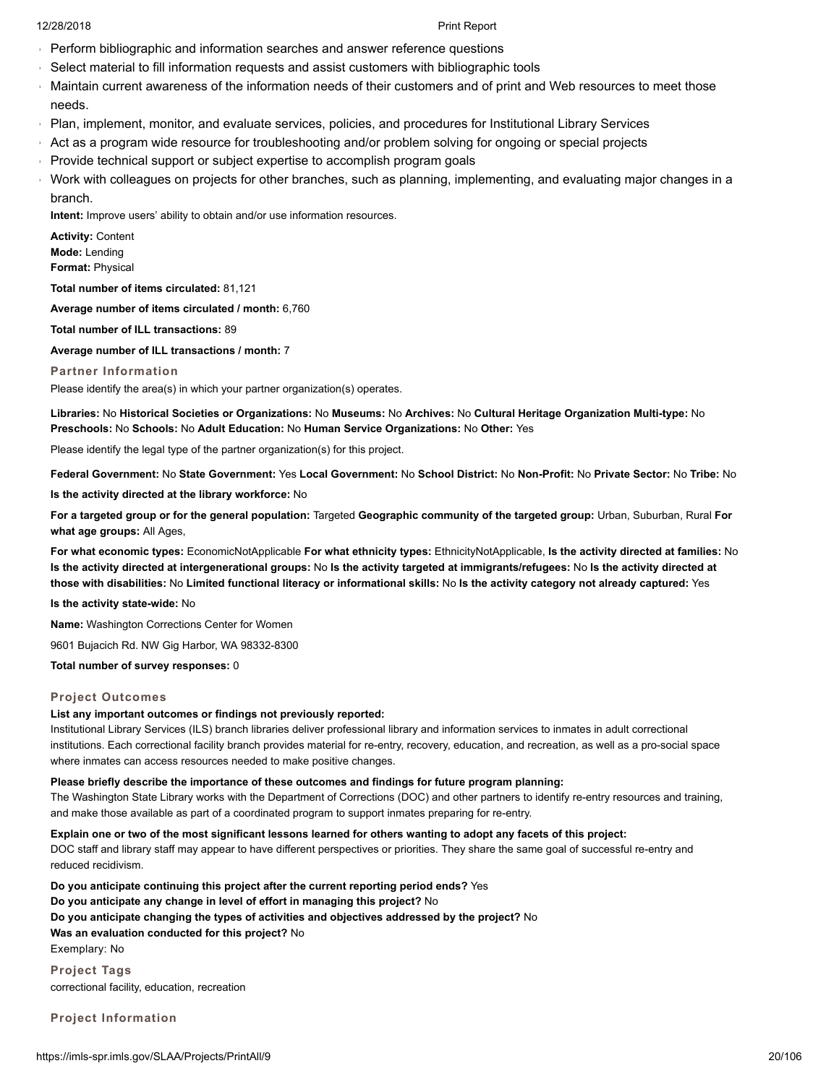- Perform bibliographic and information searches and answer reference questions
- Select material to fill information requests and assist customers with bibliographic tools  $\bar{\mathbf{r}}$
- Maintain current awareness of the information needs of their customers and of print and Web resources to meet those  $\hat{\mathbf{r}}$ needs.
- Plan, implement, monitor, and evaluate services, policies, and procedures for Institutional Library Services
- Act as a program wide resource for troubleshooting and/or problem solving for ongoing or special projects
- Provide technical support or subject expertise to accomplish program goals  $\bar{\mathbf{r}}$
- Work with colleagues on projects for other branches, such as planning, implementing, and evaluating major changes in a branch.

**Intent:** Improve users' ability to obtain and/or use information resources.

**Activity:** Content **Mode:** Lending **Format:** Physical

**Total number of items circulated:** 81,121

**Average number of items circulated / month:** 6,760

**Total number of ILL transactions:** 89

**Average number of ILL transactions / month:** 7

**Partner Information**

Please identify the area(s) in which your partner organization(s) operates.

**Libraries:** No **Historical Societies or Organizations:** No **Museums:** No **Archives:** No **Cultural Heritage Organization Multi-type:** No **Preschools:** No **Schools:** No **Adult Education:** No **Human Service Organizations:** No **Other:** Yes

Please identify the legal type of the partner organization(s) for this project.

**Federal Government:** No **State Government:** Yes **Local Government:** No **School District:** No **Non-Profit:** No **Private Sector:** No **Tribe:** No

**Is the activity directed at the library workforce:** No

**For a targeted group or for the general population:** Targeted **Geographic community of the targeted group:** Urban, Suburban, Rural **For what age groups:** All Ages,

**For what economic types:** EconomicNotApplicable **For what ethnicity types:** EthnicityNotApplicable, **Is the activity directed at families:** No **Is the activity directed at intergenerational groups:** No **Is the activity targeted at immigrants/refugees:** No **Is the activity directed at those with disabilities:** No **Limited functional literacy or informational skills:** No **Is the activity category not already captured:** Yes

**Is the activity state-wide:** No

**Name:** Washington Corrections Center for Women

9601 Bujacich Rd. NW Gig Harbor, WA 98332-8300

**Total number of survey responses:** 0

# **Project Outcomes**

# **List any important outcomes or findings not previously reported:**

Institutional Library Services (ILS) branch libraries deliver professional library and information services to inmates in adult correctional institutions. Each correctional facility branch provides material for re-entry, recovery, education, and recreation, as well as a pro-social space where inmates can access resources needed to make positive changes.

# **Please briefly describe the importance of these outcomes and findings for future program planning:**

The Washington State Library works with the Department of Corrections (DOC) and other partners to identify re-entry resources and training, and make those available as part of a coordinated program to support inmates preparing for re-entry.

# **Explain one or two of the most significant lessons learned for others wanting to adopt any facets of this project:**

DOC staff and library staff may appear to have different perspectives or priorities. They share the same goal of successful re-entry and reduced recidivism.

**Do you anticipate continuing this project after the current reporting period ends?** Yes **Do you anticipate any change in level of effort in managing this project?** No **Do you anticipate changing the types of activities and objectives addressed by the project?** No **Was an evaluation conducted for this project?** No Exemplary: No

**Project Tags** correctional facility, education, recreation

**Project Information**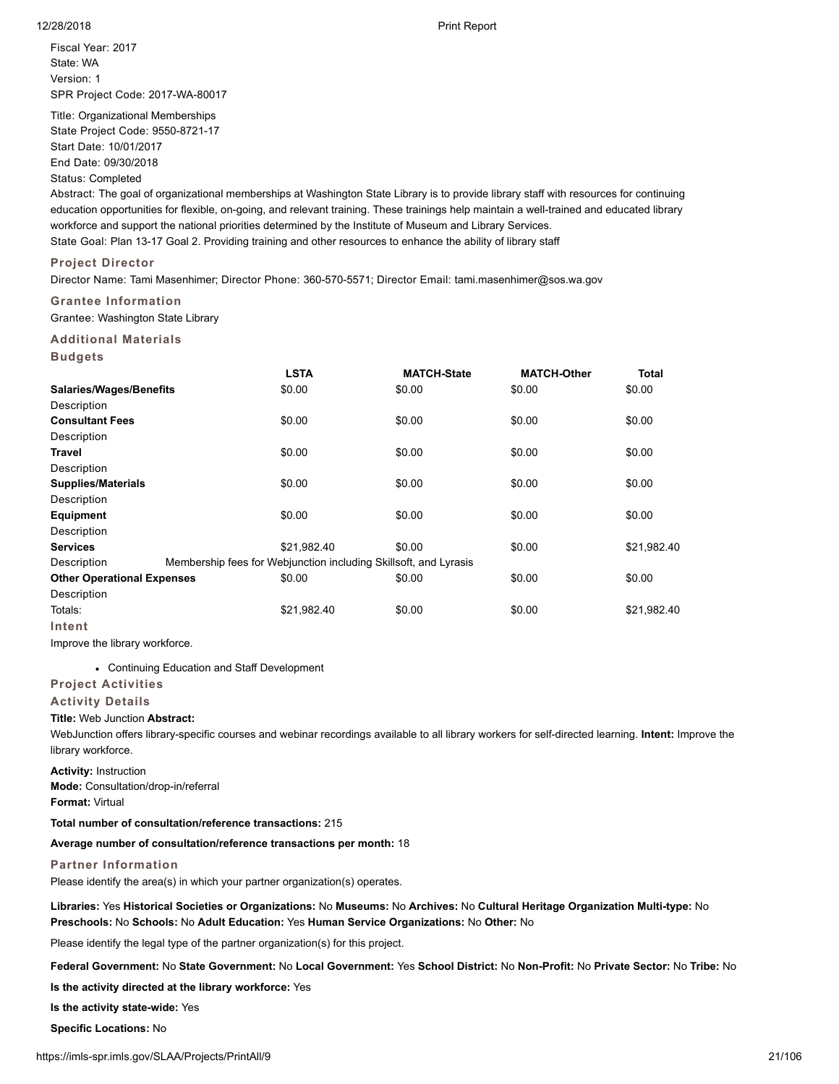Fiscal Year: 2017 State: WA Version: 1 SPR Project Code: 2017-WA-80017

Title: Organizational Memberships State Project Code: 9550-8721-17 Start Date: 10/01/2017 End Date: 09/30/2018 Status: Completed

Abstract: The goal of organizational memberships at Washington State Library is to provide library staff with resources for continuing education opportunities for flexible, on-going, and relevant training. These trainings help maintain a well-trained and educated library workforce and support the national priorities determined by the Institute of Museum and Library Services. State Goal: Plan 13-17 Goal 2. Providing training and other resources to enhance the ability of library staff

# **Project Director**

Director Name: Tami Masenhimer; Director Phone: 360-570-5571; Director Email: tami.masenhimer@sos.wa.gov

# **Grantee Information**

Grantee: Washington State Library

## **Additional Materials**

**Budgets**

|                                   | <b>LSTA</b>                                                      | <b>MATCH-State</b> | <b>MATCH-Other</b> | <b>Total</b> |
|-----------------------------------|------------------------------------------------------------------|--------------------|--------------------|--------------|
| <b>Salaries/Wages/Benefits</b>    | \$0.00                                                           | \$0.00             | \$0.00             | \$0.00       |
| Description                       |                                                                  |                    |                    |              |
| <b>Consultant Fees</b>            | \$0.00                                                           | \$0.00             | \$0.00             | \$0.00       |
| Description                       |                                                                  |                    |                    |              |
| Travel                            | \$0.00                                                           | \$0.00             | \$0.00             | \$0.00       |
| Description                       |                                                                  |                    |                    |              |
| <b>Supplies/Materials</b>         | \$0.00                                                           | \$0.00             | \$0.00             | \$0.00       |
| Description                       |                                                                  |                    |                    |              |
| <b>Equipment</b>                  | \$0.00                                                           | \$0.00             | \$0.00             | \$0.00       |
| Description                       |                                                                  |                    |                    |              |
| <b>Services</b>                   | \$21,982.40                                                      | \$0.00             | \$0.00             | \$21,982.40  |
| Description                       | Membership fees for Webjunction including Skillsoft, and Lyrasis |                    |                    |              |
| <b>Other Operational Expenses</b> | \$0.00                                                           | \$0.00             | \$0.00             | \$0.00       |
| Description                       |                                                                  |                    |                    |              |
| Totals:                           | \$21,982.40                                                      | \$0.00             | \$0.00             | \$21,982.40  |
| Intent                            |                                                                  |                    |                    |              |

Improve the library workforce.

Continuing Education and Staff Development

# **Project Activities**

## **Activity Details**

## **Title:** Web Junction **Abstract:**

WebJunction offers library-specific courses and webinar recordings available to all library workers for self-directed learning. **Intent:** Improve the library workforce.

**Activity:** Instruction **Mode:** Consultation/drop-in/referral **Format:** Virtual

**Total number of consultation/reference transactions:** 215

**Average number of consultation/reference transactions per month:** 18

# **Partner Information**

Please identify the area(s) in which your partner organization(s) operates.

**Libraries:** Yes **Historical Societies or Organizations:** No **Museums:** No **Archives:** No **Cultural Heritage Organization Multi-type:** No **Preschools:** No **Schools:** No **Adult Education:** Yes **Human Service Organizations:** No **Other:** No

Please identify the legal type of the partner organization(s) for this project.

**Federal Government:** No **State Government:** No **Local Government:** Yes **School District:** No **Non-Profit:** No **Private Sector:** No **Tribe:** No

**Is the activity directed at the library workforce:** Yes

**Is the activity state-wide:** Yes

**Specific Locations:** No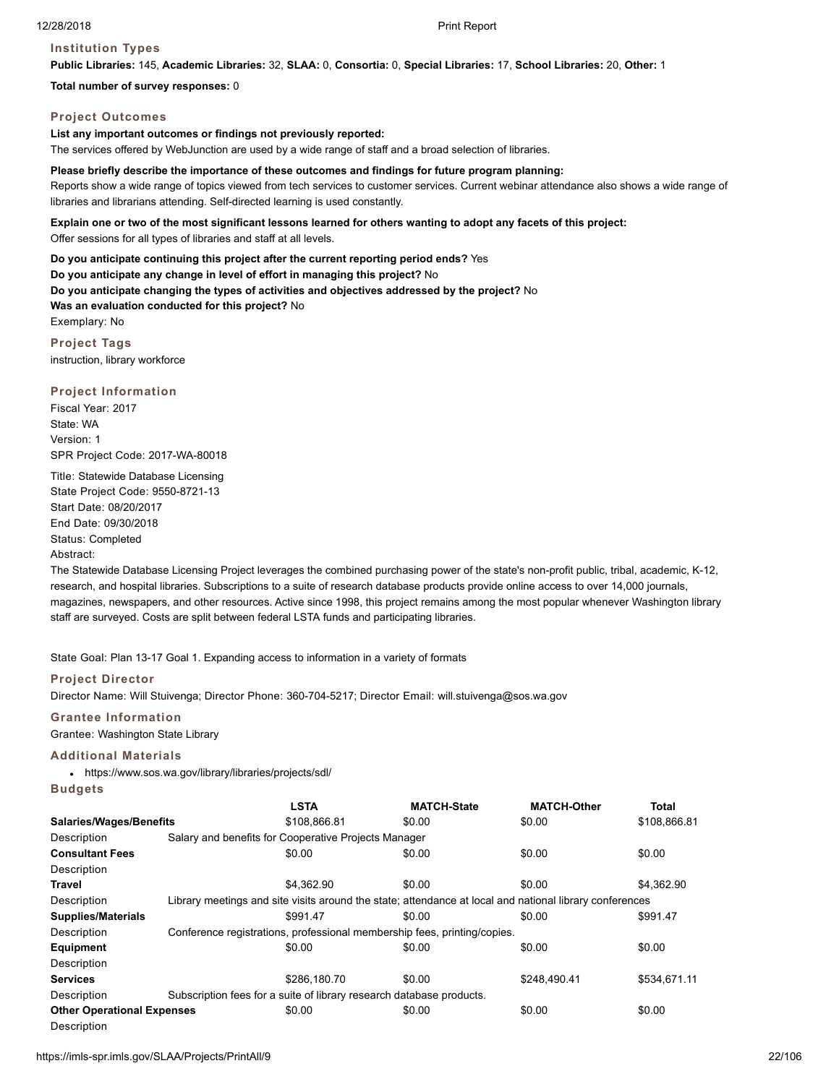# **Institution Types**

**Public Libraries:** 145, **Academic Libraries:** 32, **SLAA:** 0, **Consortia:** 0, **Special Libraries:** 17, **School Libraries:** 20, **Other:** 1

**Total number of survey responses:** 0

## **Project Outcomes**

# **List any important outcomes or findings not previously reported:**

The services offered by WebJunction are used by a wide range of staff and a broad selection of libraries.

#### **Please briefly describe the importance of these outcomes and findings for future program planning:**

Reports show a wide range of topics viewed from tech services to customer services. Current webinar attendance also shows a wide range of libraries and librarians attending. Self-directed learning is used constantly.

# **Explain one or two of the most significant lessons learned for others wanting to adopt any facets of this project:**

Offer sessions for all types of libraries and staff at all levels.

**Do you anticipate continuing this project after the current reporting period ends?** Yes **Do you anticipate any change in level of effort in managing this project?** No **Do you anticipate changing the types of activities and objectives addressed by the project?** No **Was an evaluation conducted for this project?** No Exemplary: No

**Project Tags** instruction, library workforce

## **Project Information**

Fiscal Year: 2017 State: WA Version: 1 SPR Project Code: 2017-WA-80018

Title: Statewide Database Licensing State Project Code: 9550-8721-13 Start Date: 08/20/2017 End Date: 09/30/2018 Status: Completed Abstract:

The Statewide Database Licensing Project leverages the combined purchasing power of the state's non-profit public, tribal, academic, K-12, research, and hospital libraries. Subscriptions to a suite of research database products provide online access to over 14,000 journals, magazines, newspapers, and other resources. Active since 1998, this project remains among the most popular whenever Washington library staff are surveyed. Costs are split between federal LSTA funds and participating libraries.

State Goal: Plan 13-17 Goal 1. Expanding access to information in a variety of formats

## **Project Director**

Director Name: Will Stuivenga; Director Phone: 360-704-5217; Director Email: will.stuivenga@sos.wa.gov

# **Grantee Information**

Grantee: Washington State Library

# **Additional Materials**

https://www.sos.wa.gov/library/libraries/projects/sdl/

**Budgets**

|                                   |  | <b>LSTA</b>                                                          | <b>MATCH-State</b>                                                                                      | <b>MATCH-Other</b> | <b>Total</b> |  |  |
|-----------------------------------|--|----------------------------------------------------------------------|---------------------------------------------------------------------------------------------------------|--------------------|--------------|--|--|
| <b>Salaries/Wages/Benefits</b>    |  | \$108,866.81                                                         | \$0.00                                                                                                  | \$0.00             | \$108,866.81 |  |  |
| Description                       |  | Salary and benefits for Cooperative Projects Manager                 |                                                                                                         |                    |              |  |  |
| <b>Consultant Fees</b>            |  | \$0.00                                                               | \$0.00                                                                                                  | \$0.00             | \$0.00       |  |  |
| Description                       |  |                                                                      |                                                                                                         |                    |              |  |  |
| <b>Travel</b>                     |  | \$4.362.90                                                           | \$0.00                                                                                                  | \$0.00             | \$4,362.90   |  |  |
| Description                       |  |                                                                      | Library meetings and site visits around the state; attendance at local and national library conferences |                    |              |  |  |
| <b>Supplies/Materials</b>         |  | \$991.47                                                             | \$0.00                                                                                                  | \$0.00             | \$991.47     |  |  |
| Description                       |  |                                                                      | Conference registrations, professional membership fees, printing/copies.                                |                    |              |  |  |
| <b>Equipment</b>                  |  | \$0.00                                                               | \$0.00                                                                                                  | \$0.00             | \$0.00       |  |  |
| Description                       |  |                                                                      |                                                                                                         |                    |              |  |  |
| <b>Services</b>                   |  | \$286,180.70                                                         | \$0.00                                                                                                  | \$248.490.41       | \$534.671.11 |  |  |
| Description                       |  | Subscription fees for a suite of library research database products. |                                                                                                         |                    |              |  |  |
| <b>Other Operational Expenses</b> |  | \$0.00                                                               | \$0.00                                                                                                  | \$0.00             | \$0.00       |  |  |
| Description                       |  |                                                                      |                                                                                                         |                    |              |  |  |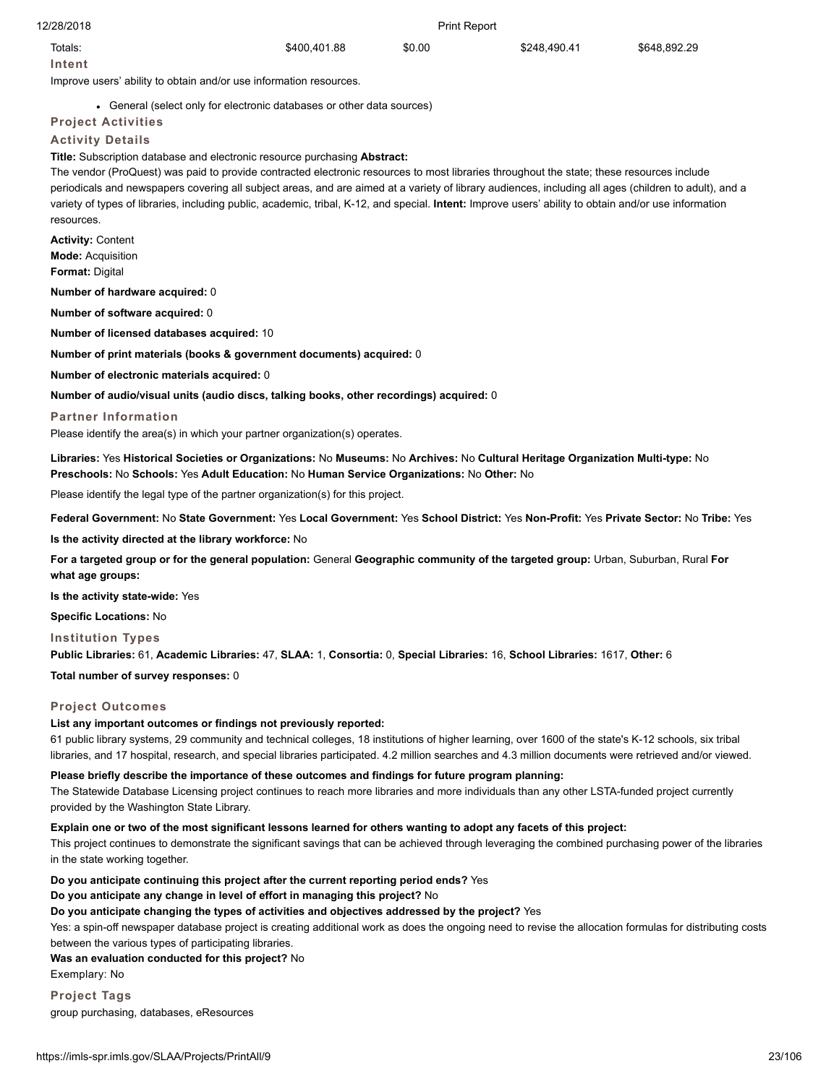| 12/28/2018                                                                                                                                                                                                                                                                                                                                                                                                                                                                |                                                                        | <b>Print Report</b> |              |              |
|---------------------------------------------------------------------------------------------------------------------------------------------------------------------------------------------------------------------------------------------------------------------------------------------------------------------------------------------------------------------------------------------------------------------------------------------------------------------------|------------------------------------------------------------------------|---------------------|--------------|--------------|
| Totals:                                                                                                                                                                                                                                                                                                                                                                                                                                                                   | \$400,401.88                                                           | \$0.00              | \$248,490.41 | \$648,892.29 |
| Intent                                                                                                                                                                                                                                                                                                                                                                                                                                                                    |                                                                        |                     |              |              |
| Improve users' ability to obtain and/or use information resources.                                                                                                                                                                                                                                                                                                                                                                                                        |                                                                        |                     |              |              |
|                                                                                                                                                                                                                                                                                                                                                                                                                                                                           | • General (select only for electronic databases or other data sources) |                     |              |              |
| <b>Project Activities</b>                                                                                                                                                                                                                                                                                                                                                                                                                                                 |                                                                        |                     |              |              |
| <b>Activity Details</b><br>Title: Subscription database and electronic resource purchasing Abstract:                                                                                                                                                                                                                                                                                                                                                                      |                                                                        |                     |              |              |
| The vendor (ProQuest) was paid to provide contracted electronic resources to most libraries throughout the state; these resources include<br>periodicals and newspapers covering all subject areas, and are aimed at a variety of library audiences, including all ages (children to adult), and a<br>variety of types of libraries, including public, academic, tribal, K-12, and special. Intent: Improve users' ability to obtain and/or use information<br>resources. |                                                                        |                     |              |              |
| <b>Activity: Content</b><br><b>Mode: Acquisition</b><br><b>Format: Digital</b>                                                                                                                                                                                                                                                                                                                                                                                            |                                                                        |                     |              |              |
| Number of hardware acquired: 0                                                                                                                                                                                                                                                                                                                                                                                                                                            |                                                                        |                     |              |              |
| Number of software acquired: 0                                                                                                                                                                                                                                                                                                                                                                                                                                            |                                                                        |                     |              |              |
| <b>Number of licensed databases acquired: 10</b>                                                                                                                                                                                                                                                                                                                                                                                                                          |                                                                        |                     |              |              |
| Number of print materials (books & government documents) acquired: 0                                                                                                                                                                                                                                                                                                                                                                                                      |                                                                        |                     |              |              |
| Number of electronic materials acquired: 0                                                                                                                                                                                                                                                                                                                                                                                                                                |                                                                        |                     |              |              |
| Number of audio/visual units (audio discs, talking books, other recordings) acquired: 0                                                                                                                                                                                                                                                                                                                                                                                   |                                                                        |                     |              |              |
| <b>Partner Information</b>                                                                                                                                                                                                                                                                                                                                                                                                                                                |                                                                        |                     |              |              |
| Please identify the area(s) in which your partner organization(s) operates.                                                                                                                                                                                                                                                                                                                                                                                               |                                                                        |                     |              |              |
| Libraries: Yes Historical Societies or Organizations: No Museums: No Archives: No Cultural Heritage Organization Multi-type: No<br>Preschools: No Schools: Yes Adult Education: No Human Service Organizations: No Other: No                                                                                                                                                                                                                                              |                                                                        |                     |              |              |
| Please identify the legal type of the partner organization(s) for this project.                                                                                                                                                                                                                                                                                                                                                                                           |                                                                        |                     |              |              |
| Federal Government: No State Government: Yes Local Government: Yes School District: Yes Non-Profit: Yes Private Sector: No Tribe: Yes                                                                                                                                                                                                                                                                                                                                     |                                                                        |                     |              |              |
| Is the activity directed at the library workforce: No                                                                                                                                                                                                                                                                                                                                                                                                                     |                                                                        |                     |              |              |
| For a targeted group or for the general population: General Geographic community of the targeted group: Urban, Suburban, Rural For<br>what age groups:                                                                                                                                                                                                                                                                                                                    |                                                                        |                     |              |              |
| Is the activity state-wide: Yes                                                                                                                                                                                                                                                                                                                                                                                                                                           |                                                                        |                     |              |              |
| <b>Specific Locations: No</b>                                                                                                                                                                                                                                                                                                                                                                                                                                             |                                                                        |                     |              |              |
| <b>Institution Types</b>                                                                                                                                                                                                                                                                                                                                                                                                                                                  |                                                                        |                     |              |              |
| Public Libraries: 61, Academic Libraries: 47, SLAA: 1, Consortia: 0, Special Libraries: 16, School Libraries: 1617, Other: 6                                                                                                                                                                                                                                                                                                                                              |                                                                        |                     |              |              |
| Total number of survey responses: 0                                                                                                                                                                                                                                                                                                                                                                                                                                       |                                                                        |                     |              |              |
| <b>Project Outcomes</b>                                                                                                                                                                                                                                                                                                                                                                                                                                                   |                                                                        |                     |              |              |

## **List any important outcomes or findings not previously reported:**

61 public library systems, 29 community and technical colleges, 18 institutions of higher learning, over 1600 of the state's K-12 schools, six tribal libraries, and 17 hospital, research, and special libraries participated. 4.2 million searches and 4.3 million documents were retrieved and/or viewed.

**Please briefly describe the importance of these outcomes and findings for future program planning:**

The Statewide Database Licensing project continues to reach more libraries and more individuals than any other LSTA-funded project currently provided by the Washington State Library.

# **Explain one or two of the most significant lessons learned for others wanting to adopt any facets of this project:**

This project continues to demonstrate the significant savings that can be achieved through leveraging the combined purchasing power of the libraries in the state working together.

**Do you anticipate continuing this project after the current reporting period ends?** Yes

#### **Do you anticipate any change in level of effort in managing this project?** No

# **Do you anticipate changing the types of activities and objectives addressed by the project?** Yes

Yes: a spin-off newspaper database project is creating additional work as does the ongoing need to revise the allocation formulas for distributing costs between the various types of participating libraries.

#### **Was an evaluation conducted for this project?** No

Exemplary: No

**Project Tags** group purchasing, databases, eResources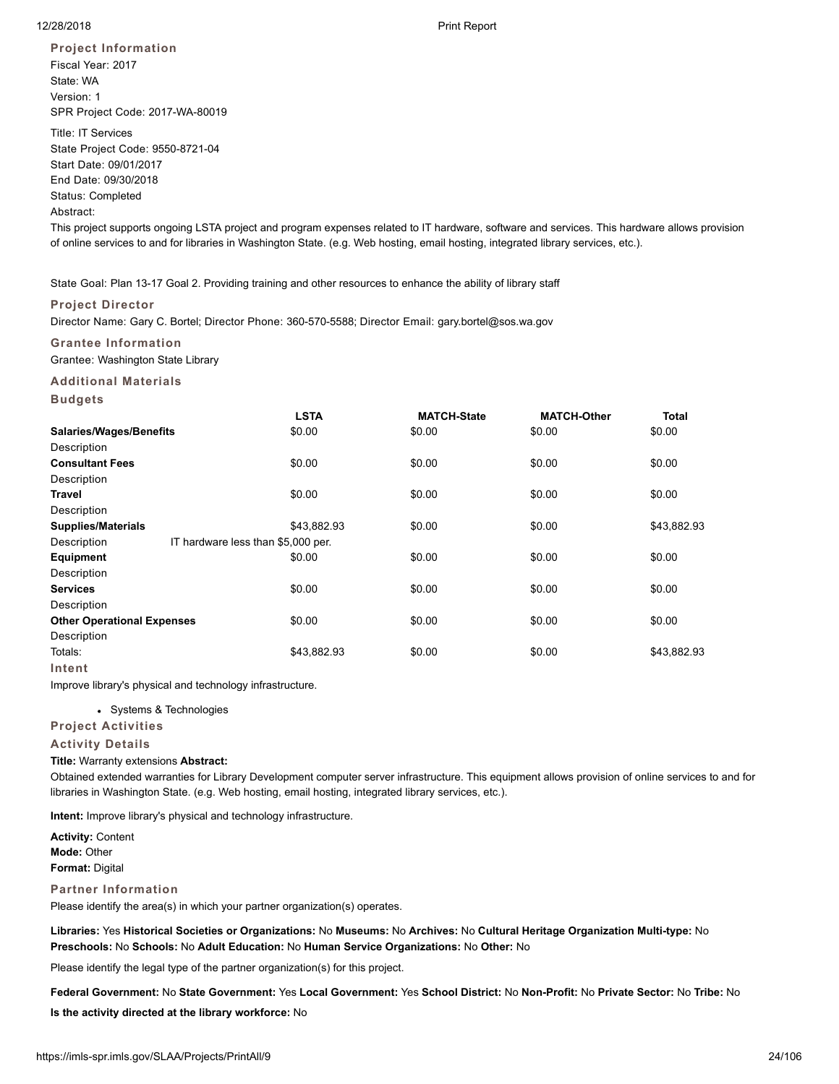**Project Information** Fiscal Year: 2017 State: WA Version: 1 SPR Project Code: 2017-WA-80019

Title: IT Services State Project Code: 9550-8721-04 Start Date: 09/01/2017 End Date: 09/30/2018 Status: Completed Abstract:

This project supports ongoing LSTA project and program expenses related to IT hardware, software and services. This hardware allows provision of online services to and for libraries in Washington State. (e.g. Web hosting, email hosting, integrated library services, etc.).

State Goal: Plan 13-17 Goal 2. Providing training and other resources to enhance the ability of library staff

# **Project Director**

Director Name: Gary C. Bortel; Director Phone: 360-570-5588; Director Email: gary.bortel@sos.wa.gov

# **Grantee Information**

Grantee: Washington State Library

**Additional Materials Budgets**

|                                   | <b>LSTA</b>                        | <b>MATCH-State</b> | <b>MATCH-Other</b> | Total       |
|-----------------------------------|------------------------------------|--------------------|--------------------|-------------|
| <b>Salaries/Wages/Benefits</b>    | \$0.00                             | \$0.00             | \$0.00             | \$0.00      |
| Description                       |                                    |                    |                    |             |
| <b>Consultant Fees</b>            | \$0.00                             | \$0.00             | \$0.00             | \$0.00      |
| Description                       |                                    |                    |                    |             |
| Travel                            | \$0.00                             | \$0.00             | \$0.00             | \$0.00      |
| Description                       |                                    |                    |                    |             |
| <b>Supplies/Materials</b>         | \$43,882.93                        | \$0.00             | \$0.00             | \$43,882.93 |
| Description                       | IT hardware less than \$5,000 per. |                    |                    |             |
| <b>Equipment</b>                  | \$0.00                             | \$0.00             | \$0.00             | \$0.00      |
| Description                       |                                    |                    |                    |             |
| <b>Services</b>                   | \$0.00                             | \$0.00             | \$0.00             | \$0.00      |
| Description                       |                                    |                    |                    |             |
| <b>Other Operational Expenses</b> | \$0.00                             | \$0.00             | \$0.00             | \$0.00      |
| Description                       |                                    |                    |                    |             |
| Totals:                           | \$43,882.93                        | \$0.00             | \$0.00             | \$43,882.93 |
| Intent                            |                                    |                    |                    |             |

Improve library's physical and technology infrastructure.

Systems & Technologies

# **Project Activities**

## **Activity Details**

## **Title:** Warranty extensions **Abstract:**

Obtained extended warranties for Library Development computer server infrastructure. This equipment allows provision of online services to and for libraries in Washington State. (e.g. Web hosting, email hosting, integrated library services, etc.).

**Intent:** Improve library's physical and technology infrastructure.

**Activity:** Content **Mode:** Other **Format:** Digital

## **Partner Information**

Please identify the area(s) in which your partner organization(s) operates.

**Libraries:** Yes **Historical Societies or Organizations:** No **Museums:** No **Archives:** No **Cultural Heritage Organization Multi-type:** No **Preschools:** No **Schools:** No **Adult Education:** No **Human Service Organizations:** No **Other:** No

Please identify the legal type of the partner organization(s) for this project.

**Federal Government:** No **State Government:** Yes **Local Government:** Yes **School District:** No **Non-Profit:** No **Private Sector:** No **Tribe:** No

**Is the activity directed at the library workforce:** No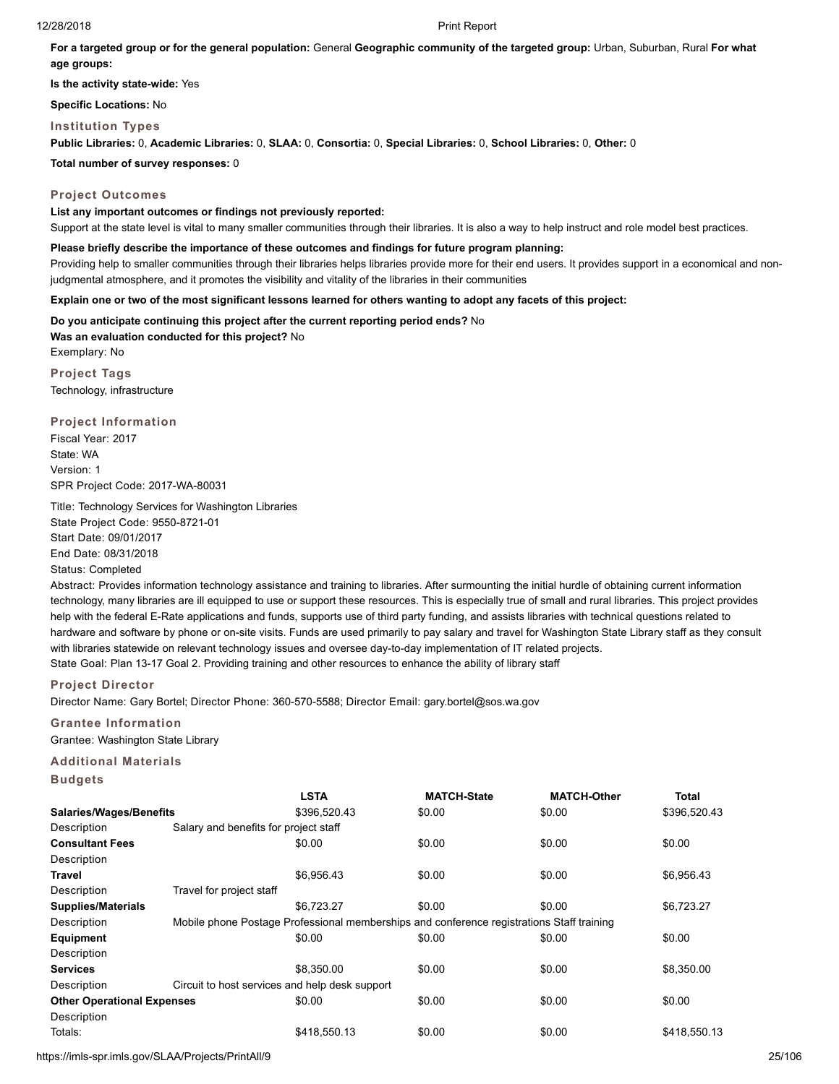**For a targeted group or for the general population:** General **Geographic community of the targeted group:** Urban, Suburban, Rural **For what age groups:**

**Is the activity state-wide:** Yes

**Specific Locations:** No

**Institution Types**

**Public Libraries:** 0, **Academic Libraries:** 0, **SLAA:** 0, **Consortia:** 0, **Special Libraries:** 0, **School Libraries:** 0, **Other:** 0

**Total number of survey responses:** 0

# **Project Outcomes**

**List any important outcomes or findings not previously reported:** Support at the state level is vital to many smaller communities through their libraries. It is also a way to help instruct and role model best practices.

## **Please briefly describe the importance of these outcomes and findings for future program planning:**

Providing help to smaller communities through their libraries helps libraries provide more for their end users. It provides support in a economical and nonjudgmental atmosphere, and it promotes the visibility and vitality of the libraries in their communities

## **Explain one or two of the most significant lessons learned for others wanting to adopt any facets of this project:**

**Do you anticipate continuing this project after the current reporting period ends?** No **Was an evaluation conducted for this project?** No Exemplary: No **Project Tags**

Technology, infrastructure

**Project Information**

Fiscal Year: 2017 State: WA Version: 1 SPR Project Code: 2017-WA-80031

Title: Technology Services for Washington Libraries State Project Code: 9550-8721-01 Start Date: 09/01/2017 End Date: 08/31/2018 Status: Completed

Abstract: Provides information technology assistance and training to libraries. After surmounting the initial hurdle of obtaining current information technology, many libraries are ill equipped to use or support these resources. This is especially true of small and rural libraries. This project provides help with the federal E-Rate applications and funds, supports use of third party funding, and assists libraries with technical questions related to hardware and software by phone or on-site visits. Funds are used primarily to pay salary and travel for Washington State Library staff as they consult with libraries statewide on relevant technology issues and oversee day-to-day implementation of IT related projects. State Goal: Plan 13-17 Goal 2. Providing training and other resources to enhance the ability of library staff

## **Project Director**

Director Name: Gary Bortel; Director Phone: 360-570-5588; Director Email: gary.bortel@sos.wa.gov

**Grantee Information**

Grantee: Washington State Library

# **Additional Materials**

**Budgets**

|                                   |                                                | <b>LSTA</b>                                                                               | <b>MATCH-State</b> | <b>MATCH-Other</b> | Total        |
|-----------------------------------|------------------------------------------------|-------------------------------------------------------------------------------------------|--------------------|--------------------|--------------|
| <b>Salaries/Wages/Benefits</b>    |                                                | \$396,520.43                                                                              | \$0.00             | \$0.00             | \$396,520.43 |
| Description                       | Salary and benefits for project staff          |                                                                                           |                    |                    |              |
| <b>Consultant Fees</b>            |                                                | \$0.00                                                                                    | \$0.00             | \$0.00             | \$0.00       |
| Description                       |                                                |                                                                                           |                    |                    |              |
| Travel                            |                                                | \$6.956.43                                                                                | \$0.00             | \$0.00             | \$6,956.43   |
| Description                       | Travel for project staff                       |                                                                                           |                    |                    |              |
| <b>Supplies/Materials</b>         |                                                | \$6.723.27                                                                                | \$0.00             | \$0.00             | \$6,723.27   |
| Description                       |                                                | Mobile phone Postage Professional memberships and conference registrations Staff training |                    |                    |              |
| Equipment                         |                                                | \$0.00                                                                                    | \$0.00             | \$0.00             | \$0.00       |
| Description                       |                                                |                                                                                           |                    |                    |              |
| <b>Services</b>                   |                                                | \$8,350.00                                                                                | \$0.00             | \$0.00             | \$8,350.00   |
| Description                       | Circuit to host services and help desk support |                                                                                           |                    |                    |              |
| <b>Other Operational Expenses</b> |                                                | \$0.00                                                                                    | \$0.00             | \$0.00             | \$0.00       |
| Description                       |                                                |                                                                                           |                    |                    |              |
| Totals:                           |                                                | \$418.550.13                                                                              | \$0.00             | \$0.00             | \$418.550.13 |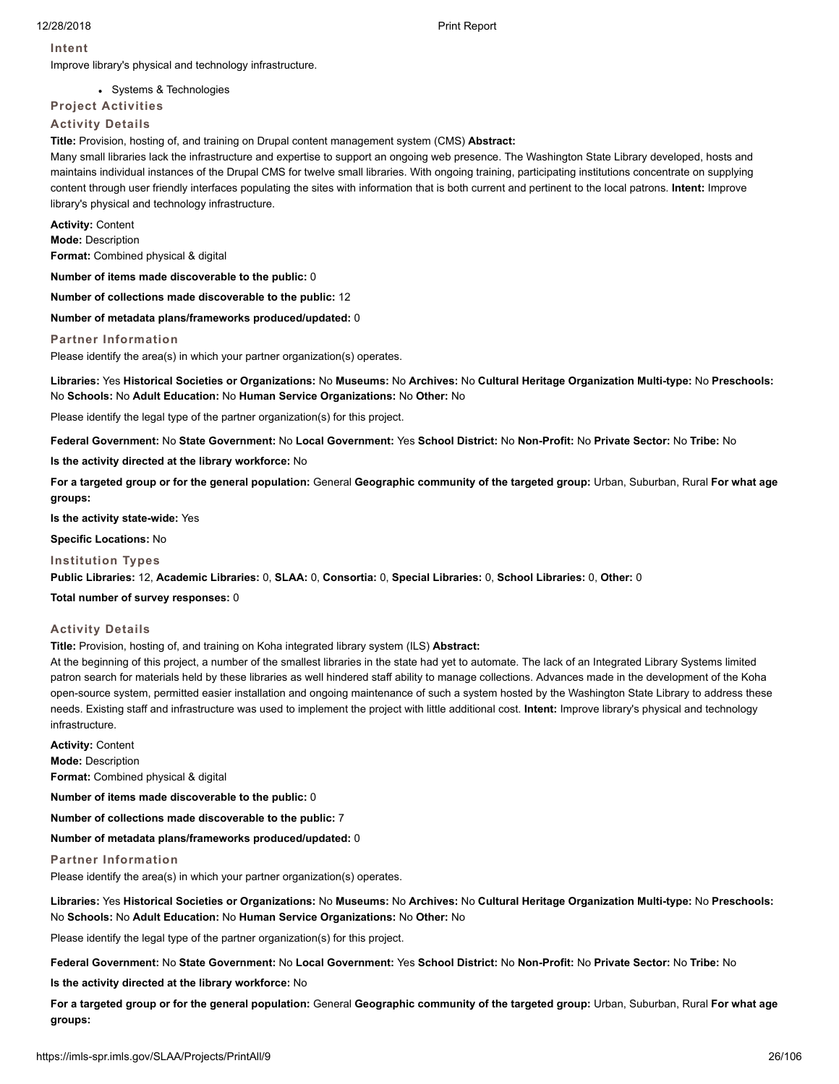## **Intent**

Improve library's physical and technology infrastructure.

Systems & Technologies

# **Project Activities**

# **Activity Details**

**Title:** Provision, hosting of, and training on Drupal content management system (CMS) **Abstract:**

Many small libraries lack the infrastructure and expertise to support an ongoing web presence. The Washington State Library developed, hosts and maintains individual instances of the Drupal CMS for twelve small libraries. With ongoing training, participating institutions concentrate on supplying content through user friendly interfaces populating the sites with information that is both current and pertinent to the local patrons. **Intent:** Improve library's physical and technology infrastructure.

**Activity:** Content

**Mode:** Description

**Format:** Combined physical & digital

**Number of items made discoverable to the public:** 0

**Number of collections made discoverable to the public:** 12

**Number of metadata plans/frameworks produced/updated:** 0

#### **Partner Information**

Please identify the area(s) in which your partner organization(s) operates.

**Libraries:** Yes **Historical Societies or Organizations:** No **Museums:** No **Archives:** No **Cultural Heritage Organization Multi-type:** No **Preschools:** No **Schools:** No **Adult Education:** No **Human Service Organizations:** No **Other:** No

Please identify the legal type of the partner organization(s) for this project.

**Federal Government:** No **State Government:** No **Local Government:** Yes **School District:** No **Non-Profit:** No **Private Sector:** No **Tribe:** No

**Is the activity directed at the library workforce:** No

**For a targeted group or for the general population:** General **Geographic community of the targeted group:** Urban, Suburban, Rural **For what age groups:**

**Is the activity state-wide:** Yes

**Specific Locations:** No

#### **Institution Types**

**Public Libraries:** 12, **Academic Libraries:** 0, **SLAA:** 0, **Consortia:** 0, **Special Libraries:** 0, **School Libraries:** 0, **Other:** 0

**Total number of survey responses:** 0

#### **Activity Details**

**Title:** Provision, hosting of, and training on Koha integrated library system (ILS) **Abstract:**

At the beginning of this project, a number of the smallest libraries in the state had yet to automate. The lack of an Integrated Library Systems limited patron search for materials held by these libraries as well hindered staff ability to manage collections. Advances made in the development of the Koha open-source system, permitted easier installation and ongoing maintenance of such a system hosted by the Washington State Library to address these needs. Existing staff and infrastructure was used to implement the project with little additional cost. **Intent:** Improve library's physical and technology infrastructure.

**Activity:** Content **Mode:** Description **Format:** Combined physical & digital

**Number of items made discoverable to the public:** 0

**Number of collections made discoverable to the public:** 7

**Number of metadata plans/frameworks produced/updated:** 0

**Partner Information**

Please identify the area(s) in which your partner organization(s) operates.

**Libraries:** Yes **Historical Societies or Organizations:** No **Museums:** No **Archives:** No **Cultural Heritage Organization Multi-type:** No **Preschools:** No **Schools:** No **Adult Education:** No **Human Service Organizations:** No **Other:** No

Please identify the legal type of the partner organization(s) for this project.

**Federal Government:** No **State Government:** No **Local Government:** Yes **School District:** No **Non-Profit:** No **Private Sector:** No **Tribe:** No

**Is the activity directed at the library workforce:** No

**For a targeted group or for the general population:** General **Geographic community of the targeted group:** Urban, Suburban, Rural **For what age groups:**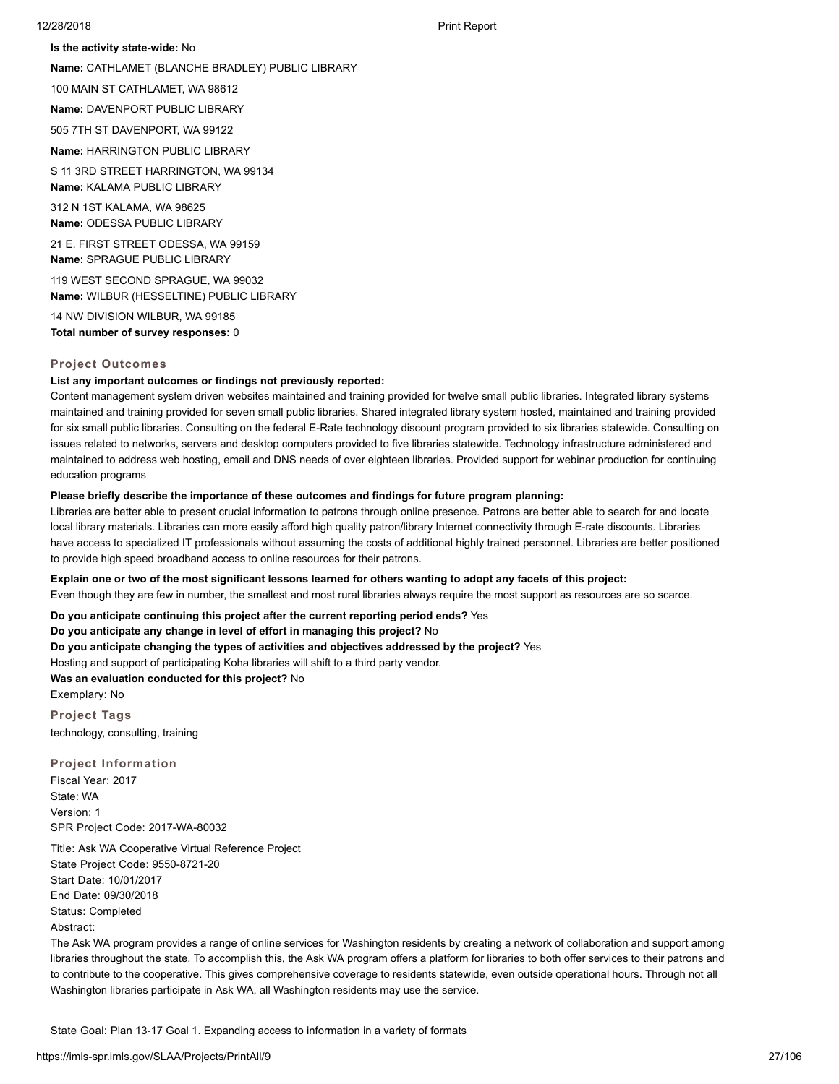**Is the activity state-wide:** No

**Name:** CATHLAMET (BLANCHE BRADLEY) PUBLIC LIBRARY

100 MAIN ST CATHLAMET, WA 98612

**Name:** DAVENPORT PUBLIC LIBRARY

505 7TH ST DAVENPORT, WA 99122

**Name:** HARRINGTON PUBLIC LIBRARY

S 11 3RD STREET HARRINGTON, WA 99134 **Name:** KALAMA PUBLIC LIBRARY

312 N 1ST KALAMA, WA 98625 **Name:** ODESSA PUBLIC LIBRARY

21 E. FIRST STREET ODESSA, WA 99159 **Name:** SPRAGUE PUBLIC LIBRARY

119 WEST SECOND SPRAGUE, WA 99032 **Name:** WILBUR (HESSELTINE) PUBLIC LIBRARY

14 NW DIVISION WILBUR, WA 99185 **Total number of survey responses:** 0

#### **Project Outcomes**

#### **List any important outcomes or findings not previously reported:**

Content management system driven websites maintained and training provided for twelve small public libraries. Integrated library systems maintained and training provided for seven small public libraries. Shared integrated library system hosted, maintained and training provided for six small public libraries. Consulting on the federal E-Rate technology discount program provided to six libraries statewide. Consulting on issues related to networks, servers and desktop computers provided to five libraries statewide. Technology infrastructure administered and maintained to address web hosting, email and DNS needs of over eighteen libraries. Provided support for webinar production for continuing education programs

# **Please briefly describe the importance of these outcomes and findings for future program planning:**

Libraries are better able to present crucial information to patrons through online presence. Patrons are better able to search for and locate local library materials. Libraries can more easily afford high quality patron/library Internet connectivity through E-rate discounts. Libraries have access to specialized IT professionals without assuming the costs of additional highly trained personnel. Libraries are better positioned to provide high speed broadband access to online resources for their patrons.

**Explain one or two of the most significant lessons learned for others wanting to adopt any facets of this project:**

Even though they are few in number, the smallest and most rural libraries always require the most support as resources are so scarce.

**Do you anticipate continuing this project after the current reporting period ends?** Yes

**Do you anticipate any change in level of effort in managing this project?** No

**Do you anticipate changing the types of activities and objectives addressed by the project?** Yes

Hosting and support of participating Koha libraries will shift to a third party vendor.

**Was an evaluation conducted for this project?** No

Exemplary: No

**Project Tags** technology, consulting, training

**Project Information**

Fiscal Year: 2017 State: WA Version: 1 SPR Project Code: 2017-WA-80032

Title: Ask WA Cooperative Virtual Reference Project State Project Code: 9550-8721-20 Start Date: 10/01/2017 End Date: 09/30/2018 Status: Completed Abstract:

The Ask WA program provides a range of online services for Washington residents by creating a network of collaboration and support among libraries throughout the state. To accomplish this, the Ask WA program offers a platform for libraries to both offer services to their patrons and to contribute to the cooperative. This gives comprehensive coverage to residents statewide, even outside operational hours. Through not all Washington libraries participate in Ask WA, all Washington residents may use the service.

State Goal: Plan 13-17 Goal 1. Expanding access to information in a variety of formats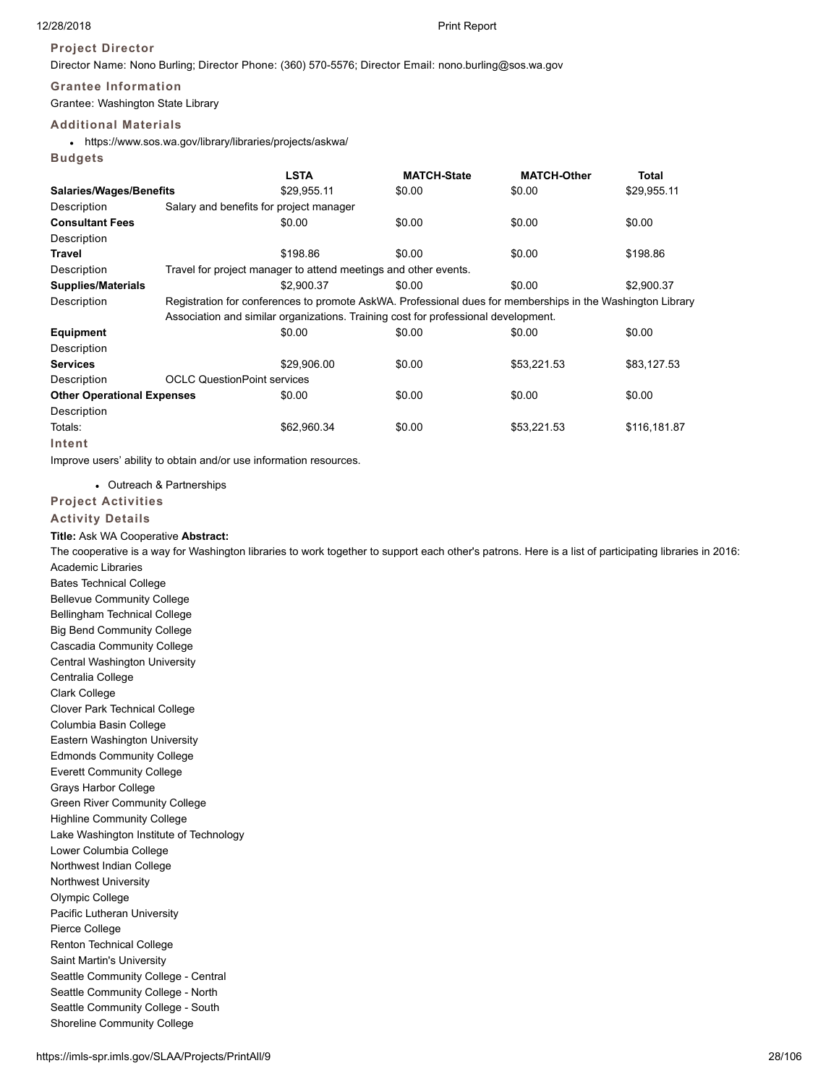**Budgets**

# **Project Director**

Director Name: Nono Burling; Director Phone: (360) 570-5576; Director Email: nono.burling@sos.wa.gov

# **Grantee Information**

Grantee: Washington State Library

# **Additional Materials**

https://www.sos.wa.gov/library/libraries/projects/askwa/

|                                   |                                                                                                            | <b>LSTA</b>                                                     | <b>MATCH-State</b>                                                                 | <b>MATCH-Other</b> | Total        |  |  |
|-----------------------------------|------------------------------------------------------------------------------------------------------------|-----------------------------------------------------------------|------------------------------------------------------------------------------------|--------------------|--------------|--|--|
| <b>Salaries/Wages/Benefits</b>    |                                                                                                            | \$29,955.11                                                     | \$0.00                                                                             | \$0.00             | \$29,955.11  |  |  |
| Description                       |                                                                                                            | Salary and benefits for project manager                         |                                                                                    |                    |              |  |  |
| <b>Consultant Fees</b>            |                                                                                                            | \$0.00                                                          | \$0.00                                                                             | \$0.00             | \$0.00       |  |  |
| Description                       |                                                                                                            |                                                                 |                                                                                    |                    |              |  |  |
| Travel                            |                                                                                                            | \$198.86                                                        | \$0.00                                                                             | \$0.00             | \$198.86     |  |  |
| Description                       |                                                                                                            | Travel for project manager to attend meetings and other events. |                                                                                    |                    |              |  |  |
| <b>Supplies/Materials</b>         |                                                                                                            | \$2,900.37                                                      | \$0.00                                                                             | \$0.00             | \$2,900.37   |  |  |
| Description                       | Registration for conferences to promote AskWA. Professional dues for memberships in the Washington Library |                                                                 |                                                                                    |                    |              |  |  |
|                                   |                                                                                                            |                                                                 | Association and similar organizations. Training cost for professional development. |                    |              |  |  |
| Equipment                         |                                                                                                            | \$0.00                                                          | \$0.00                                                                             | \$0.00             | \$0.00       |  |  |
| Description                       |                                                                                                            |                                                                 |                                                                                    |                    |              |  |  |
| <b>Services</b>                   |                                                                                                            | \$29,906.00                                                     | \$0.00                                                                             | \$53,221.53        | \$83,127.53  |  |  |
| Description                       | <b>OCLC QuestionPoint services</b>                                                                         |                                                                 |                                                                                    |                    |              |  |  |
| <b>Other Operational Expenses</b> |                                                                                                            | \$0.00                                                          | \$0.00                                                                             | \$0.00             | \$0.00       |  |  |
| Description                       |                                                                                                            |                                                                 |                                                                                    |                    |              |  |  |
| Totals:                           |                                                                                                            | \$62.960.34                                                     | \$0.00                                                                             | \$53,221.53        | \$116,181.87 |  |  |
| Intent                            |                                                                                                            |                                                                 |                                                                                    |                    |              |  |  |

Improve users' ability to obtain and/or use information resources.

Outreach & Partnerships

# **Project Activities**

### **Activity Details**

**Title:** Ask WA Cooperative **Abstract:**

The cooperative is a way for Washington libraries to work together to support each other's patrons. Here is a list of participating libraries in 2016: Academic Libraries

Bates Technical College Bellevue Community College Bellingham Technical College Big Bend Community College Cascadia Community College Central Washington University Centralia College Clark College Clover Park Technical College Columbia Basin College Eastern Washington University Edmonds Community College Everett Community College Grays Harbor College Green River Community College Highline Community College Lake Washington Institute of Technology Lower Columbia College Northwest Indian College Northwest University Olympic College Pacific Lutheran University Pierce College Renton Technical College Saint Martin's University Seattle Community College - Central Seattle Community College - North Seattle Community College - South Shoreline Community College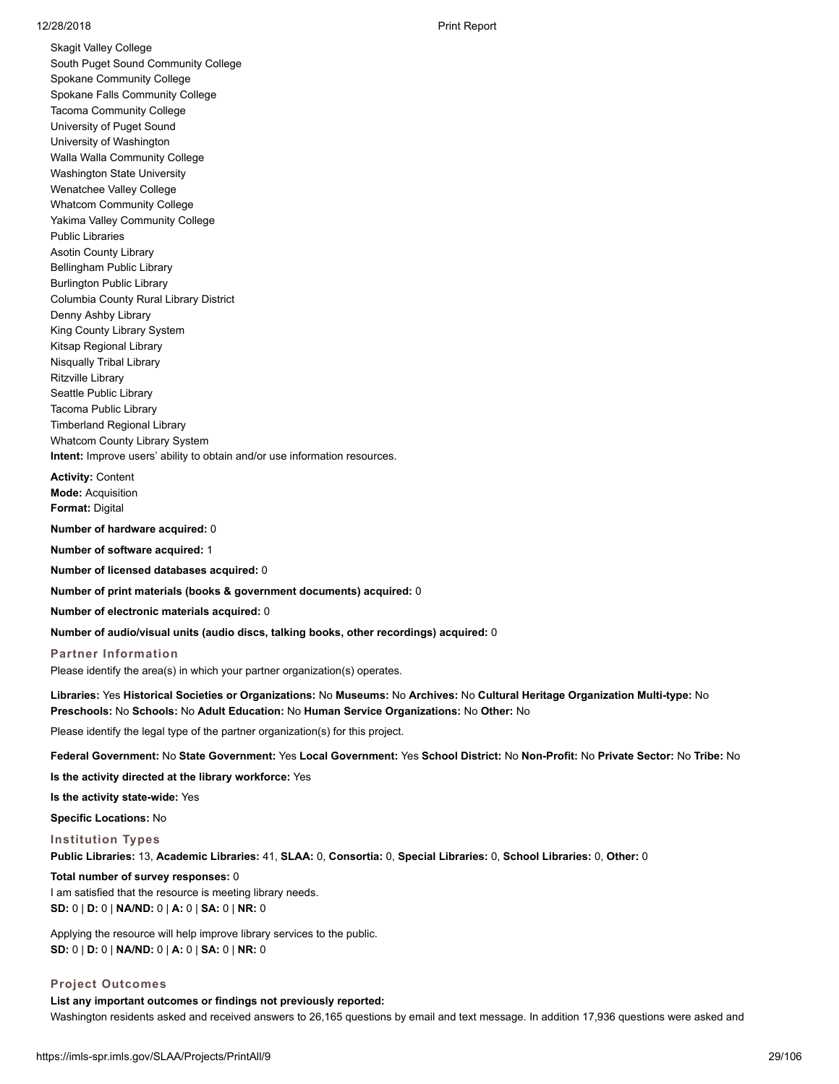Skagit Valley College South Puget Sound Community College Spokane Community College Spokane Falls Community College Tacoma Community College University of Puget Sound University of Washington Walla Walla Community College Washington State University Wenatchee Valley College Whatcom Community College Yakima Valley Community College Public Libraries Asotin County Library Bellingham Public Library Burlington Public Library Columbia County Rural Library District Denny Ashby Library King County Library System Kitsap Regional Library Nisqually Tribal Library Ritzville Library Seattle Public Library Tacoma Public Library Timberland Regional Library Whatcom County Library System **Intent:** Improve users' ability to obtain and/or use information resources.

**Activity:** Content **Mode:** Acquisition **Format:** Digital

**Number of hardware acquired:** 0

**Number of software acquired:** 1

**Number of licensed databases acquired:** 0

**Number of print materials (books & government documents) acquired:** 0

**Number of electronic materials acquired:** 0

**Number of audio/visual units (audio discs, talking books, other recordings) acquired:** 0

**Partner Information** Please identify the area(s) in which your partner organization(s) operates.

**Libraries:** Yes **Historical Societies or Organizations:** No **Museums:** No **Archives:** No **Cultural Heritage Organization Multi-type:** No **Preschools:** No **Schools:** No **Adult Education:** No **Human Service Organizations:** No **Other:** No

Please identify the legal type of the partner organization(s) for this project.

**Federal Government:** No **State Government:** Yes **Local Government:** Yes **School District:** No **Non-Profit:** No **Private Sector:** No **Tribe:** No

**Is the activity directed at the library workforce:** Yes

**Is the activity state-wide:** Yes

**Specific Locations:** No

**Institution Types Public Libraries:** 13, **Academic Libraries:** 41, **SLAA:** 0, **Consortia:** 0, **Special Libraries:** 0, **School Libraries:** 0, **Other:** 0

**Total number of survey responses:** 0

I am satisfied that the resource is meeting library needs. **SD:** 0 | **D:** 0 | **NA/ND:** 0 | **A:** 0 | **SA:** 0 | **NR:** 0

Applying the resource will help improve library services to the public. **SD:** 0 | **D:** 0 | **NA/ND:** 0 | **A:** 0 | **SA:** 0 | **NR:** 0

#### **Project Outcomes**

**List any important outcomes or findings not previously reported:** Washington residents asked and received answers to 26,165 questions by email and text message. In addition 17,936 questions were asked and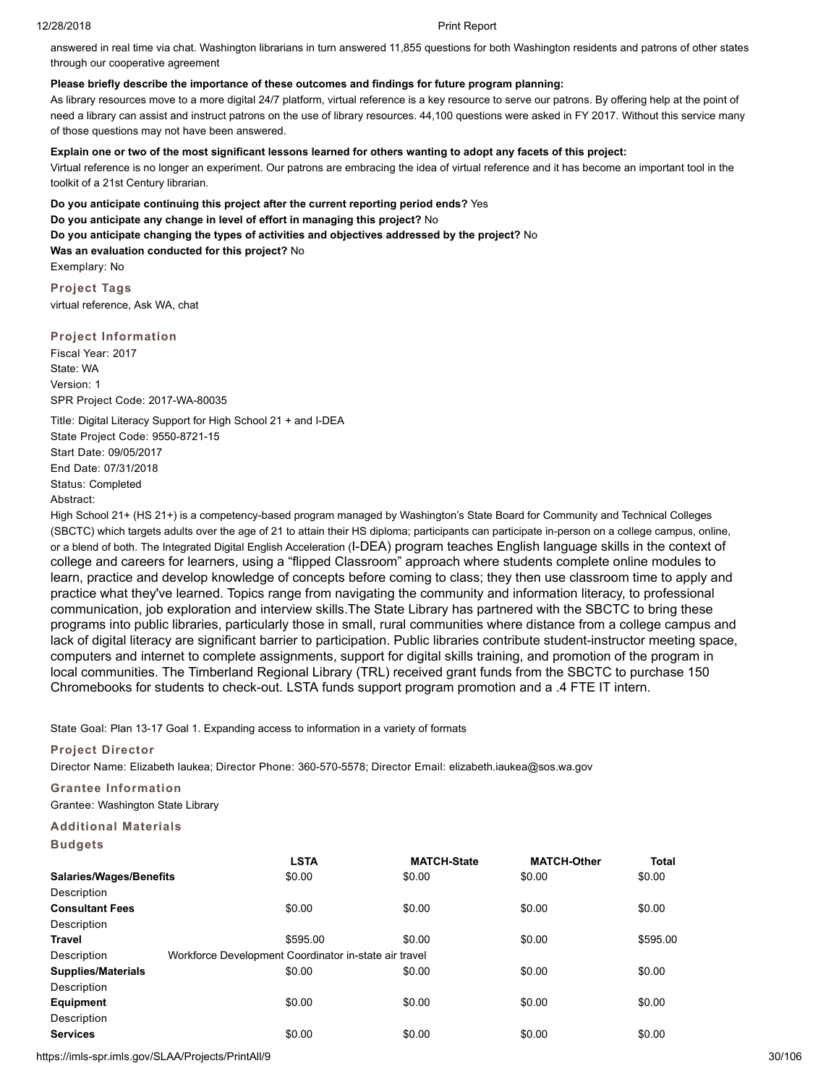answered in real time via chat. Washington librarians in turn answered 11,855 questions for both Washington residents and patrons of other states through our cooperative agreement

# **Please briefly describe the importance of these outcomes and findings for future program planning:**

As library resources move to a more digital 24/7 platform, virtual reference is a key resource to serve our patrons. By offering help at the point of need a library can assist and instruct patrons on the use of library resources. 44,100 questions were asked in FY 2017. Without this service many of those questions may not have been answered.

# **Explain one or two of the most significant lessons learned for others wanting to adopt any facets of this project:**

Virtual reference is no longer an experiment. Our patrons are embracing the idea of virtual reference and it has become an important tool in the toolkit of a 21st Century librarian.

**Do you anticipate continuing this project after the current reporting period ends?** Yes **Do you anticipate any change in level of effort in managing this project?** No **Do you anticipate changing the types of activities and objectives addressed by the project?** No **Was an evaluation conducted for this project?** No Exemplary: No

**Project Tags** virtual reference, Ask WA, chat

# **Project Information**

Fiscal Year: 2017 State: WA Version: 1 SPR Project Code: 2017-WA-80035

Title: Digital Literacy Support for High School 21 + and I-DEA State Project Code: 9550-8721-15 Start Date: 09/05/2017 End Date: 07/31/2018 Status: Completed Abstract:

High School 21+ (HS 21+) is a competency-based program managed by Washington's State Board for Community and Technical Colleges (SBCTC) which targets adults over the age of 21 to attain their HS diploma; participants can participate in-person on a college campus, online, or a blend of both. The Integrated Digital English Acceleration (I-DEA) program teaches English language skills in the context of college and careers for learners, using a "flipped Classroom" approach where students complete online modules to learn, practice and develop knowledge of concepts before coming to class; they then use classroom time to apply and practice what they've learned. Topics range from navigating the community and information literacy, to professional communication, job exploration and interview skills.The State Library has partnered with the SBCTC to bring these programs into public libraries, particularly those in small, rural communities where distance from a college campus and lack of digital literacy are significant barrier to participation. Public libraries contribute student-instructor meeting space, computers and internet to complete assignments, support for digital skills training, and promotion of the program in local communities. The Timberland Regional Library (TRL) received grant funds from the SBCTC to purchase 150 Chromebooks for students to check-out. LSTA funds support program promotion and a .4 FTE IT intern.

State Goal: Plan 13-17 Goal 1. Expanding access to information in a variety of formats

# **Project Director**

Director Name: Elizabeth Iaukea; Director Phone: 360-570-5578; Director Email: elizabeth.iaukea@sos.wa.gov

# **Grantee Information**

Grantee: Washington State Library

# **Additional Materials**

**Budgets**

|                                | <b>LSTA</b>                                           | <b>MATCH-State</b> | <b>MATCH-Other</b> | <b>Total</b> |
|--------------------------------|-------------------------------------------------------|--------------------|--------------------|--------------|
| <b>Salaries/Wages/Benefits</b> | \$0.00                                                | \$0.00             | \$0.00             | \$0.00       |
| Description                    |                                                       |                    |                    |              |
| <b>Consultant Fees</b>         | \$0.00                                                | \$0.00             | \$0.00             | \$0.00       |
| Description                    |                                                       |                    |                    |              |
| Travel                         | \$595.00                                              | \$0.00             | \$0.00             | \$595.00     |
| Description                    | Workforce Development Coordinator in-state air travel |                    |                    |              |
| <b>Supplies/Materials</b>      | \$0.00                                                | \$0.00             | \$0.00             | \$0.00       |
| Description                    |                                                       |                    |                    |              |
| <b>Equipment</b>               | \$0.00                                                | \$0.00             | \$0.00             | \$0.00       |
| Description                    |                                                       |                    |                    |              |
| <b>Services</b>                | \$0.00                                                | \$0.00             | \$0.00             | \$0.00       |

https://imls-spr.imls.gov/SLAA/Projects/PrintAll/9 30/106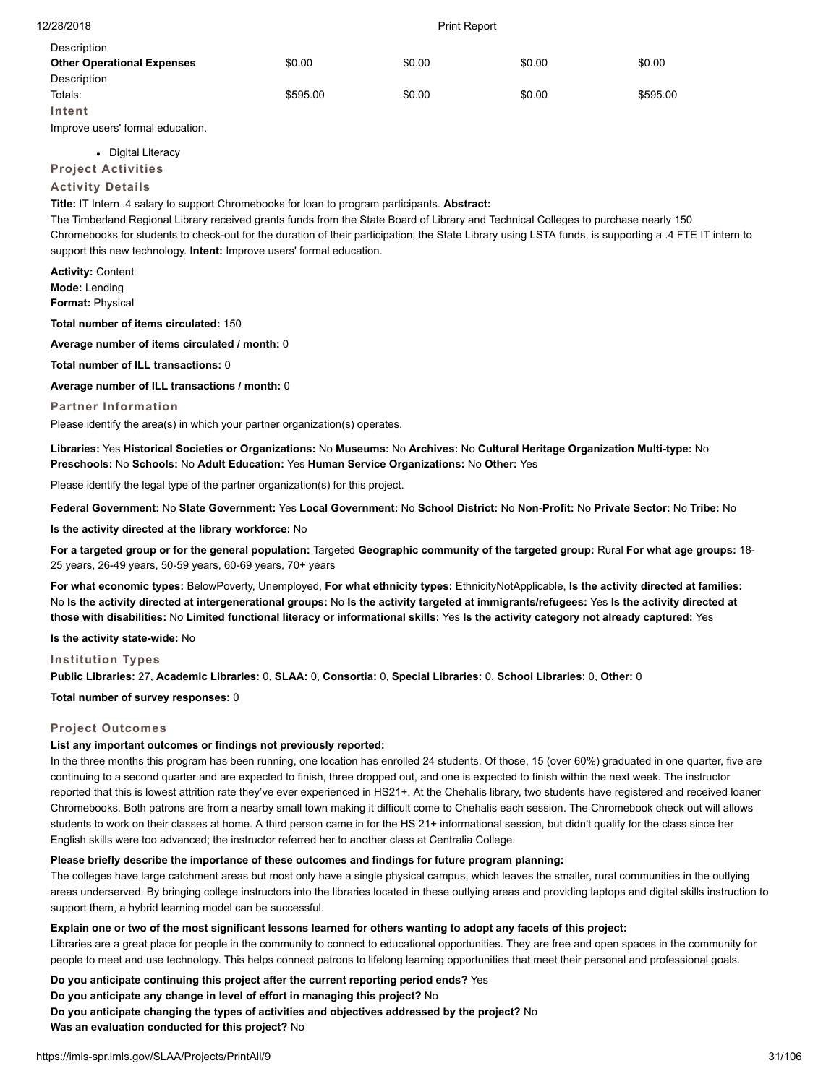| Description                       |          |        |        |          |
|-----------------------------------|----------|--------|--------|----------|
| <b>Other Operational Expenses</b> | \$0.00   | \$0.00 | \$0.00 | \$0.00   |
| Description                       |          |        |        |          |
| Totals:                           | \$595.00 | \$0.00 | \$0.00 | \$595.00 |
| Intent                            |          |        |        |          |

Improve users' formal education.

• Digital Literacy

**Project Activities**

# **Activity Details**

**Title:** IT Intern .4 salary to support Chromebooks for loan to program participants. **Abstract:**

The Timberland Regional Library received grants funds from the State Board of Library and Technical Colleges to purchase nearly 150 Chromebooks for students to check-out for the duration of their participation; the State Library using LSTA funds, is supporting a .4 FTE IT intern to support this new technology. **Intent:** Improve users' formal education.

**Activity:** Content **Mode:** Lending **Format:** Physical

**Total number of items circulated:** 150

**Average number of items circulated / month:** 0

**Total number of ILL transactions:** 0

**Average number of ILL transactions / month:** 0

#### **Partner Information**

Please identify the area(s) in which your partner organization(s) operates.

**Libraries:** Yes **Historical Societies or Organizations:** No **Museums:** No **Archives:** No **Cultural Heritage Organization Multi-type:** No **Preschools:** No **Schools:** No **Adult Education:** Yes **Human Service Organizations:** No **Other:** Yes

Please identify the legal type of the partner organization(s) for this project.

**Federal Government:** No **State Government:** Yes **Local Government:** No **School District:** No **Non-Profit:** No **Private Sector:** No **Tribe:** No

**Is the activity directed at the library workforce:** No

**For a targeted group or for the general population:** Targeted **Geographic community of the targeted group:** Rural **For what age groups:** 18- 25 years, 26-49 years, 50-59 years, 60-69 years, 70+ years

**For what economic types:** BelowPoverty, Unemployed, **For what ethnicity types:** EthnicityNotApplicable, **Is the activity directed at families:** No **Is the activity directed at intergenerational groups:** No **Is the activity targeted at immigrants/refugees:** Yes **Is the activity directed at those with disabilities:** No **Limited functional literacy or informational skills:** Yes **Is the activity category not already captured:** Yes

**Is the activity state-wide:** No

#### **Institution Types**

**Public Libraries:** 27, **Academic Libraries:** 0, **SLAA:** 0, **Consortia:** 0, **Special Libraries:** 0, **School Libraries:** 0, **Other:** 0

**Total number of survey responses:** 0

## **Project Outcomes**

# **List any important outcomes or findings not previously reported:**

In the three months this program has been running, one location has enrolled 24 students. Of those, 15 (over 60%) graduated in one quarter, five are continuing to a second quarter and are expected to finish, three dropped out, and one is expected to finish within the next week. The instructor reported that this is lowest attrition rate they've ever experienced in HS21+. At the Chehalis library, two students have registered and received loaner Chromebooks. Both patrons are from a nearby small town making it difficult come to Chehalis each session. The Chromebook check out will allows students to work on their classes at home. A third person came in for the HS 21+ informational session, but didn't qualify for the class since her English skills were too advanced; the instructor referred her to another class at Centralia College.

## **Please briefly describe the importance of these outcomes and findings for future program planning:**

The colleges have large catchment areas but most only have a single physical campus, which leaves the smaller, rural communities in the outlying areas underserved. By bringing college instructors into the libraries located in these outlying areas and providing laptops and digital skills instruction to support them, a hybrid learning model can be successful.

#### **Explain one or two of the most significant lessons learned for others wanting to adopt any facets of this project:**

Libraries are a great place for people in the community to connect to educational opportunities. They are free and open spaces in the community for people to meet and use technology. This helps connect patrons to lifelong learning opportunities that meet their personal and professional goals.

**Do you anticipate continuing this project after the current reporting period ends?** Yes

**Do you anticipate any change in level of effort in managing this project?** No

**Do you anticipate changing the types of activities and objectives addressed by the project?** No

**Was an evaluation conducted for this project?** No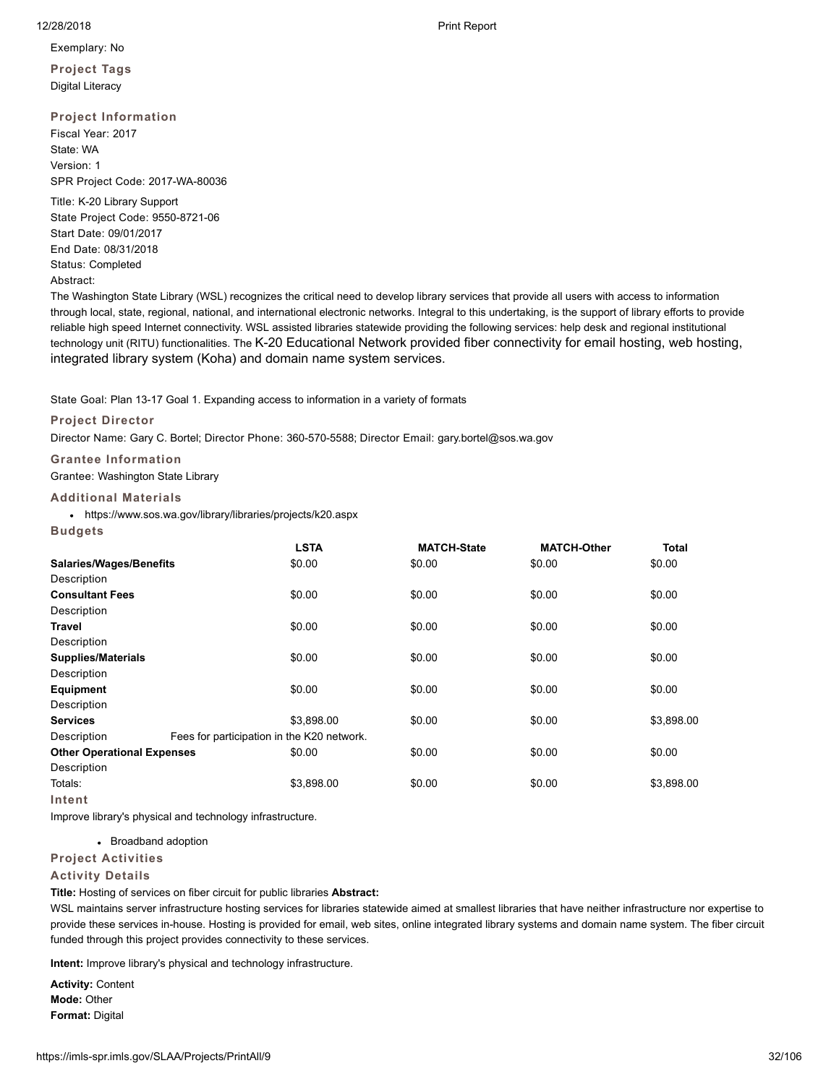Exemplary: No

**Project Tags** Digital Literacy

# **Project Information**

Fiscal Year: 2017 State: WA Version: 1 SPR Project Code: 2017-WA-80036

Title: K-20 Library Support State Project Code: 9550-8721-06 Start Date: 09/01/2017 End Date: 08/31/2018 Status: Completed Abstract:

The Washington State Library (WSL) recognizes the critical need to develop library services that provide all users with access to information through local, state, regional, national, and international electronic networks. Integral to this undertaking, is the support of library efforts to provide reliable high speed Internet connectivity. WSL assisted libraries statewide providing the following services: help desk and regional institutional technology unit (RITU) functionalities. The K-20 Educational Network provided fiber connectivity for email hosting, web hosting, integrated library system (Koha) and domain name system services.

State Goal: Plan 13-17 Goal 1. Expanding access to information in a variety of formats

**Project Director**

Director Name: Gary C. Bortel; Director Phone: 360-570-5588; Director Email: gary.bortel@sos.wa.gov

**Grantee Information**

Grantee: Washington State Library

## **Additional Materials**

https://www.sos.wa.gov/library/libraries/projects/k20.aspx

**Budgets**

|                                   | <b>LSTA</b>                                | <b>MATCH-State</b> | <b>MATCH-Other</b> | <b>Total</b> |
|-----------------------------------|--------------------------------------------|--------------------|--------------------|--------------|
| <b>Salaries/Wages/Benefits</b>    | \$0.00                                     | \$0.00             | \$0.00             | \$0.00       |
| Description                       |                                            |                    |                    |              |
| <b>Consultant Fees</b>            | \$0.00                                     | \$0.00             | \$0.00             | \$0.00       |
| Description                       |                                            |                    |                    |              |
| Travel                            | \$0.00                                     | \$0.00             | \$0.00             | \$0.00       |
| Description                       |                                            |                    |                    |              |
| <b>Supplies/Materials</b>         | \$0.00                                     | \$0.00             | \$0.00             | \$0.00       |
| Description                       |                                            |                    |                    |              |
| <b>Equipment</b>                  | \$0.00                                     | \$0.00             | \$0.00             | \$0.00       |
| Description                       |                                            |                    |                    |              |
| <b>Services</b>                   | \$3,898.00                                 | \$0.00             | \$0.00             | \$3,898.00   |
| Description                       | Fees for participation in the K20 network. |                    |                    |              |
| <b>Other Operational Expenses</b> | \$0.00                                     | \$0.00             | \$0.00             | \$0.00       |
| Description                       |                                            |                    |                    |              |
| Totals:                           | \$3,898.00                                 | \$0.00             | \$0.00             | \$3,898.00   |
| Intent                            |                                            |                    |                    |              |

Improve library's physical and technology infrastructure.

• Broadband adoption

# **Project Activities**

# **Activity Details**

**Title:** Hosting of services on fiber circuit for public libraries **Abstract:**

WSL maintains server infrastructure hosting services for libraries statewide aimed at smallest libraries that have neither infrastructure nor expertise to provide these services in-house. Hosting is provided for email, web sites, online integrated library systems and domain name system. The fiber circuit funded through this project provides connectivity to these services.

**Intent:** Improve library's physical and technology infrastructure.

**Activity:** Content **Mode:** Other **Format:** Digital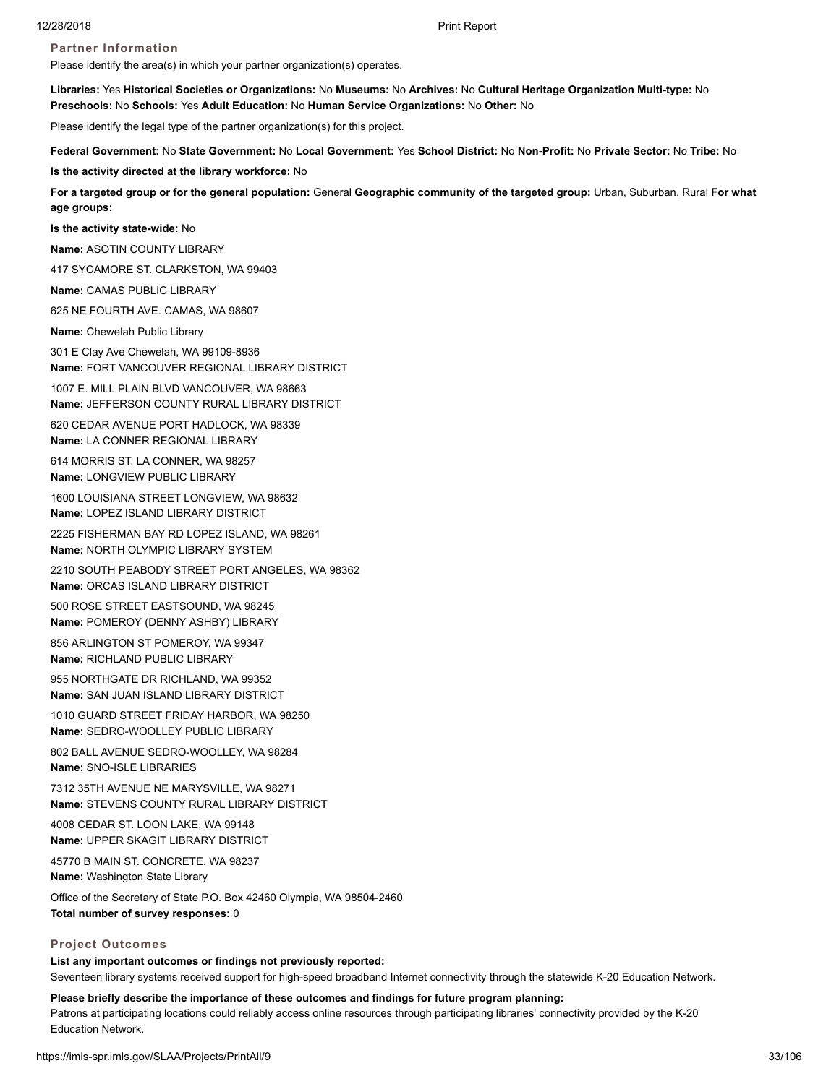# **Partner Information**

Please identify the area(s) in which your partner organization(s) operates.

**Libraries:** Yes **Historical Societies or Organizations:** No **Museums:** No **Archives:** No **Cultural Heritage Organization Multi-type:** No **Preschools:** No **Schools:** Yes **Adult Education:** No **Human Service Organizations:** No **Other:** No

Please identify the legal type of the partner organization(s) for this project.

**Federal Government:** No **State Government:** No **Local Government:** Yes **School District:** No **Non-Profit:** No **Private Sector:** No **Tribe:** No

**Is the activity directed at the library workforce:** No

**For a targeted group or for the general population:** General **Geographic community of the targeted group:** Urban, Suburban, Rural **For what age groups:**

**Is the activity state-wide:** No

**Name:** ASOTIN COUNTY LIBRARY

417 SYCAMORE ST. CLARKSTON, WA 99403

**Name:** CAMAS PUBLIC LIBRARY

625 NE FOURTH AVE. CAMAS, WA 98607

**Name:** Chewelah Public Library

301 E Clay Ave Chewelah, WA 99109-8936 **Name:** FORT VANCOUVER REGIONAL LIBRARY DISTRICT

1007 E. MILL PLAIN BLVD VANCOUVER, WA 98663 **Name:** JEFFERSON COUNTY RURAL LIBRARY DISTRICT

620 CEDAR AVENUE PORT HADLOCK, WA 98339 **Name:** LA CONNER REGIONAL LIBRARY

614 MORRIS ST. LA CONNER, WA 98257 **Name:** LONGVIEW PUBLIC LIBRARY

1600 LOUISIANA STREET LONGVIEW, WA 98632 **Name:** LOPEZ ISLAND LIBRARY DISTRICT

2225 FISHERMAN BAY RD LOPEZ ISLAND, WA 98261 **Name:** NORTH OLYMPIC LIBRARY SYSTEM

2210 SOUTH PEABODY STREET PORT ANGELES, WA 98362 **Name:** ORCAS ISLAND LIBRARY DISTRICT

500 ROSE STREET EASTSOUND, WA 98245 **Name:** POMEROY (DENNY ASHBY) LIBRARY

856 ARLINGTON ST POMEROY, WA 99347 **Name:** RICHLAND PUBLIC LIBRARY

955 NORTHGATE DR RICHLAND, WA 99352 **Name:** SAN JUAN ISLAND LIBRARY DISTRICT

1010 GUARD STREET FRIDAY HARBOR, WA 98250 **Name:** SEDRO-WOOLLEY PUBLIC LIBRARY

802 BALL AVENUE SEDRO-WOOLLEY, WA 98284 **Name:** SNO-ISLE LIBRARIES

7312 35TH AVENUE NE MARYSVILLE, WA 98271 **Name:** STEVENS COUNTY RURAL LIBRARY DISTRICT

4008 CEDAR ST. LOON LAKE, WA 99148 **Name:** UPPER SKAGIT LIBRARY DISTRICT

45770 B MAIN ST. CONCRETE, WA 98237 **Name:** Washington State Library

Office of the Secretary of State P.O. Box 42460 Olympia, WA 98504-2460 **Total number of survey responses:** 0

# **Project Outcomes**

**List any important outcomes or findings not previously reported:** Seventeen library systems received support for high-speed broadband Internet connectivity through the statewide K-20 Education Network.

**Please briefly describe the importance of these outcomes and findings for future program planning:**

Patrons at participating locations could reliably access online resources through participating libraries' connectivity provided by the K-20 Education Network.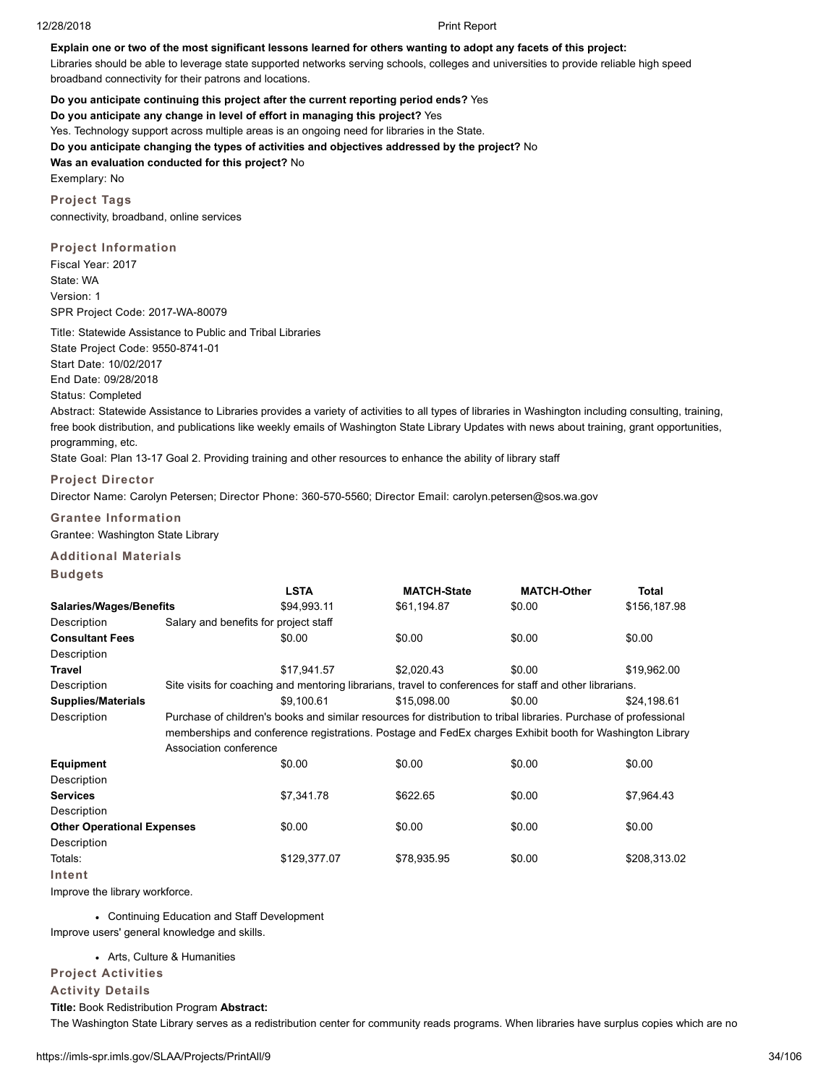#### **Explain one or two of the most significant lessons learned for others wanting to adopt any facets of this project:**

Libraries should be able to leverage state supported networks serving schools, colleges and universities to provide reliable high speed broadband connectivity for their patrons and locations.

**Do you anticipate continuing this project after the current reporting period ends?** Yes **Do you anticipate any change in level of effort in managing this project?** Yes Yes. Technology support across multiple areas is an ongoing need for libraries in the State. **Do you anticipate changing the types of activities and objectives addressed by the project?** No **Was an evaluation conducted for this project?** No Exemplary: No

**Project Tags** connectivity, broadband, online services

**Project Information** Fiscal Year: 2017 State: WA Version: 1 SPR Project Code: 2017-WA-80079

Title: Statewide Assistance to Public and Tribal Libraries State Project Code: 9550-8741-01 Start Date: 10/02/2017 End Date: 09/28/2018 Status: Completed

Abstract: Statewide Assistance to Libraries provides a variety of activities to all types of libraries in Washington including consulting, training, free book distribution, and publications like weekly emails of Washington State Library Updates with news about training, grant opportunities, programming, etc.

State Goal: Plan 13-17 Goal 2. Providing training and other resources to enhance the ability of library staff

## **Project Director**

Director Name: Carolyn Petersen; Director Phone: 360-570-5560; Director Email: carolyn.petersen@sos.wa.gov

**Grantee Information** Grantee: Washington State Library

# **Additional Materials**

#### **Budgets**

|                                   |                                                                                                                   | <b>LSTA</b>                                                                                              | <b>MATCH-State</b> | <b>MATCH-Other</b> | Total        |  |  |
|-----------------------------------|-------------------------------------------------------------------------------------------------------------------|----------------------------------------------------------------------------------------------------------|--------------------|--------------------|--------------|--|--|
| <b>Salaries/Wages/Benefits</b>    |                                                                                                                   | \$94,993.11                                                                                              | \$61,194.87        | \$0.00             | \$156,187.98 |  |  |
| Description                       |                                                                                                                   | Salary and benefits for project staff                                                                    |                    |                    |              |  |  |
| <b>Consultant Fees</b>            |                                                                                                                   | \$0.00                                                                                                   | \$0.00             | \$0.00             | \$0.00       |  |  |
| Description                       |                                                                                                                   |                                                                                                          |                    |                    |              |  |  |
| Travel                            |                                                                                                                   | \$17,941.57                                                                                              | \$2,020.43         | \$0.00             | \$19,962.00  |  |  |
| Description                       |                                                                                                                   | Site visits for coaching and mentoring librarians, travel to conferences for staff and other librarians. |                    |                    |              |  |  |
| <b>Supplies/Materials</b>         |                                                                                                                   | \$9.100.61                                                                                               | \$15,098,00        | \$0.00             | \$24,198.61  |  |  |
| Description                       | Purchase of children's books and similar resources for distribution to tribal libraries. Purchase of professional |                                                                                                          |                    |                    |              |  |  |
|                                   | memberships and conference registrations. Postage and FedEx charges Exhibit booth for Washington Library          |                                                                                                          |                    |                    |              |  |  |
|                                   | Association conference                                                                                            |                                                                                                          |                    |                    |              |  |  |
| <b>Equipment</b>                  |                                                                                                                   | \$0.00                                                                                                   | \$0.00             | \$0.00             | \$0.00       |  |  |
| Description                       |                                                                                                                   |                                                                                                          |                    |                    |              |  |  |
| Services                          |                                                                                                                   | \$7.341.78                                                                                               | \$622.65           | \$0.00             | \$7,964.43   |  |  |
| Description                       |                                                                                                                   |                                                                                                          |                    |                    |              |  |  |
| <b>Other Operational Expenses</b> |                                                                                                                   | \$0.00                                                                                                   | \$0.00             | \$0.00             | \$0.00       |  |  |
| Description                       |                                                                                                                   |                                                                                                          |                    |                    |              |  |  |
| Totals:                           |                                                                                                                   | \$129,377.07                                                                                             | \$78,935.95        | \$0.00             | \$208,313.02 |  |  |
| Intent                            |                                                                                                                   |                                                                                                          |                    |                    |              |  |  |

Improve the library workforce.

Continuing Education and Staff Development

Improve users' general knowledge and skills.

#### Arts, Culture & Humanities

# **Project Activities**

## **Activity Details**

**Title:** Book Redistribution Program **Abstract:**

The Washington State Library serves as a redistribution center for community reads programs. When libraries have surplus copies which are no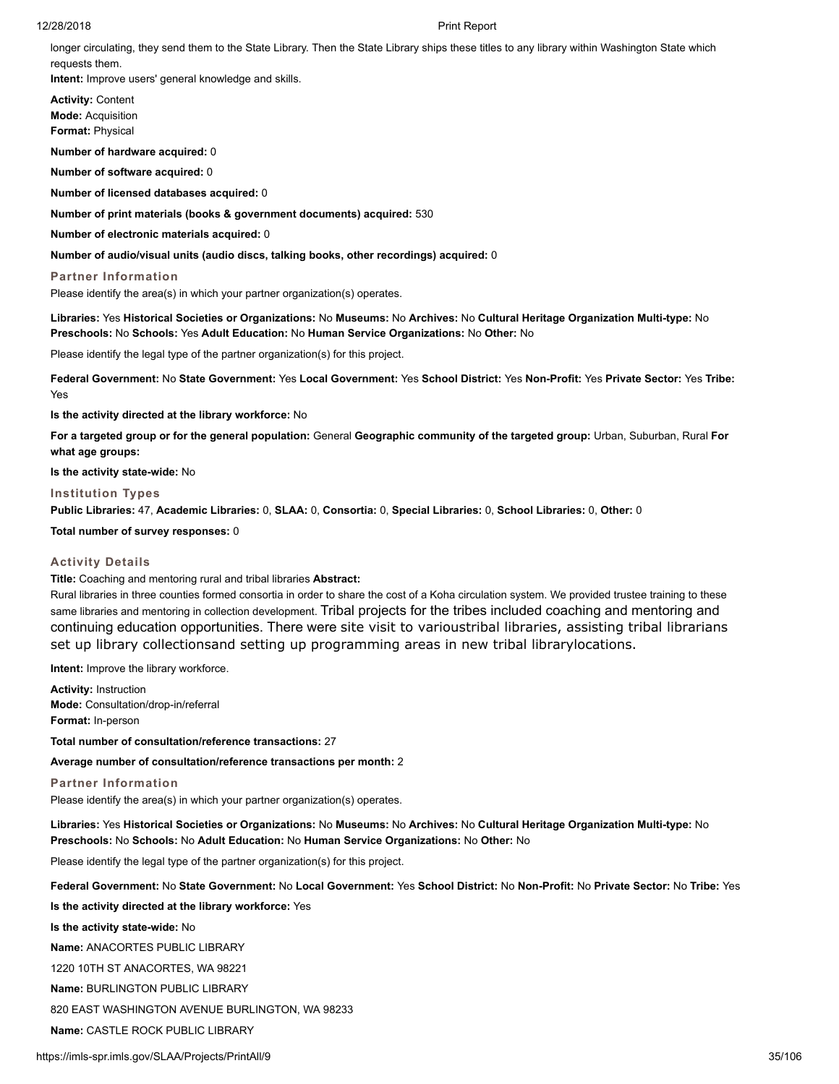longer circulating, they send them to the State Library. Then the State Library ships these titles to any library within Washington State which requests them.

**Intent:** Improve users' general knowledge and skills.

**Activity:** Content **Mode:** Acquisition **Format:** Physical

**Number of hardware acquired:** 0

**Number of software acquired:** 0

**Number of licensed databases acquired:** 0

**Number of print materials (books & government documents) acquired:** 530

**Number of electronic materials acquired:** 0

**Number of audio/visual units (audio discs, talking books, other recordings) acquired:** 0

**Partner Information**

Please identify the area(s) in which your partner organization(s) operates.

**Libraries:** Yes **Historical Societies or Organizations:** No **Museums:** No **Archives:** No **Cultural Heritage Organization Multi-type:** No **Preschools:** No **Schools:** Yes **Adult Education:** No **Human Service Organizations:** No **Other:** No

Please identify the legal type of the partner organization(s) for this project.

**Federal Government:** No **State Government:** Yes **Local Government:** Yes **School District:** Yes **Non-Profit:** Yes **Private Sector:** Yes **Tribe:** Yes

**Is the activity directed at the library workforce:** No

**For a targeted group or for the general population:** General **Geographic community of the targeted group:** Urban, Suburban, Rural **For what age groups:**

**Is the activity state-wide:** No

#### **Institution Types**

**Public Libraries:** 47, **Academic Libraries:** 0, **SLAA:** 0, **Consortia:** 0, **Special Libraries:** 0, **School Libraries:** 0, **Other:** 0

**Total number of survey responses:** 0

## **Activity Details**

**Title:** Coaching and mentoring rural and tribal libraries **Abstract:**

Rural libraries in three counties formed consortia in order to share the cost of a Koha circulation system. We provided trustee training to these same libraries and mentoring in collection development. Tribal projects for the tribes included coaching and mentoring and continuing education opportunities. There were site visit to varioustribal libraries, assisting tribal librarians set up library collectionsand setting up programming areas in new tribal librarylocations.

**Intent:** Improve the library workforce.

**Activity:** Instruction **Mode:** Consultation/drop-in/referral **Format:** In-person

**Total number of consultation/reference transactions:** 27

**Average number of consultation/reference transactions per month:** 2

**Partner Information**

Please identify the area(s) in which your partner organization(s) operates.

**Libraries:** Yes **Historical Societies or Organizations:** No **Museums:** No **Archives:** No **Cultural Heritage Organization Multi-type:** No **Preschools:** No **Schools:** No **Adult Education:** No **Human Service Organizations:** No **Other:** No

Please identify the legal type of the partner organization(s) for this project.

**Federal Government:** No **State Government:** No **Local Government:** Yes **School District:** No **Non-Profit:** No **Private Sector:** No **Tribe:** Yes

**Is the activity directed at the library workforce:** Yes

**Is the activity state-wide:** No

**Name:** ANACORTES PUBLIC LIBRARY

1220 10TH ST ANACORTES, WA 98221

**Name:** BURLINGTON PUBLIC LIBRARY

820 EAST WASHINGTON AVENUE BURLINGTON, WA 98233

**Name:** CASTLE ROCK PUBLIC LIBRARY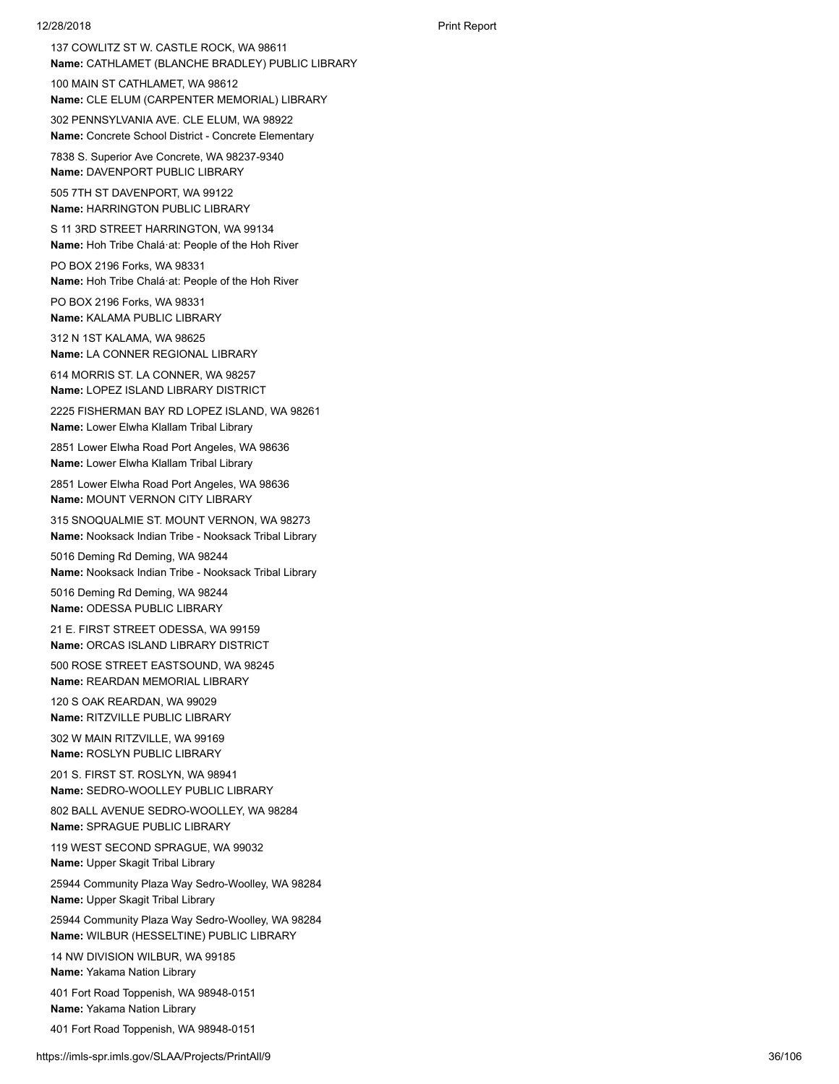137 COWLITZ ST W. CASTLE ROCK, WA 98611 **Name:** CATHLAMET (BLANCHE BRADLEY) PUBLIC LIBRARY

100 MAIN ST CATHLAMET, WA 98612 **Name:** CLE ELUM (CARPENTER MEMORIAL) LIBRARY

302 PENNSYLVANIA AVE. CLE ELUM, WA 98922 **Name:** Concrete School District - Concrete Elementary

7838 S. Superior Ave Concrete, WA 98237-9340 **Name:** DAVENPORT PUBLIC LIBRARY

505 7TH ST DAVENPORT, WA 99122 **Name:** HARRINGTON PUBLIC LIBRARY

S 11 3RD STREET HARRINGTON, WA 99134 **Name:** Hoh Tribe Chalá·at: People of the Hoh River

PO BOX 2196 Forks, WA 98331 **Name:** Hoh Tribe Chalá·at: People of the Hoh River

PO BOX 2196 Forks, WA 98331 **Name:** KALAMA PUBLIC LIBRARY

312 N 1ST KALAMA, WA 98625 **Name:** LA CONNER REGIONAL LIBRARY

614 MORRIS ST. LA CONNER, WA 98257 **Name:** LOPEZ ISLAND LIBRARY DISTRICT

2225 FISHERMAN BAY RD LOPEZ ISLAND, WA 98261 **Name:** Lower Elwha Klallam Tribal Library

2851 Lower Elwha Road Port Angeles, WA 98636 **Name:** Lower Elwha Klallam Tribal Library

2851 Lower Elwha Road Port Angeles, WA 98636 **Name:** MOUNT VERNON CITY LIBRARY

315 SNOQUALMIE ST. MOUNT VERNON, WA 98273 **Name:** Nooksack Indian Tribe - Nooksack Tribal Library

5016 Deming Rd Deming, WA 98244 **Name:** Nooksack Indian Tribe - Nooksack Tribal Library

5016 Deming Rd Deming, WA 98244 **Name:** ODESSA PUBLIC LIBRARY

21 E. FIRST STREET ODESSA, WA 99159 **Name:** ORCAS ISLAND LIBRARY DISTRICT

500 ROSE STREET EASTSOUND, WA 98245 **Name:** REARDAN MEMORIAL LIBRARY

120 S OAK REARDAN, WA 99029 **Name:** RITZVILLE PUBLIC LIBRARY

302 W MAIN RITZVILLE, WA 99169 **Name:** ROSLYN PUBLIC LIBRARY

201 S. FIRST ST. ROSLYN, WA 98941 **Name:** SEDRO-WOOLLEY PUBLIC LIBRARY

802 BALL AVENUE SEDRO-WOOLLEY, WA 98284 **Name:** SPRAGUE PUBLIC LIBRARY

119 WEST SECOND SPRAGUE, WA 99032

**Name:** Upper Skagit Tribal Library

25944 Community Plaza Way Sedro-Woolley, WA 98284 **Name:** Upper Skagit Tribal Library

25944 Community Plaza Way Sedro-Woolley, WA 98284 **Name:** WILBUR (HESSELTINE) PUBLIC LIBRARY

14 NW DIVISION WILBUR, WA 99185 **Name:** Yakama Nation Library

401 Fort Road Toppenish, WA 98948-0151 **Name:** Yakama Nation Library

401 Fort Road Toppenish, WA 98948-0151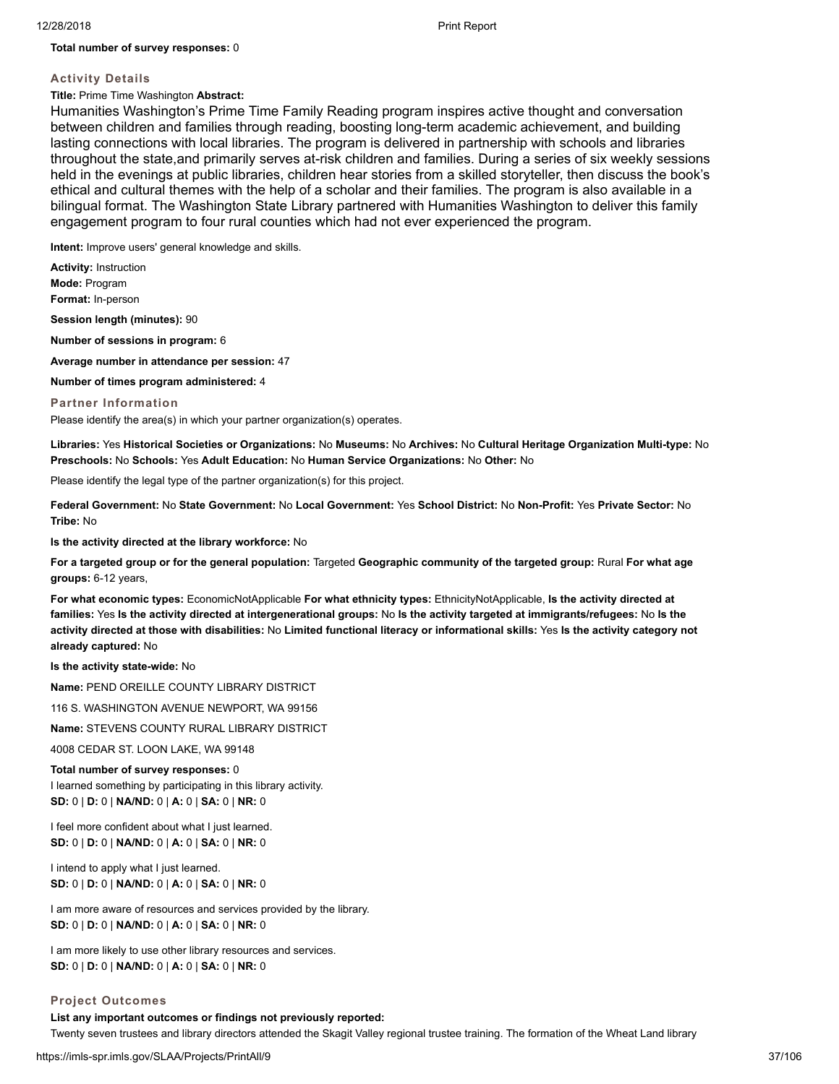## **Total number of survey responses:** 0

# **Activity Details**

# **Title:** Prime Time Washington **Abstract:**

Humanities Washington's Prime Time Family Reading program inspires active thought and conversation between children and families through reading, boosting long-term academic achievement, and building lasting connections with local libraries. The program is delivered in partnership with schools and libraries throughout the state,and primarily serves at-risk children and families. During a series of six weekly sessions held in the evenings at public libraries, children hear stories from a skilled storyteller, then discuss the book's ethical and cultural themes with the help of a scholar and their families. The program is also available in a bilingual format. The Washington State Library partnered with Humanities Washington to deliver this family engagement program to four rural counties which had not ever experienced the program.

**Intent:** Improve users' general knowledge and skills.

**Activity:** Instruction **Mode:** Program **Format:** In-person

**Session length (minutes):** 90

**Number of sessions in program:** 6

**Average number in attendance per session:** 47

**Number of times program administered:** 4

#### **Partner Information**

Please identify the area(s) in which your partner organization(s) operates.

**Libraries:** Yes **Historical Societies or Organizations:** No **Museums:** No **Archives:** No **Cultural Heritage Organization Multi-type:** No **Preschools:** No **Schools:** Yes **Adult Education:** No **Human Service Organizations:** No **Other:** No

Please identify the legal type of the partner organization(s) for this project.

**Federal Government:** No **State Government:** No **Local Government:** Yes **School District:** No **Non-Profit:** Yes **Private Sector:** No **Tribe:** No

**Is the activity directed at the library workforce:** No

**For a targeted group or for the general population:** Targeted **Geographic community of the targeted group:** Rural **For what age groups:** 6-12 years,

**For what economic types:** EconomicNotApplicable **For what ethnicity types:** EthnicityNotApplicable, **Is the activity directed at families:** Yes **Is the activity directed at intergenerational groups:** No **Is the activity targeted at immigrants/refugees:** No **Is the activity directed at those with disabilities:** No **Limited functional literacy or informational skills:** Yes **Is the activity category not already captured:** No

**Is the activity state-wide:** No

**Name:** PEND OREILLE COUNTY LIBRARY DISTRICT

116 S. WASHINGTON AVENUE NEWPORT, WA 99156

**Name:** STEVENS COUNTY RURAL LIBRARY DISTRICT

4008 CEDAR ST. LOON LAKE, WA 99148

**Total number of survey responses:** 0 I learned something by participating in this library activity. **SD:** 0 | **D:** 0 | **NA/ND:** 0 | **A:** 0 | **SA:** 0 | **NR:** 0

I feel more confident about what I just learned. **SD:** 0 | **D:** 0 | **NA/ND:** 0 | **A:** 0 | **SA:** 0 | **NR:** 0

I intend to apply what I just learned. **SD:** 0 | **D:** 0 | **NA/ND:** 0 | **A:** 0 | **SA:** 0 | **NR:** 0

I am more aware of resources and services provided by the library. **SD:** 0 | **D:** 0 | **NA/ND:** 0 | **A:** 0 | **SA:** 0 | **NR:** 0

I am more likely to use other library resources and services. **SD:** 0 | **D:** 0 | **NA/ND:** 0 | **A:** 0 | **SA:** 0 | **NR:** 0

# **Project Outcomes**

**List any important outcomes or findings not previously reported:** Twenty seven trustees and library directors attended the Skagit Valley regional trustee training. The formation of the Wheat Land library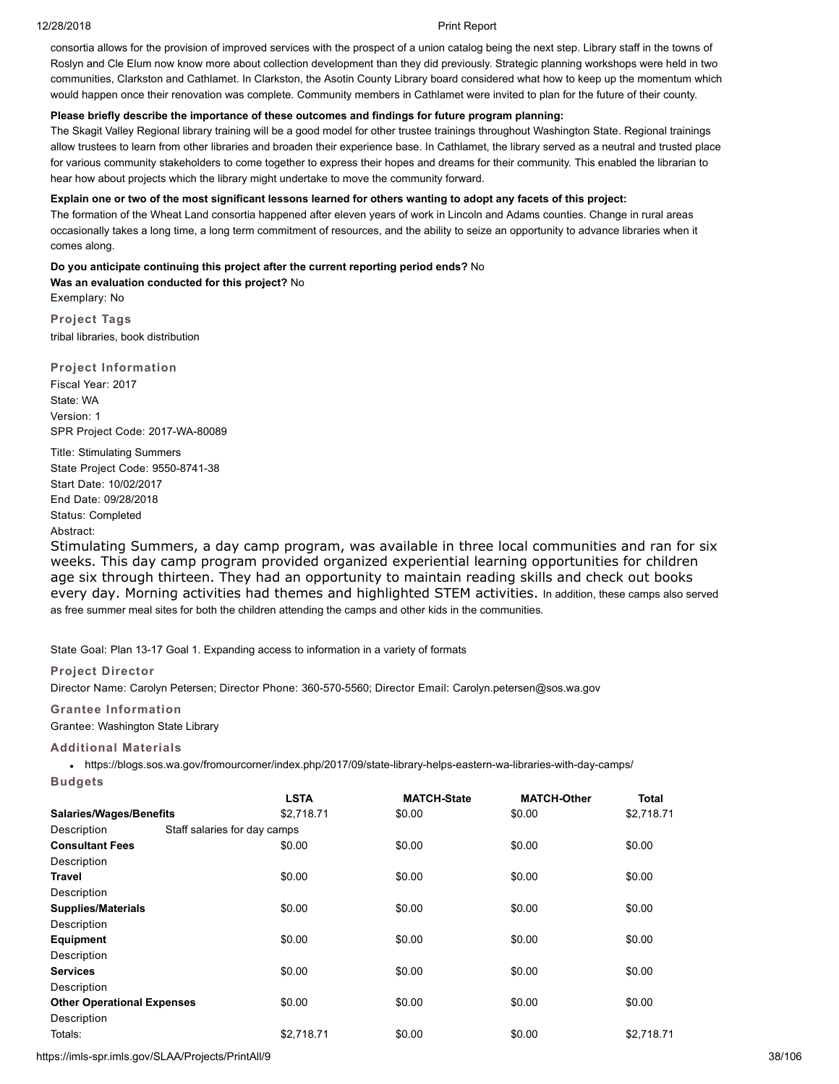consortia allows for the provision of improved services with the prospect of a union catalog being the next step. Library staff in the towns of Roslyn and Cle Elum now know more about collection development than they did previously. Strategic planning workshops were held in two communities, Clarkston and Cathlamet. In Clarkston, the Asotin County Library board considered what how to keep up the momentum which would happen once their renovation was complete. Community members in Cathlamet were invited to plan for the future of their county.

# **Please briefly describe the importance of these outcomes and findings for future program planning:**

The Skagit Valley Regional library training will be a good model for other trustee trainings throughout Washington State. Regional trainings allow trustees to learn from other libraries and broaden their experience base. In Cathlamet, the library served as a neutral and trusted place for various community stakeholders to come together to express their hopes and dreams for their community. This enabled the librarian to hear how about projects which the library might undertake to move the community forward.

# **Explain one or two of the most significant lessons learned for others wanting to adopt any facets of this project:**

The formation of the Wheat Land consortia happened after eleven years of work in Lincoln and Adams counties. Change in rural areas occasionally takes a long time, a long term commitment of resources, and the ability to seize an opportunity to advance libraries when it comes along.

**Do you anticipate continuing this project after the current reporting period ends?** No **Was an evaluation conducted for this project?** No Exemplary: No

**Project Tags** tribal libraries, book distribution

**Project Information** Fiscal Year: 2017 State: WA Version: 1 SPR Project Code: 2017-WA-80089

Title: Stimulating Summers State Project Code: 9550-8741-38 Start Date: 10/02/2017 End Date: 09/28/2018 Status: Completed Abstract:

Stimulating Summers, a day camp program, was available in three local communities and ran for six weeks. This day camp program provided organized experiential learning opportunities for children age six through thirteen. They had an opportunity to maintain reading skills and check out books every day. Morning activities had themes and highlighted STEM activities. In addition, these camps also served as free summer meal sites for both the children attending the camps and other kids in the communities.

State Goal: Plan 13-17 Goal 1. Expanding access to information in a variety of formats

# **Project Director**

Director Name: Carolyn Petersen; Director Phone: 360-570-5560; Director Email: Carolyn.petersen@sos.wa.gov

# **Grantee Information**

Grantee: Washington State Library

# **Additional Materials**

https://blogs.sos.wa.gov/fromourcorner/index.php/2017/09/state-library-helps-eastern-wa-libraries-with-day-camps/ **Budgets**

|                                   |                              | <b>LSTA</b> | <b>MATCH-State</b> | <b>MATCH-Other</b> | Total      |
|-----------------------------------|------------------------------|-------------|--------------------|--------------------|------------|
| <b>Salaries/Wages/Benefits</b>    |                              | \$2,718.71  | \$0.00             | \$0.00             | \$2,718.71 |
| Description                       | Staff salaries for day camps |             |                    |                    |            |
| <b>Consultant Fees</b>            |                              | \$0.00      | \$0.00             | \$0.00             | \$0.00     |
| Description                       |                              |             |                    |                    |            |
| Travel                            |                              | \$0.00      | \$0.00             | \$0.00             | \$0.00     |
| Description                       |                              |             |                    |                    |            |
| <b>Supplies/Materials</b>         |                              | \$0.00      | \$0.00             | \$0.00             | \$0.00     |
| Description                       |                              |             |                    |                    |            |
| Equipment                         |                              | \$0.00      | \$0.00             | \$0.00             | \$0.00     |
| Description                       |                              |             |                    |                    |            |
| <b>Services</b>                   |                              | \$0.00      | \$0.00             | \$0.00             | \$0.00     |
| Description                       |                              |             |                    |                    |            |
| <b>Other Operational Expenses</b> |                              | \$0.00      | \$0.00             | \$0.00             | \$0.00     |
| Description                       |                              |             |                    |                    |            |
| Totals:                           |                              | \$2.718.71  | \$0.00             | \$0.00             | \$2,718.71 |

https://imls-spr.imls.gov/SLAA/Projects/PrintAll/9 38/106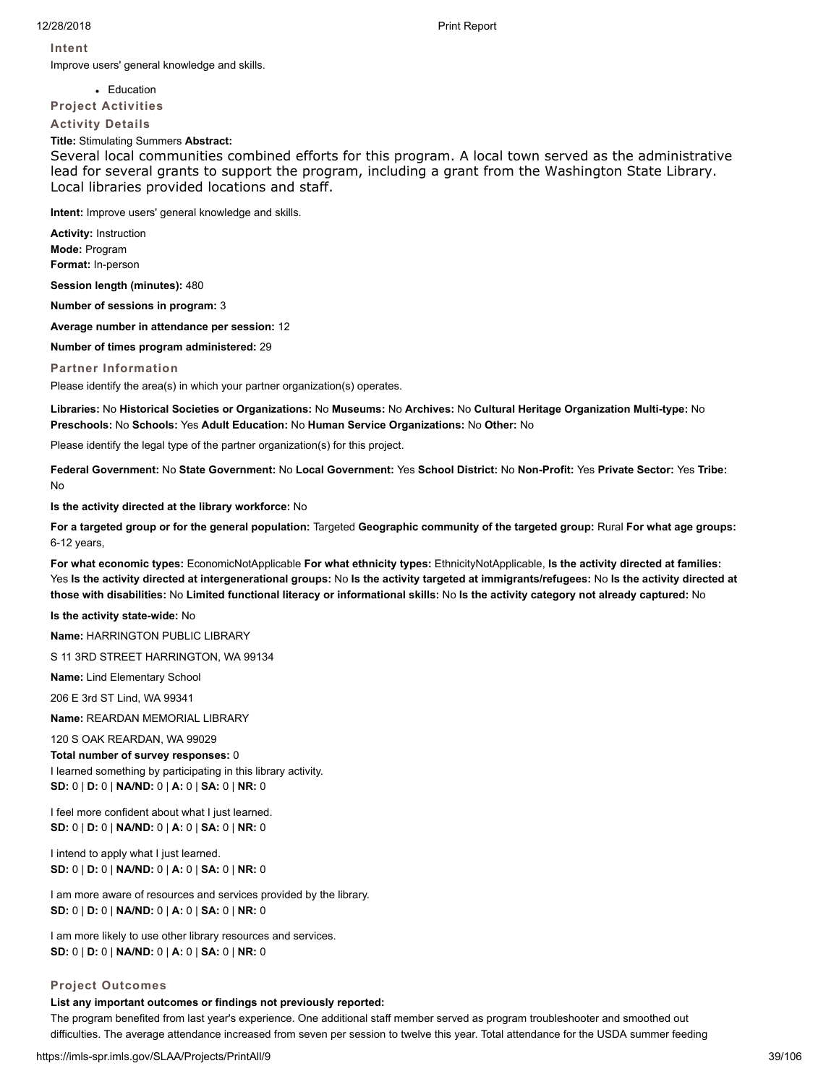**Intent**

Improve users' general knowledge and skills.

**Education** 

**Project Activities**

**Activity Details**

**Title:** Stimulating Summers **Abstract:**

Several local communities combined efforts for this program. A local town served as the administrative lead for several grants to support the program, including a grant from the Washington State Library. Local libraries provided locations and staff.

**Intent:** Improve users' general knowledge and skills.

**Activity:** Instruction **Mode:** Program **Format:** In-person

**Session length (minutes):** 480

**Number of sessions in program:** 3

**Average number in attendance per session:** 12

**Number of times program administered:** 29

# **Partner Information**

Please identify the area(s) in which your partner organization(s) operates.

**Libraries:** No **Historical Societies or Organizations:** No **Museums:** No **Archives:** No **Cultural Heritage Organization Multi-type:** No **Preschools:** No **Schools:** Yes **Adult Education:** No **Human Service Organizations:** No **Other:** No

Please identify the legal type of the partner organization(s) for this project.

**Federal Government:** No **State Government:** No **Local Government:** Yes **School District:** No **Non-Profit:** Yes **Private Sector:** Yes **Tribe:** No

**Is the activity directed at the library workforce:** No

**For a targeted group or for the general population:** Targeted **Geographic community of the targeted group:** Rural **For what age groups:** 6-12 years,

**For what economic types:** EconomicNotApplicable **For what ethnicity types:** EthnicityNotApplicable, **Is the activity directed at families:** Yes **Is the activity directed at intergenerational groups:** No **Is the activity targeted at immigrants/refugees:** No **Is the activity directed at those with disabilities:** No **Limited functional literacy or informational skills:** No **Is the activity category not already captured:** No

**Is the activity state-wide:** No

**Name:** HARRINGTON PUBLIC LIBRARY

S 11 3RD STREET HARRINGTON, WA 99134

**Name:** Lind Elementary School

206 E 3rd ST Lind, WA 99341

**Name:** REARDAN MEMORIAL LIBRARY

120 S OAK REARDAN, WA 99029 **Total number of survey responses:** 0 I learned something by participating in this library activity. **SD:** 0 | **D:** 0 | **NA/ND:** 0 | **A:** 0 | **SA:** 0 | **NR:** 0

I feel more confident about what I just learned. **SD:** 0 | **D:** 0 | **NA/ND:** 0 | **A:** 0 | **SA:** 0 | **NR:** 0

I intend to apply what I just learned. **SD:** 0 | **D:** 0 | **NA/ND:** 0 | **A:** 0 | **SA:** 0 | **NR:** 0

I am more aware of resources and services provided by the library. **SD:** 0 | **D:** 0 | **NA/ND:** 0 | **A:** 0 | **SA:** 0 | **NR:** 0

I am more likely to use other library resources and services. **SD:** 0 | **D:** 0 | **NA/ND:** 0 | **A:** 0 | **SA:** 0 | **NR:** 0

# **Project Outcomes**

# **List any important outcomes or findings not previously reported:**

The program benefited from last year's experience. One additional staff member served as program troubleshooter and smoothed out difficulties. The average attendance increased from seven per session to twelve this year. Total attendance for the USDA summer feeding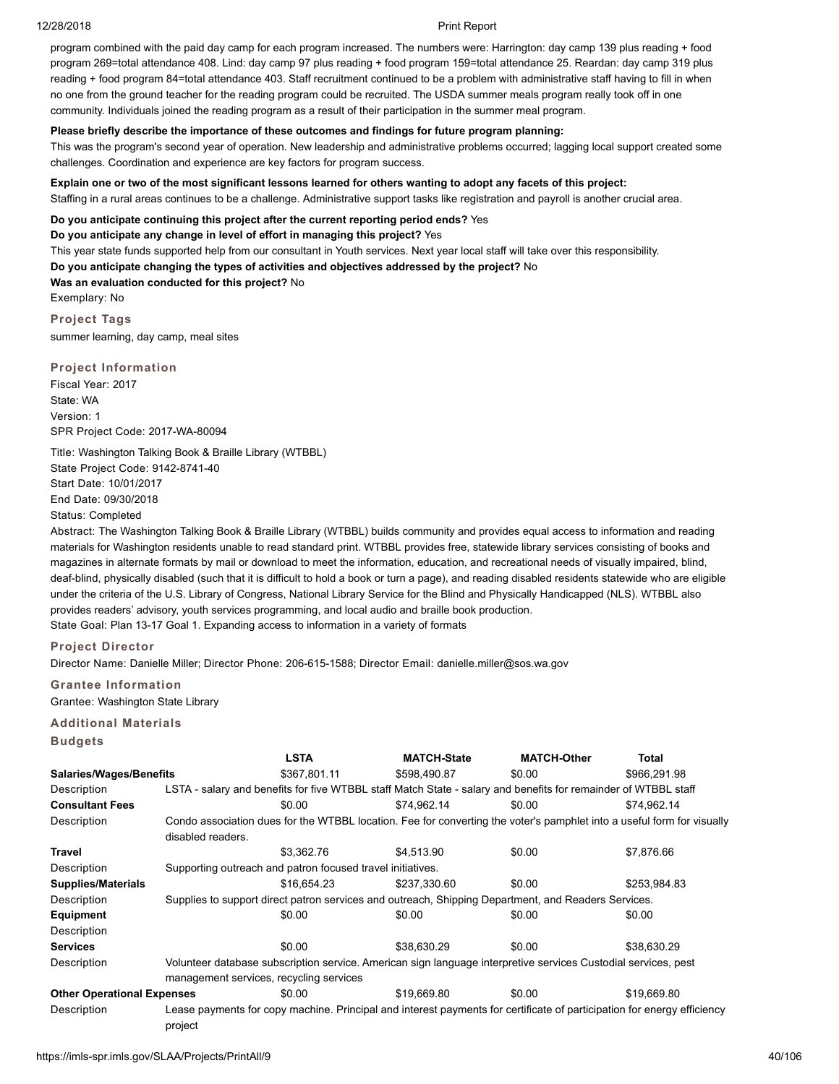program combined with the paid day camp for each program increased. The numbers were: Harrington: day camp 139 plus reading + food program 269=total attendance 408. Lind: day camp 97 plus reading + food program 159=total attendance 25. Reardan: day camp 319 plus reading + food program 84=total attendance 403. Staff recruitment continued to be a problem with administrative staff having to fill in when no one from the ground teacher for the reading program could be recruited. The USDA summer meals program really took off in one community. Individuals joined the reading program as a result of their participation in the summer meal program.

### **Please briefly describe the importance of these outcomes and findings for future program planning:**

This was the program's second year of operation. New leadership and administrative problems occurred; lagging local support created some challenges. Coordination and experience are key factors for program success.

# **Explain one or two of the most significant lessons learned for others wanting to adopt any facets of this project:**

Staffing in a rural areas continues to be a challenge. Administrative support tasks like registration and payroll is another crucial area.

# **Do you anticipate continuing this project after the current reporting period ends?** Yes

**Do you anticipate any change in level of effort in managing this project?** Yes

This year state funds supported help from our consultant in Youth services. Next year local staff will take over this responsibility.

**Do you anticipate changing the types of activities and objectives addressed by the project?** No

**Was an evaluation conducted for this project?** No

Exemplary: No

**Project Tags** summer learning, day camp, meal sites

# **Project Information**

Fiscal Year: 2017 State: WA Version: 1 SPR Project Code: 2017-WA-80094

Title: Washington Talking Book & Braille Library (WTBBL) State Project Code: 9142-8741-40 Start Date: 10/01/2017 End Date: 09/30/2018 Status: Completed

Abstract: The Washington Talking Book & Braille Library (WTBBL) builds community and provides equal access to information and reading materials for Washington residents unable to read standard print. WTBBL provides free, statewide library services consisting of books and magazines in alternate formats by mail or download to meet the information, education, and recreational needs of visually impaired, blind, deaf-blind, physically disabled (such that it is difficult to hold a book or turn a page), and reading disabled residents statewide who are eligible under the criteria of the U.S. Library of Congress, National Library Service for the Blind and Physically Handicapped (NLS). WTBBL also provides readers' advisory, youth services programming, and local audio and braille book production. State Goal: Plan 13-17 Goal 1. Expanding access to information in a variety of formats

# **Project Director**

Director Name: Danielle Miller; Director Phone: 206-615-1588; Director Email: danielle.miller@sos.wa.gov

# **Grantee Information**

Grantee: Washington State Library

# **Additional Materials**

**Budgets**

|                                   |                                                                                                                | <b>LSTA</b>                                                | <b>MATCH-State</b>                                                                                                      | <b>MATCH-Other</b> | <b>Total</b> |  |  |  |
|-----------------------------------|----------------------------------------------------------------------------------------------------------------|------------------------------------------------------------|-------------------------------------------------------------------------------------------------------------------------|--------------------|--------------|--|--|--|
| <b>Salaries/Wages/Benefits</b>    |                                                                                                                | \$367,801.11                                               | \$598,490.87                                                                                                            | \$0.00             | \$966,291.98 |  |  |  |
| Description                       |                                                                                                                |                                                            | LSTA - salary and benefits for five WTBBL staff Match State - salary and benefits for remainder of WTBBL staff          |                    |              |  |  |  |
| <b>Consultant Fees</b>            |                                                                                                                | \$0.00                                                     | \$74.962.14                                                                                                             | \$0.00             | \$74,962.14  |  |  |  |
| Description                       |                                                                                                                |                                                            | Condo association dues for the WTBBL location. Fee for converting the voter's pamphlet into a useful form for visually  |                    |              |  |  |  |
|                                   | disabled readers.                                                                                              |                                                            |                                                                                                                         |                    |              |  |  |  |
| Travel                            |                                                                                                                | \$3.362.76                                                 | \$4.513.90                                                                                                              | \$0.00             | \$7,876.66   |  |  |  |
| Description                       |                                                                                                                | Supporting outreach and patron focused travel initiatives. |                                                                                                                         |                    |              |  |  |  |
| <b>Supplies/Materials</b>         |                                                                                                                | \$16.654.23                                                | \$237,330.60                                                                                                            | \$0.00             | \$253,984.83 |  |  |  |
| Description                       |                                                                                                                |                                                            | Supplies to support direct patron services and outreach, Shipping Department, and Readers Services.                     |                    |              |  |  |  |
| <b>Equipment</b>                  |                                                                                                                | \$0.00                                                     | \$0.00                                                                                                                  | \$0.00             | \$0.00       |  |  |  |
| Description                       |                                                                                                                |                                                            |                                                                                                                         |                    |              |  |  |  |
| <b>Services</b>                   |                                                                                                                | \$0.00                                                     | \$38,630.29                                                                                                             | \$0.00             | \$38,630.29  |  |  |  |
| Description                       | Volunteer database subscription service. American sign language interpretive services Custodial services, pest |                                                            |                                                                                                                         |                    |              |  |  |  |
|                                   |                                                                                                                | management services, recycling services                    |                                                                                                                         |                    |              |  |  |  |
| <b>Other Operational Expenses</b> |                                                                                                                | \$0.00                                                     | \$19,669.80                                                                                                             | \$0.00             | \$19,669.80  |  |  |  |
| Description                       | project                                                                                                        |                                                            | Lease payments for copy machine. Principal and interest payments for certificate of participation for energy efficiency |                    |              |  |  |  |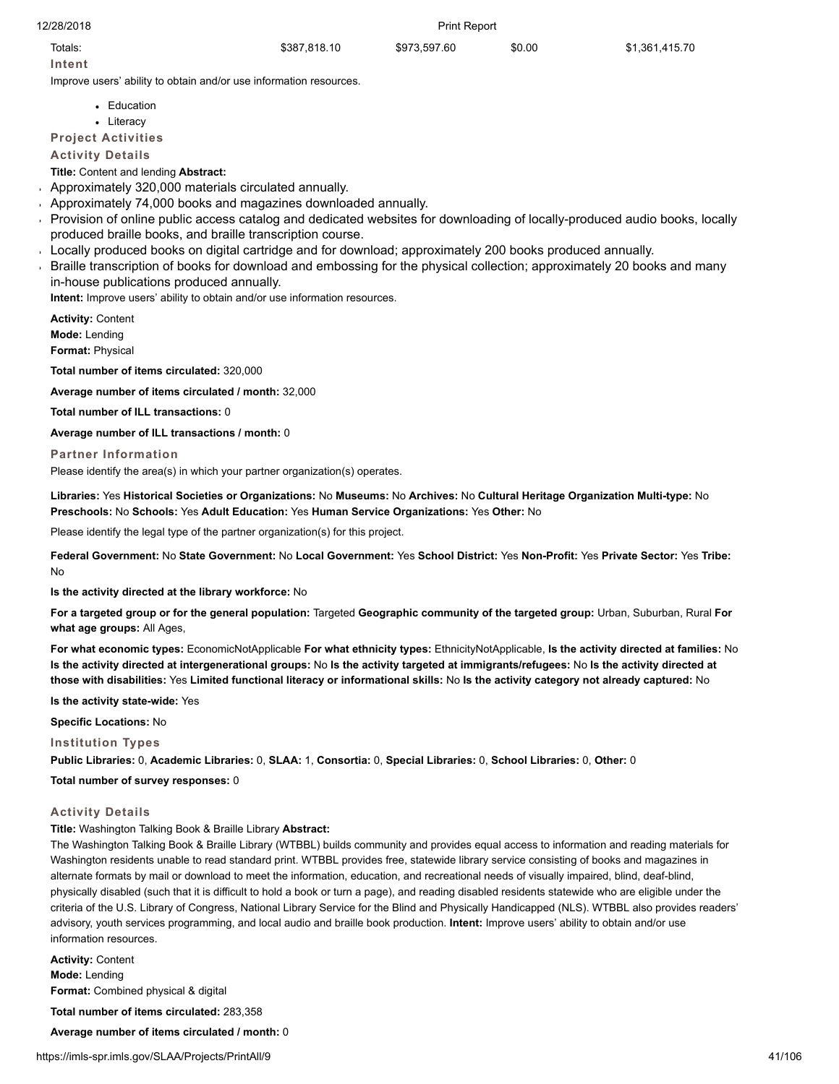Totals: \$387,818.10 \$973,597.60 \$0.00 \$1,361,415.70

**Intent**

Improve users' ability to obtain and/or use information resources.

- Education
- Literacy

**Project Activities**

**Activity Details**

# **Title:** Content and lending **Abstract:**

- Approximately 320,000 materials circulated annually.
- Approximately 74,000 books and magazines downloaded annually.
- Provision of online public access catalog and dedicated websites for downloading of locally-produced audio books, locally produced braille books, and braille transcription course.
- Locally produced books on digital cartridge and for download; approximately 200 books produced annually.
- Braille transcription of books for download and embossing for the physical collection; approximately 20 books and many in-house publications produced annually.

**Intent:** Improve users' ability to obtain and/or use information resources.

**Activity:** Content **Mode:** Lending **Format:** Physical

**Total number of items circulated:** 320,000

**Average number of items circulated / month:** 32,000

**Total number of ILL transactions:** 0

**Average number of ILL transactions / month:** 0

# **Partner Information**

Please identify the area(s) in which your partner organization(s) operates.

**Libraries:** Yes **Historical Societies or Organizations:** No **Museums:** No **Archives:** No **Cultural Heritage Organization Multi-type:** No **Preschools:** No **Schools:** Yes **Adult Education:** Yes **Human Service Organizations:** Yes **Other:** No

Please identify the legal type of the partner organization(s) for this project.

**Federal Government:** No **State Government:** No **Local Government:** Yes **School District:** Yes **Non-Profit:** Yes **Private Sector:** Yes **Tribe:** No

**Is the activity directed at the library workforce:** No

**For a targeted group or for the general population:** Targeted **Geographic community of the targeted group:** Urban, Suburban, Rural **For what age groups:** All Ages,

**For what economic types:** EconomicNotApplicable **For what ethnicity types:** EthnicityNotApplicable, **Is the activity directed at families:** No **Is the activity directed at intergenerational groups:** No **Is the activity targeted at immigrants/refugees:** No **Is the activity directed at those with disabilities:** Yes **Limited functional literacy or informational skills:** No **Is the activity category not already captured:** No

**Is the activity state-wide:** Yes

**Specific Locations:** No

**Institution Types Public Libraries:** 0, **Academic Libraries:** 0, **SLAA:** 1, **Consortia:** 0, **Special Libraries:** 0, **School Libraries:** 0, **Other:** 0

**Total number of survey responses:** 0

# **Activity Details**

**Title:** Washington Talking Book & Braille Library **Abstract:**

The Washington Talking Book & Braille Library (WTBBL) builds community and provides equal access to information and reading materials for Washington residents unable to read standard print. WTBBL provides free, statewide library service consisting of books and magazines in alternate formats by mail or download to meet the information, education, and recreational needs of visually impaired, blind, deaf-blind, physically disabled (such that it is difficult to hold a book or turn a page), and reading disabled residents statewide who are eligible under the criteria of the U.S. Library of Congress, National Library Service for the Blind and Physically Handicapped (NLS). WTBBL also provides readers' advisory, youth services programming, and local audio and braille book production. **Intent:** Improve users' ability to obtain and/or use information resources.

**Activity:** Content **Mode:** Lending **Format:** Combined physical & digital **Total number of items circulated:** 283,358

**Average number of items circulated / month:** 0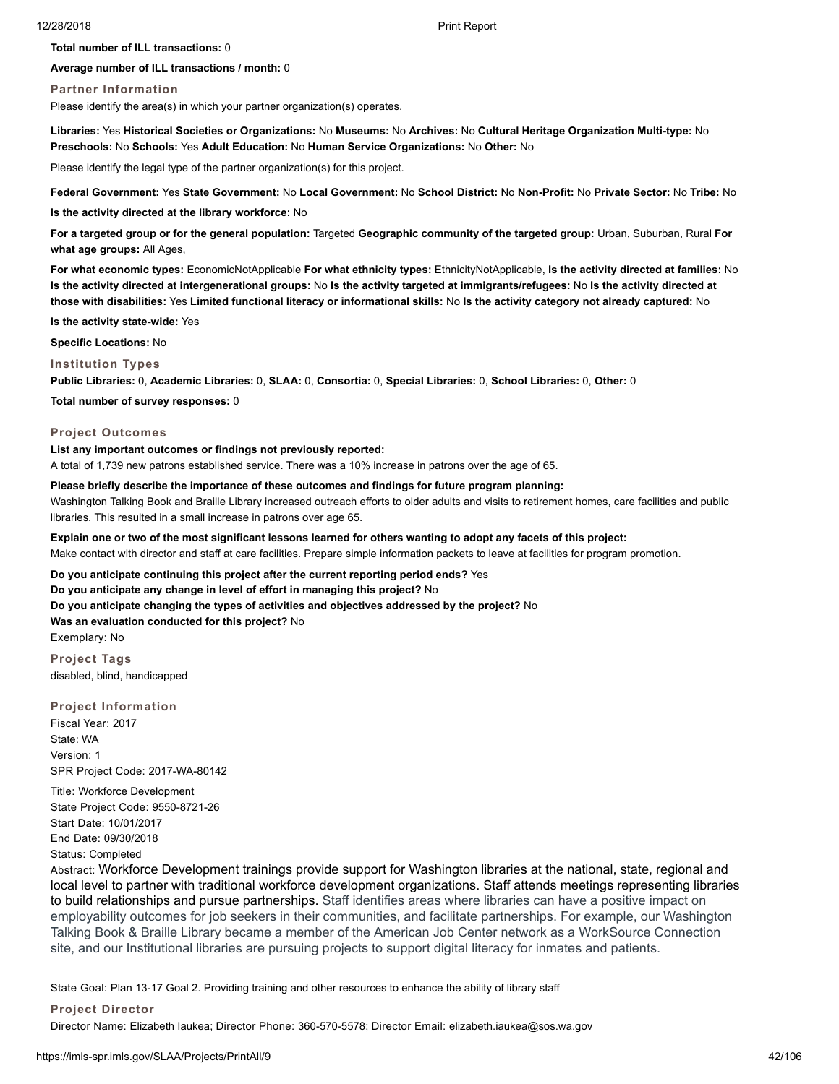**Total number of ILL transactions:** 0

**Average number of ILL transactions / month:** 0

#### **Partner Information**

Please identify the area(s) in which your partner organization(s) operates.

**Libraries:** Yes **Historical Societies or Organizations:** No **Museums:** No **Archives:** No **Cultural Heritage Organization Multi-type:** No **Preschools:** No **Schools:** Yes **Adult Education:** No **Human Service Organizations:** No **Other:** No

Please identify the legal type of the partner organization(s) for this project.

**Federal Government:** Yes **State Government:** No **Local Government:** No **School District:** No **Non-Profit:** No **Private Sector:** No **Tribe:** No

**Is the activity directed at the library workforce:** No

**For a targeted group or for the general population:** Targeted **Geographic community of the targeted group:** Urban, Suburban, Rural **For what age groups:** All Ages,

**For what economic types:** EconomicNotApplicable **For what ethnicity types:** EthnicityNotApplicable, **Is the activity directed at families:** No **Is the activity directed at intergenerational groups:** No **Is the activity targeted at immigrants/refugees:** No **Is the activity directed at those with disabilities:** Yes **Limited functional literacy or informational skills:** No **Is the activity category not already captured:** No

**Is the activity state-wide:** Yes

**Specific Locations:** No

**Institution Types**

**Public Libraries:** 0, **Academic Libraries:** 0, **SLAA:** 0, **Consortia:** 0, **Special Libraries:** 0, **School Libraries:** 0, **Other:** 0

**Total number of survey responses:** 0

# **Project Outcomes**

#### **List any important outcomes or findings not previously reported:**

A total of 1,739 new patrons established service. There was a 10% increase in patrons over the age of 65.

#### **Please briefly describe the importance of these outcomes and findings for future program planning:**

Washington Talking Book and Braille Library increased outreach efforts to older adults and visits to retirement homes, care facilities and public libraries. This resulted in a small increase in patrons over age 65.

**Explain one or two of the most significant lessons learned for others wanting to adopt any facets of this project:** Make contact with director and staff at care facilities. Prepare simple information packets to leave at facilities for program promotion.

**Do you anticipate continuing this project after the current reporting period ends?** Yes

**Do you anticipate any change in level of effort in managing this project?** No

**Do you anticipate changing the types of activities and objectives addressed by the project?** No

**Was an evaluation conducted for this project?** No

Exemplary: No

**Project Tags** disabled, blind, handicapped

**Project Information**

Fiscal Year: 2017 State: WA Version: 1 SPR Project Code: 2017-WA-80142

Title: Workforce Development State Project Code: 9550-8721-26 Start Date: 10/01/2017 End Date: 09/30/2018 Status: Completed

Abstract: Workforce Development trainings provide support for Washington libraries at the national, state, regional and local level to partner with traditional workforce development organizations. Staff attends meetings representing libraries to build relationships and pursue partnerships. Staff identifies areas where libraries can have a positive impact on employability outcomes for job seekers in their communities, and facilitate partnerships. For example, our Washington Talking Book & Braille Library became a member of the American Job Center network as a WorkSource Connection site, and our Institutional libraries are pursuing projects to support digital literacy for inmates and patients.

State Goal: Plan 13-17 Goal 2. Providing training and other resources to enhance the ability of library staff

**Project Director**

Director Name: Elizabeth Iaukea; Director Phone: 360-570-5578; Director Email: elizabeth.iaukea@sos.wa.gov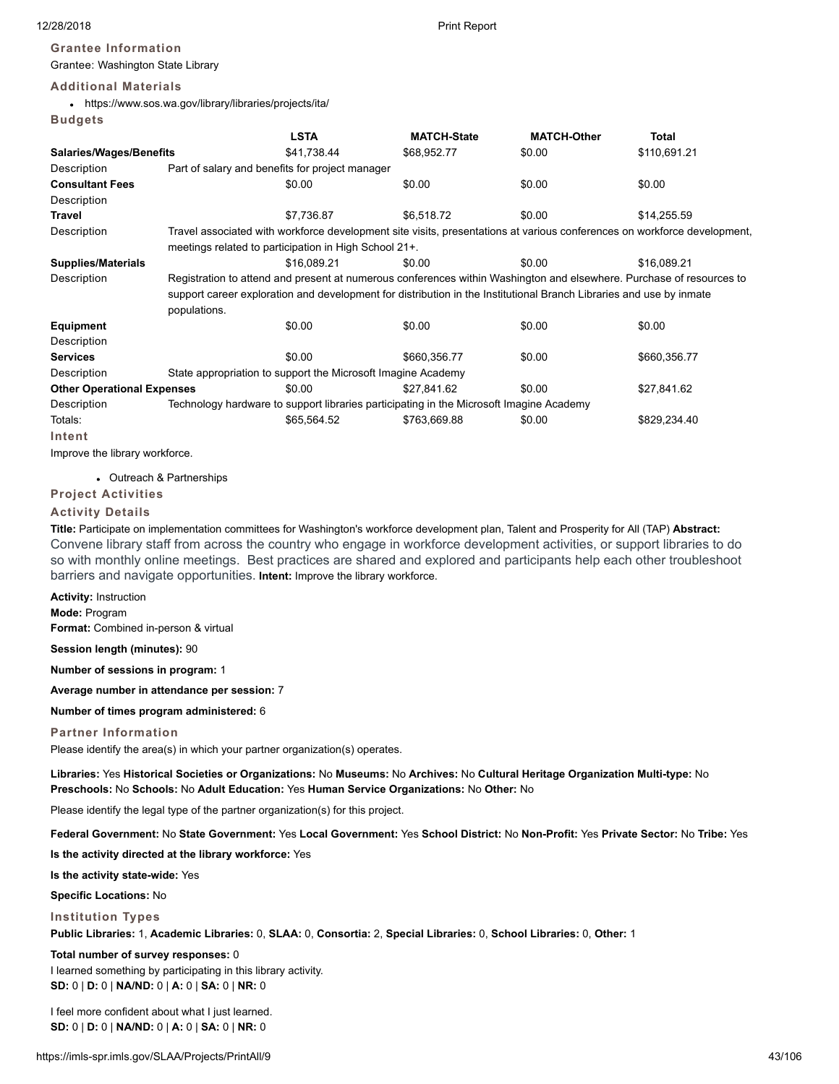# **Grantee Information**

Grantee: Washington State Library

# **Additional Materials**

https://www.sos.wa.gov/library/libraries/projects/ita/ **Budgets**

|                                   |                                                                                                                      | <b>LSTA</b>                                                                                                         | <b>MATCH-State</b>                                                                      | <b>MATCH-Other</b> | <b>Total</b>                                                                                                             |  |  |  |
|-----------------------------------|----------------------------------------------------------------------------------------------------------------------|---------------------------------------------------------------------------------------------------------------------|-----------------------------------------------------------------------------------------|--------------------|--------------------------------------------------------------------------------------------------------------------------|--|--|--|
| <b>Salaries/Wages/Benefits</b>    |                                                                                                                      | \$41,738.44                                                                                                         | \$68,952.77                                                                             | \$0.00             | \$110,691.21                                                                                                             |  |  |  |
| Description                       |                                                                                                                      | Part of salary and benefits for project manager                                                                     |                                                                                         |                    |                                                                                                                          |  |  |  |
| <b>Consultant Fees</b>            |                                                                                                                      | \$0.00                                                                                                              | \$0.00                                                                                  | \$0.00             | \$0.00                                                                                                                   |  |  |  |
| Description                       |                                                                                                                      |                                                                                                                     |                                                                                         |                    |                                                                                                                          |  |  |  |
| <b>Travel</b>                     |                                                                                                                      | \$7.736.87                                                                                                          | \$6.518.72                                                                              | \$0.00             | \$14,255.59                                                                                                              |  |  |  |
| Description                       |                                                                                                                      |                                                                                                                     |                                                                                         |                    | Travel associated with workforce development site visits, presentations at various conferences on workforce development, |  |  |  |
|                                   |                                                                                                                      | meetings related to participation in High School 21+.                                                               |                                                                                         |                    |                                                                                                                          |  |  |  |
| <b>Supplies/Materials</b>         |                                                                                                                      | \$16,089.21                                                                                                         | \$0.00                                                                                  | \$0.00             | \$16.089.21                                                                                                              |  |  |  |
| Description                       | Registration to attend and present at numerous conferences within Washington and elsewhere. Purchase of resources to |                                                                                                                     |                                                                                         |                    |                                                                                                                          |  |  |  |
|                                   |                                                                                                                      | support career exploration and development for distribution in the Institutional Branch Libraries and use by inmate |                                                                                         |                    |                                                                                                                          |  |  |  |
|                                   | populations.                                                                                                         |                                                                                                                     |                                                                                         |                    |                                                                                                                          |  |  |  |
| Equipment                         |                                                                                                                      | \$0.00                                                                                                              | \$0.00                                                                                  | \$0.00             | \$0.00                                                                                                                   |  |  |  |
| Description                       |                                                                                                                      |                                                                                                                     |                                                                                         |                    |                                                                                                                          |  |  |  |
| <b>Services</b>                   |                                                                                                                      | \$0.00                                                                                                              | \$660,356.77                                                                            | \$0.00             | \$660,356.77                                                                                                             |  |  |  |
| Description                       |                                                                                                                      | State appropriation to support the Microsoft Imagine Academy                                                        |                                                                                         |                    |                                                                                                                          |  |  |  |
| <b>Other Operational Expenses</b> |                                                                                                                      | \$0.00                                                                                                              | \$27,841.62                                                                             | \$0.00             | \$27,841.62                                                                                                              |  |  |  |
| Description                       |                                                                                                                      |                                                                                                                     | Technology hardware to support libraries participating in the Microsoft Imagine Academy |                    |                                                                                                                          |  |  |  |
| Totals:                           |                                                                                                                      | \$65,564.52                                                                                                         | \$763,669.88                                                                            | \$0.00             | \$829,234.40                                                                                                             |  |  |  |
| Intent                            |                                                                                                                      |                                                                                                                     |                                                                                         |                    |                                                                                                                          |  |  |  |

Improve the library workforce.

Outreach & Partnerships

# **Project Activities**

# **Activity Details**

**Title:** Participate on implementation committees for Washington's workforce development plan, Talent and Prosperity for All (TAP) **Abstract:** Convene library staff from across the country who engage in workforce development activities, or support libraries to do so with monthly online meetings. Best practices are shared and explored and participants help each other troubleshoot barriers and navigate opportunities. **Intent:** Improve the library workforce.

**Activity:** Instruction

**Mode:** Program

**Format:** Combined in-person & virtual

**Session length (minutes):** 90

**Number of sessions in program:** 1

**Average number in attendance per session:** 7

**Number of times program administered:** 6

# **Partner Information**

Please identify the area(s) in which your partner organization(s) operates.

**Libraries:** Yes **Historical Societies or Organizations:** No **Museums:** No **Archives:** No **Cultural Heritage Organization Multi-type:** No **Preschools:** No **Schools:** No **Adult Education:** Yes **Human Service Organizations:** No **Other:** No

Please identify the legal type of the partner organization(s) for this project.

**Federal Government:** No **State Government:** Yes **Local Government:** Yes **School District:** No **Non-Profit:** Yes **Private Sector:** No **Tribe:** Yes

**Is the activity directed at the library workforce:** Yes

**Is the activity state-wide:** Yes

**Specific Locations:** No

# **Institution Types**

**Public Libraries:** 1, **Academic Libraries:** 0, **SLAA:** 0, **Consortia:** 2, **Special Libraries:** 0, **School Libraries:** 0, **Other:** 1

# **Total number of survey responses:** 0

I learned something by participating in this library activity. **SD:** 0 | **D:** 0 | **NA/ND:** 0 | **A:** 0 | **SA:** 0 | **NR:** 0

I feel more confident about what I just learned. **SD:** 0 | **D:** 0 | **NA/ND:** 0 | **A:** 0 | **SA:** 0 | **NR:** 0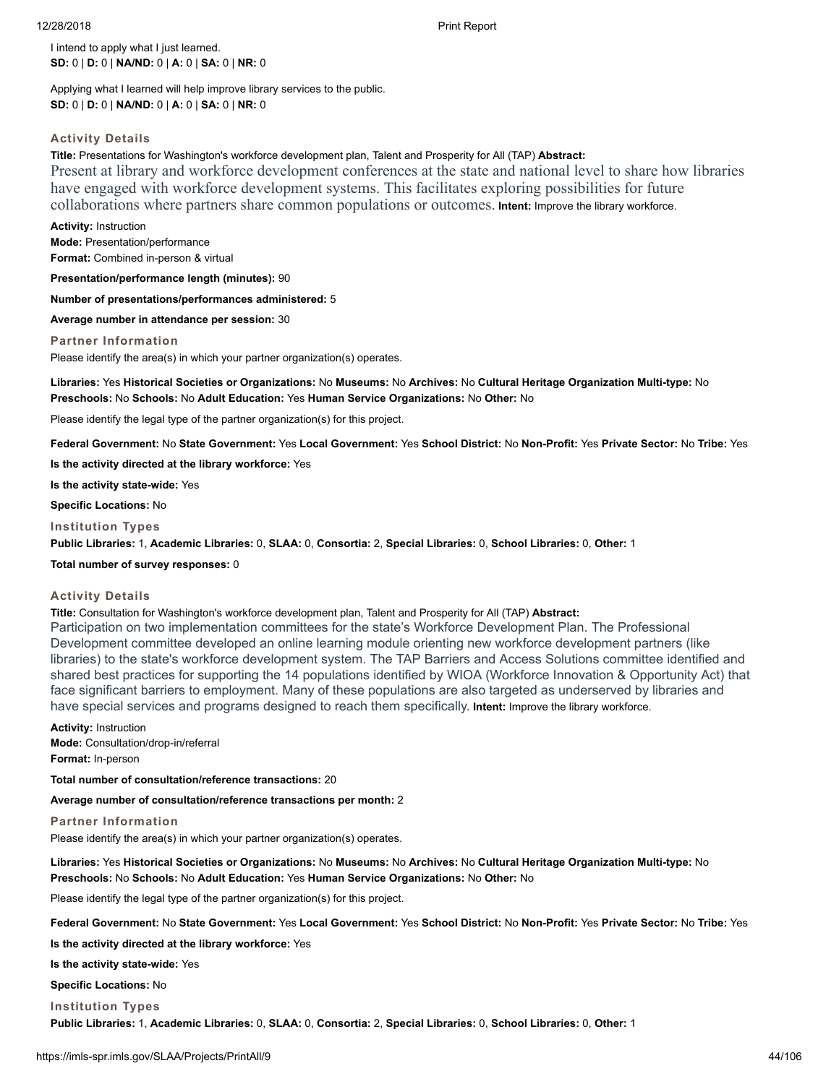I intend to apply what I just learned. **SD:** 0 | **D:** 0 | **NA/ND:** 0 | **A:** 0 | **SA:** 0 | **NR:** 0

Applying what I learned will help improve library services to the public. **SD:** 0 | **D:** 0 | **NA/ND:** 0 | **A:** 0 | **SA:** 0 | **NR:** 0

# **Activity Details**

**Title:** Presentations for Washington's workforce development plan, Talent and Prosperity for All (TAP) **Abstract:** Present at library and workforce development conferences at the state and national level to share how libraries have engaged with workforce development systems. This facilitates exploring possibilities for future collaborations where partners share common populations or outcomes. **Intent:** Improve the library workforce.

**Activity:** Instruction **Mode:** Presentation/performance **Format:** Combined in-person & virtual

**Presentation/performance length (minutes):** 90

**Number of presentations/performances administered:** 5

**Average number in attendance per session:** 30

**Partner Information**

Please identify the area(s) in which your partner organization(s) operates.

**Libraries:** Yes **Historical Societies or Organizations:** No **Museums:** No **Archives:** No **Cultural Heritage Organization Multi-type:** No **Preschools:** No **Schools:** No **Adult Education:** Yes **Human Service Organizations:** No **Other:** No

Please identify the legal type of the partner organization(s) for this project.

**Federal Government:** No **State Government:** Yes **Local Government:** Yes **School District:** No **Non-Profit:** Yes **Private Sector:** No **Tribe:** Yes

**Is the activity directed at the library workforce:** Yes

**Is the activity state-wide:** Yes

**Specific Locations:** No

**Institution Types**

**Public Libraries:** 1, **Academic Libraries:** 0, **SLAA:** 0, **Consortia:** 2, **Special Libraries:** 0, **School Libraries:** 0, **Other:** 1

**Total number of survey responses:** 0

# **Activity Details**

**Title:** Consultation for Washington's workforce development plan, Talent and Prosperity for All (TAP) **Abstract:** Participation on two implementation committees for the state's Workforce Development Plan. The Professional Development committee developed an online learning module orienting new workforce development partners (like libraries) to the state's workforce development system. The TAP Barriers and Access Solutions committee identified and shared best practices for supporting the 14 populations identified by WIOA (Workforce Innovation & Opportunity Act) that face significant barriers to employment. Many of these populations are also targeted as underserved by libraries and have special services and programs designed to reach them specifically. **Intent:** Improve the library workforce.

**Activity:** Instruction **Mode:** Consultation/drop-in/referral **Format:** In-person

**Total number of consultation/reference transactions:** 20

**Average number of consultation/reference transactions per month:** 2

# **Partner Information**

Please identify the area(s) in which your partner organization(s) operates.

**Libraries:** Yes **Historical Societies or Organizations:** No **Museums:** No **Archives:** No **Cultural Heritage Organization Multi-type:** No **Preschools:** No **Schools:** No **Adult Education:** Yes **Human Service Organizations:** No **Other:** No

Please identify the legal type of the partner organization(s) for this project.

**Federal Government:** No **State Government:** Yes **Local Government:** Yes **School District:** No **Non-Profit:** Yes **Private Sector:** No **Tribe:** Yes

**Is the activity directed at the library workforce:** Yes

**Is the activity state-wide:** Yes

**Specific Locations:** No

**Institution Types**

**Public Libraries:** 1, **Academic Libraries:** 0, **SLAA:** 0, **Consortia:** 2, **Special Libraries:** 0, **School Libraries:** 0, **Other:** 1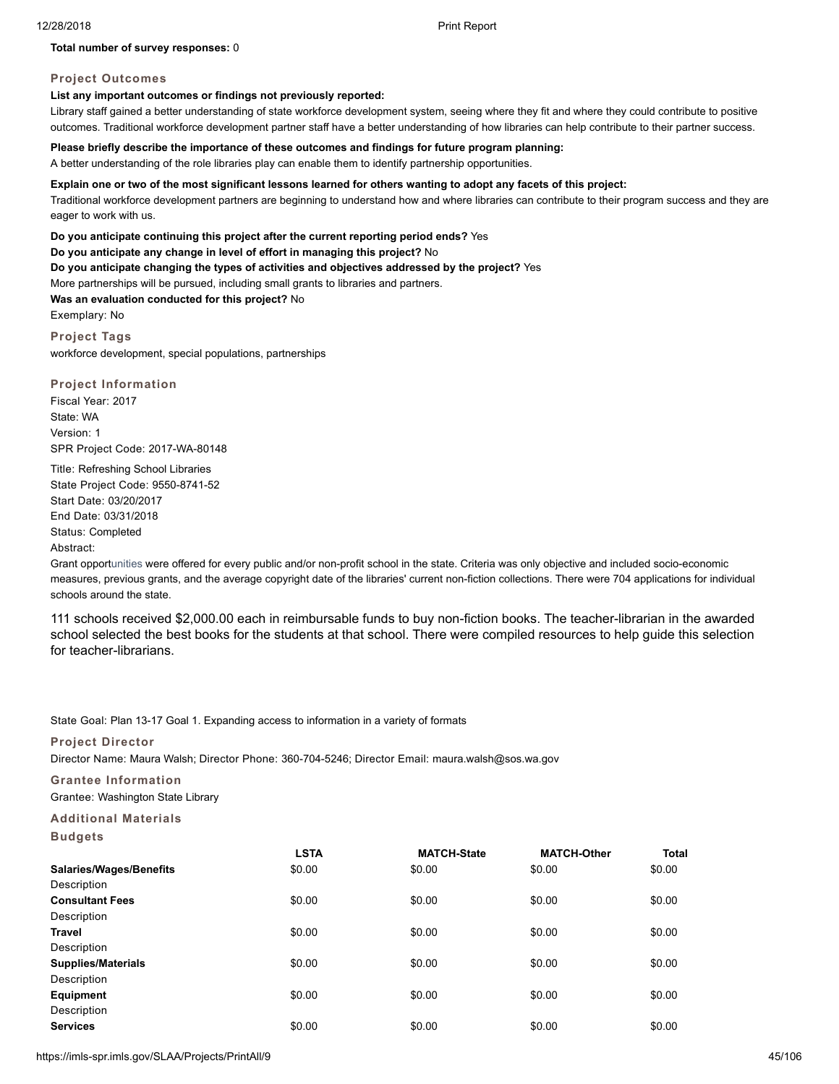# **Total number of survey responses:** 0

# **Project Outcomes**

# **List any important outcomes or findings not previously reported:**

Library staff gained a better understanding of state workforce development system, seeing where they fit and where they could contribute to positive outcomes. Traditional workforce development partner staff have a better understanding of how libraries can help contribute to their partner success.

# **Please briefly describe the importance of these outcomes and findings for future program planning:**

A better understanding of the role libraries play can enable them to identify partnership opportunities.

#### **Explain one or two of the most significant lessons learned for others wanting to adopt any facets of this project:**

Traditional workforce development partners are beginning to understand how and where libraries can contribute to their program success and they are eager to work with us.

**Do you anticipate continuing this project after the current reporting period ends?** Yes

**Do you anticipate any change in level of effort in managing this project?** No

**Do you anticipate changing the types of activities and objectives addressed by the project?** Yes

More partnerships will be pursued, including small grants to libraries and partners.

**Was an evaluation conducted for this project?** No

Exemplary: No

**Project Tags** workforce development, special populations, partnerships

**Project Information** Fiscal Year: 2017 State: WA Version: 1 SPR Project Code: 2017-WA-80148

Title: Refreshing School Libraries State Project Code: 9550-8741-52 Start Date: 03/20/2017 End Date: 03/31/2018 Status: Completed Abstract:

Grant opportunities were offered for every public and/or non-profit school in the state. Criteria was only objective and included socio-economic measures, previous grants, and the average copyright date of the libraries' current non-fiction collections. There were 704 applications for individual schools around the state.

111 schools received \$2,000.00 each in reimbursable funds to buy non-fiction books. The teacher-librarian in the awarded school selected the best books for the students at that school. There were compiled resources to help guide this selection for teacher-librarians.

State Goal: Plan 13-17 Goal 1. Expanding access to information in a variety of formats

# **Project Director**

Director Name: Maura Walsh; Director Phone: 360-704-5246; Director Email: maura.walsh@sos.wa.gov

**Grantee Information**

Grantee: Washington State Library

# **Additional Materials**

| Budae' |  |
|--------|--|
|--------|--|

|                                | <b>LSTA</b> | <b>MATCH-State</b> | <b>MATCH-Other</b> | <b>Total</b> |
|--------------------------------|-------------|--------------------|--------------------|--------------|
| <b>Salaries/Wages/Benefits</b> | \$0.00      | \$0.00             | \$0.00             | \$0.00       |
| Description                    |             |                    |                    |              |
| <b>Consultant Fees</b>         | \$0.00      | \$0.00             | \$0.00             | \$0.00       |
| Description                    |             |                    |                    |              |
| Travel                         | \$0.00      | \$0.00             | \$0.00             | \$0.00       |
| Description                    |             |                    |                    |              |
| <b>Supplies/Materials</b>      | \$0.00      | \$0.00             | \$0.00             | \$0.00       |
| Description                    |             |                    |                    |              |
| Equipment                      | \$0.00      | \$0.00             | \$0.00             | \$0.00       |
| Description                    |             |                    |                    |              |
| <b>Services</b>                | \$0.00      | \$0.00             | \$0.00             | \$0.00       |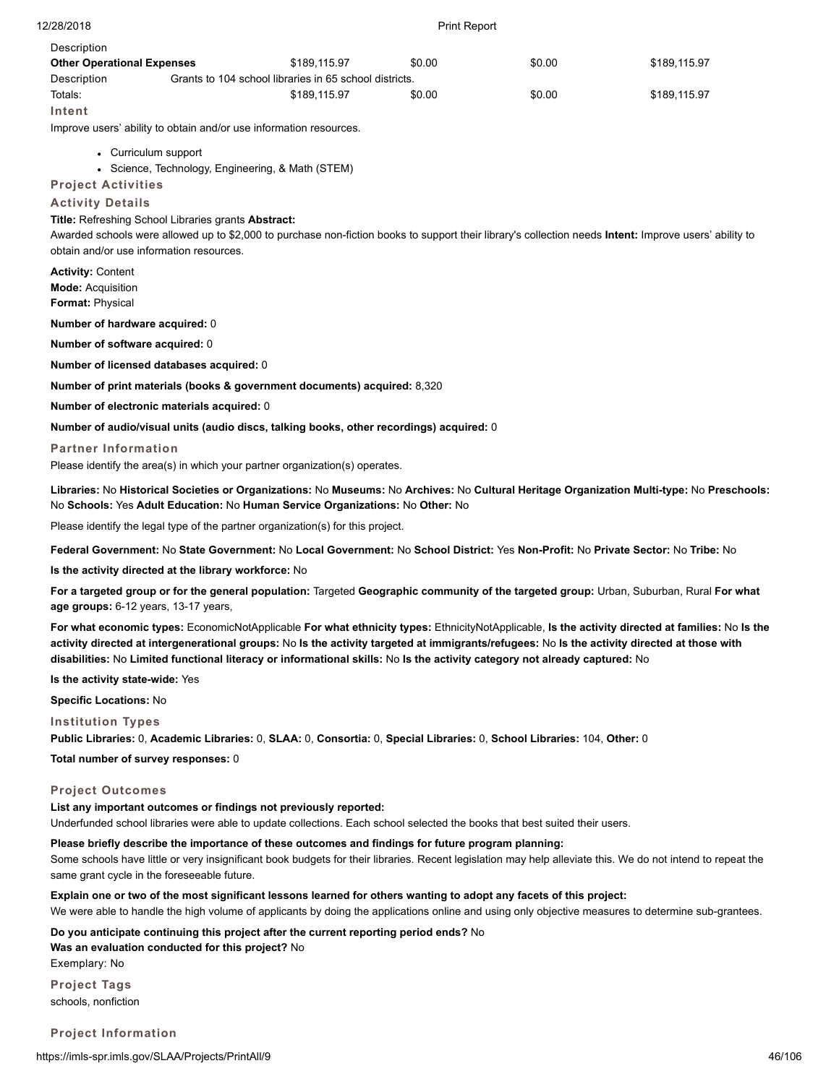| 12/28/2018                                    | <b>Print Report</b>                                   |                                                                                                                           |        |        |                                                                                                                                                        |  |
|-----------------------------------------------|-------------------------------------------------------|---------------------------------------------------------------------------------------------------------------------------|--------|--------|--------------------------------------------------------------------------------------------------------------------------------------------------------|--|
| Description                                   |                                                       |                                                                                                                           |        |        |                                                                                                                                                        |  |
| <b>Other Operational Expenses</b>             |                                                       | \$189,115.97                                                                                                              | \$0.00 | \$0.00 | \$189,115.97                                                                                                                                           |  |
| Description<br>Totals:                        |                                                       | Grants to 104 school libraries in 65 school districts.<br>\$189.115.97                                                    | \$0.00 | \$0.00 | \$189,115.97                                                                                                                                           |  |
| Intent                                        |                                                       |                                                                                                                           |        |        |                                                                                                                                                        |  |
|                                               |                                                       | Improve users' ability to obtain and/or use information resources.                                                        |        |        |                                                                                                                                                        |  |
|                                               | • Curriculum support                                  |                                                                                                                           |        |        |                                                                                                                                                        |  |
|                                               | • Science, Technology, Engineering, & Math (STEM)     |                                                                                                                           |        |        |                                                                                                                                                        |  |
| <b>Project Activities</b>                     |                                                       |                                                                                                                           |        |        |                                                                                                                                                        |  |
| <b>Activity Details</b>                       |                                                       |                                                                                                                           |        |        |                                                                                                                                                        |  |
|                                               | Title: Refreshing School Libraries grants Abstract:   |                                                                                                                           |        |        |                                                                                                                                                        |  |
|                                               | obtain and/or use information resources.              |                                                                                                                           |        |        | Awarded schools were allowed up to \$2,000 to purchase non-fiction books to support their library's collection needs Intent: Improve users' ability to |  |
|                                               |                                                       |                                                                                                                           |        |        |                                                                                                                                                        |  |
| <b>Activity: Content</b><br>Mode: Acquisition |                                                       |                                                                                                                           |        |        |                                                                                                                                                        |  |
| Format: Physical                              |                                                       |                                                                                                                           |        |        |                                                                                                                                                        |  |
| Number of hardware acquired: 0                |                                                       |                                                                                                                           |        |        |                                                                                                                                                        |  |
| Number of software acquired: 0                |                                                       |                                                                                                                           |        |        |                                                                                                                                                        |  |
|                                               | Number of licensed databases acquired: 0              |                                                                                                                           |        |        |                                                                                                                                                        |  |
|                                               |                                                       | Number of print materials (books & government documents) acquired: 8,320                                                  |        |        |                                                                                                                                                        |  |
|                                               | Number of electronic materials acquired: 0            |                                                                                                                           |        |        |                                                                                                                                                        |  |
|                                               |                                                       | Number of audio/visual units (audio discs, talking books, other recordings) acquired: 0                                   |        |        |                                                                                                                                                        |  |
| <b>Partner Information</b>                    |                                                       |                                                                                                                           |        |        |                                                                                                                                                        |  |
|                                               |                                                       | Please identify the area(s) in which your partner organization(s) operates.                                               |        |        |                                                                                                                                                        |  |
|                                               |                                                       | No Schools: Yes Adult Education: No Human Service Organizations: No Other: No                                             |        |        | Libraries: No Historical Societies or Organizations: No Museums: No Archives: No Cultural Heritage Organization Multi-type: No Preschools:             |  |
|                                               |                                                       | Please identify the legal type of the partner organization(s) for this project.                                           |        |        |                                                                                                                                                        |  |
|                                               |                                                       |                                                                                                                           |        |        | Federal Government: No State Government: No Local Government: No School District: Yes Non-Profit: No Private Sector: No Tribe: No                      |  |
|                                               | Is the activity directed at the library workforce: No |                                                                                                                           |        |        |                                                                                                                                                        |  |
|                                               |                                                       | <b>Controller Controller Control Territorial Architect Controller of the transition of the Control Outside Control Po</b> |        |        |                                                                                                                                                        |  |

**For a targeted group or for the general population:** Targeted **Geographic community of the targeted group:** Urban, Suburban, Rural **For what age groups:** 6-12 years, 13-17 years,

**For what economic types:** EconomicNotApplicable **For what ethnicity types:** EthnicityNotApplicable, **Is the activity directed at families:** No **Is the activity directed at intergenerational groups:** No **Is the activity targeted at immigrants/refugees:** No **Is the activity directed at those with disabilities:** No **Limited functional literacy or informational skills:** No **Is the activity category not already captured:** No

**Is the activity state-wide:** Yes

**Specific Locations:** No

**Institution Types**

**Public Libraries:** 0, **Academic Libraries:** 0, **SLAA:** 0, **Consortia:** 0, **Special Libraries:** 0, **School Libraries:** 104, **Other:** 0

**Total number of survey responses:** 0

# **Project Outcomes**

**List any important outcomes or findings not previously reported:** Underfunded school libraries were able to update collections. Each school selected the books that best suited their users.

# **Please briefly describe the importance of these outcomes and findings for future program planning:**

Some schools have little or very insignificant book budgets for their libraries. Recent legislation may help alleviate this. We do not intend to repeat the same grant cycle in the foreseeable future.

**Explain one or two of the most significant lessons learned for others wanting to adopt any facets of this project:**

We were able to handle the high volume of applicants by doing the applications online and using only objective measures to determine sub-grantees.

**Do you anticipate continuing this project after the current reporting period ends?** No

**Was an evaluation conducted for this project?** No

Exemplary: No **Project Tags**

schools, nonfiction

**Project Information**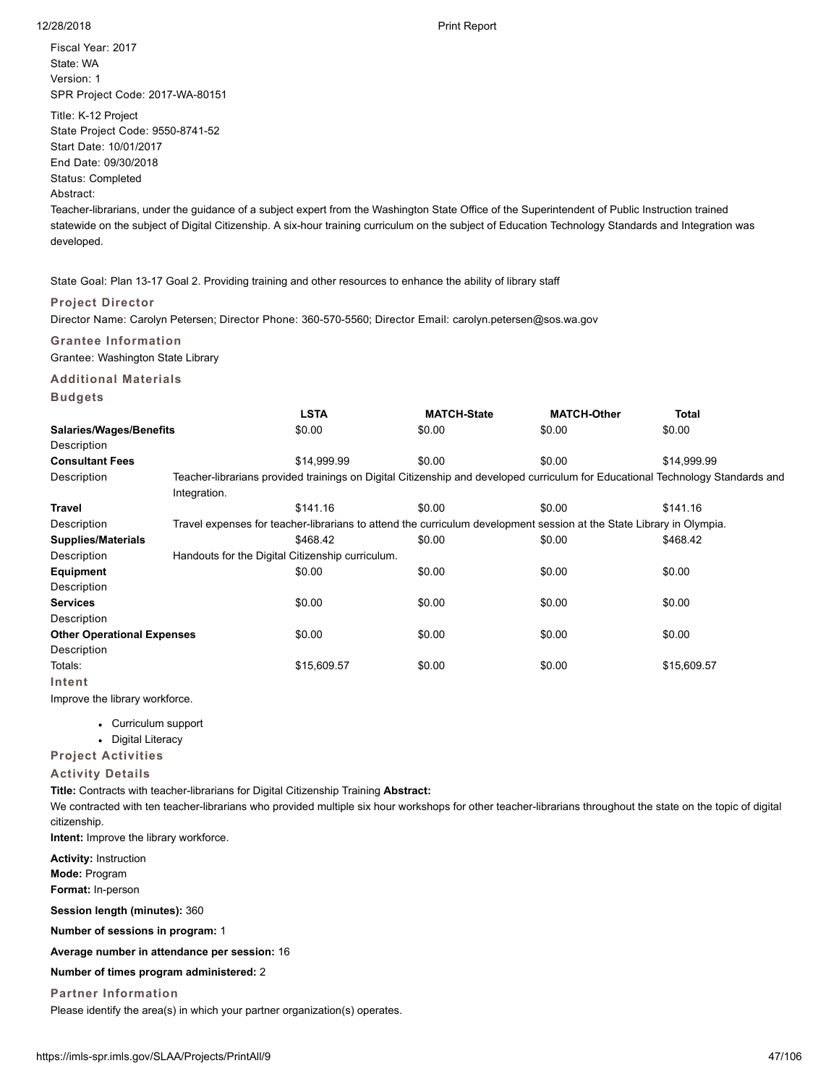Fiscal Year: 2017 State: WA Version: 1 SPR Project Code: 2017-WA-80151

Title: K-12 Project

State Project Code: 9550-8741-52

Start Date: 10/01/2017

End Date: 09/30/2018

Status: Completed

Abstract:

Teacher-librarians, under the guidance of a subject expert from the Washington State Office of the Superintendent of Public Instruction trained statewide on the subject of Digital Citizenship. A six-hour training curriculum on the subject of Education Technology Standards and Integration was developed.

State Goal: Plan 13-17 Goal 2. Providing training and other resources to enhance the ability of library staff

# **Project Director**

Director Name: Carolyn Petersen; Director Phone: 360-570-5560; Director Email: carolyn.petersen@sos.wa.gov

# **Grantee Information**

Grantee: Washington State Library

# **Additional Materials**

| Buda |  |
|------|--|
|------|--|

|                                   |              | <b>LSTA</b>                                                                                                          | <b>MATCH-State</b> | <b>MATCH-Other</b> | <b>Total</b>                                                                                                                   |
|-----------------------------------|--------------|----------------------------------------------------------------------------------------------------------------------|--------------------|--------------------|--------------------------------------------------------------------------------------------------------------------------------|
| <b>Salaries/Wages/Benefits</b>    |              | \$0.00                                                                                                               | \$0.00             | \$0.00             | \$0.00                                                                                                                         |
| Description                       |              |                                                                                                                      |                    |                    |                                                                                                                                |
| <b>Consultant Fees</b>            |              | \$14.999.99                                                                                                          | \$0.00             | \$0.00             | \$14.999.99                                                                                                                    |
| Description                       |              |                                                                                                                      |                    |                    | Teacher-librarians provided trainings on Digital Citizenship and developed curriculum for Educational Technology Standards and |
|                                   | Integration. |                                                                                                                      |                    |                    |                                                                                                                                |
| Travel                            |              | \$141.16                                                                                                             | \$0.00             | \$0.00             | \$141.16                                                                                                                       |
| Description                       |              | Travel expenses for teacher-librarians to attend the curriculum development session at the State Library in Olympia. |                    |                    |                                                                                                                                |
| <b>Supplies/Materials</b>         |              | \$468.42                                                                                                             | \$0.00             | \$0.00             | \$468.42                                                                                                                       |
| Description                       |              | Handouts for the Digital Citizenship curriculum.                                                                     |                    |                    |                                                                                                                                |
| Equipment                         |              | \$0.00                                                                                                               | \$0.00             | \$0.00             | \$0.00                                                                                                                         |
| Description                       |              |                                                                                                                      |                    |                    |                                                                                                                                |
| <b>Services</b>                   |              | \$0.00                                                                                                               | \$0.00             | \$0.00             | \$0.00                                                                                                                         |
| Description                       |              |                                                                                                                      |                    |                    |                                                                                                                                |
| <b>Other Operational Expenses</b> |              | \$0.00                                                                                                               | \$0.00             | \$0.00             | \$0.00                                                                                                                         |
| Description                       |              |                                                                                                                      |                    |                    |                                                                                                                                |
| Totals:                           |              | \$15,609.57                                                                                                          | \$0.00             | \$0.00             | \$15,609.57                                                                                                                    |
| Intent                            |              |                                                                                                                      |                    |                    |                                                                                                                                |

Improve the library workforce.

- Curriculum support
- Digital Literacy

**Project Activities**

# **Activity Details**

**Title:** Contracts with teacher-librarians for Digital Citizenship Training **Abstract:**

We contracted with ten teacher-librarians who provided multiple six hour workshops for other teacher-librarians throughout the state on the topic of digital citizenship.

**Intent:** Improve the library workforce.

**Activity:** Instruction **Mode:** Program **Format:** In-person

**Session length (minutes):** 360

**Number of sessions in program:** 1

**Average number in attendance per session:** 16

**Number of times program administered:** 2

**Partner Information**

Please identify the area(s) in which your partner organization(s) operates.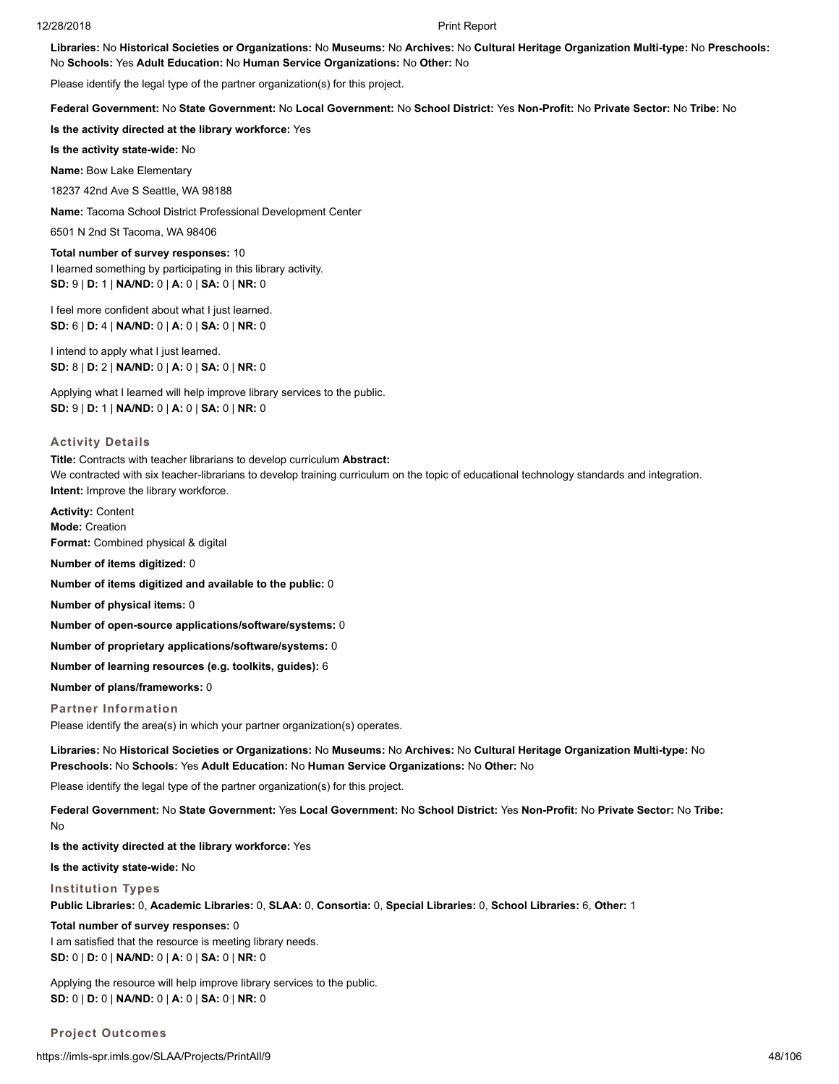**Libraries:** No **Historical Societies or Organizations:** No **Museums:** No **Archives:** No **Cultural Heritage Organization Multi-type:** No **Preschools:** No **Schools:** Yes **Adult Education:** No **Human Service Organizations:** No **Other:** No

Please identify the legal type of the partner organization(s) for this project.

**Federal Government:** No **State Government:** No **Local Government:** No **School District:** Yes **Non-Profit:** No **Private Sector:** No **Tribe:** No

**Is the activity directed at the library workforce:** Yes

**Is the activity state-wide:** No

**Name:** Bow Lake Elementary

18237 42nd Ave S Seattle, WA 98188

**Name:** Tacoma School District Professional Development Center

6501 N 2nd St Tacoma, WA 98406

**Total number of survey responses:** 10 I learned something by participating in this library activity. **SD:** 9 | **D:** 1 | **NA/ND:** 0 | **A:** 0 | **SA:** 0 | **NR:** 0

I feel more confident about what I just learned. **SD:** 6 | **D:** 4 | **NA/ND:** 0 | **A:** 0 | **SA:** 0 | **NR:** 0

I intend to apply what I just learned. **SD:** 8 | **D:** 2 | **NA/ND:** 0 | **A:** 0 | **SA:** 0 | **NR:** 0

Applying what I learned will help improve library services to the public. **SD:** 9 | **D:** 1 | **NA/ND:** 0 | **A:** 0 | **SA:** 0 | **NR:** 0

#### **Activity Details**

**Title:** Contracts with teacher librarians to develop curriculum **Abstract:** We contracted with six teacher-librarians to develop training curriculum on the topic of educational technology standards and integration. **Intent:** Improve the library workforce.

**Activity:** Content **Mode:** Creation **Format:** Combined physical & digital

**Number of items digitized:** 0

**Number of items digitized and available to the public:** 0

**Number of physical items:** 0

**Number of open-source applications/software/systems:** 0

**Number of proprietary applications/software/systems:** 0

**Number of learning resources (e.g. toolkits, guides):** 6

**Number of plans/frameworks:** 0

### **Partner Information**

Please identify the area(s) in which your partner organization(s) operates.

**Libraries:** No **Historical Societies or Organizations:** No **Museums:** No **Archives:** No **Cultural Heritage Organization Multi-type:** No **Preschools:** No **Schools:** Yes **Adult Education:** No **Human Service Organizations:** No **Other:** No

Please identify the legal type of the partner organization(s) for this project.

**Federal Government:** No **State Government:** Yes **Local Government:** No **School District:** Yes **Non-Profit:** No **Private Sector:** No **Tribe:** No

**Is the activity directed at the library workforce:** Yes

**Is the activity state-wide:** No

#### **Institution Types**

**Public Libraries:** 0, **Academic Libraries:** 0, **SLAA:** 0, **Consortia:** 0, **Special Libraries:** 0, **School Libraries:** 6, **Other:** 1

**Total number of survey responses:** 0 I am satisfied that the resource is meeting library needs. **SD:** 0 | **D:** 0 | **NA/ND:** 0 | **A:** 0 | **SA:** 0 | **NR:** 0

Applying the resource will help improve library services to the public. **SD:** 0 | **D:** 0 | **NA/ND:** 0 | **A:** 0 | **SA:** 0 | **NR:** 0

**Project Outcomes**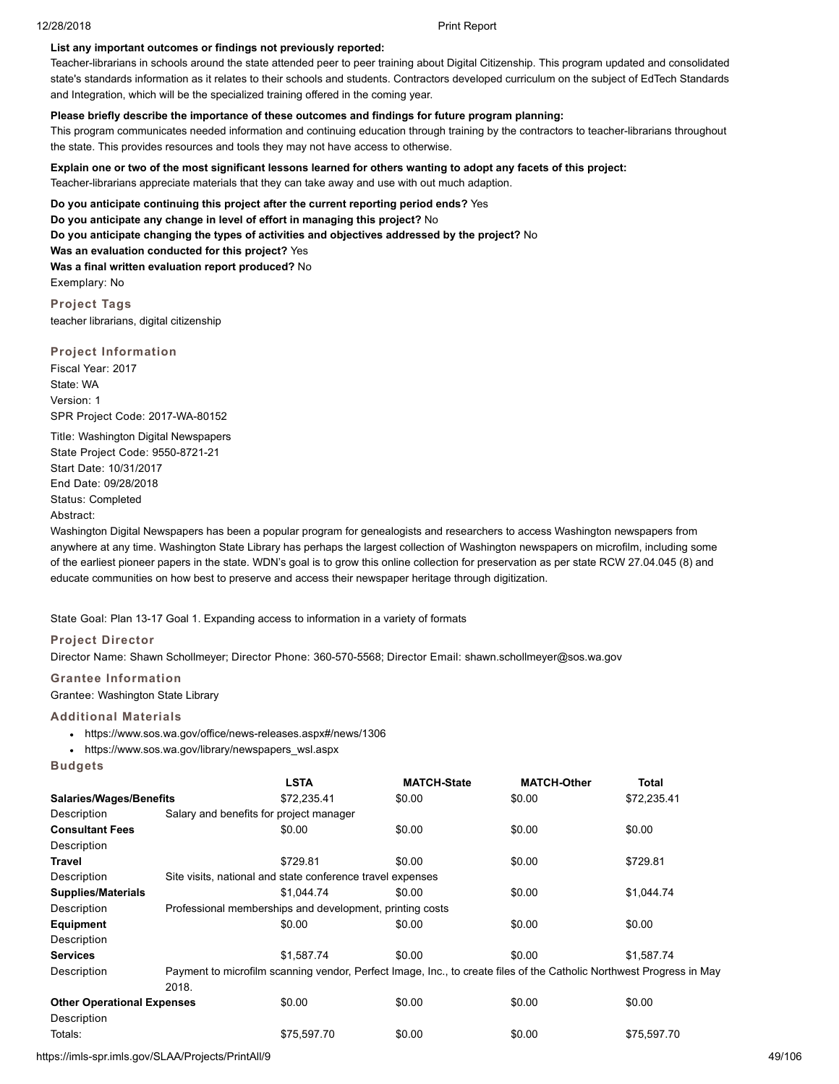# **List any important outcomes or findings not previously reported:**

Teacher-librarians in schools around the state attended peer to peer training about Digital Citizenship. This program updated and consolidated state's standards information as it relates to their schools and students. Contractors developed curriculum on the subject of EdTech Standards and Integration, which will be the specialized training offered in the coming year.

# **Please briefly describe the importance of these outcomes and findings for future program planning:**

This program communicates needed information and continuing education through training by the contractors to teacher-librarians throughout the state. This provides resources and tools they may not have access to otherwise.

**Explain one or two of the most significant lessons learned for others wanting to adopt any facets of this project:**

Teacher-librarians appreciate materials that they can take away and use with out much adaption.

**Do you anticipate continuing this project after the current reporting period ends?** Yes

**Do you anticipate any change in level of effort in managing this project?** No

**Do you anticipate changing the types of activities and objectives addressed by the project?** No

**Was an evaluation conducted for this project?** Yes

**Was a final written evaluation report produced?** No Exemplary: No

**Project Tags** teacher librarians, digital citizenship

# **Project Information**

Fiscal Year: 2017 State: WA Version: 1 SPR Project Code: 2017-WA-80152

Title: Washington Digital Newspapers State Project Code: 9550-8721-21 Start Date: 10/31/2017 End Date: 09/28/2018 Status: Completed Abstract:

Washington Digital Newspapers has been a popular program for genealogists and researchers to access Washington newspapers from anywhere at any time. Washington State Library has perhaps the largest collection of Washington newspapers on microfilm, including some of the earliest pioneer papers in the state. WDN's goal is to grow this online collection for preservation as per state RCW 27.04.045 (8) and educate communities on how best to preserve and access their newspaper heritage through digitization.

State Goal: Plan 13-17 Goal 1. Expanding access to information in a variety of formats

# **Project Director**

Director Name: Shawn Schollmeyer; Director Phone: 360-570-5568; Director Email: shawn.schollmeyer@sos.wa.gov

**Grantee Information**

Grantee: Washington State Library

# **Additional Materials**

- https://www.sos.wa.gov/office/news-releases.aspx#/news/1306
- https://www.sos.wa.gov/library/newspapers\_wsl.aspx

**Budgets**

|                                   |                                                                                                                      | <b>LSTA</b>                                                | <b>MATCH-State</b> | <b>MATCH-Other</b> | Total       |  |  |
|-----------------------------------|----------------------------------------------------------------------------------------------------------------------|------------------------------------------------------------|--------------------|--------------------|-------------|--|--|
| Salaries/Wages/Benefits           |                                                                                                                      | \$72,235.41                                                | \$0.00             | \$0.00             | \$72,235.41 |  |  |
| Description                       | Salary and benefits for project manager                                                                              |                                                            |                    |                    |             |  |  |
| <b>Consultant Fees</b>            |                                                                                                                      | \$0.00                                                     | \$0.00             | \$0.00             | \$0.00      |  |  |
| Description                       |                                                                                                                      |                                                            |                    |                    |             |  |  |
| Travel                            |                                                                                                                      | \$729.81                                                   | \$0.00             | \$0.00             | \$729.81    |  |  |
| Description                       |                                                                                                                      | Site visits, national and state conference travel expenses |                    |                    |             |  |  |
| Supplies/Materials                |                                                                                                                      | \$1.044.74                                                 | \$0.00             | \$0.00             | \$1,044.74  |  |  |
| Description                       |                                                                                                                      | Professional memberships and development, printing costs   |                    |                    |             |  |  |
| Equipment                         |                                                                                                                      | \$0.00                                                     | \$0.00             | \$0.00             | \$0.00      |  |  |
| Description                       |                                                                                                                      |                                                            |                    |                    |             |  |  |
| <b>Services</b>                   |                                                                                                                      | \$1.587.74                                                 | \$0.00             | \$0.00             | \$1.587.74  |  |  |
| Description                       | Payment to microfilm scanning vendor, Perfect Image, Inc., to create files of the Catholic Northwest Progress in May |                                                            |                    |                    |             |  |  |
|                                   | 2018.                                                                                                                |                                                            |                    |                    |             |  |  |
| <b>Other Operational Expenses</b> |                                                                                                                      | \$0.00                                                     | \$0.00             | \$0.00             | \$0.00      |  |  |
| Description                       |                                                                                                                      |                                                            |                    |                    |             |  |  |
| Totals:                           |                                                                                                                      | \$75.597.70                                                | \$0.00             | \$0.00             | \$75.597.70 |  |  |

https://imls-spr.imls.gov/SLAA/Projects/PrintAll/9 49/106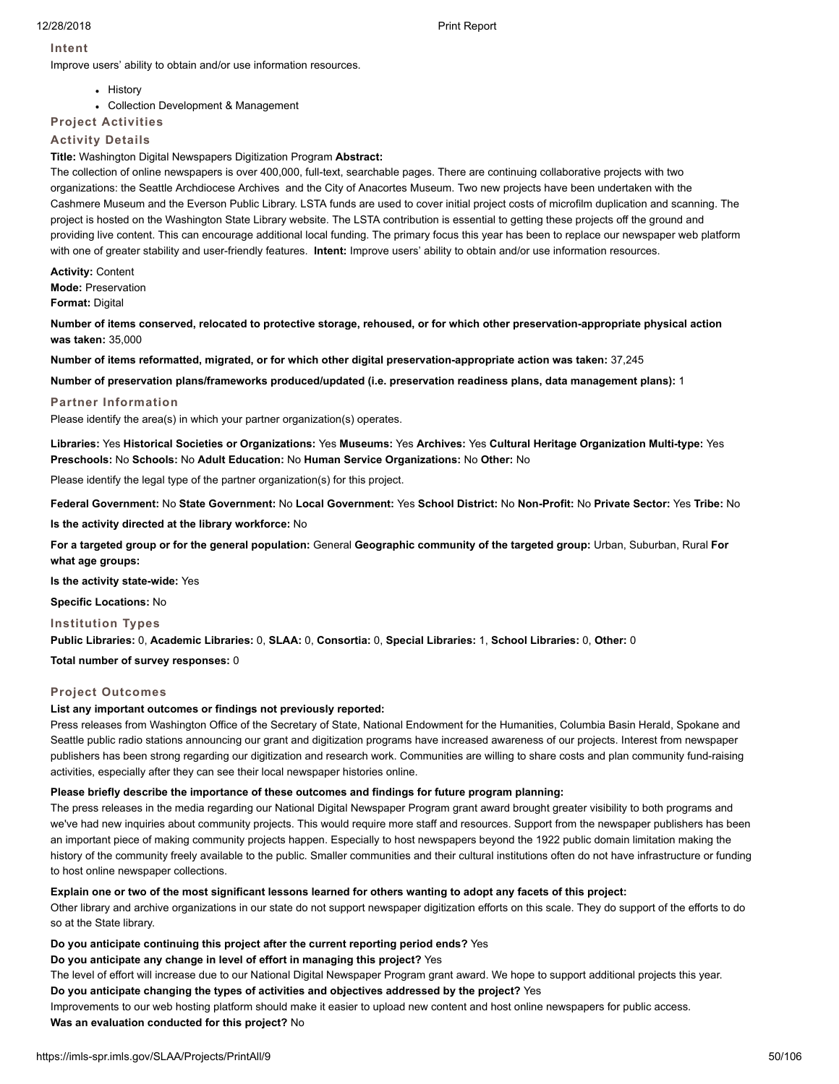# **Intent**

Improve users' ability to obtain and/or use information resources.

- History
- Collection Development & Management
- **Project Activities**

# **Activity Details**

# **Title:** Washington Digital Newspapers Digitization Program **Abstract:**

The collection of online newspapers is over 400,000, full-text, searchable pages. There are continuing collaborative projects with two organizations: the Seattle Archdiocese Archives and the City of Anacortes Museum. Two new projects have been undertaken with the Cashmere Museum and the Everson Public Library. LSTA funds are used to cover initial project costs of microfilm duplication and scanning. The project is hosted on the Washington State Library website. The LSTA contribution is essential to getting these projects off the ground and providing live content. This can encourage additional local funding. The primary focus this year has been to replace our newspaper web platform with one of greater stability and user-friendly features. **Intent:** Improve users' ability to obtain and/or use information resources.

**Activity:** Content **Mode:** Preservation **Format:** Digital

**Number of items conserved, relocated to protective storage, rehoused, or for which other preservation-appropriate physical action was taken:** 35,000

**Number of items reformatted, migrated, or for which other digital preservation-appropriate action was taken:** 37,245

**Number of preservation plans/frameworks produced/updated (i.e. preservation readiness plans, data management plans):** 1

#### **Partner Information**

Please identify the area(s) in which your partner organization(s) operates.

**Libraries:** Yes **Historical Societies or Organizations:** Yes **Museums:** Yes **Archives:** Yes **Cultural Heritage Organization Multi-type:** Yes **Preschools:** No **Schools:** No **Adult Education:** No **Human Service Organizations:** No **Other:** No

Please identify the legal type of the partner organization(s) for this project.

**Federal Government:** No **State Government:** No **Local Government:** Yes **School District:** No **Non-Profit:** No **Private Sector:** Yes **Tribe:** No

**Is the activity directed at the library workforce:** No

**For a targeted group or for the general population:** General **Geographic community of the targeted group:** Urban, Suburban, Rural **For what age groups:**

**Is the activity state-wide:** Yes

**Specific Locations:** No

**Institution Types**

**Public Libraries:** 0, **Academic Libraries:** 0, **SLAA:** 0, **Consortia:** 0, **Special Libraries:** 1, **School Libraries:** 0, **Other:** 0

**Total number of survey responses:** 0

# **Project Outcomes**

# **List any important outcomes or findings not previously reported:**

Press releases from Washington Office of the Secretary of State, National Endowment for the Humanities, Columbia Basin Herald, Spokane and Seattle public radio stations announcing our grant and digitization programs have increased awareness of our projects. Interest from newspaper publishers has been strong regarding our digitization and research work. Communities are willing to share costs and plan community fund-raising activities, especially after they can see their local newspaper histories online.

# **Please briefly describe the importance of these outcomes and findings for future program planning:**

The press releases in the media regarding our National Digital Newspaper Program grant award brought greater visibility to both programs and we've had new inquiries about community projects. This would require more staff and resources. Support from the newspaper publishers has been an important piece of making community projects happen. Especially to host newspapers beyond the 1922 public domain limitation making the history of the community freely available to the public. Smaller communities and their cultural institutions often do not have infrastructure or funding to host online newspaper collections.

# **Explain one or two of the most significant lessons learned for others wanting to adopt any facets of this project:**

Other library and archive organizations in our state do not support newspaper digitization efforts on this scale. They do support of the efforts to do so at the State library.

# **Do you anticipate continuing this project after the current reporting period ends?** Yes

# **Do you anticipate any change in level of effort in managing this project?** Yes

The level of effort will increase due to our National Digital Newspaper Program grant award. We hope to support additional projects this year. **Do you anticipate changing the types of activities and objectives addressed by the project?** Yes

Improvements to our web hosting platform should make it easier to upload new content and host online newspapers for public access.

# **Was an evaluation conducted for this project?** No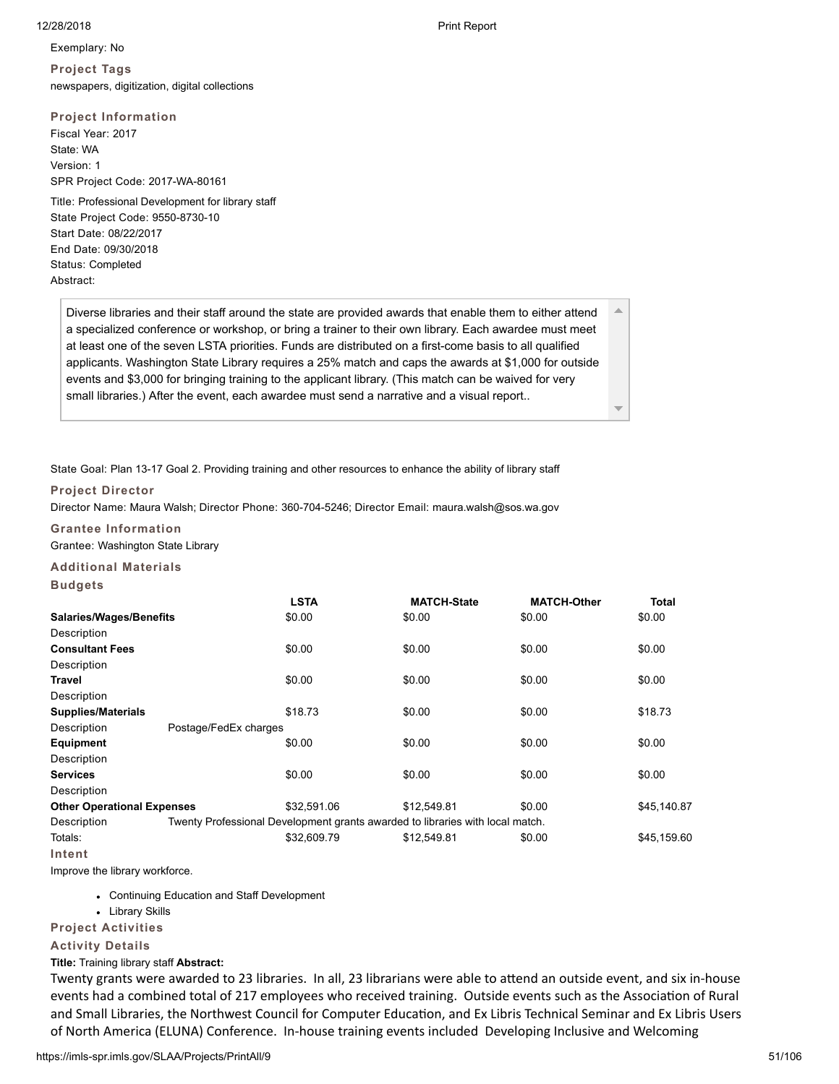$\triangle$ 

Exemplary: No **Project Tags** newspapers, digitization, digital collections

# **Project Information**

Fiscal Year: 2017 State: WA Version: 1 SPR Project Code: 2017-WA-80161

Title: Professional Development for library staff State Project Code: 9550-8730-10 Start Date: 08/22/2017 End Date: 09/30/2018 Status: Completed Abstract:

Diverse libraries and their staff around the state are provided awards that enable them to either attend a specialized conference or workshop, or bring a trainer to their own library. Each awardee must meet at least one of the seven LSTA priorities. Funds are distributed on a first-come basis to all qualified applicants. Washington State Library requires a 25% match and caps the awards at \$1,000 for outside events and \$3,000 for bringing training to the applicant library. (This match can be waived for very small libraries.) After the event, each awardee must send a narrative and a visual report..

State Goal: Plan 13-17 Goal 2. Providing training and other resources to enhance the ability of library staff

# **Project Director**

Director Name: Maura Walsh; Director Phone: 360-704-5246; Director Email: maura.walsh@sos.wa.gov

# **Grantee Information**

Grantee: Washington State Library

# **Additional Materials**

**Budgets**

|                                   |                       | <b>LSTA</b>                                                                   | <b>MATCH-State</b> | <b>MATCH-Other</b> | <b>Total</b> |
|-----------------------------------|-----------------------|-------------------------------------------------------------------------------|--------------------|--------------------|--------------|
| Salaries/Wages/Benefits           |                       | \$0.00                                                                        | \$0.00             | \$0.00             | \$0.00       |
| Description                       |                       |                                                                               |                    |                    |              |
| <b>Consultant Fees</b>            |                       | \$0.00                                                                        | \$0.00             | \$0.00             | \$0.00       |
| Description                       |                       |                                                                               |                    |                    |              |
| Travel                            |                       | \$0.00                                                                        | \$0.00             | \$0.00             | \$0.00       |
| Description                       |                       |                                                                               |                    |                    |              |
| <b>Supplies/Materials</b>         |                       | \$18.73                                                                       | \$0.00             | \$0.00             | \$18.73      |
| Description                       | Postage/FedEx charges |                                                                               |                    |                    |              |
| <b>Equipment</b>                  |                       | \$0.00                                                                        | \$0.00             | \$0.00             | \$0.00       |
| Description                       |                       |                                                                               |                    |                    |              |
| <b>Services</b>                   |                       | \$0.00                                                                        | \$0.00             | \$0.00             | \$0.00       |
| Description                       |                       |                                                                               |                    |                    |              |
| <b>Other Operational Expenses</b> |                       | \$32,591.06                                                                   | \$12,549.81        | \$0.00             | \$45,140.87  |
| Description                       |                       | Twenty Professional Development grants awarded to libraries with local match. |                    |                    |              |
| Totals:                           |                       | \$32,609.79                                                                   | \$12.549.81        | \$0.00             | \$45.159.60  |
|                                   |                       |                                                                               |                    |                    |              |

**Intent**

Improve the library workforce.

- Continuing Education and Staff Development
- Library Skills

# **Project Activities**

# **Activity Details**

# **Title:** Training library staff **Abstract:**

Twenty grants were awarded to 23 libraries. In all, 23 librarians were able to attend an outside event, and six in-house events had a combined total of 217 employees who received training. Outside events such as the Association of Rural and Small Libraries, the Northwest Council for Computer Education, and Ex Libris Technical Seminar and Ex Libris Users of North America (ELUNA) Conference. In-house training events included Developing Inclusive and Welcoming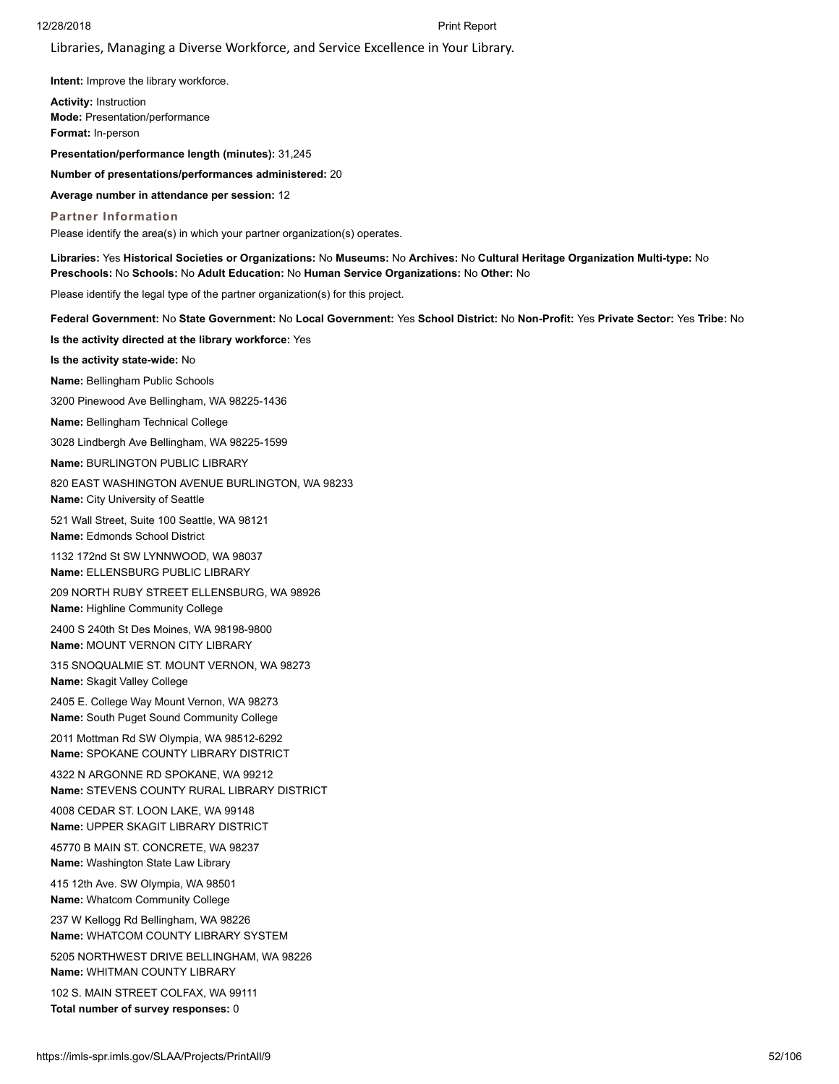Libraries, Managing a Diverse Workforce, and Service Excellence in Your Library.

**Intent:** Improve the library workforce.

**Activity:** Instruction **Mode:** Presentation/performance **Format:** In-person

**Presentation/performance length (minutes):** 31,245

**Number of presentations/performances administered:** 20

**Average number in attendance per session:** 12

**Partner Information** Please identify the area(s) in which your partner organization(s) operates.

**Libraries:** Yes **Historical Societies or Organizations:** No **Museums:** No **Archives:** No **Cultural Heritage Organization Multi-type:** No **Preschools:** No **Schools:** No **Adult Education:** No **Human Service Organizations:** No **Other:** No

Please identify the legal type of the partner organization(s) for this project.

**Federal Government:** No **State Government:** No **Local Government:** Yes **School District:** No **Non-Profit:** Yes **Private Sector:** Yes **Tribe:** No

**Is the activity directed at the library workforce:** Yes

**Is the activity state-wide:** No

**Name:** Bellingham Public Schools

3200 Pinewood Ave Bellingham, WA 98225-1436

**Name:** Bellingham Technical College

3028 Lindbergh Ave Bellingham, WA 98225-1599

**Name:** BURLINGTON PUBLIC LIBRARY

820 EAST WASHINGTON AVENUE BURLINGTON, WA 98233 **Name:** City University of Seattle

521 Wall Street, Suite 100 Seattle, WA 98121 **Name:** Edmonds School District

1132 172nd St SW LYNNWOOD, WA 98037 **Name:** ELLENSBURG PUBLIC LIBRARY

209 NORTH RUBY STREET ELLENSBURG, WA 98926 **Name:** Highline Community College

2400 S 240th St Des Moines, WA 98198-9800 **Name:** MOUNT VERNON CITY LIBRARY

315 SNOQUALMIE ST. MOUNT VERNON, WA 98273

**Name:** Skagit Valley College

2405 E. College Way Mount Vernon, WA 98273 **Name:** South Puget Sound Community College

2011 Mottman Rd SW Olympia, WA 98512-6292 **Name:** SPOKANE COUNTY LIBRARY DISTRICT

4322 N ARGONNE RD SPOKANE, WA 99212 **Name:** STEVENS COUNTY RURAL LIBRARY DISTRICT

4008 CEDAR ST. LOON LAKE, WA 99148 **Name:** UPPER SKAGIT LIBRARY DISTRICT

45770 B MAIN ST. CONCRETE, WA 98237

**Name:** Washington State Law Library

415 12th Ave. SW Olympia, WA 98501 **Name:** Whatcom Community College

237 W Kellogg Rd Bellingham, WA 98226 **Name:** WHATCOM COUNTY LIBRARY SYSTEM

5205 NORTHWEST DRIVE BELLINGHAM, WA 98226 **Name:** WHITMAN COUNTY LIBRARY

102 S. MAIN STREET COLFAX, WA 99111 **Total number of survey responses:** 0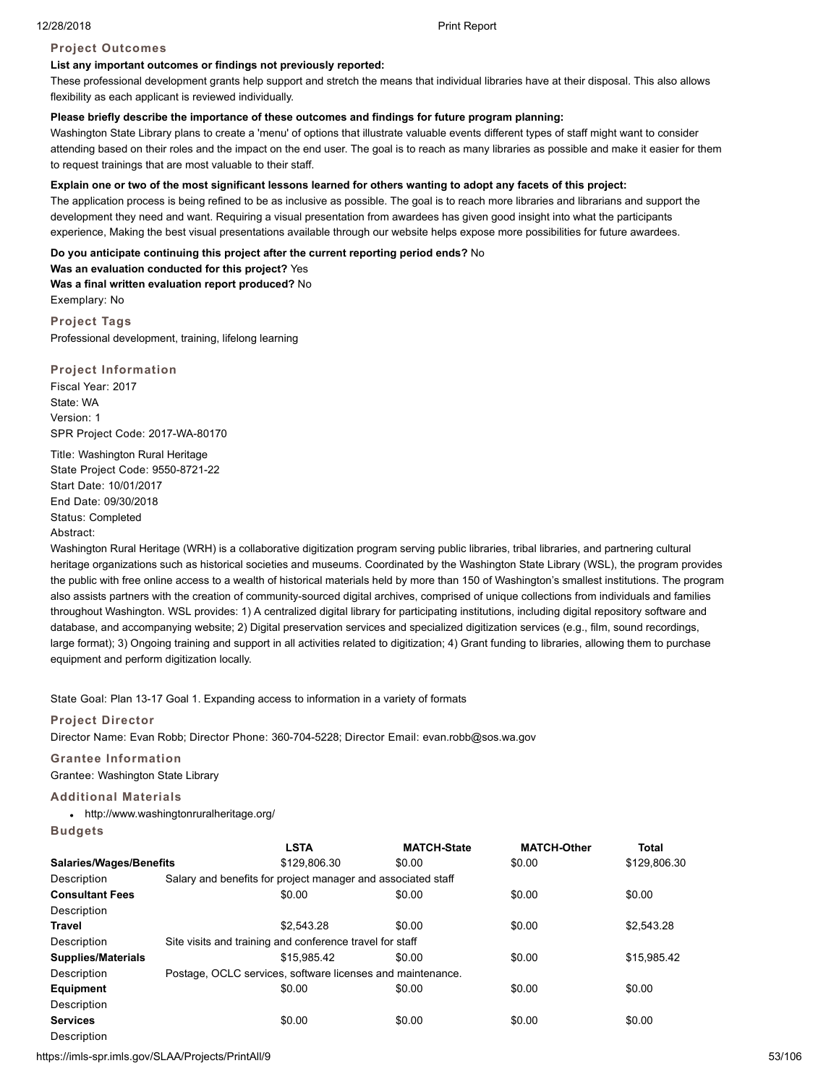# **Project Outcomes**

# **List any important outcomes or findings not previously reported:**

These professional development grants help support and stretch the means that individual libraries have at their disposal. This also allows flexibility as each applicant is reviewed individually.

### **Please briefly describe the importance of these outcomes and findings for future program planning:**

Washington State Library plans to create a 'menu' of options that illustrate valuable events different types of staff might want to consider attending based on their roles and the impact on the end user. The goal is to reach as many libraries as possible and make it easier for them to request trainings that are most valuable to their staff.

# **Explain one or two of the most significant lessons learned for others wanting to adopt any facets of this project:**

The application process is being refined to be as inclusive as possible. The goal is to reach more libraries and librarians and support the development they need and want. Requiring a visual presentation from awardees has given good insight into what the participants experience, Making the best visual presentations available through our website helps expose more possibilities for future awardees.

#### **Do you anticipate continuing this project after the current reporting period ends?** No

**Was an evaluation conducted for this project?** Yes **Was a final written evaluation report produced?** No Exemplary: No

**Project Tags** Professional development, training, lifelong learning

**Project Information** Fiscal Year: 2017 State: WA Version: 1 SPR Project Code: 2017-WA-80170

Title: Washington Rural Heritage State Project Code: 9550-8721-22 Start Date: 10/01/2017 End Date: 09/30/2018 Status: Completed Abstract:

Washington Rural Heritage (WRH) is a collaborative digitization program serving public libraries, tribal libraries, and partnering cultural heritage organizations such as historical societies and museums. Coordinated by the Washington State Library (WSL), the program provides the public with free online access to a wealth of historical materials held by more than 150 of Washington's smallest institutions. The program also assists partners with the creation of community-sourced digital archives, comprised of unique collections from individuals and families throughout Washington. WSL provides: 1) A centralized digital library for participating institutions, including digital repository software and database, and accompanying website; 2) Digital preservation services and specialized digitization services (e.g., film, sound recordings, large format); 3) Ongoing training and support in all activities related to digitization; 4) Grant funding to libraries, allowing them to purchase equipment and perform digitization locally.

State Goal: Plan 13-17 Goal 1. Expanding access to information in a variety of formats

# **Project Director**

Director Name: Evan Robb; Director Phone: 360-704-5228; Director Email: evan.robb@sos.wa.gov

# **Grantee Information**

Grantee: Washington State Library

# **Additional Materials**

http://www.washingtonruralheritage.org/

**Budgets**

|                                | <b>LSTA</b>                                                  | <b>MATCH-State</b> | <b>MATCH-Other</b> | <b>Total</b> |
|--------------------------------|--------------------------------------------------------------|--------------------|--------------------|--------------|
| <b>Salaries/Wages/Benefits</b> | \$129,806.30                                                 | \$0.00             | \$0.00             | \$129,806.30 |
| Description                    | Salary and benefits for project manager and associated staff |                    |                    |              |
| <b>Consultant Fees</b>         | \$0.00                                                       | \$0.00             | \$0.00             | \$0.00       |
| Description                    |                                                              |                    |                    |              |
| <b>Travel</b>                  | \$2.543.28                                                   | \$0.00             | \$0.00             | \$2.543.28   |
| Description                    | Site visits and training and conference travel for staff     |                    |                    |              |
| <b>Supplies/Materials</b>      | \$15.985.42                                                  | \$0.00             | \$0.00             | \$15.985.42  |
| Description                    | Postage, OCLC services, software licenses and maintenance.   |                    |                    |              |
| Equipment                      | \$0.00                                                       | \$0.00             | \$0.00             | \$0.00       |
| Description                    |                                                              |                    |                    |              |
| <b>Services</b>                | \$0.00                                                       | \$0.00             | \$0.00             | \$0.00       |
| Description                    |                                                              |                    |                    |              |

https://imls-spr.imls.gov/SLAA/Projects/PrintAll/9 53/106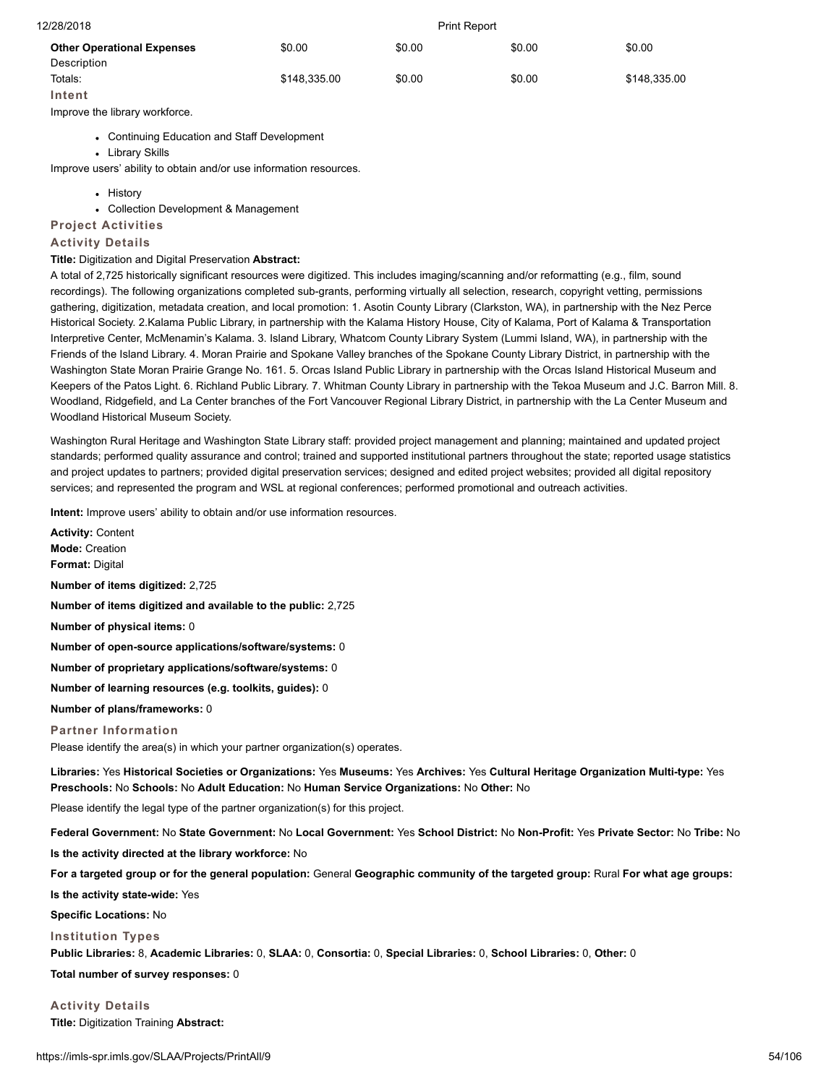| 12/28/2018                        | <b>Print Report</b> |        |        |              |
|-----------------------------------|---------------------|--------|--------|--------------|
| <b>Other Operational Expenses</b> | \$0.00              | \$0.00 | \$0.00 | \$0.00       |
| Description                       |                     |        |        |              |
| Totals:                           | \$148,335.00        | \$0.00 | \$0.00 | \$148,335.00 |
| Intent                            |                     |        |        |              |
| Improve the library workforce.    |                     |        |        |              |
|                                   |                     |        |        |              |

- Continuing Education and Staff Development
- Library Skills

Improve users' ability to obtain and/or use information resources.

- **.** History
- Collection Development & Management

# **Project Activities**

# **Activity Details**

#### **Title:** Digitization and Digital Preservation **Abstract:**

A total of 2,725 historically significant resources were digitized. This includes imaging/scanning and/or reformatting (e.g., film, sound recordings). The following organizations completed sub-grants, performing virtually all selection, research, copyright vetting, permissions gathering, digitization, metadata creation, and local promotion: 1. Asotin County Library (Clarkston, WA), in partnership with the Nez Perce Historical Society. 2.Kalama Public Library, in partnership with the Kalama History House, City of Kalama, Port of Kalama & Transportation Interpretive Center, McMenamin's Kalama. 3. Island Library, Whatcom County Library System (Lummi Island, WA), in partnership with the Friends of the Island Library. 4. Moran Prairie and Spokane Valley branches of the Spokane County Library District, in partnership with the Washington State Moran Prairie Grange No. 161. 5. Orcas Island Public Library in partnership with the Orcas Island Historical Museum and Keepers of the Patos Light. 6. Richland Public Library. 7. Whitman County Library in partnership with the Tekoa Museum and J.C. Barron Mill. 8. Woodland, Ridgefield, and La Center branches of the Fort Vancouver Regional Library District, in partnership with the La Center Museum and Woodland Historical Museum Society.

Washington Rural Heritage and Washington State Library staff: provided project management and planning; maintained and updated project standards; performed quality assurance and control; trained and supported institutional partners throughout the state; reported usage statistics and project updates to partners; provided digital preservation services; designed and edited project websites; provided all digital repository services; and represented the program and WSL at regional conferences; performed promotional and outreach activities.

**Intent:** Improve users' ability to obtain and/or use information resources.

**Activity:** Content **Mode:** Creation **Format:** Digital **Number of items digitized:** 2,725 **Number of items digitized and available to the public:** 2,725 **Number of physical items:** 0 **Number of open-source applications/software/systems:** 0 **Number of proprietary applications/software/systems:** 0 **Number of learning resources (e.g. toolkits, guides):** 0 **Number of plans/frameworks:** 0 **Partner Information** Please identify the area(s) in which your partner organization(s) operates.

**Libraries:** Yes **Historical Societies or Organizations:** Yes **Museums:** Yes **Archives:** Yes **Cultural Heritage Organization Multi-type:** Yes **Preschools:** No **Schools:** No **Adult Education:** No **Human Service Organizations:** No **Other:** No

Please identify the legal type of the partner organization(s) for this project.

**Federal Government:** No **State Government:** No **Local Government:** Yes **School District:** No **Non-Profit:** Yes **Private Sector:** No **Tribe:** No

**Is the activity directed at the library workforce:** No

**For a targeted group or for the general population:** General **Geographic community of the targeted group:** Rural **For what age groups:**

**Is the activity state-wide:** Yes

**Specific Locations:** No

#### **Institution Types**

**Public Libraries:** 8, **Academic Libraries:** 0, **SLAA:** 0, **Consortia:** 0, **Special Libraries:** 0, **School Libraries:** 0, **Other:** 0

**Total number of survey responses:** 0

**Activity Details Title:** Digitization Training **Abstract:**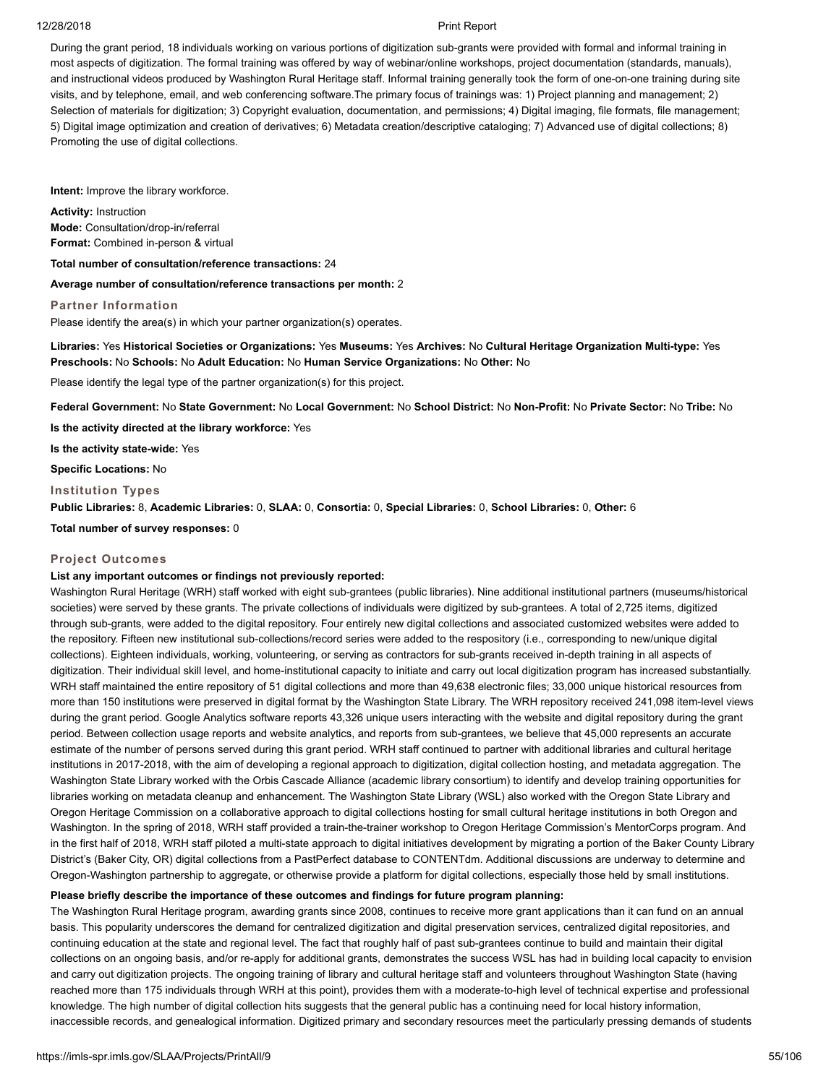During the grant period, 18 individuals working on various portions of digitization sub-grants were provided with formal and informal training in most aspects of digitization. The formal training was offered by way of webinar/online workshops, project documentation (standards, manuals), and instructional videos produced by Washington Rural Heritage staff. Informal training generally took the form of one-on-one training during site visits, and by telephone, email, and web conferencing software.The primary focus of trainings was: 1) Project planning and management; 2) Selection of materials for digitization; 3) Copyright evaluation, documentation, and permissions; 4) Digital imaging, file formats, file management; 5) Digital image optimization and creation of derivatives; 6) Metadata creation/descriptive cataloging; 7) Advanced use of digital collections; 8) Promoting the use of digital collections.

**Intent:** Improve the library workforce.

**Activity:** Instruction **Mode:** Consultation/drop-in/referral **Format:** Combined in-person & virtual

**Total number of consultation/reference transactions:** 24

**Average number of consultation/reference transactions per month:** 2

#### **Partner Information**

Please identify the area(s) in which your partner organization(s) operates.

**Libraries:** Yes **Historical Societies or Organizations:** Yes **Museums:** Yes **Archives:** No **Cultural Heritage Organization Multi-type:** Yes **Preschools:** No **Schools:** No **Adult Education:** No **Human Service Organizations:** No **Other:** No

Please identify the legal type of the partner organization(s) for this project.

**Federal Government:** No **State Government:** No **Local Government:** No **School District:** No **Non-Profit:** No **Private Sector:** No **Tribe:** No

**Is the activity directed at the library workforce:** Yes

**Is the activity state-wide:** Yes

**Specific Locations:** No

### **Institution Types**

**Public Libraries:** 8, **Academic Libraries:** 0, **SLAA:** 0, **Consortia:** 0, **Special Libraries:** 0, **School Libraries:** 0, **Other:** 6

**Total number of survey responses:** 0

## **Project Outcomes**

# **List any important outcomes or findings not previously reported:**

Washington Rural Heritage (WRH) staff worked with eight sub-grantees (public libraries). Nine additional institutional partners (museums/historical societies) were served by these grants. The private collections of individuals were digitized by sub-grantees. A total of 2,725 items, digitized through sub-grants, were added to the digital repository. Four entirely new digital collections and associated customized websites were added to the repository. Fifteen new institutional sub-collections/record series were added to the respository (i.e., corresponding to new/unique digital collections). Eighteen individuals, working, volunteering, or serving as contractors for sub-grants received in-depth training in all aspects of digitization. Their individual skill level, and home-institutional capacity to initiate and carry out local digitization program has increased substantially. WRH staff maintained the entire repository of 51 digital collections and more than 49,638 electronic files; 33,000 unique historical resources from more than 150 institutions were preserved in digital format by the Washington State Library. The WRH repository received 241,098 item-level views during the grant period. Google Analytics software reports 43,326 unique users interacting with the website and digital repository during the grant period. Between collection usage reports and website analytics, and reports from sub-grantees, we believe that 45,000 represents an accurate estimate of the number of persons served during this grant period. WRH staff continued to partner with additional libraries and cultural heritage institutions in 2017-2018, with the aim of developing a regional approach to digitization, digital collection hosting, and metadata aggregation. The Washington State Library worked with the Orbis Cascade Alliance (academic library consortium) to identify and develop training opportunities for libraries working on metadata cleanup and enhancement. The Washington State Library (WSL) also worked with the Oregon State Library and Oregon Heritage Commission on a collaborative approach to digital collections hosting for small cultural heritage institutions in both Oregon and Washington. In the spring of 2018, WRH staff provided a train-the-trainer workshop to Oregon Heritage Commission's MentorCorps program. And in the first half of 2018, WRH staff piloted a multi-state approach to digital initiatives development by migrating a portion of the Baker County Library District's (Baker City, OR) digital collections from a PastPerfect database to CONTENTdm. Additional discussions are underway to determine and Oregon-Washington partnership to aggregate, or otherwise provide a platform for digital collections, especially those held by small institutions.

# **Please briefly describe the importance of these outcomes and findings for future program planning:**

The Washington Rural Heritage program, awarding grants since 2008, continues to receive more grant applications than it can fund on an annual basis. This popularity underscores the demand for centralized digitization and digital preservation services, centralized digital repositories, and continuing education at the state and regional level. The fact that roughly half of past sub-grantees continue to build and maintain their digital collections on an ongoing basis, and/or re-apply for additional grants, demonstrates the success WSL has had in building local capacity to envision and carry out digitization projects. The ongoing training of library and cultural heritage staff and volunteers throughout Washington State (having reached more than 175 individuals through WRH at this point), provides them with a moderate-to-high level of technical expertise and professional knowledge. The high number of digital collection hits suggests that the general public has a continuing need for local history information, inaccessible records, and genealogical information. Digitized primary and secondary resources meet the particularly pressing demands of students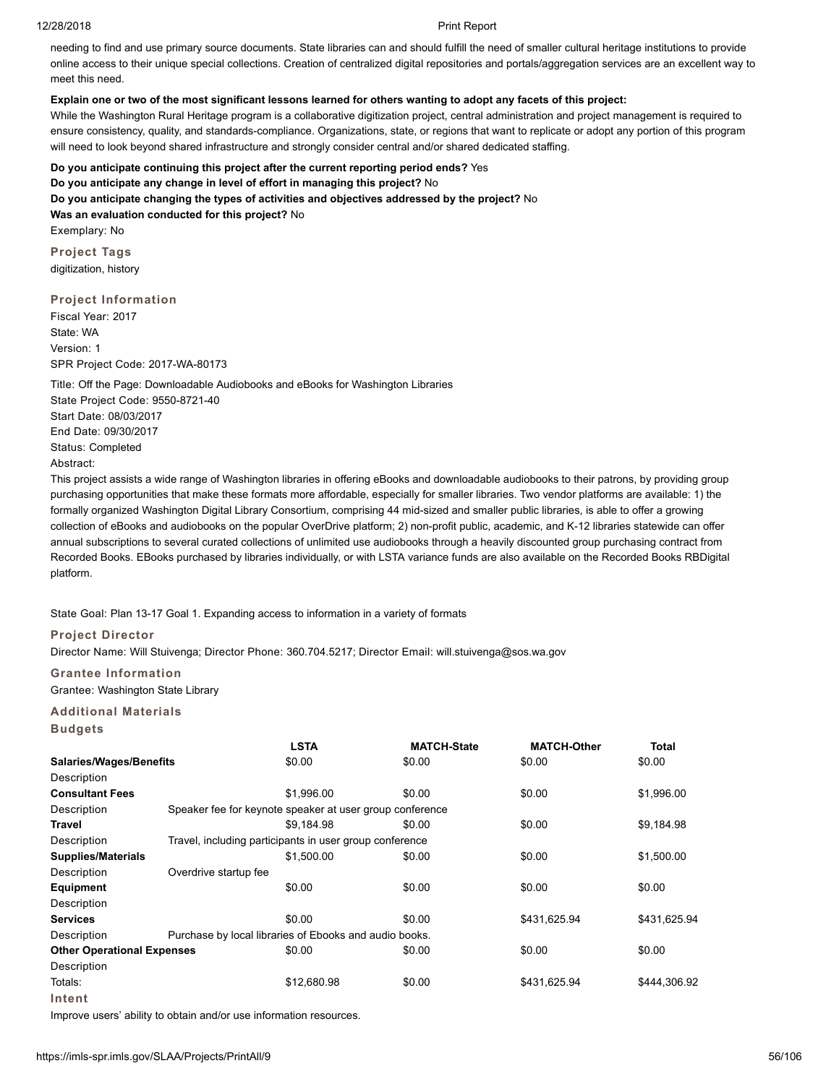needing to find and use primary source documents. State libraries can and should fulfill the need of smaller cultural heritage institutions to provide online access to their unique special collections. Creation of centralized digital repositories and portals/aggregation services are an excellent way to meet this need.

# **Explain one or two of the most significant lessons learned for others wanting to adopt any facets of this project:**

While the Washington Rural Heritage program is a collaborative digitization project, central administration and project management is required to ensure consistency, quality, and standards-compliance. Organizations, state, or regions that want to replicate or adopt any portion of this program will need to look beyond shared infrastructure and strongly consider central and/or shared dedicated staffing.

# **Do you anticipate continuing this project after the current reporting period ends?** Yes

**Do you anticipate any change in level of effort in managing this project?** No

### **Do you anticipate changing the types of activities and objectives addressed by the project?** No

**Was an evaluation conducted for this project?** No Exemplary: No

**Project Tags**

digitization, history

# **Project Information**

Fiscal Year: 2017 State: WA Version: 1 SPR Project Code: 2017-WA-80173

Title: Off the Page: Downloadable Audiobooks and eBooks for Washington Libraries State Project Code: 9550-8721-40 Start Date: 08/03/2017 End Date: 09/30/2017 Status: Completed Abstract:

This project assists a wide range of Washington libraries in offering eBooks and downloadable audiobooks to their patrons, by providing group purchasing opportunities that make these formats more affordable, especially for smaller libraries. Two vendor platforms are available: 1) the formally organized Washington Digital Library Consortium, comprising 44 mid-sized and smaller public libraries, is able to offer a growing collection of eBooks and audiobooks on the popular OverDrive platform; 2) non-profit public, academic, and K-12 libraries statewide can offer annual subscriptions to several curated collections of unlimited use audiobooks through a heavily discounted group purchasing contract from Recorded Books. EBooks purchased by libraries individually, or with LSTA variance funds are also available on the Recorded Books RBDigital platform.

# State Goal: Plan 13-17 Goal 1. Expanding access to information in a variety of formats

# **Project Director**

Director Name: Will Stuivenga; Director Phone: 360.704.5217; Director Email: will.stuivenga@sos.wa.gov

# **Grantee Information**

# Grantee: Washington State Library

# **Additional Materials**

**Budgets**

|                                   |                       | <b>LSTA</b>                                              | <b>MATCH-State</b> | <b>MATCH-Other</b> | <b>Total</b> |
|-----------------------------------|-----------------------|----------------------------------------------------------|--------------------|--------------------|--------------|
| <b>Salaries/Wages/Benefits</b>    |                       | \$0.00                                                   | \$0.00             | \$0.00             | \$0.00       |
| Description                       |                       |                                                          |                    |                    |              |
| <b>Consultant Fees</b>            |                       | \$1,996.00                                               | \$0.00             | \$0.00             | \$1,996.00   |
| Description                       |                       | Speaker fee for keynote speaker at user group conference |                    |                    |              |
| Travel                            |                       | \$9.184.98                                               | \$0.00             | \$0.00             | \$9,184.98   |
| Description                       |                       | Travel, including participants in user group conference  |                    |                    |              |
| <b>Supplies/Materials</b>         |                       | \$1,500.00                                               | \$0.00             | \$0.00             | \$1,500.00   |
| Description                       | Overdrive startup fee |                                                          |                    |                    |              |
| Equipment                         |                       | \$0.00                                                   | \$0.00             | \$0.00             | \$0.00       |
| Description                       |                       |                                                          |                    |                    |              |
| <b>Services</b>                   |                       | \$0.00                                                   | \$0.00             | \$431,625.94       | \$431,625.94 |
| Description                       |                       | Purchase by local libraries of Ebooks and audio books.   |                    |                    |              |
| <b>Other Operational Expenses</b> |                       | \$0.00                                                   | \$0.00             | \$0.00             | \$0.00       |
| Description                       |                       |                                                          |                    |                    |              |
| Totals:                           |                       | \$12,680.98                                              | \$0.00             | \$431,625.94       | \$444,306.92 |
| Intent                            |                       |                                                          |                    |                    |              |

Improve users' ability to obtain and/or use information resources.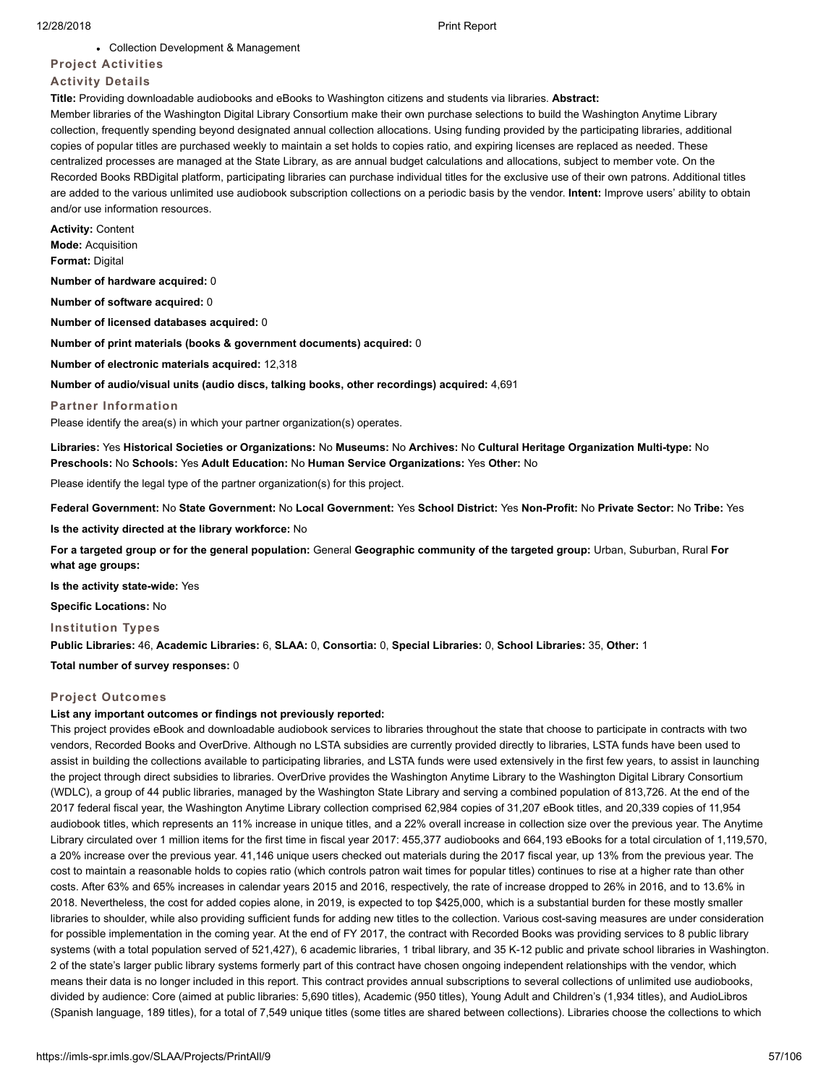### Collection Development & Management

# **Project Activities**

# **Activity Details**

**Title:** Providing downloadable audiobooks and eBooks to Washington citizens and students via libraries. **Abstract:**

Member libraries of the Washington Digital Library Consortium make their own purchase selections to build the Washington Anytime Library collection, frequently spending beyond designated annual collection allocations. Using funding provided by the participating libraries, additional copies of popular titles are purchased weekly to maintain a set holds to copies ratio, and expiring licenses are replaced as needed. These centralized processes are managed at the State Library, as are annual budget calculations and allocations, subject to member vote. On the Recorded Books RBDigital platform, participating libraries can purchase individual titles for the exclusive use of their own patrons. Additional titles are added to the various unlimited use audiobook subscription collections on a periodic basis by the vendor. **Intent:** Improve users' ability to obtain and/or use information resources.

**Activity:** Content **Mode:** Acquisition **Format:** Digital

**Number of hardware acquired:** 0

**Number of software acquired:** 0

**Number of licensed databases acquired:** 0

**Number of print materials (books & government documents) acquired:** 0

**Number of electronic materials acquired:** 12,318

**Number of audio/visual units (audio discs, talking books, other recordings) acquired:** 4,691

**Partner Information**

Please identify the area(s) in which your partner organization(s) operates.

**Libraries:** Yes **Historical Societies or Organizations:** No **Museums:** No **Archives:** No **Cultural Heritage Organization Multi-type:** No **Preschools:** No **Schools:** Yes **Adult Education:** No **Human Service Organizations:** Yes **Other:** No

Please identify the legal type of the partner organization(s) for this project.

**Federal Government:** No **State Government:** No **Local Government:** Yes **School District:** Yes **Non-Profit:** No **Private Sector:** No **Tribe:** Yes

**Is the activity directed at the library workforce:** No

**For a targeted group or for the general population:** General **Geographic community of the targeted group:** Urban, Suburban, Rural **For what age groups:**

**Is the activity state-wide:** Yes

**Specific Locations:** No

#### **Institution Types**

**Public Libraries:** 46, **Academic Libraries:** 6, **SLAA:** 0, **Consortia:** 0, **Special Libraries:** 0, **School Libraries:** 35, **Other:** 1

**Total number of survey responses:** 0

# **Project Outcomes**

# **List any important outcomes or findings not previously reported:**

This project provides eBook and downloadable audiobook services to libraries throughout the state that choose to participate in contracts with two vendors, Recorded Books and OverDrive. Although no LSTA subsidies are currently provided directly to libraries, LSTA funds have been used to assist in building the collections available to participating libraries, and LSTA funds were used extensively in the first few years, to assist in launching the project through direct subsidies to libraries. OverDrive provides the Washington Anytime Library to the Washington Digital Library Consortium (WDLC), a group of 44 public libraries, managed by the Washington State Library and serving a combined population of 813,726. At the end of the 2017 federal fiscal year, the Washington Anytime Library collection comprised 62,984 copies of 31,207 eBook titles, and 20,339 copies of 11,954 audiobook titles, which represents an 11% increase in unique titles, and a 22% overall increase in collection size over the previous year. The Anytime Library circulated over 1 million items for the first time in fiscal year 2017: 455,377 audiobooks and 664,193 eBooks for a total circulation of 1,119,570, a 20% increase over the previous year. 41,146 unique users checked out materials during the 2017 fiscal year, up 13% from the previous year. The cost to maintain a reasonable holds to copies ratio (which controls patron wait times for popular titles) continues to rise at a higher rate than other costs. After 63% and 65% increases in calendar years 2015 and 2016, respectively, the rate of increase dropped to 26% in 2016, and to 13.6% in 2018. Nevertheless, the cost for added copies alone, in 2019, is expected to top \$425,000, which is a substantial burden for these mostly smaller libraries to shoulder, while also providing sufficient funds for adding new titles to the collection. Various cost-saving measures are under consideration for possible implementation in the coming year. At the end of FY 2017, the contract with Recorded Books was providing services to 8 public library systems (with a total population served of 521,427), 6 academic libraries, 1 tribal library, and 35 K-12 public and private school libraries in Washington. 2 of the state's larger public library systems formerly part of this contract have chosen ongoing independent relationships with the vendor, which means their data is no longer included in this report. This contract provides annual subscriptions to several collections of unlimited use audiobooks, divided by audience: Core (aimed at public libraries: 5,690 titles), Academic (950 titles), Young Adult and Children's (1,934 titles), and AudioLibros (Spanish language, 189 titles), for a total of 7,549 unique titles (some titles are shared between collections). Libraries choose the collections to which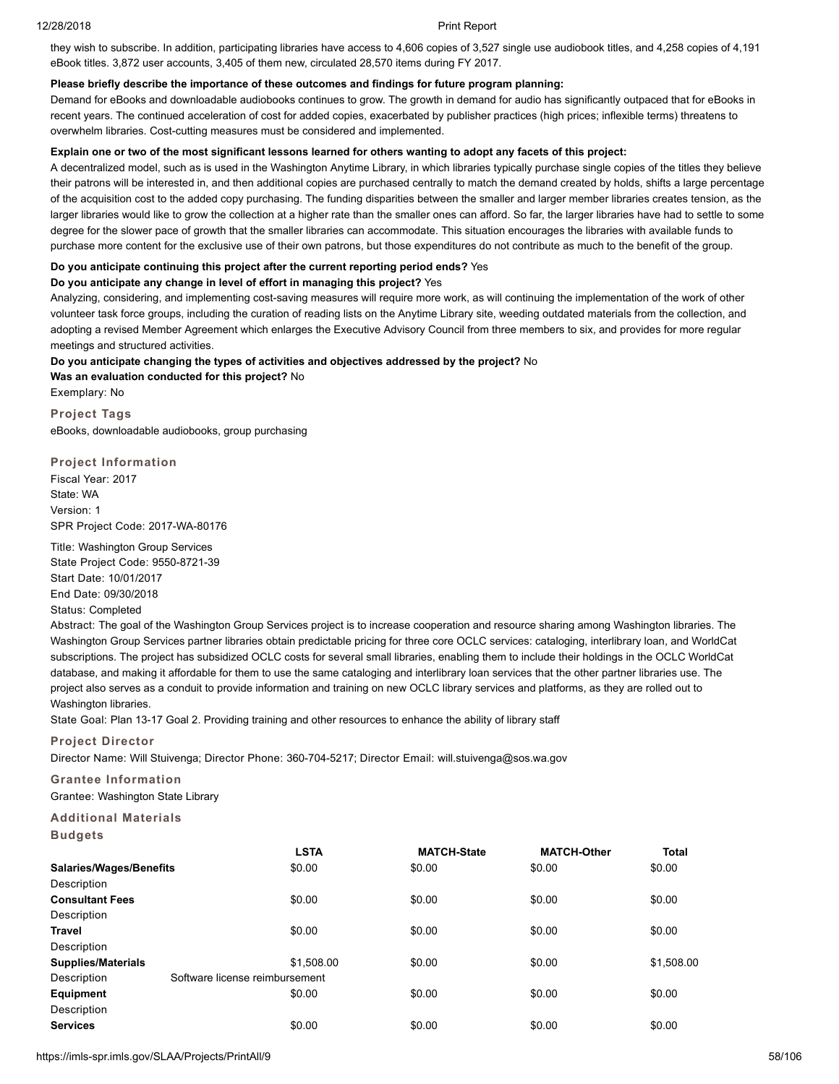they wish to subscribe. In addition, participating libraries have access to 4,606 copies of 3,527 single use audiobook titles, and 4,258 copies of 4,191 eBook titles. 3,872 user accounts, 3,405 of them new, circulated 28,570 items during FY 2017.

# **Please briefly describe the importance of these outcomes and findings for future program planning:**

Demand for eBooks and downloadable audiobooks continues to grow. The growth in demand for audio has significantly outpaced that for eBooks in recent years. The continued acceleration of cost for added copies, exacerbated by publisher practices (high prices; inflexible terms) threatens to overwhelm libraries. Cost-cutting measures must be considered and implemented.

# **Explain one or two of the most significant lessons learned for others wanting to adopt any facets of this project:**

A decentralized model, such as is used in the Washington Anytime Library, in which libraries typically purchase single copies of the titles they believe their patrons will be interested in, and then additional copies are purchased centrally to match the demand created by holds, shifts a large percentage of the acquisition cost to the added copy purchasing. The funding disparities between the smaller and larger member libraries creates tension, as the larger libraries would like to grow the collection at a higher rate than the smaller ones can afford. So far, the larger libraries have had to settle to some degree for the slower pace of growth that the smaller libraries can accommodate. This situation encourages the libraries with available funds to purchase more content for the exclusive use of their own patrons, but those expenditures do not contribute as much to the benefit of the group.

# **Do you anticipate continuing this project after the current reporting period ends?** Yes

# **Do you anticipate any change in level of effort in managing this project?** Yes

Analyzing, considering, and implementing cost-saving measures will require more work, as will continuing the implementation of the work of other volunteer task force groups, including the curation of reading lists on the Anytime Library site, weeding outdated materials from the collection, and adopting a revised Member Agreement which enlarges the Executive Advisory Council from three members to six, and provides for more regular meetings and structured activities.

# **Do you anticipate changing the types of activities and objectives addressed by the project?** No

**Was an evaluation conducted for this project?** No Exemplary: No

**Project Tags** eBooks, downloadable audiobooks, group purchasing

# **Project Information**

Fiscal Year: 2017 State: WA Version: 1 SPR Project Code: 2017-WA-80176

Title: Washington Group Services State Project Code: 9550-8721-39 Start Date: 10/01/2017 End Date: 09/30/2018

# Status: Completed

Abstract: The goal of the Washington Group Services project is to increase cooperation and resource sharing among Washington libraries. The Washington Group Services partner libraries obtain predictable pricing for three core OCLC services: cataloging, interlibrary loan, and WorldCat subscriptions. The project has subsidized OCLC costs for several small libraries, enabling them to include their holdings in the OCLC WorldCat database, and making it affordable for them to use the same cataloging and interlibrary loan services that the other partner libraries use. The project also serves as a conduit to provide information and training on new OCLC library services and platforms, as they are rolled out to Washington libraries.

State Goal: Plan 13-17 Goal 2. Providing training and other resources to enhance the ability of library staff

# **Project Director**

Director Name: Will Stuivenga; Director Phone: 360-704-5217; Director Email: will.stuivenga@sos.wa.gov

**Grantee Information** Grantee: Washington State Library

# **Additional Materials**

| <b>LSTA</b>                    | <b>MATCH-State</b> | <b>MATCH-Other</b> | <b>Total</b> |
|--------------------------------|--------------------|--------------------|--------------|
| \$0.00                         | \$0.00             | \$0.00             | \$0.00       |
|                                |                    |                    |              |
| \$0.00                         | \$0.00             | \$0.00             | \$0.00       |
|                                |                    |                    |              |
| \$0.00                         | \$0.00             | \$0.00             | \$0.00       |
|                                |                    |                    |              |
| \$1,508.00                     | \$0.00             | \$0.00             | \$1,508.00   |
| Software license reimbursement |                    |                    |              |
| \$0.00                         | \$0.00             | \$0.00             | \$0.00       |
|                                |                    |                    |              |
| \$0.00                         | \$0.00             | \$0.00             | \$0.00       |
|                                |                    |                    |              |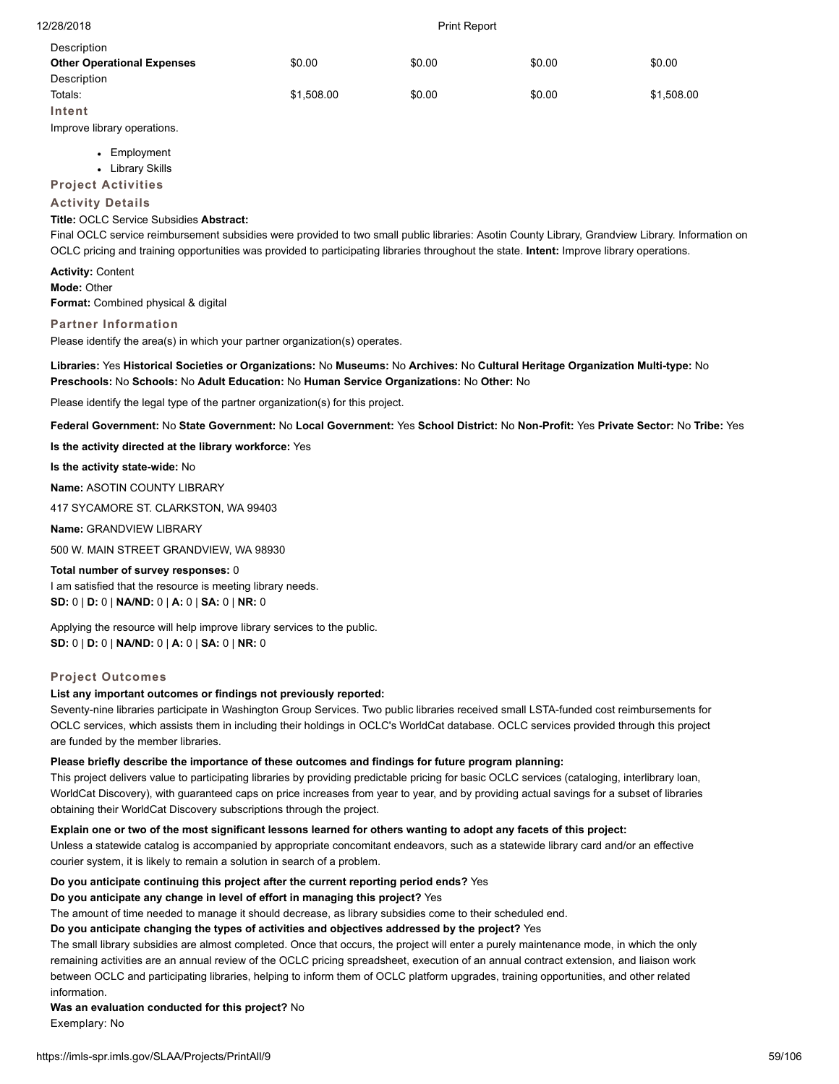| Description                       |            |        |        |            |
|-----------------------------------|------------|--------|--------|------------|
| <b>Other Operational Expenses</b> | \$0.00     | \$0.00 | \$0.00 | \$0.00     |
| Description                       |            |        |        |            |
| Totals:                           | \$1,508.00 | \$0.00 | \$0.00 | \$1,508.00 |
| Intent                            |            |        |        |            |

Improve library operations.

- Employment
- Library Skills

**Project Activities**

# **Activity Details**

# **Title:** OCLC Service Subsidies **Abstract:**

Final OCLC service reimbursement subsidies were provided to two small public libraries: Asotin County Library, Grandview Library. Information on OCLC pricing and training opportunities was provided to participating libraries throughout the state. **Intent:** Improve library operations.

**Activity:** Content **Mode:** Other **Format:** Combined physical & digital

# **Partner Information**

Please identify the area(s) in which your partner organization(s) operates.

# **Libraries:** Yes **Historical Societies or Organizations:** No **Museums:** No **Archives:** No **Cultural Heritage Organization Multi-type:** No **Preschools:** No **Schools:** No **Adult Education:** No **Human Service Organizations:** No **Other:** No

Please identify the legal type of the partner organization(s) for this project.

**Federal Government:** No **State Government:** No **Local Government:** Yes **School District:** No **Non-Profit:** Yes **Private Sector:** No **Tribe:** Yes

**Is the activity directed at the library workforce:** Yes

**Is the activity state-wide:** No

**Name:** ASOTIN COUNTY LIBRARY

417 SYCAMORE ST. CLARKSTON, WA 99403

**Name:** GRANDVIEW LIBRARY

500 W. MAIN STREET GRANDVIEW, WA 98930

#### **Total number of survey responses:** 0

I am satisfied that the resource is meeting library needs. **SD:** 0 | **D:** 0 | **NA/ND:** 0 | **A:** 0 | **SA:** 0 | **NR:** 0

Applying the resource will help improve library services to the public. **SD:** 0 | **D:** 0 | **NA/ND:** 0 | **A:** 0 | **SA:** 0 | **NR:** 0

# **Project Outcomes**

# **List any important outcomes or findings not previously reported:**

Seventy-nine libraries participate in Washington Group Services. Two public libraries received small LSTA-funded cost reimbursements for OCLC services, which assists them in including their holdings in OCLC's WorldCat database. OCLC services provided through this project are funded by the member libraries.

#### **Please briefly describe the importance of these outcomes and findings for future program planning:**

This project delivers value to participating libraries by providing predictable pricing for basic OCLC services (cataloging, interlibrary loan, WorldCat Discovery), with guaranteed caps on price increases from year to year, and by providing actual savings for a subset of libraries obtaining their WorldCat Discovery subscriptions through the project.

# **Explain one or two of the most significant lessons learned for others wanting to adopt any facets of this project:**

Unless a statewide catalog is accompanied by appropriate concomitant endeavors, such as a statewide library card and/or an effective courier system, it is likely to remain a solution in search of a problem.

# **Do you anticipate continuing this project after the current reporting period ends?** Yes

**Do you anticipate any change in level of effort in managing this project?** Yes

The amount of time needed to manage it should decrease, as library subsidies come to their scheduled end.

#### **Do you anticipate changing the types of activities and objectives addressed by the project?** Yes

The small library subsidies are almost completed. Once that occurs, the project will enter a purely maintenance mode, in which the only remaining activities are an annual review of the OCLC pricing spreadsheet, execution of an annual contract extension, and liaison work between OCLC and participating libraries, helping to inform them of OCLC platform upgrades, training opportunities, and other related information.

**Was an evaluation conducted for this project?** No

Exemplary: No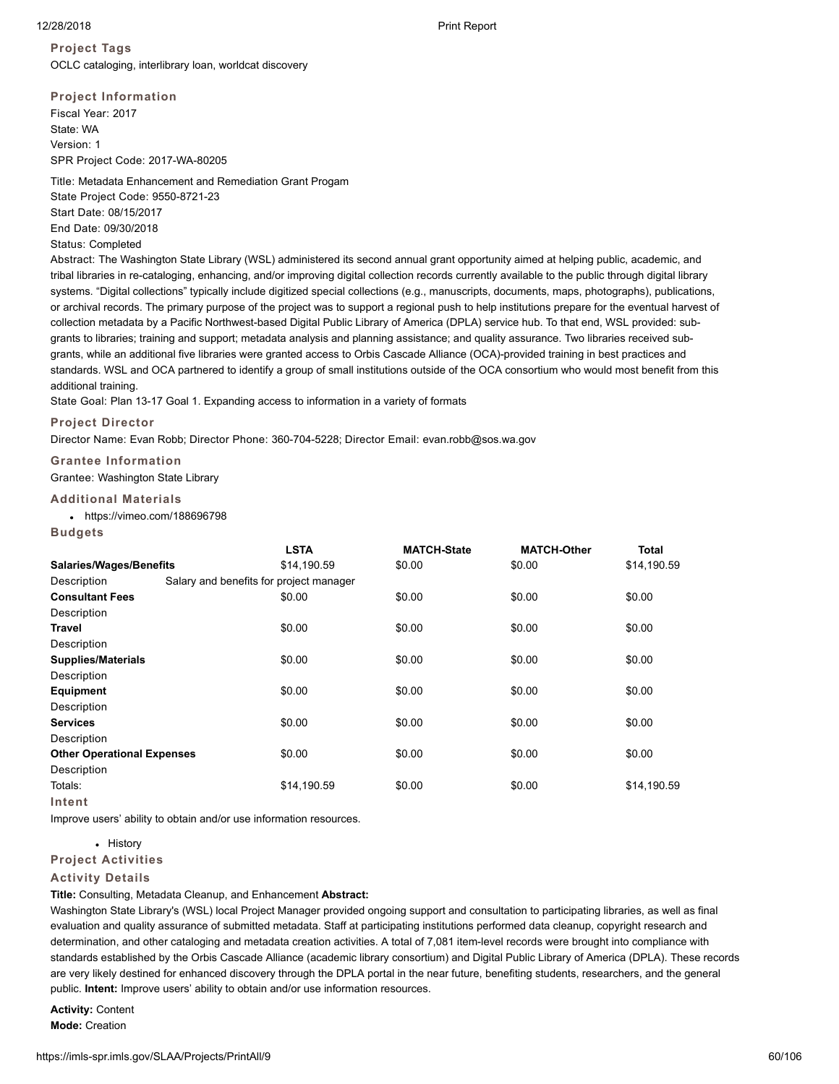**Project Tags** OCLC cataloging, interlibrary loan, worldcat discovery

**Project Information** Fiscal Year: 2017 State: WA Version: 1 SPR Project Code: 2017-WA-80205

Title: Metadata Enhancement and Remediation Grant Progam

State Project Code: 9550-8721-23 Start Date: 08/15/2017 End Date: 09/30/2018

Status: Completed

Abstract: The Washington State Library (WSL) administered its second annual grant opportunity aimed at helping public, academic, and tribal libraries in re-cataloging, enhancing, and/or improving digital collection records currently available to the public through digital library systems. "Digital collections" typically include digitized special collections (e.g., manuscripts, documents, maps, photographs), publications, or archival records. The primary purpose of the project was to support a regional push to help institutions prepare for the eventual harvest of collection metadata by a Pacific Northwest-based Digital Public Library of America (DPLA) service hub. To that end, WSL provided: subgrants to libraries; training and support; metadata analysis and planning assistance; and quality assurance. Two libraries received subgrants, while an additional five libraries were granted access to Orbis Cascade Alliance (OCA)-provided training in best practices and standards. WSL and OCA partnered to identify a group of small institutions outside of the OCA consortium who would most benefit from this additional training.

State Goal: Plan 13-17 Goal 1. Expanding access to information in a variety of formats

# **Project Director**

Director Name: Evan Robb; Director Phone: 360-704-5228; Director Email: evan.robb@sos.wa.gov

**Grantee Information** Grantee: Washington State Library

# **Additional Materials**

https://vimeo.com/188696798

**Budgets**

|                                   |                                         | <b>LSTA</b> | <b>MATCH-State</b> | <b>MATCH-Other</b> | <b>Total</b> |
|-----------------------------------|-----------------------------------------|-------------|--------------------|--------------------|--------------|
| <b>Salaries/Wages/Benefits</b>    |                                         | \$14,190.59 | \$0.00             | \$0.00             | \$14,190.59  |
| Description                       | Salary and benefits for project manager |             |                    |                    |              |
| <b>Consultant Fees</b>            |                                         | \$0.00      | \$0.00             | \$0.00             | \$0.00       |
| Description                       |                                         |             |                    |                    |              |
| <b>Travel</b>                     |                                         | \$0.00      | \$0.00             | \$0.00             | \$0.00       |
| Description                       |                                         |             |                    |                    |              |
| <b>Supplies/Materials</b>         |                                         | \$0.00      | \$0.00             | \$0.00             | \$0.00       |
| Description                       |                                         |             |                    |                    |              |
| <b>Equipment</b>                  |                                         | \$0.00      | \$0.00             | \$0.00             | \$0.00       |
| Description                       |                                         |             |                    |                    |              |
| <b>Services</b>                   |                                         | \$0.00      | \$0.00             | \$0.00             | \$0.00       |
| Description                       |                                         |             |                    |                    |              |
| <b>Other Operational Expenses</b> |                                         | \$0.00      | \$0.00             | \$0.00             | \$0.00       |
| Description                       |                                         |             |                    |                    |              |
| Totals:                           |                                         | \$14,190.59 | \$0.00             | \$0.00             | \$14,190.59  |
| Intent                            |                                         |             |                    |                    |              |

Improve users' ability to obtain and/or use information resources.

• History

# **Project Activities**

# **Activity Details**

**Title:** Consulting, Metadata Cleanup, and Enhancement **Abstract:**

Washington State Library's (WSL) local Project Manager provided ongoing support and consultation to participating libraries, as well as final evaluation and quality assurance of submitted metadata. Staff at participating institutions performed data cleanup, copyright research and determination, and other cataloging and metadata creation activities. A total of 7,081 item-level records were brought into compliance with standards established by the Orbis Cascade Alliance (academic library consortium) and Digital Public Library of America (DPLA). These records are very likely destined for enhanced discovery through the DPLA portal in the near future, benefiting students, researchers, and the general public. **Intent:** Improve users' ability to obtain and/or use information resources.

**Activity:** Content **Mode:** Creation

12/28/2018 Print Report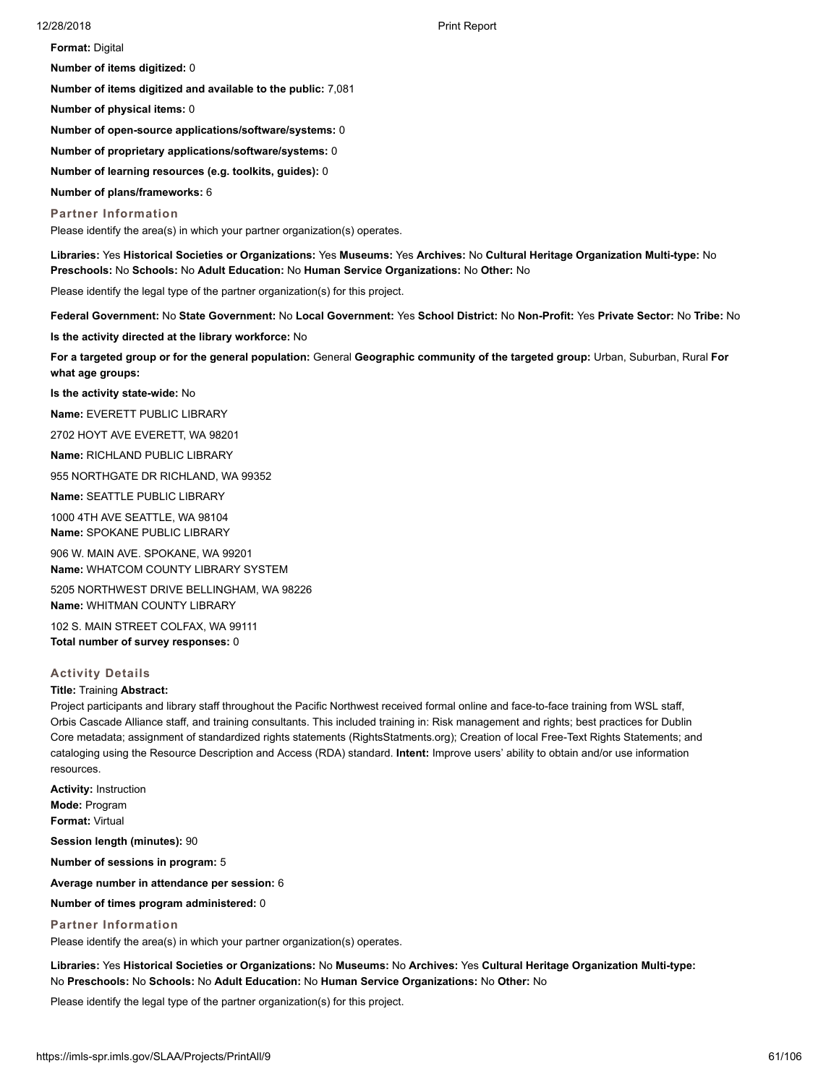**Format:** Digital

**Number of items digitized:** 0

**Number of items digitized and available to the public:** 7,081

**Number of physical items:** 0

**Number of open-source applications/software/systems:** 0

**Number of proprietary applications/software/systems:** 0

**Number of learning resources (e.g. toolkits, guides):** 0

**Number of plans/frameworks:** 6

#### **Partner Information**

Please identify the area(s) in which your partner organization(s) operates.

**Libraries:** Yes **Historical Societies or Organizations:** Yes **Museums:** Yes **Archives:** No **Cultural Heritage Organization Multi-type:** No **Preschools:** No **Schools:** No **Adult Education:** No **Human Service Organizations:** No **Other:** No

Please identify the legal type of the partner organization(s) for this project.

**Federal Government:** No **State Government:** No **Local Government:** Yes **School District:** No **Non-Profit:** Yes **Private Sector:** No **Tribe:** No

**Is the activity directed at the library workforce:** No

**For a targeted group or for the general population:** General **Geographic community of the targeted group:** Urban, Suburban, Rural **For what age groups:**

**Is the activity state-wide:** No

**Name:** EVERETT PUBLIC LIBRARY

2702 HOYT AVE EVERETT, WA 98201

**Name:** RICHLAND PUBLIC LIBRARY

955 NORTHGATE DR RICHLAND, WA 99352

**Name:** SEATTLE PUBLIC LIBRARY

1000 4TH AVE SEATTLE, WA 98104 **Name:** SPOKANE PUBLIC LIBRARY

906 W. MAIN AVE. SPOKANE, WA 99201 **Name:** WHATCOM COUNTY LIBRARY SYSTEM

5205 NORTHWEST DRIVE BELLINGHAM, WA 98226 **Name:** WHITMAN COUNTY LIBRARY

102 S. MAIN STREET COLFAX, WA 99111 **Total number of survey responses:** 0

# **Activity Details**

# **Title:** Training **Abstract:**

Project participants and library staff throughout the Pacific Northwest received formal online and face-to-face training from WSL staff, Orbis Cascade Alliance staff, and training consultants. This included training in: Risk management and rights; best practices for Dublin Core metadata; assignment of standardized rights statements (RightsStatments.org); Creation of local Free-Text Rights Statements; and cataloging using the Resource Description and Access (RDA) standard. **Intent:** Improve users' ability to obtain and/or use information resources.

**Activity:** Instruction **Mode:** Program **Format:** Virtual

**Session length (minutes):** 90

**Number of sessions in program:** 5

**Average number in attendance per session:** 6

**Number of times program administered:** 0

**Partner Information**

Please identify the area(s) in which your partner organization(s) operates.

**Libraries:** Yes **Historical Societies or Organizations:** No **Museums:** No **Archives:** Yes **Cultural Heritage Organization Multi-type:** No **Preschools:** No **Schools:** No **Adult Education:** No **Human Service Organizations:** No **Other:** No

Please identify the legal type of the partner organization(s) for this project.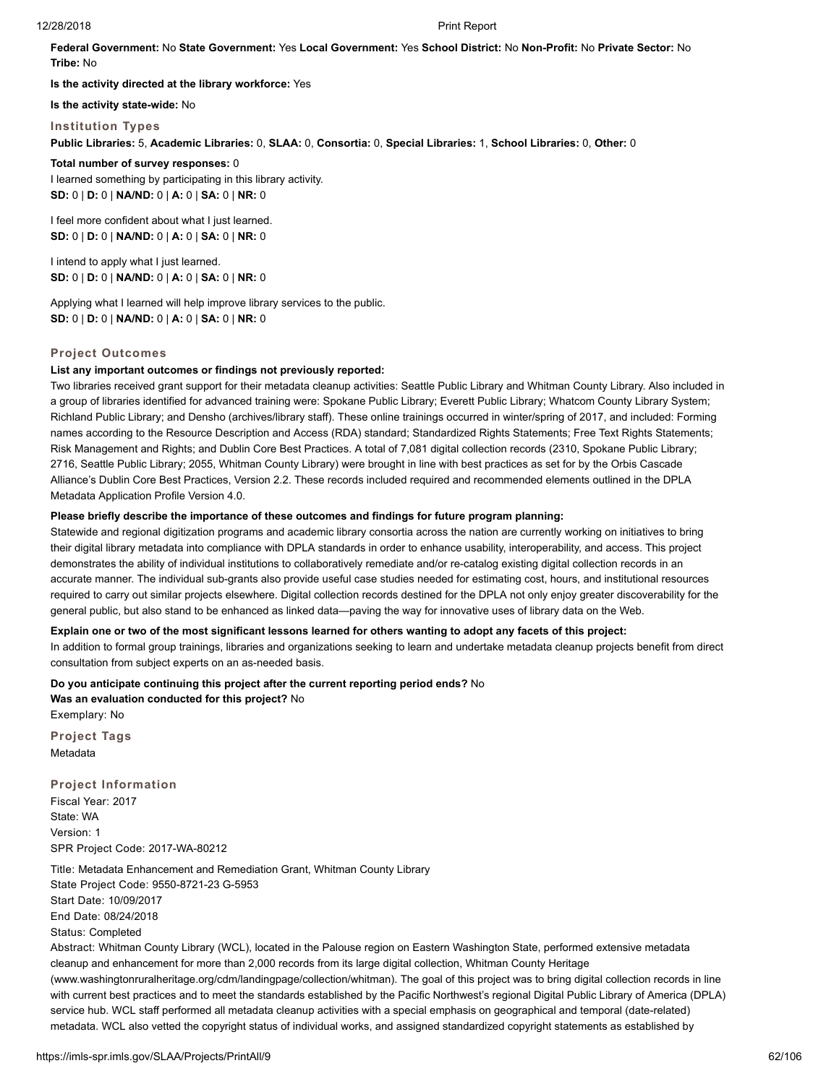**Federal Government:** No **State Government:** Yes **Local Government:** Yes **School District:** No **Non-Profit:** No **Private Sector:** No **Tribe:** No

**Is the activity directed at the library workforce:** Yes

**Is the activity state-wide:** No

**Institution Types**

**Public Libraries:** 5, **Academic Libraries:** 0, **SLAA:** 0, **Consortia:** 0, **Special Libraries:** 1, **School Libraries:** 0, **Other:** 0

**Total number of survey responses:** 0 I learned something by participating in this library activity. **SD:** 0 | **D:** 0 | **NA/ND:** 0 | **A:** 0 | **SA:** 0 | **NR:** 0

I feel more confident about what I just learned. **SD:** 0 | **D:** 0 | **NA/ND:** 0 | **A:** 0 | **SA:** 0 | **NR:** 0

I intend to apply what I just learned. **SD:** 0 | **D:** 0 | **NA/ND:** 0 | **A:** 0 | **SA:** 0 | **NR:** 0

Applying what I learned will help improve library services to the public. **SD:** 0 | **D:** 0 | **NA/ND:** 0 | **A:** 0 | **SA:** 0 | **NR:** 0

#### **Project Outcomes**

#### **List any important outcomes or findings not previously reported:**

Two libraries received grant support for their metadata cleanup activities: Seattle Public Library and Whitman County Library. Also included in a group of libraries identified for advanced training were: Spokane Public Library; Everett Public Library; Whatcom County Library System; Richland Public Library; and Densho (archives/library staff). These online trainings occurred in winter/spring of 2017, and included: Forming names according to the Resource Description and Access (RDA) standard; Standardized Rights Statements; Free Text Rights Statements; Risk Management and Rights; and Dublin Core Best Practices. A total of 7,081 digital collection records (2310, Spokane Public Library; 2716, Seattle Public Library; 2055, Whitman County Library) were brought in line with best practices as set for by the Orbis Cascade Alliance's Dublin Core Best Practices, Version 2.2. These records included required and recommended elements outlined in the DPLA Metadata Application Profile Version 4.0.

### **Please briefly describe the importance of these outcomes and findings for future program planning:**

Statewide and regional digitization programs and academic library consortia across the nation are currently working on initiatives to bring their digital library metadata into compliance with DPLA standards in order to enhance usability, interoperability, and access. This project demonstrates the ability of individual institutions to collaboratively remediate and/or re-catalog existing digital collection records in an accurate manner. The individual sub-grants also provide useful case studies needed for estimating cost, hours, and institutional resources required to carry out similar projects elsewhere. Digital collection records destined for the DPLA not only enjoy greater discoverability for the general public, but also stand to be enhanced as linked data—paving the way for innovative uses of library data on the Web.

#### **Explain one or two of the most significant lessons learned for others wanting to adopt any facets of this project:**

In addition to formal group trainings, libraries and organizations seeking to learn and undertake metadata cleanup projects benefit from direct consultation from subject experts on an as-needed basis.

**Do you anticipate continuing this project after the current reporting period ends?** No **Was an evaluation conducted for this project?** No Exemplary: No

**Project Tags** Metadata

**Project Information** Fiscal Year: 2017 State: WA Version: 1 SPR Project Code: 2017-WA-80212

Title: Metadata Enhancement and Remediation Grant, Whitman County Library State Project Code: 9550-8721-23 G-5953 Start Date: 10/09/2017 End Date: 08/24/2018 Status: Completed Abstract: Whitman County Library (WCL), located in the Palouse region on Eastern Washington State, performed extensive metadata cleanup and enhancement for more than 2,000 records from its large digital collection, Whitman County Heritage (www.washingtonruralheritage.org/cdm/landingpage/collection/whitman). The goal of this project was to bring digital collection records in line

with current best practices and to meet the standards established by the Pacific Northwest's regional Digital Public Library of America (DPLA) service hub. WCL staff performed all metadata cleanup activities with a special emphasis on geographical and temporal (date-related) metadata. WCL also vetted the copyright status of individual works, and assigned standardized copyright statements as established by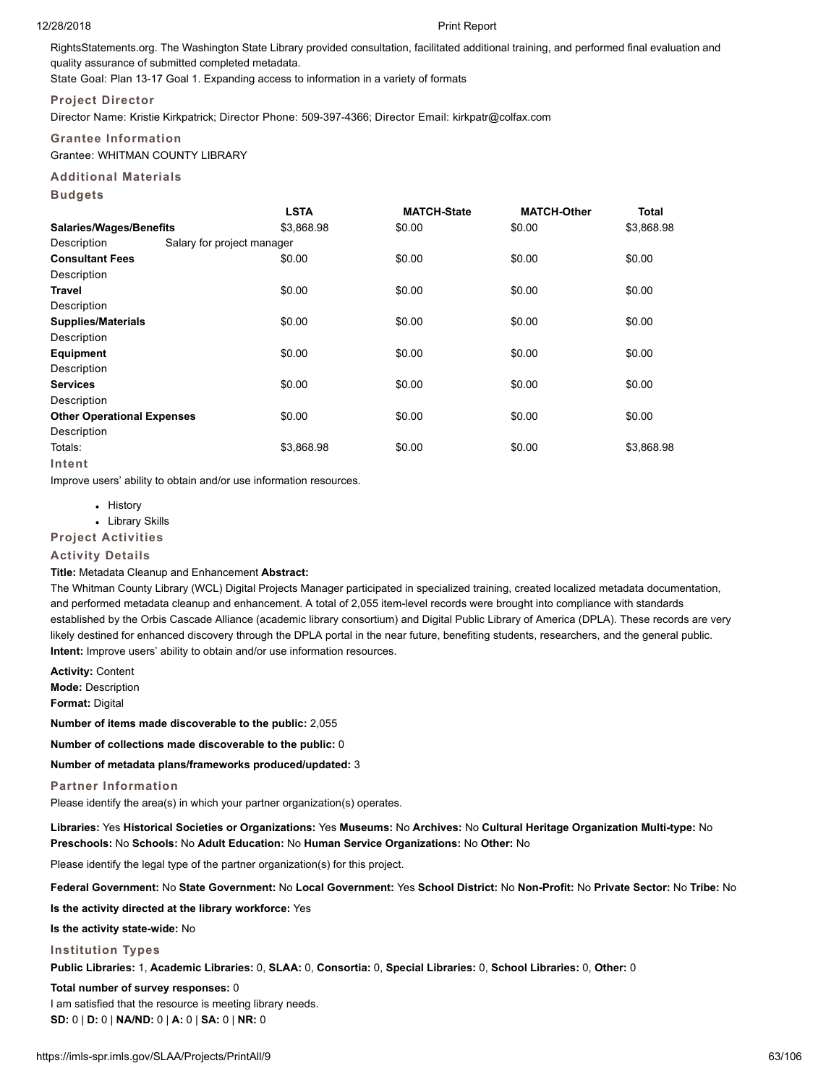RightsStatements.org. The Washington State Library provided consultation, facilitated additional training, and performed final evaluation and quality assurance of submitted completed metadata.

State Goal: Plan 13-17 Goal 1. Expanding access to information in a variety of formats

# **Project Director**

Director Name: Kristie Kirkpatrick; Director Phone: 509-397-4366; Director Email: kirkpatr@colfax.com

# **Grantee Information**

Grantee: WHITMAN COUNTY LIBRARY

# **Additional Materials**

**Budgets**

|                                   |                            | <b>LSTA</b> | <b>MATCH-State</b> | <b>MATCH-Other</b> | <b>Total</b> |
|-----------------------------------|----------------------------|-------------|--------------------|--------------------|--------------|
| <b>Salaries/Wages/Benefits</b>    |                            | \$3,868.98  | \$0.00             | \$0.00             | \$3,868.98   |
| Description                       | Salary for project manager |             |                    |                    |              |
| <b>Consultant Fees</b>            |                            | \$0.00      | \$0.00             | \$0.00             | \$0.00       |
| Description                       |                            |             |                    |                    |              |
| Travel                            |                            | \$0.00      | \$0.00             | \$0.00             | \$0.00       |
| Description                       |                            |             |                    |                    |              |
| <b>Supplies/Materials</b>         |                            | \$0.00      | \$0.00             | \$0.00             | \$0.00       |
| Description                       |                            |             |                    |                    |              |
| <b>Equipment</b>                  |                            | \$0.00      | \$0.00             | \$0.00             | \$0.00       |
| Description                       |                            |             |                    |                    |              |
| <b>Services</b>                   |                            | \$0.00      | \$0.00             | \$0.00             | \$0.00       |
| Description                       |                            |             |                    |                    |              |
| <b>Other Operational Expenses</b> |                            | \$0.00      | \$0.00             | \$0.00             | \$0.00       |
| Description                       |                            |             |                    |                    |              |
| Totals:                           |                            | \$3,868.98  | \$0.00             | \$0.00             | \$3,868.98   |
| Intent                            |                            |             |                    |                    |              |

Improve users' ability to obtain and/or use information resources.

• History

Library Skills

#### **Project Activities**

# **Activity Details**

# **Title:** Metadata Cleanup and Enhancement **Abstract:**

The Whitman County Library (WCL) Digital Projects Manager participated in specialized training, created localized metadata documentation, and performed metadata cleanup and enhancement. A total of 2,055 item-level records were brought into compliance with standards established by the Orbis Cascade Alliance (academic library consortium) and Digital Public Library of America (DPLA). These records are very likely destined for enhanced discovery through the DPLA portal in the near future, benefiting students, researchers, and the general public. **Intent:** Improve users' ability to obtain and/or use information resources.

**Activity:** Content

**Mode:** Description

**Format:** Digital

**Number of items made discoverable to the public:** 2,055

**Number of collections made discoverable to the public:** 0

# **Number of metadata plans/frameworks produced/updated:** 3

# **Partner Information**

Please identify the area(s) in which your partner organization(s) operates.

# **Libraries:** Yes **Historical Societies or Organizations:** Yes **Museums:** No **Archives:** No **Cultural Heritage Organization Multi-type:** No **Preschools:** No **Schools:** No **Adult Education:** No **Human Service Organizations:** No **Other:** No

Please identify the legal type of the partner organization(s) for this project.

**Federal Government:** No **State Government:** No **Local Government:** Yes **School District:** No **Non-Profit:** No **Private Sector:** No **Tribe:** No

**Is the activity directed at the library workforce:** Yes

**Is the activity state-wide:** No

# **Institution Types**

**Public Libraries:** 1, **Academic Libraries:** 0, **SLAA:** 0, **Consortia:** 0, **Special Libraries:** 0, **School Libraries:** 0, **Other:** 0

#### **Total number of survey responses:** 0

I am satisfied that the resource is meeting library needs. **SD:** 0 | **D:** 0 | **NA/ND:** 0 | **A:** 0 | **SA:** 0 | **NR:** 0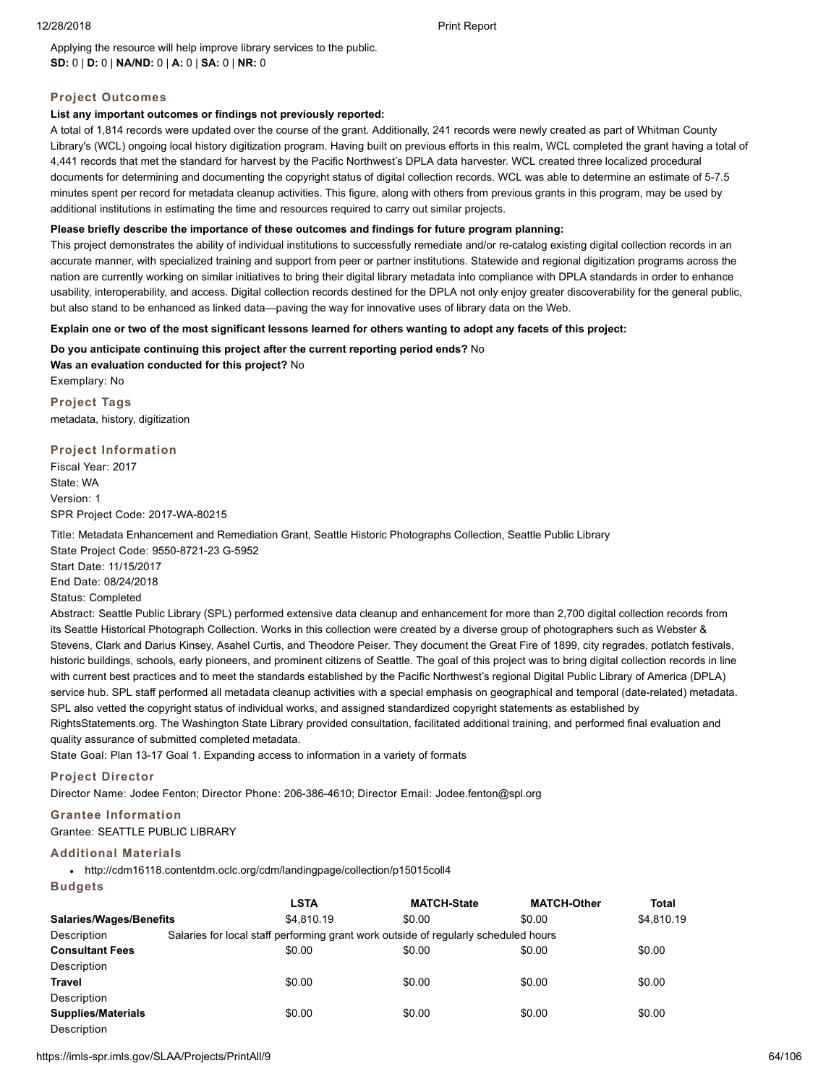Applying the resource will help improve library services to the public. **SD:** 0 | **D:** 0 | **NA/ND:** 0 | **A:** 0 | **SA:** 0 | **NR:** 0

# **Project Outcomes**

# **List any important outcomes or findings not previously reported:**

A total of 1,814 records were updated over the course of the grant. Additionally, 241 records were newly created as part of Whitman County Library's (WCL) ongoing local history digitization program. Having built on previous efforts in this realm, WCL completed the grant having a total of 4,441 records that met the standard for harvest by the Pacific Northwest's DPLA data harvester. WCL created three localized procedural documents for determining and documenting the copyright status of digital collection records. WCL was able to determine an estimate of 5-7.5 minutes spent per record for metadata cleanup activities. This figure, along with others from previous grants in this program, may be used by additional institutions in estimating the time and resources required to carry out similar projects.

# **Please briefly describe the importance of these outcomes and findings for future program planning:**

This project demonstrates the ability of individual institutions to successfully remediate and/or re-catalog existing digital collection records in an accurate manner, with specialized training and support from peer or partner institutions. Statewide and regional digitization programs across the nation are currently working on similar initiatives to bring their digital library metadata into compliance with DPLA standards in order to enhance usability, interoperability, and access. Digital collection records destined for the DPLA not only enjoy greater discoverability for the general public, but also stand to be enhanced as linked data—paving the way for innovative uses of library data on the Web.

# **Explain one or two of the most significant lessons learned for others wanting to adopt any facets of this project:**

**Do you anticipate continuing this project after the current reporting period ends?** No **Was an evaluation conducted for this project?** No

Exemplary: No **Project Tags** metadata, history, digitization

**Project Information** Fiscal Year: 2017 State: WA Version: 1 SPR Project Code: 2017-WA-80215

Title: Metadata Enhancement and Remediation Grant, Seattle Historic Photographs Collection, Seattle Public Library State Project Code: 9550-8721-23 G-5952

Start Date: 11/15/2017 End Date: 08/24/2018 Status: Completed

Abstract: Seattle Public Library (SPL) performed extensive data cleanup and enhancement for more than 2,700 digital collection records from its Seattle Historical Photograph Collection. Works in this collection were created by a diverse group of photographers such as Webster & Stevens, Clark and Darius Kinsey, Asahel Curtis, and Theodore Peiser. They document the Great Fire of 1899, city regrades, potlatch festivals, historic buildings, schools, early pioneers, and prominent citizens of Seattle. The goal of this project was to bring digital collection records in line with current best practices and to meet the standards established by the Pacific Northwest's regional Digital Public Library of America (DPLA) service hub. SPL staff performed all metadata cleanup activities with a special emphasis on geographical and temporal (date-related) metadata. SPL also vetted the copyright status of individual works, and assigned standardized copyright statements as established by RightsStatements.org. The Washington State Library provided consultation, facilitated additional training, and performed final evaluation and quality assurance of submitted completed metadata.

State Goal: Plan 13-17 Goal 1. Expanding access to information in a variety of formats

**Project Director**

Director Name: Jodee Fenton; Director Phone: 206-386-4610; Director Email: Jodee.fenton@spl.org

# **Grantee Information**

# Grantee: SEATTLE PUBLIC LIBRARY

# **Additional Materials**

http://cdm16118.contentdm.oclc.org/cdm/landingpage/collection/p15015coll4

# **Budgets**

|                                | <b>LSTA</b> | <b>MATCH-State</b>                                                                  | <b>MATCH-Other</b> | Total      |
|--------------------------------|-------------|-------------------------------------------------------------------------------------|--------------------|------------|
| <b>Salaries/Wages/Benefits</b> | \$4.810.19  | \$0.00                                                                              | \$0.00             | \$4.810.19 |
| Description                    |             | Salaries for local staff performing grant work outside of regularly scheduled hours |                    |            |
| <b>Consultant Fees</b>         | \$0.00      | \$0.00                                                                              | \$0.00             | \$0.00     |
| Description                    |             |                                                                                     |                    |            |
| <b>Travel</b>                  | \$0.00      | \$0.00                                                                              | \$0.00             | \$0.00     |
| Description                    |             |                                                                                     |                    |            |
| <b>Supplies/Materials</b>      | \$0.00      | \$0.00                                                                              | \$0.00             | \$0.00     |
| Description                    |             |                                                                                     |                    |            |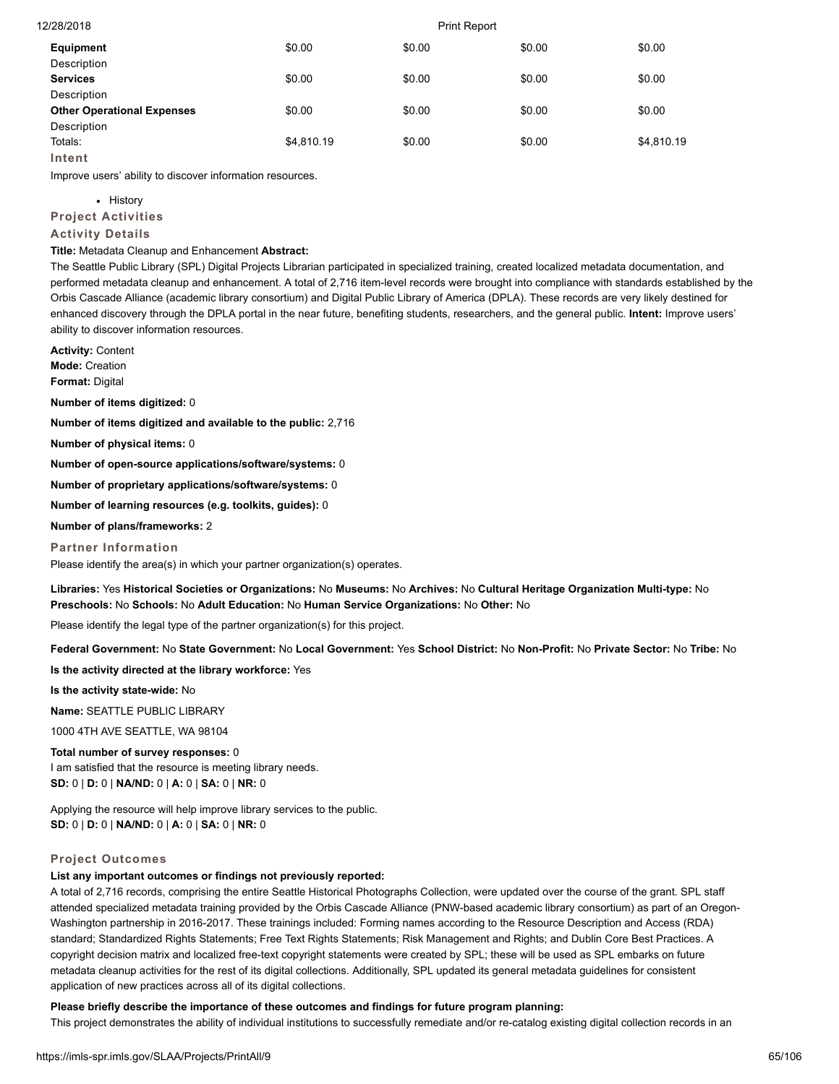| 12/28/2018                        | <b>Print Report</b> |        |        |            |  |
|-----------------------------------|---------------------|--------|--------|------------|--|
| Equipment                         | \$0.00              | \$0.00 | \$0.00 | \$0.00     |  |
| Description                       |                     |        |        |            |  |
| <b>Services</b>                   | \$0.00              | \$0.00 | \$0.00 | \$0.00     |  |
| Description                       |                     |        |        |            |  |
| <b>Other Operational Expenses</b> | \$0.00              | \$0.00 | \$0.00 | \$0.00     |  |
| Description                       |                     |        |        |            |  |
| Totals:                           | \$4.810.19          | \$0.00 | \$0.00 | \$4,810.19 |  |
| Intent                            |                     |        |        |            |  |

Improve users' ability to discover information resources.

# • History

**Project Activities**

# **Activity Details**

**Title:** Metadata Cleanup and Enhancement **Abstract:**

The Seattle Public Library (SPL) Digital Projects Librarian participated in specialized training, created localized metadata documentation, and performed metadata cleanup and enhancement. A total of 2,716 item-level records were brought into compliance with standards established by the Orbis Cascade Alliance (academic library consortium) and Digital Public Library of America (DPLA). These records are very likely destined for enhanced discovery through the DPLA portal in the near future, benefiting students, researchers, and the general public. **Intent:** Improve users' ability to discover information resources.

**Activity:** Content **Mode:** Creation **Format:** Digital

**Number of items digitized:** 0

**Number of items digitized and available to the public:** 2,716

**Number of physical items:** 0

**Number of open-source applications/software/systems:** 0

**Number of proprietary applications/software/systems:** 0

**Number of learning resources (e.g. toolkits, guides):** 0

**Number of plans/frameworks:** 2

### **Partner Information**

Please identify the area(s) in which your partner organization(s) operates.

**Libraries:** Yes **Historical Societies or Organizations:** No **Museums:** No **Archives:** No **Cultural Heritage Organization Multi-type:** No **Preschools:** No **Schools:** No **Adult Education:** No **Human Service Organizations:** No **Other:** No

Please identify the legal type of the partner organization(s) for this project.

**Federal Government:** No **State Government:** No **Local Government:** Yes **School District:** No **Non-Profit:** No **Private Sector:** No **Tribe:** No

**Is the activity directed at the library workforce:** Yes

**Is the activity state-wide:** No

**Name:** SEATTLE PUBLIC LIBRARY

1000 4TH AVE SEATTLE, WA 98104

#### **Total number of survey responses:** 0

I am satisfied that the resource is meeting library needs. **SD:** 0 | **D:** 0 | **NA/ND:** 0 | **A:** 0 | **SA:** 0 | **NR:** 0

Applying the resource will help improve library services to the public. **SD:** 0 | **D:** 0 | **NA/ND:** 0 | **A:** 0 | **SA:** 0 | **NR:** 0

# **Project Outcomes**

# **List any important outcomes or findings not previously reported:**

A total of 2,716 records, comprising the entire Seattle Historical Photographs Collection, were updated over the course of the grant. SPL staff attended specialized metadata training provided by the Orbis Cascade Alliance (PNW-based academic library consortium) as part of an Oregon-Washington partnership in 2016-2017. These trainings included: Forming names according to the Resource Description and Access (RDA) standard; Standardized Rights Statements; Free Text Rights Statements; Risk Management and Rights; and Dublin Core Best Practices. A copyright decision matrix and localized free-text copyright statements were created by SPL; these will be used as SPL embarks on future metadata cleanup activities for the rest of its digital collections. Additionally, SPL updated its general metadata guidelines for consistent application of new practices across all of its digital collections.

# **Please briefly describe the importance of these outcomes and findings for future program planning:**

This project demonstrates the ability of individual institutions to successfully remediate and/or re-catalog existing digital collection records in an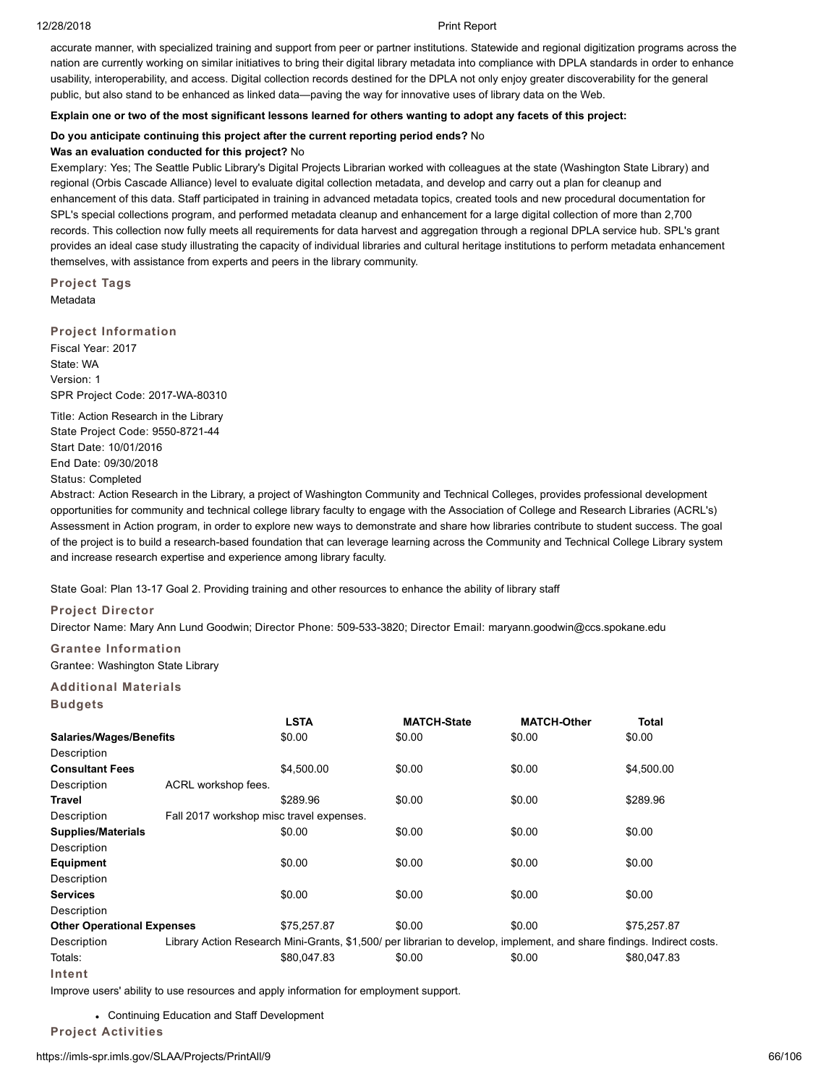accurate manner, with specialized training and support from peer or partner institutions. Statewide and regional digitization programs across the nation are currently working on similar initiatives to bring their digital library metadata into compliance with DPLA standards in order to enhance usability, interoperability, and access. Digital collection records destined for the DPLA not only enjoy greater discoverability for the general public, but also stand to be enhanced as linked data—paving the way for innovative uses of library data on the Web.

### **Explain one or two of the most significant lessons learned for others wanting to adopt any facets of this project:**

### **Do you anticipate continuing this project after the current reporting period ends?** No

#### **Was an evaluation conducted for this project?** No

Exemplary: Yes; The Seattle Public Library's Digital Projects Librarian worked with colleagues at the state (Washington State Library) and regional (Orbis Cascade Alliance) level to evaluate digital collection metadata, and develop and carry out a plan for cleanup and enhancement of this data. Staff participated in training in advanced metadata topics, created tools and new procedural documentation for SPL's special collections program, and performed metadata cleanup and enhancement for a large digital collection of more than 2,700 records. This collection now fully meets all requirements for data harvest and aggregation through a regional DPLA service hub. SPL's grant provides an ideal case study illustrating the capacity of individual libraries and cultural heritage institutions to perform metadata enhancement themselves, with assistance from experts and peers in the library community.

**Project Tags** Metadata

#### **Project Information**

Fiscal Year: 2017 State: WA Version: 1 SPR Project Code: 2017-WA-80310

Title: Action Research in the Library State Project Code: 9550-8721-44 Start Date: 10/01/2016 End Date: 09/30/2018 Status: Completed

Abstract: Action Research in the Library, a project of Washington Community and Technical Colleges, provides professional development opportunities for community and technical college library faculty to engage with the Association of College and Research Libraries (ACRL's) Assessment in Action program, in order to explore new ways to demonstrate and share how libraries contribute to student success. The goal of the project is to build a research-based foundation that can leverage learning across the Community and Technical College Library system and increase research expertise and experience among library faculty.

State Goal: Plan 13-17 Goal 2. Providing training and other resources to enhance the ability of library staff

# **Project Director**

Director Name: Mary Ann Lund Goodwin; Director Phone: 509-533-3820; Director Email: maryann.goodwin@ccs.spokane.edu

# **Grantee Information**

Grantee: Washington State Library

# **Additional Materials**

**Budgets**

|                                   |                                          | <b>LSTA</b>                                                                                                            | <b>MATCH-State</b> | <b>MATCH-Other</b> | <b>Total</b> |
|-----------------------------------|------------------------------------------|------------------------------------------------------------------------------------------------------------------------|--------------------|--------------------|--------------|
| <b>Salaries/Wages/Benefits</b>    |                                          | \$0.00                                                                                                                 | \$0.00             | \$0.00             | \$0.00       |
| Description                       |                                          |                                                                                                                        |                    |                    |              |
| <b>Consultant Fees</b>            |                                          | \$4,500.00                                                                                                             | \$0.00             | \$0.00             | \$4,500.00   |
| Description                       | ACRL workshop fees.                      |                                                                                                                        |                    |                    |              |
| Travel                            |                                          | \$289.96                                                                                                               | \$0.00             | \$0.00             | \$289.96     |
| Description                       | Fall 2017 workshop misc travel expenses. |                                                                                                                        |                    |                    |              |
| <b>Supplies/Materials</b>         |                                          | \$0.00                                                                                                                 | \$0.00             | \$0.00             | \$0.00       |
| Description                       |                                          |                                                                                                                        |                    |                    |              |
| <b>Equipment</b>                  |                                          | \$0.00                                                                                                                 | \$0.00             | \$0.00             | \$0.00       |
| Description                       |                                          |                                                                                                                        |                    |                    |              |
| <b>Services</b>                   |                                          | \$0.00                                                                                                                 | \$0.00             | \$0.00             | \$0.00       |
| Description                       |                                          |                                                                                                                        |                    |                    |              |
| <b>Other Operational Expenses</b> |                                          | \$75,257.87                                                                                                            | \$0.00             | \$0.00             | \$75,257.87  |
| Description                       |                                          | Library Action Research Mini-Grants, \$1,500/ per librarian to develop, implement, and share findings. Indirect costs. |                    |                    |              |
| Totals:                           |                                          | \$80,047.83                                                                                                            | \$0.00             | \$0.00             | \$80,047.83  |
| Intent                            |                                          |                                                                                                                        |                    |                    |              |

Improve users' ability to use resources and apply information for employment support.

Continuing Education and Staff Development

**Project Activities**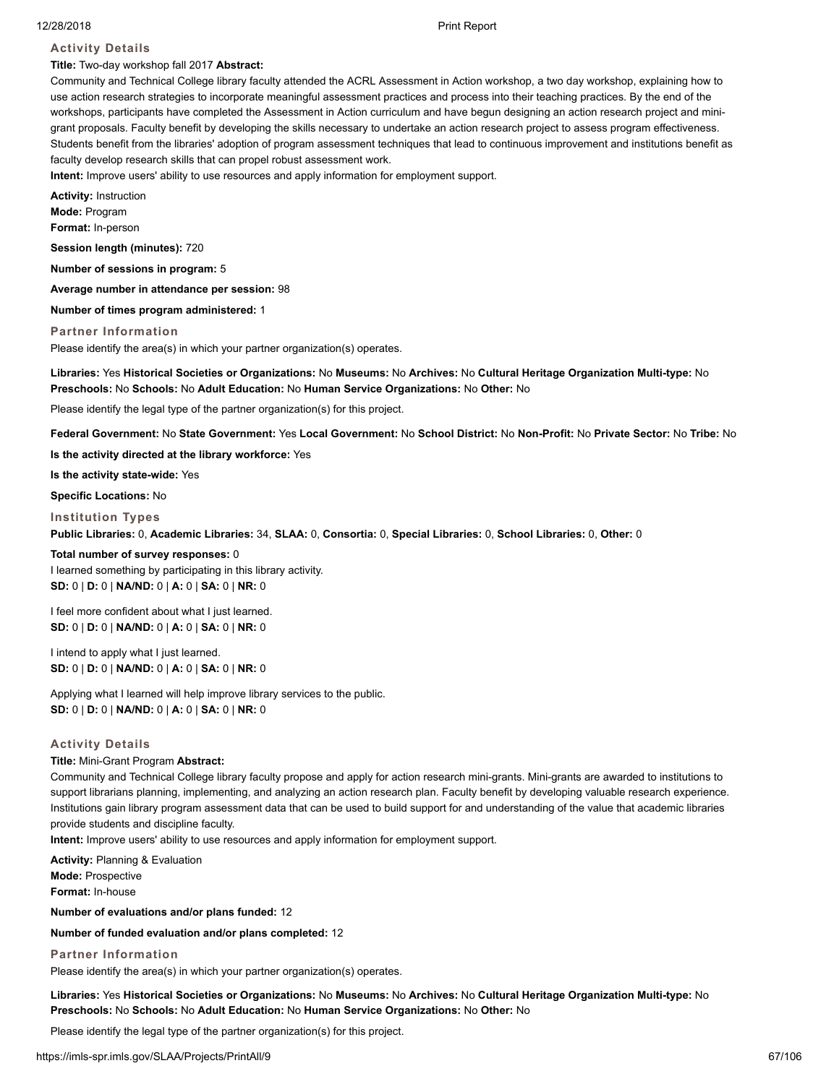# **Activity Details**

# **Title:** Two-day workshop fall 2017 **Abstract:**

Community and Technical College library faculty attended the ACRL Assessment in Action workshop, a two day workshop, explaining how to use action research strategies to incorporate meaningful assessment practices and process into their teaching practices. By the end of the workshops, participants have completed the Assessment in Action curriculum and have begun designing an action research project and minigrant proposals. Faculty benefit by developing the skills necessary to undertake an action research project to assess program effectiveness. Students benefit from the libraries' adoption of program assessment techniques that lead to continuous improvement and institutions benefit as faculty develop research skills that can propel robust assessment work.

**Intent:** Improve users' ability to use resources and apply information for employment support.

**Activity:** Instruction **Mode:** Program **Format:** In-person

**Session length (minutes):** 720

**Number of sessions in program:** 5

**Average number in attendance per session:** 98

**Number of times program administered:** 1

#### **Partner Information**

Please identify the area(s) in which your partner organization(s) operates.

**Libraries:** Yes **Historical Societies or Organizations:** No **Museums:** No **Archives:** No **Cultural Heritage Organization Multi-type:** No **Preschools:** No **Schools:** No **Adult Education:** No **Human Service Organizations:** No **Other:** No

Please identify the legal type of the partner organization(s) for this project.

**Federal Government:** No **State Government:** Yes **Local Government:** No **School District:** No **Non-Profit:** No **Private Sector:** No **Tribe:** No

**Is the activity directed at the library workforce:** Yes

**Is the activity state-wide:** Yes

**Specific Locations:** No

**Institution Types**

**Public Libraries:** 0, **Academic Libraries:** 34, **SLAA:** 0, **Consortia:** 0, **Special Libraries:** 0, **School Libraries:** 0, **Other:** 0

**Total number of survey responses:** 0 I learned something by participating in this library activity. **SD:** 0 | **D:** 0 | **NA/ND:** 0 | **A:** 0 | **SA:** 0 | **NR:** 0

I feel more confident about what I just learned. **SD:** 0 | **D:** 0 | **NA/ND:** 0 | **A:** 0 | **SA:** 0 | **NR:** 0

I intend to apply what I just learned. **SD:** 0 | **D:** 0 | **NA/ND:** 0 | **A:** 0 | **SA:** 0 | **NR:** 0

Applying what I learned will help improve library services to the public. **SD:** 0 | **D:** 0 | **NA/ND:** 0 | **A:** 0 | **SA:** 0 | **NR:** 0

# **Activity Details**

#### **Title:** Mini-Grant Program **Abstract:**

Community and Technical College library faculty propose and apply for action research mini-grants. Mini-grants are awarded to institutions to support librarians planning, implementing, and analyzing an action research plan. Faculty benefit by developing valuable research experience. Institutions gain library program assessment data that can be used to build support for and understanding of the value that academic libraries provide students and discipline faculty.

**Intent:** Improve users' ability to use resources and apply information for employment support.

**Activity:** Planning & Evaluation **Mode:** Prospective **Format:** In-house

**Number of evaluations and/or plans funded:** 12

**Number of funded evaluation and/or plans completed:** 12

# **Partner Information**

Please identify the area(s) in which your partner organization(s) operates.

**Libraries:** Yes **Historical Societies or Organizations:** No **Museums:** No **Archives:** No **Cultural Heritage Organization Multi-type:** No **Preschools:** No **Schools:** No **Adult Education:** No **Human Service Organizations:** No **Other:** No

Please identify the legal type of the partner organization(s) for this project.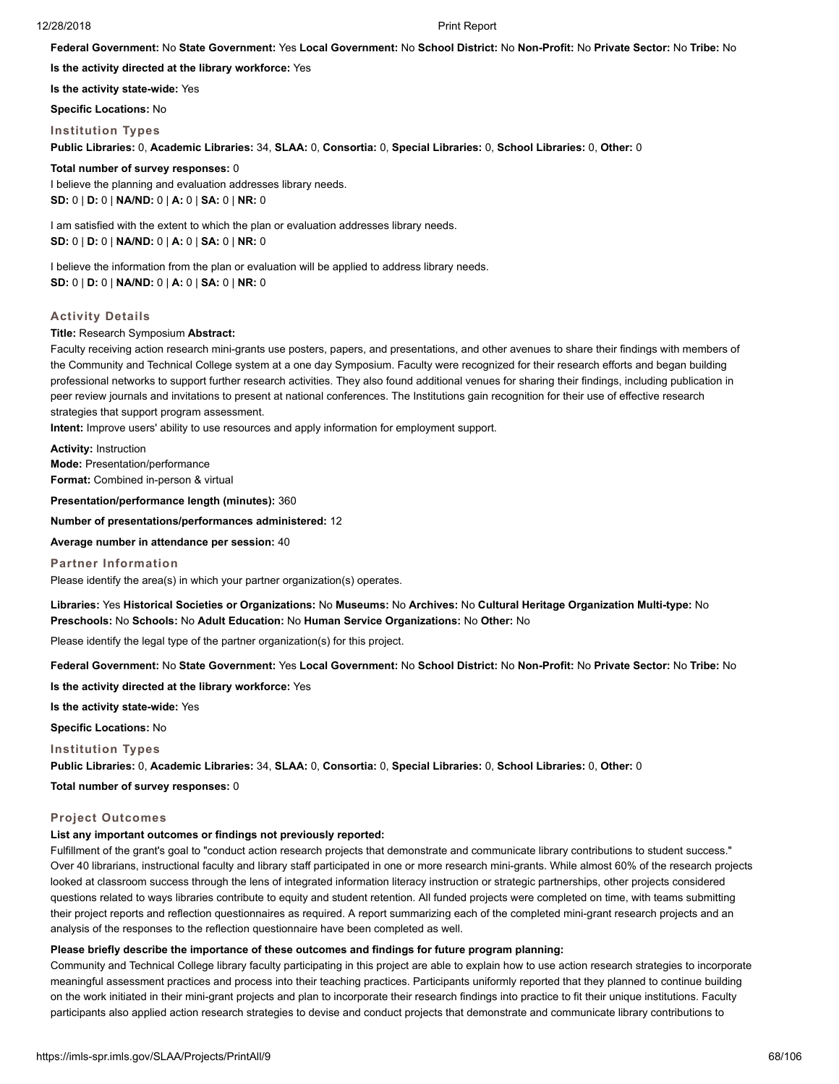**Federal Government:** No **State Government:** Yes **Local Government:** No **School District:** No **Non-Profit:** No **Private Sector:** No **Tribe:** No

**Is the activity directed at the library workforce:** Yes

**Is the activity state-wide:** Yes

**Specific Locations:** No

#### **Institution Types**

**Public Libraries:** 0, **Academic Libraries:** 34, **SLAA:** 0, **Consortia:** 0, **Special Libraries:** 0, **School Libraries:** 0, **Other:** 0

**Total number of survey responses:** 0

I believe the planning and evaluation addresses library needs. **SD:** 0 | **D:** 0 | **NA/ND:** 0 | **A:** 0 | **SA:** 0 | **NR:** 0

I am satisfied with the extent to which the plan or evaluation addresses library needs. **SD:** 0 | **D:** 0 | **NA/ND:** 0 | **A:** 0 | **SA:** 0 | **NR:** 0

I believe the information from the plan or evaluation will be applied to address library needs. **SD:** 0 | **D:** 0 | **NA/ND:** 0 | **A:** 0 | **SA:** 0 | **NR:** 0

#### **Activity Details**

#### **Title:** Research Symposium **Abstract:**

Faculty receiving action research mini-grants use posters, papers, and presentations, and other avenues to share their findings with members of the Community and Technical College system at a one day Symposium. Faculty were recognized for their research efforts and began building professional networks to support further research activities. They also found additional venues for sharing their findings, including publication in peer review journals and invitations to present at national conferences. The Institutions gain recognition for their use of effective research strategies that support program assessment.

**Intent:** Improve users' ability to use resources and apply information for employment support.

**Activity:** Instruction **Mode:** Presentation/performance **Format:** Combined in-person & virtual

**Presentation/performance length (minutes):** 360

**Number of presentations/performances administered:** 12

**Average number in attendance per session:** 40

**Partner Information** Please identify the area(s) in which your partner organization(s) operates.

**Libraries:** Yes **Historical Societies or Organizations:** No **Museums:** No **Archives:** No **Cultural Heritage Organization Multi-type:** No **Preschools:** No **Schools:** No **Adult Education:** No **Human Service Organizations:** No **Other:** No

Please identify the legal type of the partner organization(s) for this project.

**Federal Government:** No **State Government:** Yes **Local Government:** No **School District:** No **Non-Profit:** No **Private Sector:** No **Tribe:** No

**Is the activity directed at the library workforce:** Yes

**Is the activity state-wide:** Yes

**Specific Locations:** No

#### **Institution Types**

**Public Libraries:** 0, **Academic Libraries:** 34, **SLAA:** 0, **Consortia:** 0, **Special Libraries:** 0, **School Libraries:** 0, **Other:** 0

**Total number of survey responses:** 0

#### **Project Outcomes**

# **List any important outcomes or findings not previously reported:**

Fulfillment of the grant's goal to "conduct action research projects that demonstrate and communicate library contributions to student success." Over 40 librarians, instructional faculty and library staff participated in one or more research mini-grants. While almost 60% of the research projects looked at classroom success through the lens of integrated information literacy instruction or strategic partnerships, other projects considered questions related to ways libraries contribute to equity and student retention. All funded projects were completed on time, with teams submitting their project reports and reflection questionnaires as required. A report summarizing each of the completed mini-grant research projects and an analysis of the responses to the reflection questionnaire have been completed as well.

## **Please briefly describe the importance of these outcomes and findings for future program planning:**

Community and Technical College library faculty participating in this project are able to explain how to use action research strategies to incorporate meaningful assessment practices and process into their teaching practices. Participants uniformly reported that they planned to continue building on the work initiated in their mini-grant projects and plan to incorporate their research findings into practice to fit their unique institutions. Faculty participants also applied action research strategies to devise and conduct projects that demonstrate and communicate library contributions to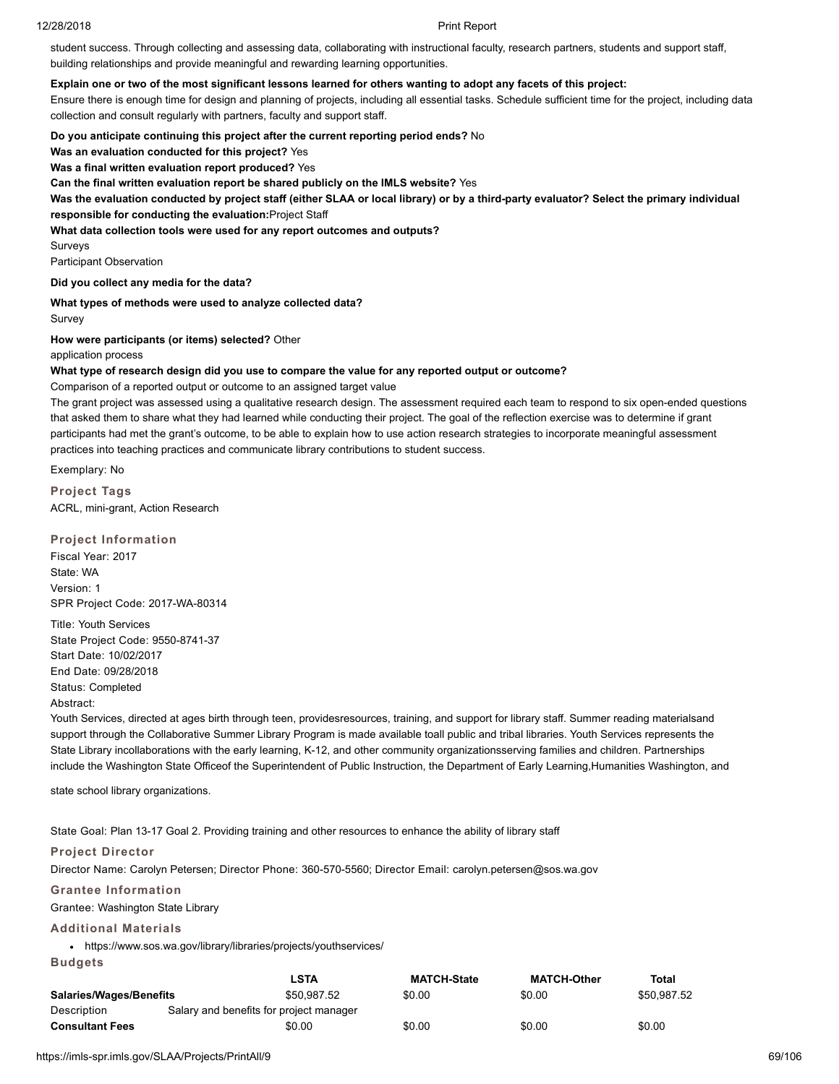student success. Through collecting and assessing data, collaborating with instructional faculty, research partners, students and support staff, building relationships and provide meaningful and rewarding learning opportunities.

### **Explain one or two of the most significant lessons learned for others wanting to adopt any facets of this project:**

Ensure there is enough time for design and planning of projects, including all essential tasks. Schedule sufficient time for the project, including data collection and consult regularly with partners, faculty and support staff.

**Do you anticipate continuing this project after the current reporting period ends?** No

**Was an evaluation conducted for this project?** Yes

**Was a final written evaluation report produced?** Yes

**Can the final written evaluation report be shared publicly on the IMLS website?** Yes

**Was the evaluation conducted by project staff (either SLAA or local library) or by a third-party evaluator? Select the primary individual responsible for conducting the evaluation:**Project Staff

**What data collection tools were used for any report outcomes and outputs?**

**Surveys** 

Participant Observation

**Did you collect any media for the data?**

**What types of methods were used to analyze collected data?** Survey

**How were participants (or items) selected?** Other

application process

### **What type of research design did you use to compare the value for any reported output or outcome?**

Comparison of a reported output or outcome to an assigned target value

The grant project was assessed using a qualitative research design. The assessment required each team to respond to six open-ended questions that asked them to share what they had learned while conducting their project. The goal of the reflection exercise was to determine if grant participants had met the grant's outcome, to be able to explain how to use action research strategies to incorporate meaningful assessment practices into teaching practices and communicate library contributions to student success.

Exemplary: No

**Project Tags** ACRL, mini-grant, Action Research

**Project Information** Fiscal Year: 2017 State: WA

Version: 1 SPR Project Code: 2017-WA-80314

Title: Youth Services State Project Code: 9550-8741-37 Start Date: 10/02/2017 End Date: 09/28/2018 Status: Completed

Abstract:

Youth Services, directed at ages birth through teen, providesresources, training, and support for library staff. Summer reading materialsand support through the Collaborative Summer Library Program is made available toall public and tribal libraries. Youth Services represents the State Library incollaborations with the early learning, K-12, and other community organizationsserving families and children. Partnerships include the Washington State Officeof the Superintendent of Public Instruction, the Department of Early Learning,Humanities Washington, and

state school library organizations.

State Goal: Plan 13-17 Goal 2. Providing training and other resources to enhance the ability of library staff

# **Project Director**

Director Name: Carolyn Petersen; Director Phone: 360-570-5560; Director Email: carolyn.petersen@sos.wa.gov

# **Grantee Information**

Grantee: Washington State Library

# **Additional Materials**

**Budgets**

https://www.sos.wa.gov/library/libraries/projects/youthservices/

|                                | LSTA                                    | <b>MATCH-State</b> | <b>MATCH-Other</b> | Total       |
|--------------------------------|-----------------------------------------|--------------------|--------------------|-------------|
| <b>Salaries/Wages/Benefits</b> | \$50.987.52                             | \$0.00             | \$0.00             | \$50.987.52 |
| Description                    | Salary and benefits for project manager |                    |                    |             |
| <b>Consultant Fees</b>         | \$0.00                                  | \$0.00             | \$0.00             | \$0.00      |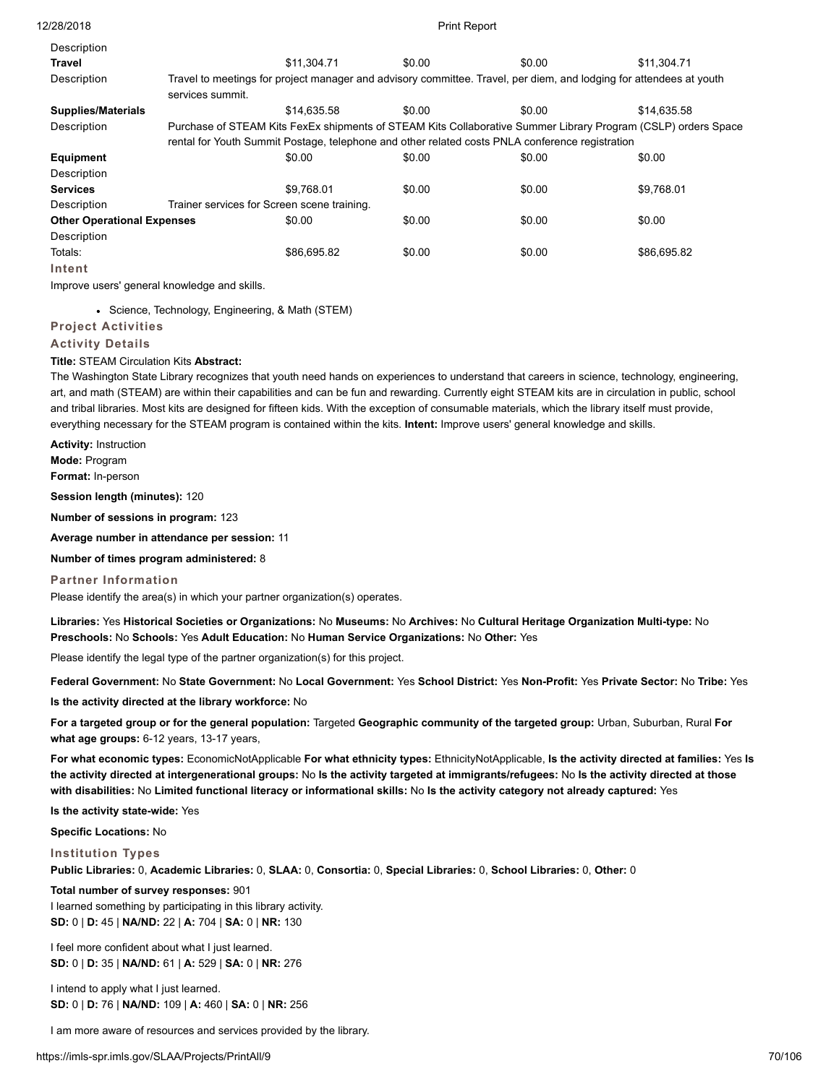| 12/28/2018                        |                  |                                             | <b>Print Report</b> |                                                                                                 |                                                                                                                     |
|-----------------------------------|------------------|---------------------------------------------|---------------------|-------------------------------------------------------------------------------------------------|---------------------------------------------------------------------------------------------------------------------|
| Description                       |                  |                                             |                     |                                                                                                 |                                                                                                                     |
| Travel                            |                  | \$11.304.71                                 | \$0.00              | \$0.00                                                                                          | \$11,304.71                                                                                                         |
| Description                       | services summit. |                                             |                     |                                                                                                 | Travel to meetings for project manager and advisory committee. Travel, per diem, and lodging for attendees at youth |
| <b>Supplies/Materials</b>         |                  | \$14.635.58                                 | \$0.00              | \$0.00                                                                                          | \$14.635.58                                                                                                         |
| Description                       |                  |                                             |                     |                                                                                                 | Purchase of STEAM Kits FexEx shipments of STEAM Kits Collaborative Summer Library Program (CSLP) orders Space       |
|                                   |                  |                                             |                     | rental for Youth Summit Postage, telephone and other related costs PNLA conference registration |                                                                                                                     |
| <b>Equipment</b>                  |                  | \$0.00                                      | \$0.00              | \$0.00                                                                                          | \$0.00                                                                                                              |
| Description                       |                  |                                             |                     |                                                                                                 |                                                                                                                     |
| <b>Services</b>                   |                  | \$9.768.01                                  | \$0.00              | \$0.00                                                                                          | \$9,768.01                                                                                                          |
| Description                       |                  | Trainer services for Screen scene training. |                     |                                                                                                 |                                                                                                                     |
| <b>Other Operational Expenses</b> |                  | \$0.00                                      | \$0.00              | \$0.00                                                                                          | \$0.00                                                                                                              |
| Description                       |                  |                                             |                     |                                                                                                 |                                                                                                                     |
| Totals:                           |                  | \$86,695.82                                 | \$0.00              | \$0.00                                                                                          | \$86,695.82                                                                                                         |
| Intent                            |                  |                                             |                     |                                                                                                 |                                                                                                                     |

Improve users' general knowledge and skills.

• Science, Technology, Engineering, & Math (STEM)

### **Project Activities**

#### **Activity Details**

# **Title:** STEAM Circulation Kits **Abstract:**

The Washington State Library recognizes that youth need hands on experiences to understand that careers in science, technology, engineering, art, and math (STEAM) are within their capabilities and can be fun and rewarding. Currently eight STEAM kits are in circulation in public, school and tribal libraries. Most kits are designed for fifteen kids. With the exception of consumable materials, which the library itself must provide, everything necessary for the STEAM program is contained within the kits. **Intent:** Improve users' general knowledge and skills.

**Activity:** Instruction

**Mode:** Program

**Format:** In-person

**Session length (minutes):** 120

**Number of sessions in program:** 123

**Average number in attendance per session:** 11

**Number of times program administered:** 8

#### **Partner Information**

Please identify the area(s) in which your partner organization(s) operates.

**Libraries:** Yes **Historical Societies or Organizations:** No **Museums:** No **Archives:** No **Cultural Heritage Organization Multi-type:** No **Preschools:** No **Schools:** Yes **Adult Education:** No **Human Service Organizations:** No **Other:** Yes

Please identify the legal type of the partner organization(s) for this project.

**Federal Government:** No **State Government:** No **Local Government:** Yes **School District:** Yes **Non-Profit:** Yes **Private Sector:** No **Tribe:** Yes

**Is the activity directed at the library workforce:** No

**For a targeted group or for the general population:** Targeted **Geographic community of the targeted group:** Urban, Suburban, Rural **For what age groups:** 6-12 years, 13-17 years,

**For what economic types:** EconomicNotApplicable **For what ethnicity types:** EthnicityNotApplicable, **Is the activity directed at families:** Yes **Is the activity directed at intergenerational groups:** No **Is the activity targeted at immigrants/refugees:** No **Is the activity directed at those with disabilities:** No **Limited functional literacy or informational skills:** No **Is the activity category not already captured:** Yes

**Is the activity state-wide:** Yes

**Specific Locations:** No

**Institution Types**

**Public Libraries:** 0, **Academic Libraries:** 0, **SLAA:** 0, **Consortia:** 0, **Special Libraries:** 0, **School Libraries:** 0, **Other:** 0

**Total number of survey responses:** 901 I learned something by participating in this library activity. **SD:** 0 | **D:** 45 | **NA/ND:** 22 | **A:** 704 | **SA:** 0 | **NR:** 130

I feel more confident about what I just learned. **SD:** 0 | **D:** 35 | **NA/ND:** 61 | **A:** 529 | **SA:** 0 | **NR:** 276

I intend to apply what I just learned. **SD:** 0 | **D:** 76 | **NA/ND:** 109 | **A:** 460 | **SA:** 0 | **NR:** 256

I am more aware of resources and services provided by the library.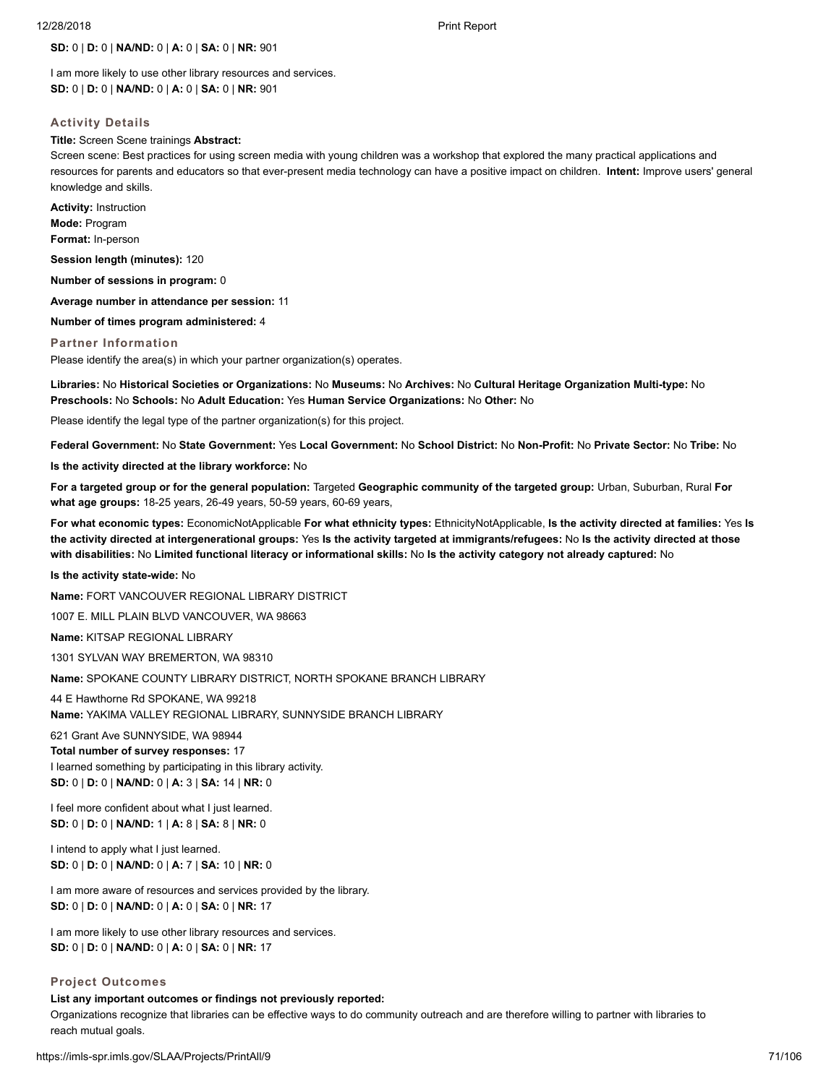# **SD:** 0 | **D:** 0 | **NA/ND:** 0 | **A:** 0 | **SA:** 0 | **NR:** 901

I am more likely to use other library resources and services. **SD:** 0 | **D:** 0 | **NA/ND:** 0 | **A:** 0 | **SA:** 0 | **NR:** 901

### **Activity Details**

#### **Title:** Screen Scene trainings **Abstract:**

Screen scene: Best practices for using screen media with young children was a workshop that explored the many practical applications and resources for parents and educators so that ever-present media technology can have a positive impact on children. **Intent:** Improve users' general knowledge and skills.

**Activity:** Instruction **Mode:** Program **Format:** In-person

**Session length (minutes):** 120

**Number of sessions in program:** 0

**Average number in attendance per session:** 11

**Number of times program administered:** 4

#### **Partner Information**

Please identify the area(s) in which your partner organization(s) operates.

**Libraries:** No **Historical Societies or Organizations:** No **Museums:** No **Archives:** No **Cultural Heritage Organization Multi-type:** No **Preschools:** No **Schools:** No **Adult Education:** Yes **Human Service Organizations:** No **Other:** No

Please identify the legal type of the partner organization(s) for this project.

**Federal Government:** No **State Government:** Yes **Local Government:** No **School District:** No **Non-Profit:** No **Private Sector:** No **Tribe:** No

**Is the activity directed at the library workforce:** No

**For a targeted group or for the general population:** Targeted **Geographic community of the targeted group:** Urban, Suburban, Rural **For what age groups:** 18-25 years, 26-49 years, 50-59 years, 60-69 years,

**For what economic types:** EconomicNotApplicable **For what ethnicity types:** EthnicityNotApplicable, **Is the activity directed at families:** Yes **Is the activity directed at intergenerational groups:** Yes **Is the activity targeted at immigrants/refugees:** No **Is the activity directed at those with disabilities:** No **Limited functional literacy or informational skills:** No **Is the activity category not already captured:** No

**Is the activity state-wide:** No

**Name:** FORT VANCOUVER REGIONAL LIBRARY DISTRICT

1007 E. MILL PLAIN BLVD VANCOUVER, WA 98663

**Name:** KITSAP REGIONAL LIBRARY

1301 SYLVAN WAY BREMERTON, WA 98310

**Name:** SPOKANE COUNTY LIBRARY DISTRICT, NORTH SPOKANE BRANCH LIBRARY

44 E Hawthorne Rd SPOKANE, WA 99218 **Name:** YAKIMA VALLEY REGIONAL LIBRARY, SUNNYSIDE BRANCH LIBRARY

621 Grant Ave SUNNYSIDE, WA 98944

**Total number of survey responses:** 17 I learned something by participating in this library activity. **SD:** 0 | **D:** 0 | **NA/ND:** 0 | **A:** 3 | **SA:** 14 | **NR:** 0

I feel more confident about what I just learned. **SD:** 0 | **D:** 0 | **NA/ND:** 1 | **A:** 8 | **SA:** 8 | **NR:** 0

I intend to apply what I just learned. **SD:** 0 | **D:** 0 | **NA/ND:** 0 | **A:** 7 | **SA:** 10 | **NR:** 0

I am more aware of resources and services provided by the library. **SD:** 0 | **D:** 0 | **NA/ND:** 0 | **A:** 0 | **SA:** 0 | **NR:** 17

I am more likely to use other library resources and services. **SD:** 0 | **D:** 0 | **NA/ND:** 0 | **A:** 0 | **SA:** 0 | **NR:** 17

#### **Project Outcomes**

### **List any important outcomes or findings not previously reported:**

Organizations recognize that libraries can be effective ways to do community outreach and are therefore willing to partner with libraries to reach mutual goals.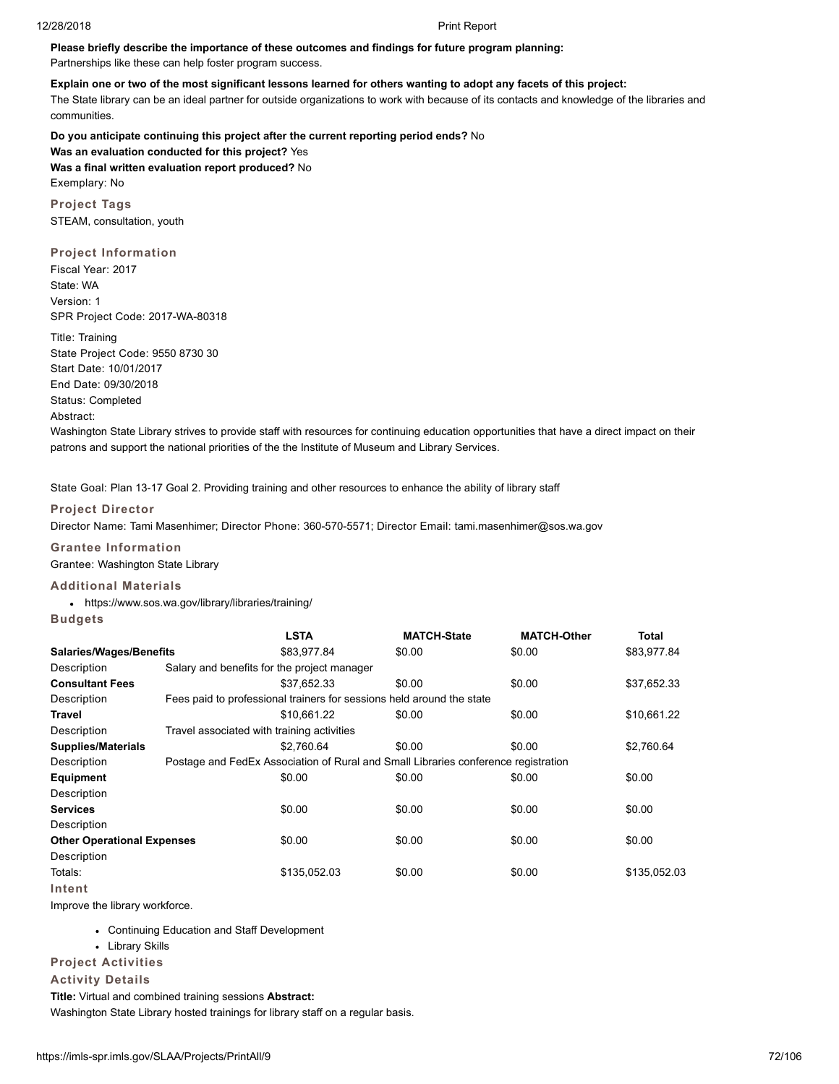# **Please briefly describe the importance of these outcomes and findings for future program planning:**

Partnerships like these can help foster program success.

# **Explain one or two of the most significant lessons learned for others wanting to adopt any facets of this project:**

The State library can be an ideal partner for outside organizations to work with because of its contacts and knowledge of the libraries and communities.

**Do you anticipate continuing this project after the current reporting period ends?** No **Was an evaluation conducted for this project?** Yes **Was a final written evaluation report produced?** No Exemplary: No

**Project Tags** STEAM, consultation, youth

# **Project Information**

Fiscal Year: 2017 State: WA Version: 1 SPR Project Code: 2017-WA-80318

Title: Training State Project Code: 9550 8730 30 Start Date: 10/01/2017 End Date: 09/30/2018 Status: Completed Abstract:

Washington State Library strives to provide staff with resources for continuing education opportunities that have a direct impact on their patrons and support the national priorities of the the Institute of Museum and Library Services.

State Goal: Plan 13-17 Goal 2. Providing training and other resources to enhance the ability of library staff

# **Project Director**

Director Name: Tami Masenhimer; Director Phone: 360-570-5571; Director Email: tami.masenhimer@sos.wa.gov

# **Grantee Information**

Grantee: Washington State Library

# **Additional Materials**

https://www.sos.wa.gov/library/libraries/training/

| Budgets |  |  |  |  |  |
|---------|--|--|--|--|--|

|                                   | <b>LSTA</b>                                                                        | <b>MATCH-State</b> | <b>MATCH-Other</b> | Total        |
|-----------------------------------|------------------------------------------------------------------------------------|--------------------|--------------------|--------------|
| Salaries/Wages/Benefits           | \$83.977.84                                                                        | \$0.00             | \$0.00             | \$83,977.84  |
| Description                       | Salary and benefits for the project manager                                        |                    |                    |              |
| <b>Consultant Fees</b>            | \$37.652.33                                                                        | \$0.00             | \$0.00             | \$37,652.33  |
| Description                       | Fees paid to professional trainers for sessions held around the state              |                    |                    |              |
| Travel                            | \$10,661.22                                                                        | \$0.00             | \$0.00             | \$10,661.22  |
| Description                       | Travel associated with training activities                                         |                    |                    |              |
| <b>Supplies/Materials</b>         | \$2.760.64                                                                         | \$0.00             | \$0.00             | \$2,760.64   |
| Description                       | Postage and FedEx Association of Rural and Small Libraries conference registration |                    |                    |              |
| Equipment                         | \$0.00                                                                             | \$0.00             | \$0.00             | \$0.00       |
| Description                       |                                                                                    |                    |                    |              |
| <b>Services</b>                   | \$0.00                                                                             | \$0.00             | \$0.00             | \$0.00       |
| Description                       |                                                                                    |                    |                    |              |
| <b>Other Operational Expenses</b> | \$0.00                                                                             | \$0.00             | \$0.00             | \$0.00       |
| Description                       |                                                                                    |                    |                    |              |
| Totals:                           | \$135,052.03                                                                       | \$0.00             | \$0.00             | \$135,052.03 |
| Intent                            |                                                                                    |                    |                    |              |

Improve the library workforce.

- Continuing Education and Staff Development
- Library Skills
- **Project Activities**

# **Activity Details**

**Title:** Virtual and combined training sessions **Abstract:**

Washington State Library hosted trainings for library staff on a regular basis.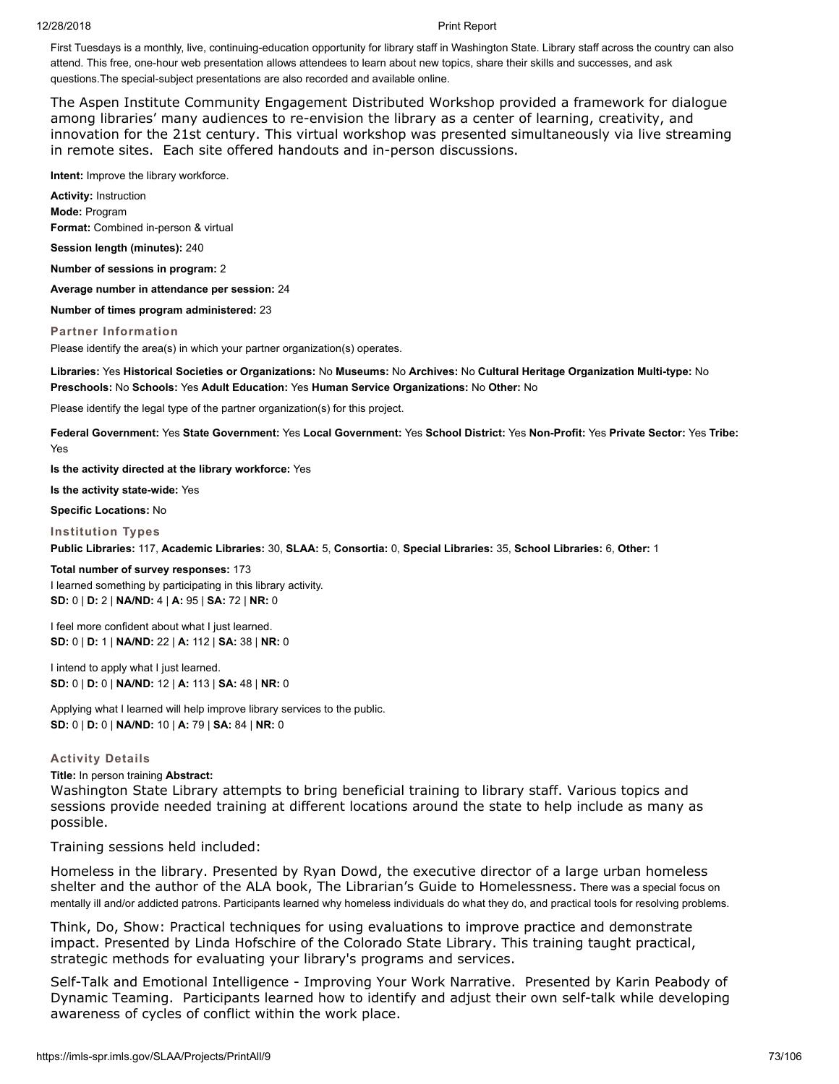First Tuesdays is a monthly, live, continuing-education opportunity for library staff in Washington State. Library staff across the country can also attend. This free, one-hour web presentation allows attendees to learn about new topics, share their skills and successes, and ask questions.The special-subject presentations are also recorded and available online.

The Aspen Institute Community Engagement Distributed Workshop provided a framework for dialogue among libraries' many audiences to re-envision the library as a center of learning, creativity, and innovation for the 21st century. This virtual workshop was presented simultaneously via live streaming in remote sites. Each site offered handouts and in-person discussions.

**Intent:** Improve the library workforce.

**Activity:** Instruction **Mode:** Program **Format:** Combined in-person & virtual

**Session length (minutes):** 240

**Number of sessions in program:** 2

**Average number in attendance per session:** 24

**Number of times program administered:** 23

# **Partner Information**

Please identify the area(s) in which your partner organization(s) operates.

**Libraries:** Yes **Historical Societies or Organizations:** No **Museums:** No **Archives:** No **Cultural Heritage Organization Multi-type:** No **Preschools:** No **Schools:** Yes **Adult Education:** Yes **Human Service Organizations:** No **Other:** No

Please identify the legal type of the partner organization(s) for this project.

**Federal Government:** Yes **State Government:** Yes **Local Government:** Yes **School District:** Yes **Non-Profit:** Yes **Private Sector:** Yes **Tribe:** Yes

**Is the activity directed at the library workforce:** Yes

**Is the activity state-wide:** Yes

**Specific Locations:** No

# **Institution Types**

**Public Libraries:** 117, **Academic Libraries:** 30, **SLAA:** 5, **Consortia:** 0, **Special Libraries:** 35, **School Libraries:** 6, **Other:** 1

# **Total number of survey responses:** 173

I learned something by participating in this library activity. **SD:** 0 | **D:** 2 | **NA/ND:** 4 | **A:** 95 | **SA:** 72 | **NR:** 0

I feel more confident about what I just learned. **SD:** 0 | **D:** 1 | **NA/ND:** 22 | **A:** 112 | **SA:** 38 | **NR:** 0

I intend to apply what I just learned. **SD:** 0 | **D:** 0 | **NA/ND:** 12 | **A:** 113 | **SA:** 48 | **NR:** 0

Applying what I learned will help improve library services to the public. **SD:** 0 | **D:** 0 | **NA/ND:** 10 | **A:** 79 | **SA:** 84 | **NR:** 0

# **Activity Details**

**Title:** In person training **Abstract:**

Washington State Library attempts to bring beneficial training to library staff. Various topics and sessions provide needed training at different locations around the state to help include as many as possible.

Training sessions held included:

Homeless in the library. Presented by Ryan Dowd, the executive director of a large urban homeless shelter and the author of the ALA book, The Librarian's Guide to Homelessness. There was a special focus on mentally ill and/or addicted patrons. Participants learned why homeless individuals do what they do, and practical tools for resolving problems.

Think, Do, Show: Practical techniques for using evaluations to improve practice and demonstrate impact. Presented by Linda Hofschire of the Colorado State Library. This training taught practical, strategic methods for evaluating your library's programs and services.

Self-Talk and Emotional Intelligence - Improving Your Work Narrative. Presented by Karin Peabody of Dynamic Teaming. Participants learned how to identify and adjust their own self-talk while developing awareness of cycles of conflict within the work place.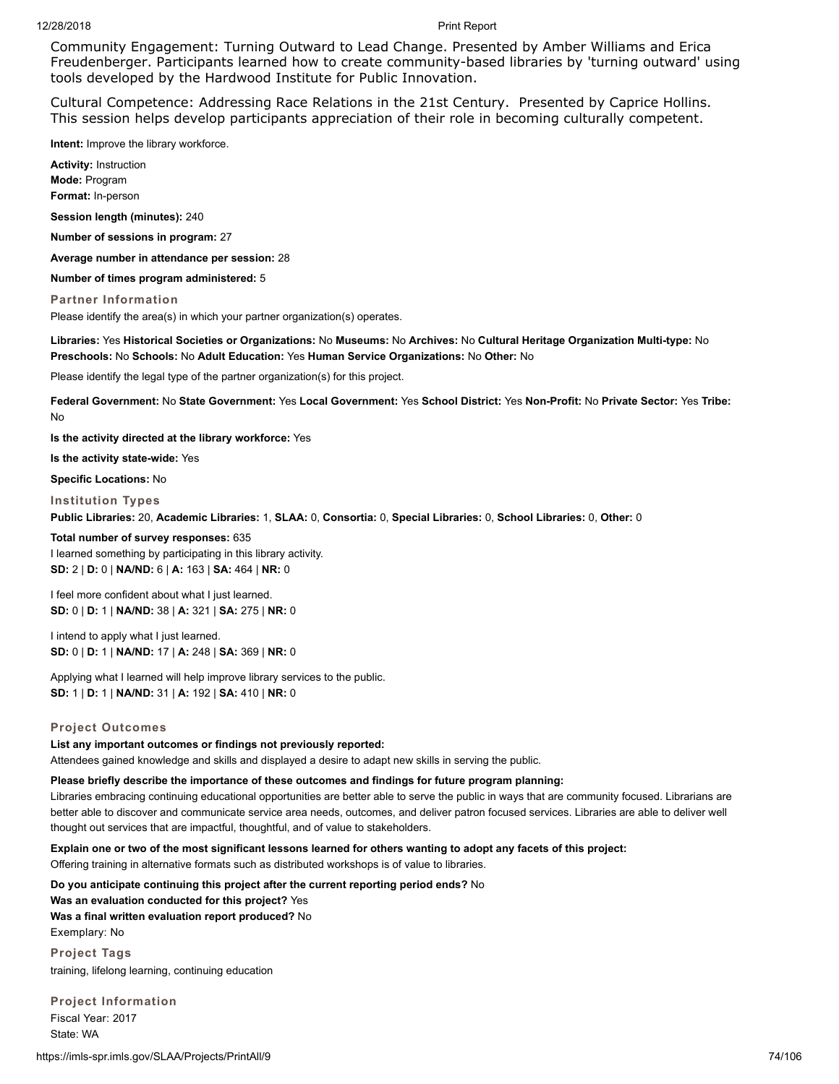Community Engagement: Turning Outward to Lead Change. Presented by Amber Williams and Erica Freudenberger. Participants learned how to create community-based libraries by 'turning outward' using tools developed by the Hardwood Institute for Public Innovation.

Cultural Competence: Addressing Race Relations in the 21st Century. Presented by Caprice Hollins. This session helps develop participants appreciation of their role in becoming culturally competent.

**Intent:** Improve the library workforce.

**Activity:** Instruction **Mode:** Program **Format:** In-person

**Session length (minutes):** 240

**Number of sessions in program:** 27

**Average number in attendance per session:** 28

**Number of times program administered:** 5

**Partner Information**

Please identify the area(s) in which your partner organization(s) operates.

**Libraries:** Yes **Historical Societies or Organizations:** No **Museums:** No **Archives:** No **Cultural Heritage Organization Multi-type:** No **Preschools:** No **Schools:** No **Adult Education:** Yes **Human Service Organizations:** No **Other:** No

Please identify the legal type of the partner organization(s) for this project.

**Federal Government:** No **State Government:** Yes **Local Government:** Yes **School District:** Yes **Non-Profit:** No **Private Sector:** Yes **Tribe:** No

**Is the activity directed at the library workforce:** Yes

**Is the activity state-wide:** Yes

**Specific Locations:** No

**Institution Types**

**Public Libraries:** 20, **Academic Libraries:** 1, **SLAA:** 0, **Consortia:** 0, **Special Libraries:** 0, **School Libraries:** 0, **Other:** 0

**Total number of survey responses:** 635 I learned something by participating in this library activity. **SD:** 2 | **D:** 0 | **NA/ND:** 6 | **A:** 163 | **SA:** 464 | **NR:** 0

I feel more confident about what I just learned. **SD:** 0 | **D:** 1 | **NA/ND:** 38 | **A:** 321 | **SA:** 275 | **NR:** 0

I intend to apply what I just learned. **SD:** 0 | **D:** 1 | **NA/ND:** 17 | **A:** 248 | **SA:** 369 | **NR:** 0

Applying what I learned will help improve library services to the public. **SD:** 1 | **D:** 1 | **NA/ND:** 31 | **A:** 192 | **SA:** 410 | **NR:** 0

### **Project Outcomes**

### **List any important outcomes or findings not previously reported:**

Attendees gained knowledge and skills and displayed a desire to adapt new skills in serving the public.

### **Please briefly describe the importance of these outcomes and findings for future program planning:**

Libraries embracing continuing educational opportunities are better able to serve the public in ways that are community focused. Librarians are better able to discover and communicate service area needs, outcomes, and deliver patron focused services. Libraries are able to deliver well thought out services that are impactful, thoughtful, and of value to stakeholders.

**Explain one or two of the most significant lessons learned for others wanting to adopt any facets of this project:**

Offering training in alternative formats such as distributed workshops is of value to libraries.

**Do you anticipate continuing this project after the current reporting period ends?** No **Was an evaluation conducted for this project?** Yes **Was a final written evaluation report produced?** No Exemplary: No

**Project Tags** training, lifelong learning, continuing education

**Project Information** Fiscal Year: 2017 State: WA

https://imls-spr.imls.gov/SLAA/Projects/PrintAll/9 74/106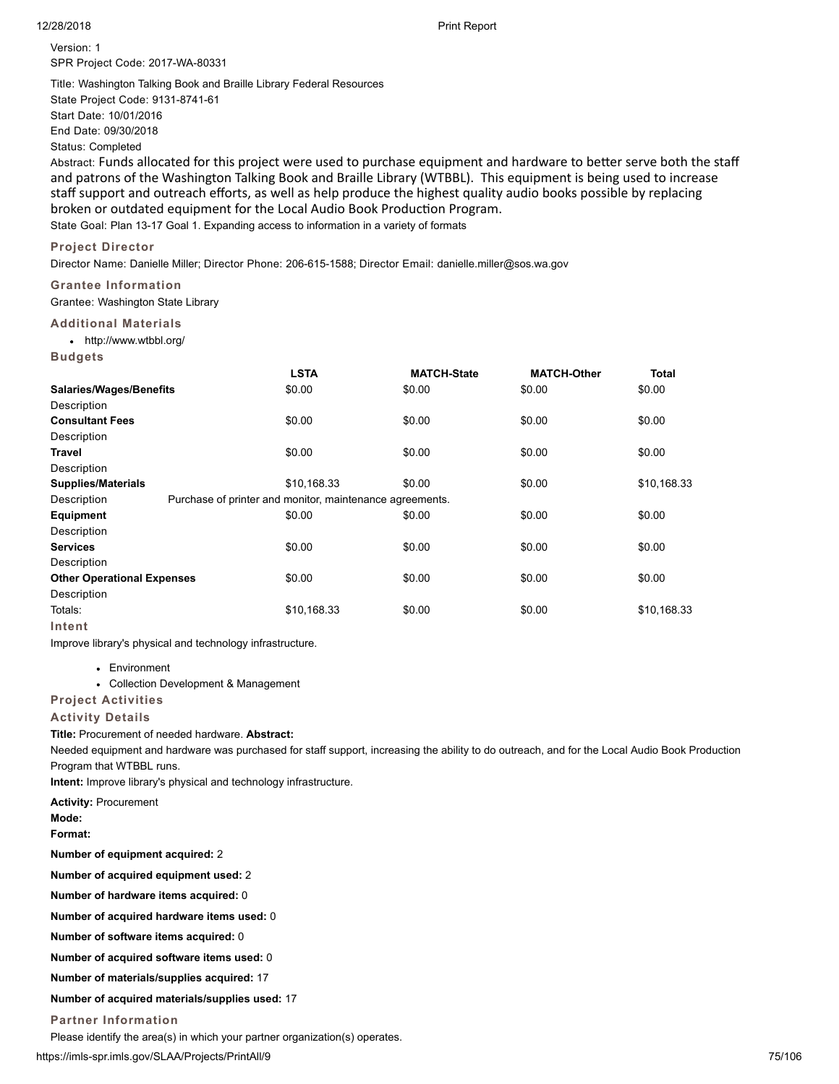Version: 1 SPR Project Code: 2017-WA-80331

Title: Washington Talking Book and Braille Library Federal Resources State Project Code: 9131-8741-61 Start Date: 10/01/2016 End Date: 09/30/2018 Status: Completed

Abstract: Funds allocated for this project were used to purchase equipment and hardware to better serve both the staff and patrons of the Washington Talking Book and Braille Library (WTBBL). This equipment is being used to increase staff support and outreach efforts, as well as help produce the highest quality audio books possible by replacing broken or outdated equipment for the Local Audio Book Production Program. State Goal: Plan 13-17 Goal 1. Expanding access to information in a variety of formats

### **Project Director**

Director Name: Danielle Miller; Director Phone: 206-615-1588; Director Email: danielle.miller@sos.wa.gov

# **Grantee Information**

Grantee: Washington State Library

# **Additional Materials**

http://www.wtbbl.org/

**Budgets**

|                                   | <b>LSTA</b>                                              | <b>MATCH-State</b> | <b>MATCH-Other</b> | Total       |
|-----------------------------------|----------------------------------------------------------|--------------------|--------------------|-------------|
| <b>Salaries/Wages/Benefits</b>    | \$0.00                                                   | \$0.00             | \$0.00             | \$0.00      |
| Description                       |                                                          |                    |                    |             |
| <b>Consultant Fees</b>            | \$0.00                                                   | \$0.00             | \$0.00             | \$0.00      |
| Description                       |                                                          |                    |                    |             |
| Travel                            | \$0.00                                                   | \$0.00             | \$0.00             | \$0.00      |
| Description                       |                                                          |                    |                    |             |
| <b>Supplies/Materials</b>         | \$10,168.33                                              | \$0.00             | \$0.00             | \$10,168.33 |
| Description                       | Purchase of printer and monitor, maintenance agreements. |                    |                    |             |
| <b>Equipment</b>                  | \$0.00                                                   | \$0.00             | \$0.00             | \$0.00      |
| Description                       |                                                          |                    |                    |             |
| <b>Services</b>                   | \$0.00                                                   | \$0.00             | \$0.00             | \$0.00      |
| Description                       |                                                          |                    |                    |             |
| <b>Other Operational Expenses</b> | \$0.00                                                   | \$0.00             | \$0.00             | \$0.00      |
| Description                       |                                                          |                    |                    |             |
| Totals:                           | \$10,168.33                                              | \$0.00             | \$0.00             | \$10,168.33 |
| Intent                            |                                                          |                    |                    |             |

Improve library's physical and technology infrastructure.

- Environment
- Collection Development & Management

# **Project Activities**

### **Activity Details**

**Title:** Procurement of needed hardware. **Abstract:**

Needed equipment and hardware was purchased for staff support, increasing the ability to do outreach, and for the Local Audio Book Production Program that WTBBL runs.

**Intent:** Improve library's physical and technology infrastructure.

**Activity:** Procurement

**Mode:**

**Format:**

**Number of equipment acquired:** 2

**Number of acquired equipment used:** 2

**Number of hardware items acquired:** 0

**Number of acquired hardware items used:** 0

**Number of software items acquired:** 0

**Number of acquired software items used:** 0

**Number of materials/supplies acquired:** 17

# **Number of acquired materials/supplies used:** 17

### **Partner Information**

Please identify the area(s) in which your partner organization(s) operates.

https://imls-spr.imls.gov/SLAA/Projects/PrintAll/9 75/106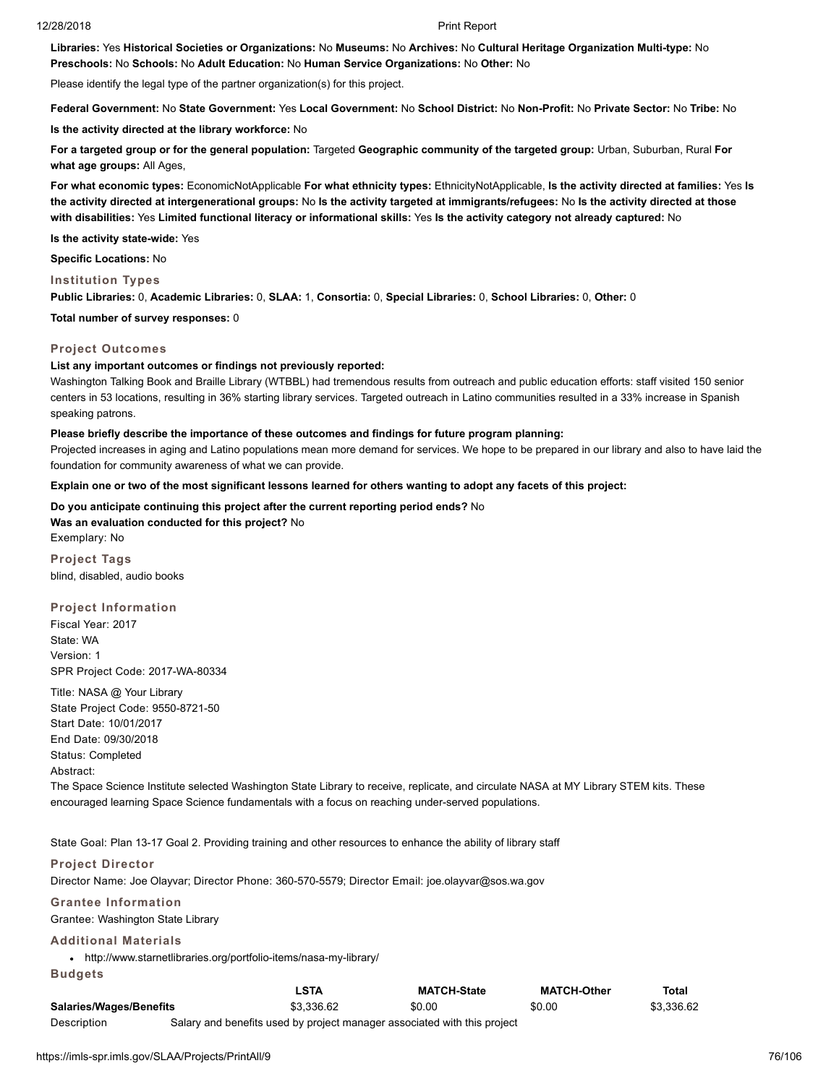**Libraries:** Yes **Historical Societies or Organizations:** No **Museums:** No **Archives:** No **Cultural Heritage Organization Multi-type:** No **Preschools:** No **Schools:** No **Adult Education:** No **Human Service Organizations:** No **Other:** No

Please identify the legal type of the partner organization(s) for this project.

**Federal Government:** No **State Government:** Yes **Local Government:** No **School District:** No **Non-Profit:** No **Private Sector:** No **Tribe:** No

**Is the activity directed at the library workforce:** No

**For a targeted group or for the general population:** Targeted **Geographic community of the targeted group:** Urban, Suburban, Rural **For what age groups:** All Ages,

**For what economic types:** EconomicNotApplicable **For what ethnicity types:** EthnicityNotApplicable, **Is the activity directed at families:** Yes **Is the activity directed at intergenerational groups:** No **Is the activity targeted at immigrants/refugees:** No **Is the activity directed at those with disabilities:** Yes **Limited functional literacy or informational skills:** Yes **Is the activity category not already captured:** No

**Is the activity state-wide:** Yes

**Specific Locations:** No

**Institution Types**

**Public Libraries:** 0, **Academic Libraries:** 0, **SLAA:** 1, **Consortia:** 0, **Special Libraries:** 0, **School Libraries:** 0, **Other:** 0

**Total number of survey responses:** 0

### **Project Outcomes**

### **List any important outcomes or findings not previously reported:**

Washington Talking Book and Braille Library (WTBBL) had tremendous results from outreach and public education efforts: staff visited 150 senior centers in 53 locations, resulting in 36% starting library services. Targeted outreach in Latino communities resulted in a 33% increase in Spanish speaking patrons.

### **Please briefly describe the importance of these outcomes and findings for future program planning:**

Projected increases in aging and Latino populations mean more demand for services. We hope to be prepared in our library and also to have laid the foundation for community awareness of what we can provide.

**Explain one or two of the most significant lessons learned for others wanting to adopt any facets of this project:**

**Do you anticipate continuing this project after the current reporting period ends?** No **Was an evaluation conducted for this project?** No Exemplary: No

**Project Tags** blind, disabled, audio books

**Project Information** Fiscal Year: 2017 State: WA Version: 1 SPR Project Code: 2017-WA-80334

Title: NASA @ Your Library State Project Code: 9550-8721-50 Start Date: 10/01/2017 End Date: 09/30/2018 Status: Completed Abstract:

The Space Science Institute selected Washington State Library to receive, replicate, and circulate NASA at MY Library STEM kits. These encouraged learning Space Science fundamentals with a focus on reaching under-served populations.

State Goal: Plan 13-17 Goal 2. Providing training and other resources to enhance the ability of library staff

### **Project Director**

Director Name: Joe Olayvar; Director Phone: 360-570-5579; Director Email: joe.olayvar@sos.wa.gov

**Grantee Information**

Grantee: Washington State Library

### **Additional Materials**

http://www.starnetlibraries.org/portfolio-items/nasa-my-library/

**Budgets**

|                                | LSTA                                                                     | <b>MATCH-State</b> | <b>MATCH-Other</b> | Total      |
|--------------------------------|--------------------------------------------------------------------------|--------------------|--------------------|------------|
| <b>Salaries/Wages/Benefits</b> | \$3.336.62                                                               | \$0.00             | \$0.00             | \$3.336.62 |
| Description                    | Salary and benefits used by project manager associated with this project |                    |                    |            |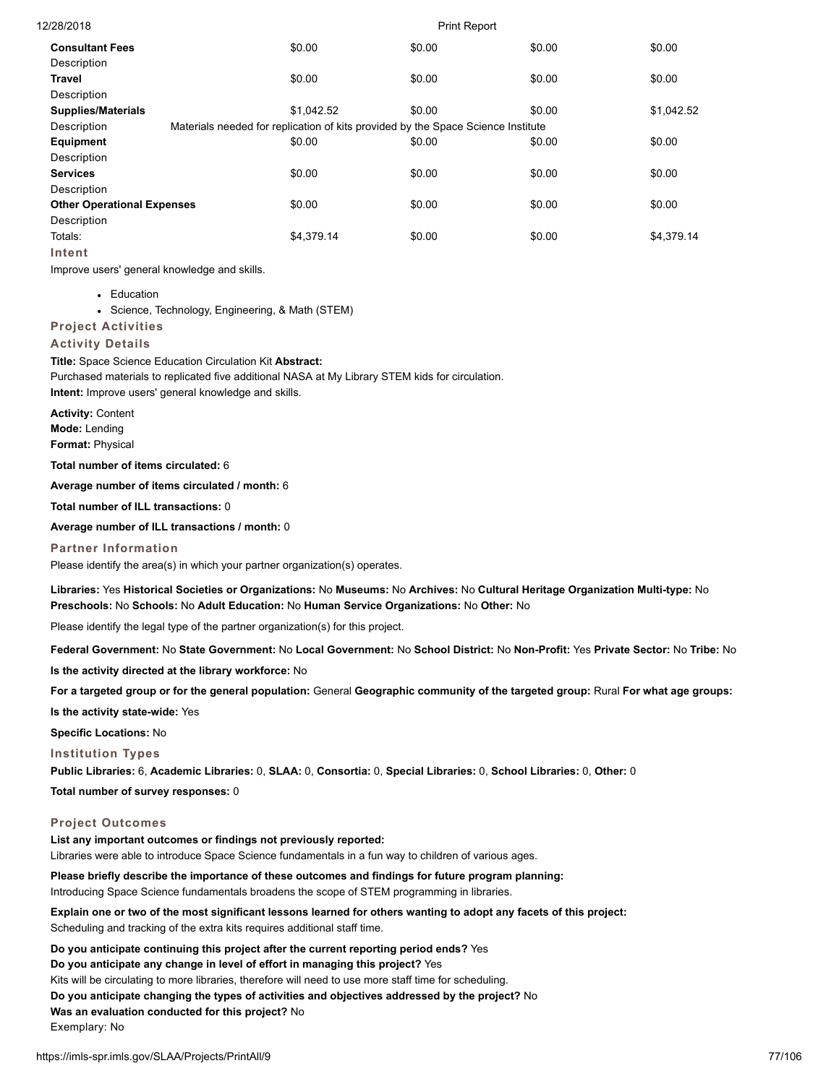| 12/28/2018                        |                                                                                  | <b>Print Report</b> |        |            |
|-----------------------------------|----------------------------------------------------------------------------------|---------------------|--------|------------|
| <b>Consultant Fees</b>            | \$0.00                                                                           | \$0.00              | \$0.00 | \$0.00     |
| Description                       |                                                                                  |                     |        |            |
| <b>Travel</b>                     | \$0.00                                                                           | \$0.00              | \$0.00 | \$0.00     |
| Description                       |                                                                                  |                     |        |            |
| <b>Supplies/Materials</b>         | \$1,042.52                                                                       | \$0.00              | \$0.00 | \$1,042.52 |
| Description                       | Materials needed for replication of kits provided by the Space Science Institute |                     |        |            |
| Equipment                         | \$0.00                                                                           | \$0.00              | \$0.00 | \$0.00     |
| Description                       |                                                                                  |                     |        |            |
| <b>Services</b>                   | \$0.00                                                                           | \$0.00              | \$0.00 | \$0.00     |
| Description                       |                                                                                  |                     |        |            |
| <b>Other Operational Expenses</b> | \$0.00                                                                           | \$0.00              | \$0.00 | \$0.00     |
| Description                       |                                                                                  |                     |        |            |
| Totals:                           | \$4.379.14                                                                       | \$0.00              | \$0.00 | \$4.379.14 |
| Intent                            |                                                                                  |                     |        |            |

Improve users' general knowledge and skills.

• Education

Science, Technology, Engineering, & Math (STEM)

**Project Activities**

### **Activity Details**

**Title:** Space Science Education Circulation Kit **Abstract:** Purchased materials to replicated five additional NASA at My Library STEM kids for circulation. **Intent:** Improve users' general knowledge and skills.

**Activity:** Content

**Mode:** Lending

**Format:** Physical

**Total number of items circulated:** 6

**Average number of items circulated / month:** 6

**Total number of ILL transactions:** 0

**Average number of ILL transactions / month:** 0

**Partner Information**

Please identify the area(s) in which your partner organization(s) operates.

**Libraries:** Yes **Historical Societies or Organizations:** No **Museums:** No **Archives:** No **Cultural Heritage Organization Multi-type:** No **Preschools:** No **Schools:** No **Adult Education:** No **Human Service Organizations:** No **Other:** No

Please identify the legal type of the partner organization(s) for this project.

**Federal Government:** No **State Government:** No **Local Government:** No **School District:** No **Non-Profit:** Yes **Private Sector:** No **Tribe:** No

**Is the activity directed at the library workforce:** No

**For a targeted group or for the general population:** General **Geographic community of the targeted group:** Rural **For what age groups:**

**Is the activity state-wide:** Yes

**Specific Locations:** No

### **Institution Types**

**Public Libraries:** 6, **Academic Libraries:** 0, **SLAA:** 0, **Consortia:** 0, **Special Libraries:** 0, **School Libraries:** 0, **Other:** 0

**Total number of survey responses:** 0

### **Project Outcomes**

**List any important outcomes or findings not previously reported:** Libraries were able to introduce Space Science fundamentals in a fun way to children of various ages.

**Please briefly describe the importance of these outcomes and findings for future program planning:**

Introducing Space Science fundamentals broadens the scope of STEM programming in libraries.

**Explain one or two of the most significant lessons learned for others wanting to adopt any facets of this project:** Scheduling and tracking of the extra kits requires additional staff time.

**Do you anticipate continuing this project after the current reporting period ends?** Yes

**Do you anticipate any change in level of effort in managing this project?** Yes

Kits will be circulating to more libraries, therefore will need to use more staff time for scheduling.

**Do you anticipate changing the types of activities and objectives addressed by the project?** No

**Was an evaluation conducted for this project?** No

Exemplary: No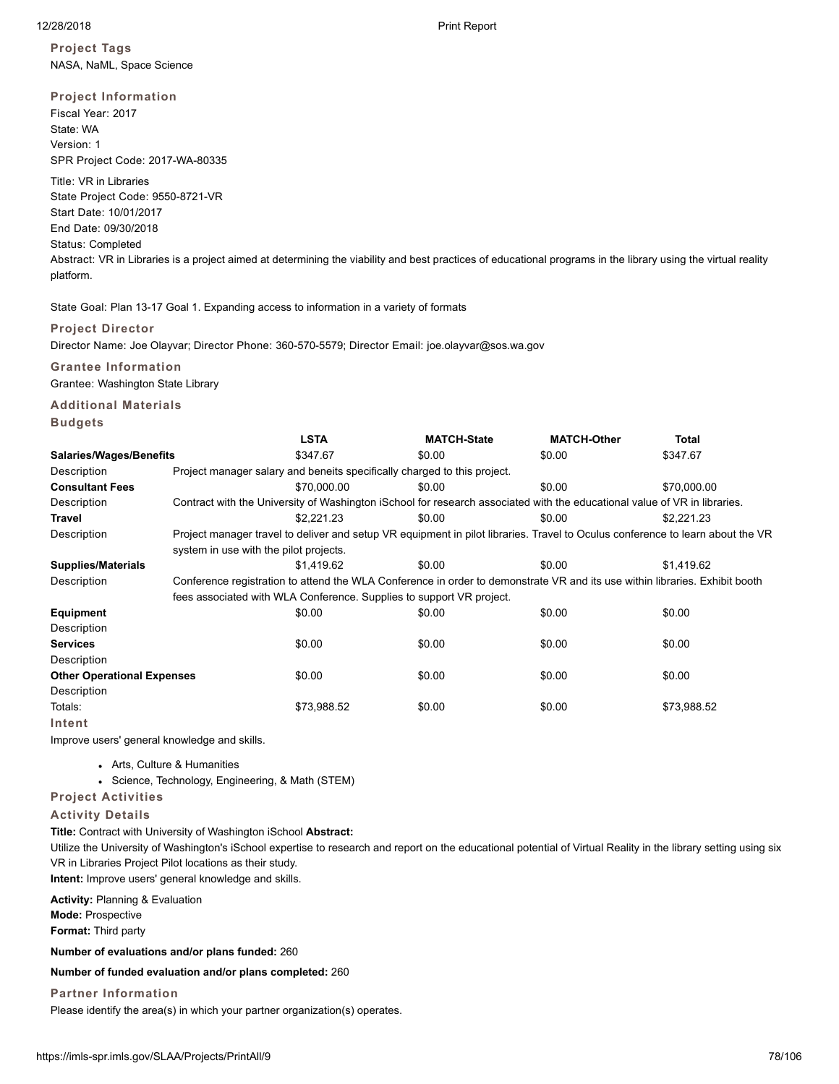**Project Tags** NASA, NaML, Space Science

### **Project Information**

Fiscal Year: 2017 State: WA Version: 1 SPR Project Code: 2017-WA-80335

Title: VR in Libraries State Project Code: 9550-8721-VR Start Date: 10/01/2017 End Date: 09/30/2018 Status: Completed Abstract: VR in Libraries is a project aimed at determining the viability and best practices of educational programs in the library using the virtual reality

platform.

State Goal: Plan 13-17 Goal 1. Expanding access to information in a variety of formats

### **Project Director**

Director Name: Joe Olayvar; Director Phone: 360-570-5579; Director Email: joe.olayvar@sos.wa.gov

### **Grantee Information**

Grantee: Washington State Library

# **Additional Materials**

**Budgets**

|                                   |                                                                                                                             | <b>LSTA</b>                                                              | <b>MATCH-State</b> | <b>MATCH-Other</b>                                                                                                             | Total       |  |  |  |  |
|-----------------------------------|-----------------------------------------------------------------------------------------------------------------------------|--------------------------------------------------------------------------|--------------------|--------------------------------------------------------------------------------------------------------------------------------|-------------|--|--|--|--|
| <b>Salaries/Wages/Benefits</b>    |                                                                                                                             | \$347.67                                                                 | \$0.00             | \$0.00                                                                                                                         | \$347.67    |  |  |  |  |
| Description                       |                                                                                                                             | Project manager salary and beneits specifically charged to this project. |                    |                                                                                                                                |             |  |  |  |  |
| <b>Consultant Fees</b>            |                                                                                                                             | \$70,000.00                                                              | \$0.00             | \$0.00                                                                                                                         | \$70,000.00 |  |  |  |  |
| Description                       |                                                                                                                             |                                                                          |                    | Contract with the University of Washington iSchool for research associated with the educational value of VR in libraries.      |             |  |  |  |  |
| Travel                            |                                                                                                                             | \$2,221.23                                                               | \$0.00             | \$0.00                                                                                                                         | \$2,221.23  |  |  |  |  |
| Description                       |                                                                                                                             |                                                                          |                    | Project manager travel to deliver and setup VR equipment in pilot libraries. Travel to Oculus conference to learn about the VR |             |  |  |  |  |
|                                   | system in use with the pilot projects.                                                                                      |                                                                          |                    |                                                                                                                                |             |  |  |  |  |
| <b>Supplies/Materials</b>         |                                                                                                                             | \$1.419.62                                                               | \$0.00             | \$0.00                                                                                                                         | \$1,419.62  |  |  |  |  |
| Description                       | Conference registration to attend the WLA Conference in order to demonstrate VR and its use within libraries. Exhibit booth |                                                                          |                    |                                                                                                                                |             |  |  |  |  |
|                                   |                                                                                                                             | fees associated with WLA Conference. Supplies to support VR project.     |                    |                                                                                                                                |             |  |  |  |  |
| Equipment                         |                                                                                                                             | \$0.00                                                                   | \$0.00             | \$0.00                                                                                                                         | \$0.00      |  |  |  |  |
| Description                       |                                                                                                                             |                                                                          |                    |                                                                                                                                |             |  |  |  |  |
| <b>Services</b>                   |                                                                                                                             | \$0.00                                                                   | \$0.00             | \$0.00                                                                                                                         | \$0.00      |  |  |  |  |
| Description                       |                                                                                                                             |                                                                          |                    |                                                                                                                                |             |  |  |  |  |
| <b>Other Operational Expenses</b> |                                                                                                                             | \$0.00                                                                   | \$0.00             | \$0.00                                                                                                                         | \$0.00      |  |  |  |  |
| Description                       |                                                                                                                             |                                                                          |                    |                                                                                                                                |             |  |  |  |  |
| Totals:                           |                                                                                                                             | \$73,988.52                                                              | \$0.00             | \$0.00                                                                                                                         | \$73,988.52 |  |  |  |  |
| Intent                            |                                                                                                                             |                                                                          |                    |                                                                                                                                |             |  |  |  |  |

Improve users' general knowledge and skills.

- Arts, Culture & Humanities
- Science, Technology, Engineering, & Math (STEM)

**Project Activities**

### **Activity Details**

**Title:** Contract with University of Washington iSchool **Abstract:** Utilize the University of Washington's iSchool expertise to research and report on the educational potential of Virtual Reality in the library setting using six VR in Libraries Project Pilot locations as their study.

**Intent:** Improve users' general knowledge and skills.

**Activity:** Planning & Evaluation **Mode:** Prospective **Format:** Third party

**Number of evaluations and/or plans funded:** 260

**Number of funded evaluation and/or plans completed:** 260

**Partner Information**

Please identify the area(s) in which your partner organization(s) operates.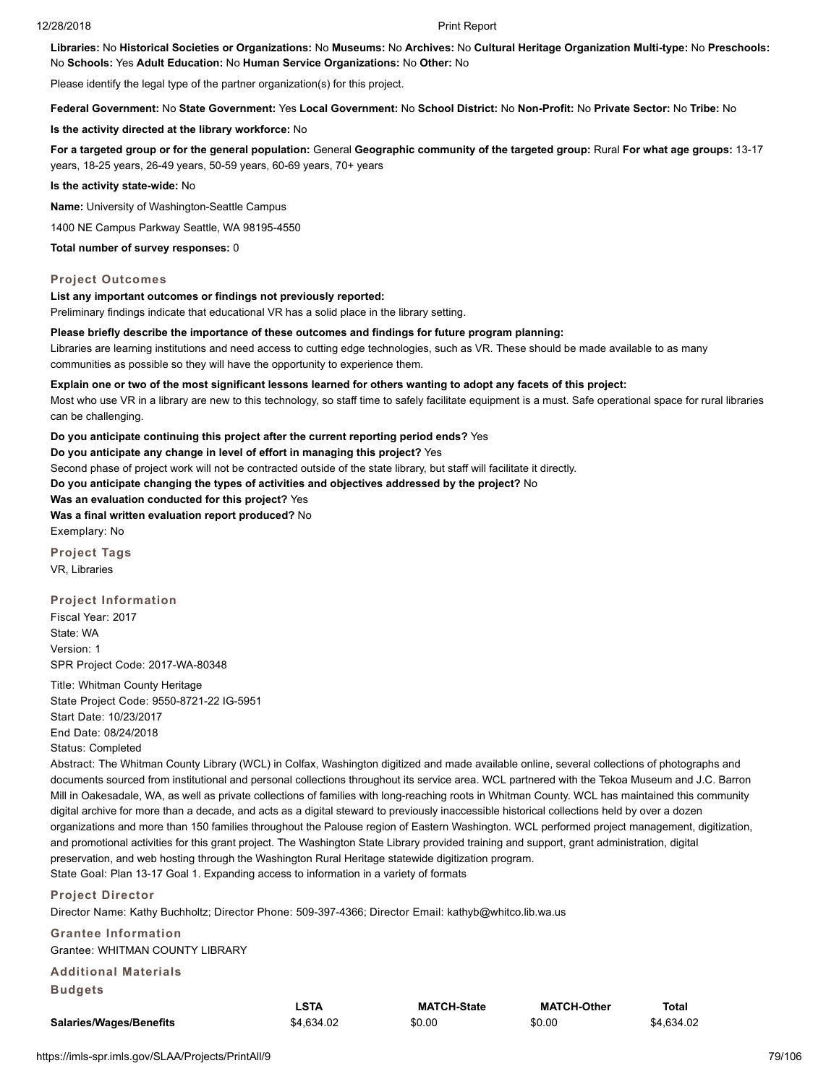**Libraries:** No **Historical Societies or Organizations:** No **Museums:** No **Archives:** No **Cultural Heritage Organization Multi-type:** No **Preschools:** No **Schools:** Yes **Adult Education:** No **Human Service Organizations:** No **Other:** No

Please identify the legal type of the partner organization(s) for this project.

**Federal Government:** No **State Government:** Yes **Local Government:** No **School District:** No **Non-Profit:** No **Private Sector:** No **Tribe:** No

### **Is the activity directed at the library workforce:** No

**For a targeted group or for the general population:** General **Geographic community of the targeted group:** Rural **For what age groups:** 13-17 years, 18-25 years, 26-49 years, 50-59 years, 60-69 years, 70+ years

**Is the activity state-wide:** No

**Name:** University of Washington-Seattle Campus

1400 NE Campus Parkway Seattle, WA 98195-4550

**Total number of survey responses:** 0

### **Project Outcomes**

### **List any important outcomes or findings not previously reported:**

Preliminary findings indicate that educational VR has a solid place in the library setting.

### **Please briefly describe the importance of these outcomes and findings for future program planning:**

Libraries are learning institutions and need access to cutting edge technologies, such as VR. These should be made available to as many communities as possible so they will have the opportunity to experience them.

### **Explain one or two of the most significant lessons learned for others wanting to adopt any facets of this project:**

Most who use VR in a library are new to this technology, so staff time to safely facilitate equipment is a must. Safe operational space for rural libraries can be challenging.

### **Do you anticipate continuing this project after the current reporting period ends?** Yes

**Do you anticipate any change in level of effort in managing this project?** Yes

Second phase of project work will not be contracted outside of the state library, but staff will facilitate it directly.

**Do you anticipate changing the types of activities and objectives addressed by the project?** No

### **Was an evaluation conducted for this project?** Yes

**Was a final written evaluation report produced?** No

Exemplary: No

**Project Tags** VR, Libraries

### **Project Information**

Fiscal Year: 2017 State: WA Version: 1 SPR Project Code: 2017-WA-80348

Title: Whitman County Heritage State Project Code: 9550-8721-22 IG-5951 Start Date: 10/23/2017 End Date: 08/24/2018 Status: Completed

Abstract: The Whitman County Library (WCL) in Colfax, Washington digitized and made available online, several collections of photographs and documents sourced from institutional and personal collections throughout its service area. WCL partnered with the Tekoa Museum and J.C. Barron Mill in Oakesadale, WA, as well as private collections of families with long-reaching roots in Whitman County. WCL has maintained this community digital archive for more than a decade, and acts as a digital steward to previously inaccessible historical collections held by over a dozen organizations and more than 150 families throughout the Palouse region of Eastern Washington. WCL performed project management, digitization, and promotional activities for this grant project. The Washington State Library provided training and support, grant administration, digital preservation, and web hosting through the Washington Rural Heritage statewide digitization program. State Goal: Plan 13-17 Goal 1. Expanding access to information in a variety of formats

### **Project Director**

Director Name: Kathy Buchholtz; Director Phone: 509-397-4366; Director Email: kathyb@whitco.lib.wa.us

**Grantee Information** Grantee: WHITMAN COUNTY LIBRARY

**Additional Materials Budgets**

|                                | <b>LSTA</b> | <b>MATCH-State</b> | <b>MATCH-Other</b> | <b>Total</b> |
|--------------------------------|-------------|--------------------|--------------------|--------------|
| <b>Salaries/Wages/Benefits</b> | \$4.634.02  | \$0.00             | \$0.00             | \$4.634.02   |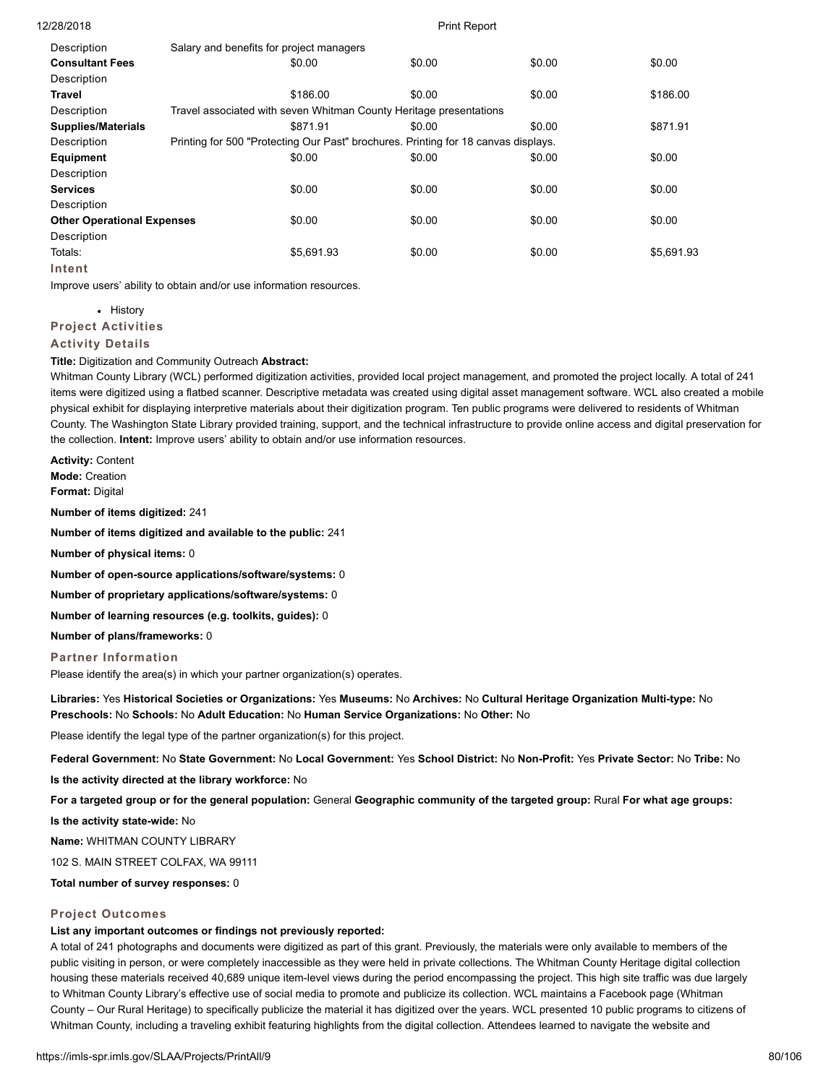| Description                       | Salary and benefits for project managers                                           |        |        |            |
|-----------------------------------|------------------------------------------------------------------------------------|--------|--------|------------|
| <b>Consultant Fees</b>            | \$0.00                                                                             | \$0.00 | \$0.00 | \$0.00     |
| Description                       |                                                                                    |        |        |            |
| <b>Travel</b>                     | \$186.00                                                                           | \$0.00 | \$0.00 | \$186.00   |
| Description                       | Travel associated with seven Whitman County Heritage presentations                 |        |        |            |
| <b>Supplies/Materials</b>         | \$871.91                                                                           | \$0.00 | \$0.00 | \$871.91   |
| Description                       | Printing for 500 "Protecting Our Past" brochures. Printing for 18 canvas displays. |        |        |            |
| Equipment                         | \$0.00                                                                             | \$0.00 | \$0.00 | \$0.00     |
| Description                       |                                                                                    |        |        |            |
| <b>Services</b>                   | \$0.00                                                                             | \$0.00 | \$0.00 | \$0.00     |
| Description                       |                                                                                    |        |        |            |
| <b>Other Operational Expenses</b> | \$0.00                                                                             | \$0.00 | \$0.00 | \$0.00     |
| Description                       |                                                                                    |        |        |            |
| Totals:                           | \$5,691.93                                                                         | \$0.00 | \$0.00 | \$5,691.93 |
| <b>Intent</b>                     |                                                                                    |        |        |            |

Improve users' ability to obtain and/or use information resources.

• History

**Project Activities**

### **Activity Details**

### **Title:** Digitization and Community Outreach **Abstract:**

Whitman County Library (WCL) performed digitization activities, provided local project management, and promoted the project locally. A total of 241 items were digitized using a flatbed scanner. Descriptive metadata was created using digital asset management software. WCL also created a mobile physical exhibit for displaying interpretive materials about their digitization program. Ten public programs were delivered to residents of Whitman County. The Washington State Library provided training, support, and the technical infrastructure to provide online access and digital preservation for the collection. **Intent:** Improve users' ability to obtain and/or use information resources.

**Activity:** Content **Mode:** Creation **Format:** Digital

**Number of items digitized:** 241

**Number of items digitized and available to the public:** 241

**Number of physical items:** 0

**Number of open-source applications/software/systems:** 0

**Number of proprietary applications/software/systems:** 0

**Number of learning resources (e.g. toolkits, guides):** 0

**Number of plans/frameworks:** 0

### **Partner Information**

Please identify the area(s) in which your partner organization(s) operates.

**Libraries:** Yes **Historical Societies or Organizations:** Yes **Museums:** No **Archives:** No **Cultural Heritage Organization Multi-type:** No **Preschools:** No **Schools:** No **Adult Education:** No **Human Service Organizations:** No **Other:** No

Please identify the legal type of the partner organization(s) for this project.

**Federal Government:** No **State Government:** No **Local Government:** Yes **School District:** No **Non-Profit:** Yes **Private Sector:** No **Tribe:** No

**Is the activity directed at the library workforce:** No

**For a targeted group or for the general population:** General **Geographic community of the targeted group:** Rural **For what age groups:**

**Is the activity state-wide:** No

**Name:** WHITMAN COUNTY LIBRARY

102 S. MAIN STREET COLFAX, WA 99111

**Total number of survey responses:** 0

### **Project Outcomes**

### **List any important outcomes or findings not previously reported:**

A total of 241 photographs and documents were digitized as part of this grant. Previously, the materials were only available to members of the public visiting in person, or were completely inaccessible as they were held in private collections. The Whitman County Heritage digital collection housing these materials received 40,689 unique item-level views during the period encompassing the project. This high site traffic was due largely to Whitman County Library's effective use of social media to promote and publicize its collection. WCL maintains a Facebook page (Whitman County – Our Rural Heritage) to specifically publicize the material it has digitized over the years. WCL presented 10 public programs to citizens of Whitman County, including a traveling exhibit featuring highlights from the digital collection. Attendees learned to navigate the website and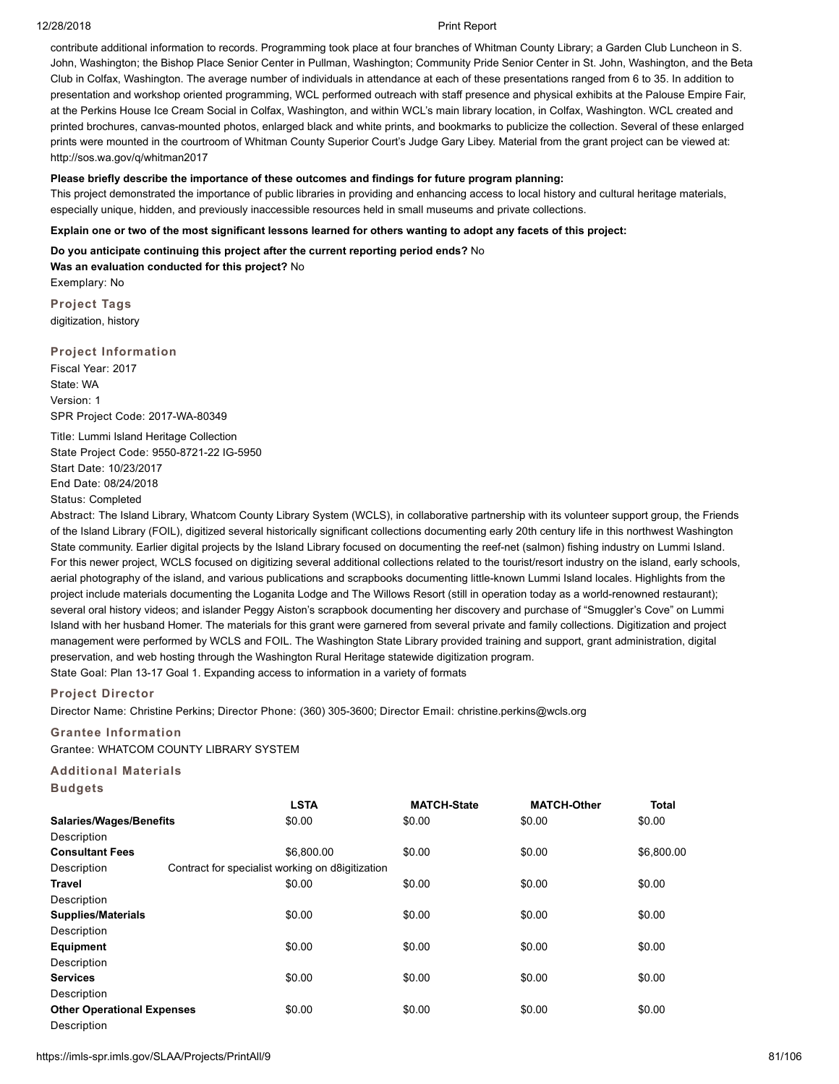contribute additional information to records. Programming took place at four branches of Whitman County Library; a Garden Club Luncheon in S. John, Washington; the Bishop Place Senior Center in Pullman, Washington; Community Pride Senior Center in St. John, Washington, and the Beta Club in Colfax, Washington. The average number of individuals in attendance at each of these presentations ranged from 6 to 35. In addition to presentation and workshop oriented programming, WCL performed outreach with staff presence and physical exhibits at the Palouse Empire Fair, at the Perkins House Ice Cream Social in Colfax, Washington, and within WCL's main library location, in Colfax, Washington. WCL created and printed brochures, canvas-mounted photos, enlarged black and white prints, and bookmarks to publicize the collection. Several of these enlarged prints were mounted in the courtroom of Whitman County Superior Court's Judge Gary Libey. Material from the grant project can be viewed at: http://sos.wa.gov/q/whitman2017

### **Please briefly describe the importance of these outcomes and findings for future program planning:**

This project demonstrated the importance of public libraries in providing and enhancing access to local history and cultural heritage materials, especially unique, hidden, and previously inaccessible resources held in small museums and private collections.

### **Explain one or two of the most significant lessons learned for others wanting to adopt any facets of this project:**

**Do you anticipate continuing this project after the current reporting period ends?** No **Was an evaluation conducted for this project?** No Exemplary: No

**Project Tags** digitization, history

### **Project Information**

Fiscal Year: 2017 State: WA Version: 1 SPR Project Code: 2017-WA-80349

Title: Lummi Island Heritage Collection State Project Code: 9550-8721-22 IG-5950 Start Date: 10/23/2017 End Date: 08/24/2018

Status: Completed

Abstract: The Island Library, Whatcom County Library System (WCLS), in collaborative partnership with its volunteer support group, the Friends of the Island Library (FOIL), digitized several historically significant collections documenting early 20th century life in this northwest Washington State community. Earlier digital projects by the Island Library focused on documenting the reef-net (salmon) fishing industry on Lummi Island. For this newer project, WCLS focused on digitizing several additional collections related to the tourist/resort industry on the island, early schools, aerial photography of the island, and various publications and scrapbooks documenting little-known Lummi Island locales. Highlights from the project include materials documenting the Loganita Lodge and The Willows Resort (still in operation today as a world-renowned restaurant); several oral history videos; and islander Peggy Aiston's scrapbook documenting her discovery and purchase of "Smuggler's Cove" on Lummi Island with her husband Homer. The materials for this grant were garnered from several private and family collections. Digitization and project management were performed by WCLS and FOIL. The Washington State Library provided training and support, grant administration, digital preservation, and web hosting through the Washington Rural Heritage statewide digitization program. State Goal: Plan 13-17 Goal 1. Expanding access to information in a variety of formats

### **Project Director**

Director Name: Christine Perkins; Director Phone: (360) 305-3600; Director Email: christine.perkins@wcls.org

### **Grantee Information**

Grantee: WHATCOM COUNTY LIBRARY SYSTEM

### **Additional Materials**

| <b>Budgets</b> |  |
|----------------|--|
|----------------|--|

|                                   | <b>LSTA</b>                                      | <b>MATCH-State</b> | <b>MATCH-Other</b> | <b>Total</b> |
|-----------------------------------|--------------------------------------------------|--------------------|--------------------|--------------|
| Salaries/Wages/Benefits           | \$0.00                                           | \$0.00             | \$0.00             | \$0.00       |
| Description                       |                                                  |                    |                    |              |
| <b>Consultant Fees</b>            | \$6,800.00                                       | \$0.00             | \$0.00             | \$6,800.00   |
| Description                       | Contract for specialist working on d8igitization |                    |                    |              |
| Travel                            | \$0.00                                           | \$0.00             | \$0.00             | \$0.00       |
| Description                       |                                                  |                    |                    |              |
| <b>Supplies/Materials</b>         | \$0.00                                           | \$0.00             | \$0.00             | \$0.00       |
| Description                       |                                                  |                    |                    |              |
| <b>Equipment</b>                  | \$0.00                                           | \$0.00             | \$0.00             | \$0.00       |
| Description                       |                                                  |                    |                    |              |
| <b>Services</b>                   | \$0.00                                           | \$0.00             | \$0.00             | \$0.00       |
| Description                       |                                                  |                    |                    |              |
| <b>Other Operational Expenses</b> | \$0.00                                           | \$0.00             | \$0.00             | \$0.00       |
| Description                       |                                                  |                    |                    |              |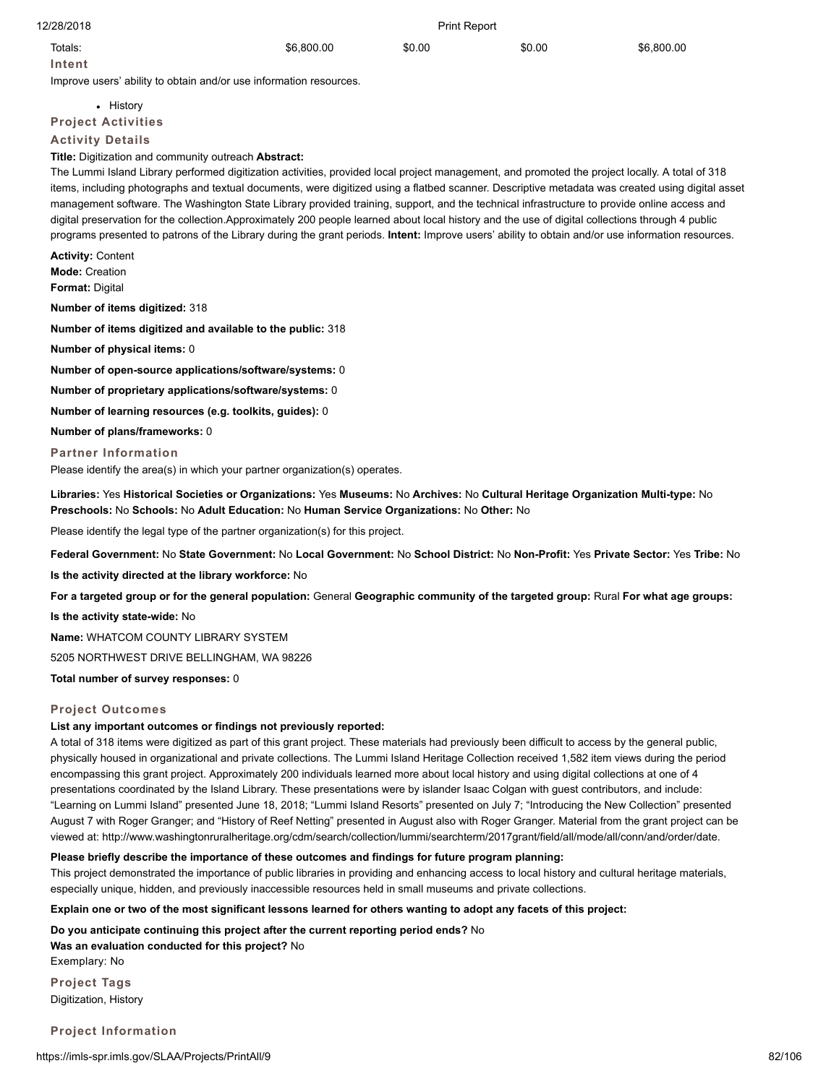| 12/28/2018 | <b>Print Report</b> |        |        |            |
|------------|---------------------|--------|--------|------------|
| Totals:    | \$6,800.00          | \$0.00 | \$0.00 | \$6,800.00 |

**Intent**

Improve users' ability to obtain and/or use information resources.

• History **Project Activities**

**Activity Details**

**Title:** Digitization and community outreach **Abstract:**

The Lummi Island Library performed digitization activities, provided local project management, and promoted the project locally. A total of 318 items, including photographs and textual documents, were digitized using a flatbed scanner. Descriptive metadata was created using digital asset management software. The Washington State Library provided training, support, and the technical infrastructure to provide online access and digital preservation for the collection.Approximately 200 people learned about local history and the use of digital collections through 4 public programs presented to patrons of the Library during the grant periods. **Intent:** Improve users' ability to obtain and/or use information resources.

**Activity:** Content **Mode:** Creation **Format:** Digital **Number of items digitized:** 318 **Number of items digitized and available to the public:** 318 **Number of physical items:** 0

**Number of open-source applications/software/systems:** 0

**Number of proprietary applications/software/systems:** 0

**Number of learning resources (e.g. toolkits, guides):** 0

**Number of plans/frameworks:** 0

### **Partner Information**

Please identify the area(s) in which your partner organization(s) operates.

**Libraries:** Yes **Historical Societies or Organizations:** Yes **Museums:** No **Archives:** No **Cultural Heritage Organization Multi-type:** No **Preschools:** No **Schools:** No **Adult Education:** No **Human Service Organizations:** No **Other:** No

Please identify the legal type of the partner organization(s) for this project.

**Federal Government:** No **State Government:** No **Local Government:** No **School District:** No **Non-Profit:** Yes **Private Sector:** Yes **Tribe:** No

**Is the activity directed at the library workforce:** No

**For a targeted group or for the general population:** General **Geographic community of the targeted group:** Rural **For what age groups:**

**Is the activity state-wide:** No

**Name:** WHATCOM COUNTY LIBRARY SYSTEM

5205 NORTHWEST DRIVE BELLINGHAM, WA 98226

**Total number of survey responses:** 0

### **Project Outcomes**

### **List any important outcomes or findings not previously reported:**

A total of 318 items were digitized as part of this grant project. These materials had previously been difficult to access by the general public, physically housed in organizational and private collections. The Lummi Island Heritage Collection received 1,582 item views during the period encompassing this grant project. Approximately 200 individuals learned more about local history and using digital collections at one of 4 presentations coordinated by the Island Library. These presentations were by islander Isaac Colgan with guest contributors, and include: "Learning on Lummi Island" presented June 18, 2018; "Lummi Island Resorts" presented on July 7; "Introducing the New Collection" presented August 7 with Roger Granger; and "History of Reef Netting" presented in August also with Roger Granger. Material from the grant project can be viewed at: http://www.washingtonruralheritage.org/cdm/search/collection/lummi/searchterm/2017grant/field/all/mode/all/conn/and/order/date.

### **Please briefly describe the importance of these outcomes and findings for future program planning:**

This project demonstrated the importance of public libraries in providing and enhancing access to local history and cultural heritage materials, especially unique, hidden, and previously inaccessible resources held in small museums and private collections.

### **Explain one or two of the most significant lessons learned for others wanting to adopt any facets of this project:**

**Do you anticipate continuing this project after the current reporting period ends?** No **Was an evaluation conducted for this project?** No Exemplary: No

**Project Tags** Digitization, History

**Project Information**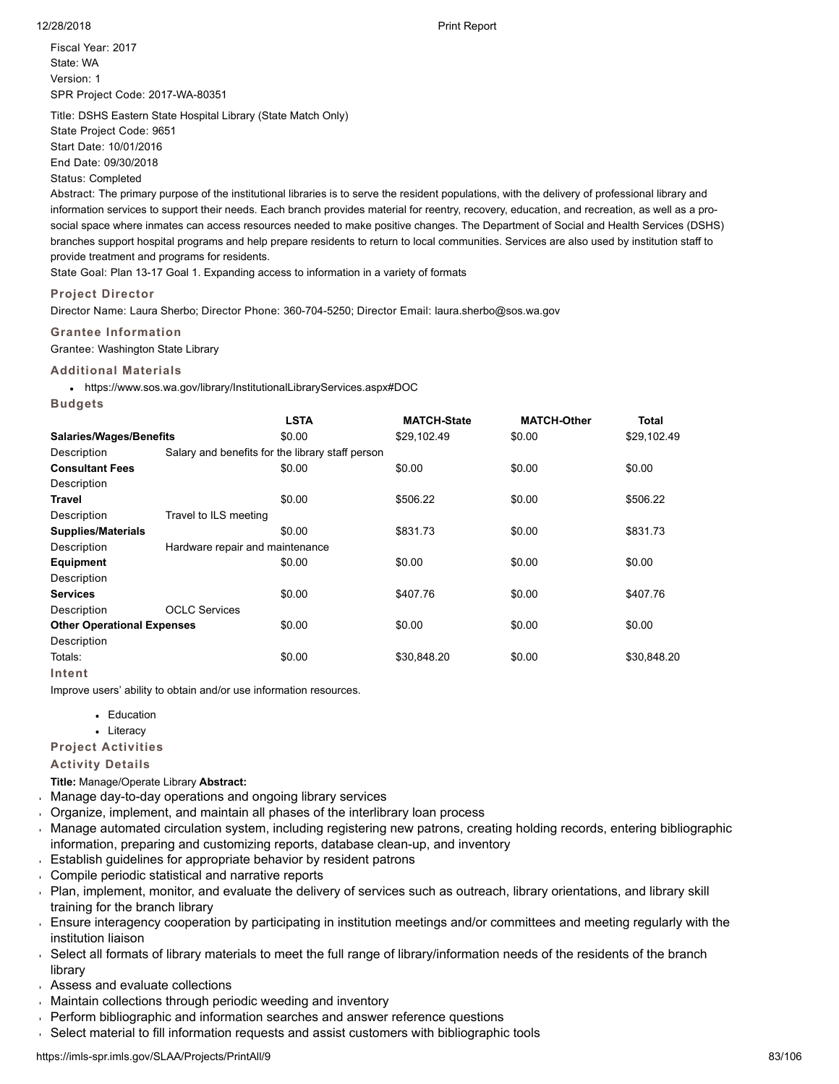Fiscal Year: 2017 State: WA Version: 1 SPR Project Code: 2017-WA-80351

Title: DSHS Eastern State Hospital Library (State Match Only) State Project Code: 9651 Start Date: 10/01/2016 End Date: 09/30/2018

### Status: Completed

Abstract: The primary purpose of the institutional libraries is to serve the resident populations, with the delivery of professional library and information services to support their needs. Each branch provides material for reentry, recovery, education, and recreation, as well as a prosocial space where inmates can access resources needed to make positive changes. The Department of Social and Health Services (DSHS) branches support hospital programs and help prepare residents to return to local communities. Services are also used by institution staff to provide treatment and programs for residents.

State Goal: Plan 13-17 Goal 1. Expanding access to information in a variety of formats

### **Project Director**

Director Name: Laura Sherbo; Director Phone: 360-704-5250; Director Email: laura.sherbo@sos.wa.gov

### **Grantee Information**

Grantee: Washington State Library

### **Additional Materials**

**Budgets**

https://www.sos.wa.gov/library/InstitutionalLibraryServices.aspx#DOC

| -----                             |                                 |                                                  |                    |                    |              |
|-----------------------------------|---------------------------------|--------------------------------------------------|--------------------|--------------------|--------------|
|                                   |                                 | <b>LSTA</b>                                      | <b>MATCH-State</b> | <b>MATCH-Other</b> | <b>Total</b> |
| <b>Salaries/Wages/Benefits</b>    |                                 | \$0.00                                           | \$29,102.49        | \$0.00             | \$29,102.49  |
| Description                       |                                 | Salary and benefits for the library staff person |                    |                    |              |
| <b>Consultant Fees</b>            |                                 | \$0.00                                           | \$0.00             | \$0.00             | \$0.00       |
| Description                       |                                 |                                                  |                    |                    |              |
| Travel                            |                                 | \$0.00                                           | \$506.22           | \$0.00             | \$506.22     |
| Description                       | Travel to ILS meeting           |                                                  |                    |                    |              |
| <b>Supplies/Materials</b>         |                                 | \$0.00                                           | \$831.73           | \$0.00             | \$831.73     |
| Description                       | Hardware repair and maintenance |                                                  |                    |                    |              |
| Equipment                         |                                 | \$0.00                                           | \$0.00             | \$0.00             | \$0.00       |
| Description                       |                                 |                                                  |                    |                    |              |
| <b>Services</b>                   |                                 | \$0.00                                           | \$407.76           | \$0.00             | \$407.76     |
| Description                       | <b>OCLC Services</b>            |                                                  |                    |                    |              |
| <b>Other Operational Expenses</b> |                                 | \$0.00                                           | \$0.00             | \$0.00             | \$0.00       |
| Description                       |                                 |                                                  |                    |                    |              |
| Totals:                           |                                 | \$0.00                                           | \$30,848.20        | \$0.00             | \$30,848.20  |
| Intent                            |                                 |                                                  |                    |                    |              |

Improve users' ability to obtain and/or use information resources.

- Education
- Literacy

### **Project Activities**

**Activity Details**

**Title:** Manage/Operate Library **Abstract:**

- Manage day-to-day operations and ongoing library services
- Organize, implement, and maintain all phases of the interlibrary loan process
- Manage automated circulation system, including registering new patrons, creating holding records, entering bibliographic information, preparing and customizing reports, database clean-up, and inventory
- Establish guidelines for appropriate behavior by resident patrons
- Compile periodic statistical and narrative reports
- Plan, implement, monitor, and evaluate the delivery of services such as outreach, library orientations, and library skill training for the branch library
- Ensure interagency cooperation by participating in institution meetings and/or committees and meeting regularly with the institution liaison
- Select all formats of library materials to meet the full range of library/information needs of the residents of the branch  $\mathbf{r}$ library
- Assess and evaluate collections
- Maintain collections through periodic weeding and inventory
- Perform bibliographic and information searches and answer reference questions  $\mathbf{r}$
- Select material to fill information requests and assist customers with bibliographic tools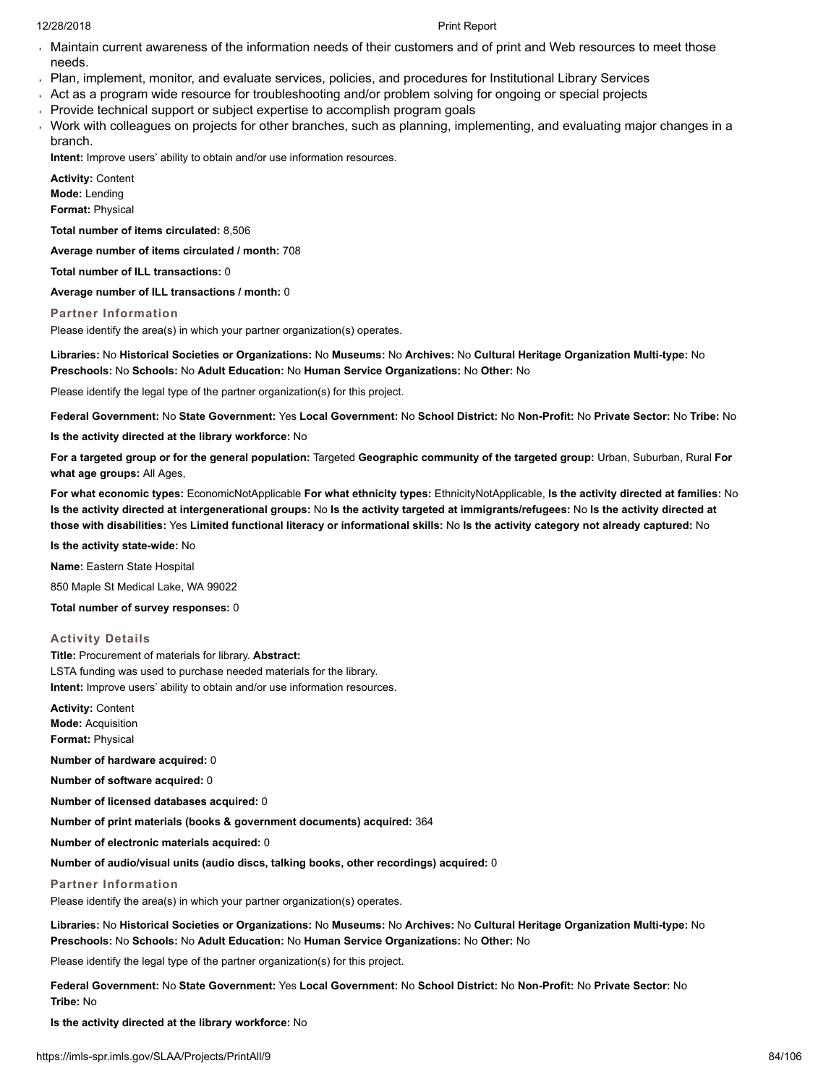- Maintain current awareness of the information needs of their customers and of print and Web resources to meet those needs.
- Plan, implement, monitor, and evaluate services, policies, and procedures for Institutional Library Services
- Act as a program wide resource for troubleshooting and/or problem solving for ongoing or special projects
- Provide technical support or subject expertise to accomplish program goals
- Work with colleagues on projects for other branches, such as planning, implementing, and evaluating major changes in a branch.

**Intent:** Improve users' ability to obtain and/or use information resources.

**Activity:** Content **Mode:** Lending **Format:** Physical

**Total number of items circulated:** 8,506

**Average number of items circulated / month:** 708

**Total number of ILL transactions:** 0

**Average number of ILL transactions / month:** 0

**Partner Information**

Please identify the area(s) in which your partner organization(s) operates.

**Libraries:** No **Historical Societies or Organizations:** No **Museums:** No **Archives:** No **Cultural Heritage Organization Multi-type:** No **Preschools:** No **Schools:** No **Adult Education:** No **Human Service Organizations:** No **Other:** No

Please identify the legal type of the partner organization(s) for this project.

**Federal Government:** No **State Government:** Yes **Local Government:** No **School District:** No **Non-Profit:** No **Private Sector:** No **Tribe:** No

**Is the activity directed at the library workforce:** No

**For a targeted group or for the general population:** Targeted **Geographic community of the targeted group:** Urban, Suburban, Rural **For what age groups:** All Ages,

**For what economic types:** EconomicNotApplicable **For what ethnicity types:** EthnicityNotApplicable, **Is the activity directed at families:** No **Is the activity directed at intergenerational groups:** No **Is the activity targeted at immigrants/refugees:** No **Is the activity directed at those with disabilities:** Yes **Limited functional literacy or informational skills:** No **Is the activity category not already captured:** No

**Is the activity state-wide:** No

**Name:** Eastern State Hospital

850 Maple St Medical Lake, WA 99022

**Total number of survey responses:** 0

# **Activity Details**

**Title:** Procurement of materials for library. **Abstract:** LSTA funding was used to purchase needed materials for the library. **Intent:** Improve users' ability to obtain and/or use information resources.

**Activity:** Content **Mode:** Acquisition **Format:** Physical

**Number of hardware acquired:** 0

**Number of software acquired:** 0

**Number of licensed databases acquired:** 0

**Number of print materials (books & government documents) acquired:** 364

**Number of electronic materials acquired:** 0

**Number of audio/visual units (audio discs, talking books, other recordings) acquired:** 0

# **Partner Information**

Please identify the area(s) in which your partner organization(s) operates.

**Libraries:** No **Historical Societies or Organizations:** No **Museums:** No **Archives:** No **Cultural Heritage Organization Multi-type:** No **Preschools:** No **Schools:** No **Adult Education:** No **Human Service Organizations:** No **Other:** No

Please identify the legal type of the partner organization(s) for this project.

**Federal Government:** No **State Government:** Yes **Local Government:** No **School District:** No **Non-Profit:** No **Private Sector:** No **Tribe:** No

**Is the activity directed at the library workforce:** No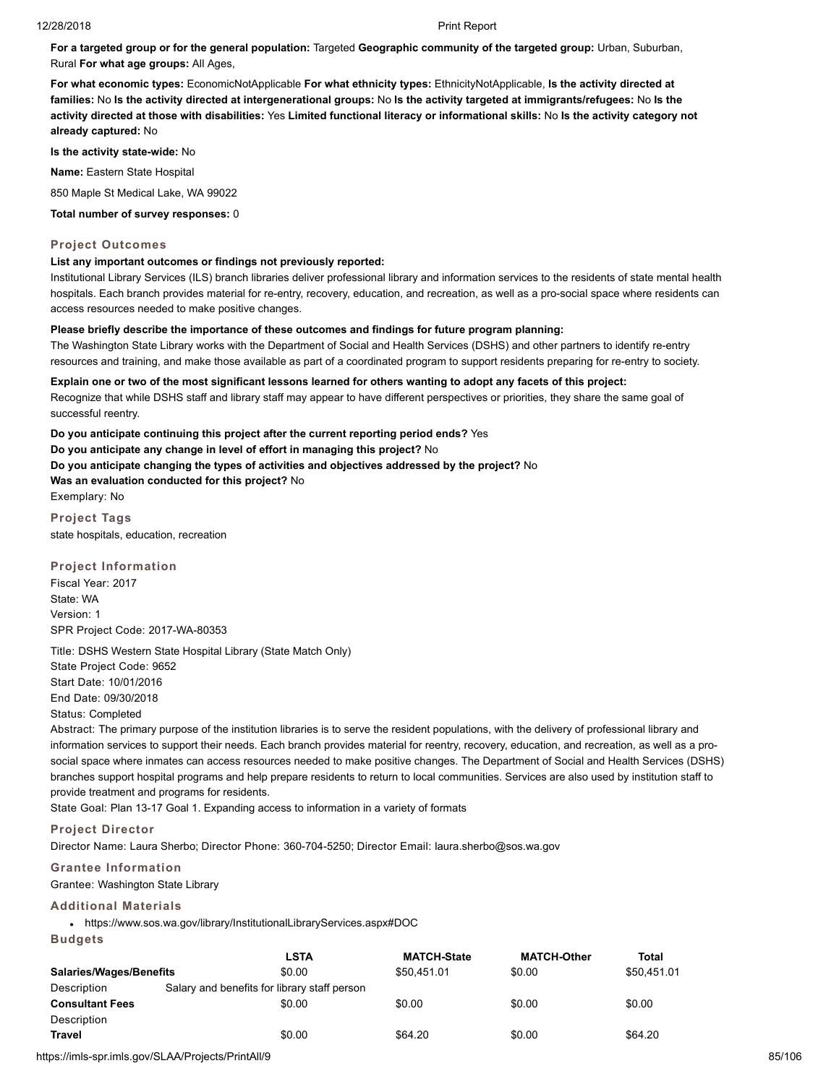**For a targeted group or for the general population:** Targeted **Geographic community of the targeted group:** Urban, Suburban, Rural **For what age groups:** All Ages,

**For what economic types:** EconomicNotApplicable **For what ethnicity types:** EthnicityNotApplicable, **Is the activity directed at families:** No **Is the activity directed at intergenerational groups:** No **Is the activity targeted at immigrants/refugees:** No **Is the activity directed at those with disabilities:** Yes **Limited functional literacy or informational skills:** No **Is the activity category not already captured:** No

**Is the activity state-wide:** No

**Name:** Eastern State Hospital

850 Maple St Medical Lake, WA 99022

**Total number of survey responses:** 0

# **Project Outcomes**

# **List any important outcomes or findings not previously reported:**

Institutional Library Services (ILS) branch libraries deliver professional library and information services to the residents of state mental health hospitals. Each branch provides material for re-entry, recovery, education, and recreation, as well as a pro-social space where residents can access resources needed to make positive changes.

# **Please briefly describe the importance of these outcomes and findings for future program planning:**

The Washington State Library works with the Department of Social and Health Services (DSHS) and other partners to identify re-entry resources and training, and make those available as part of a coordinated program to support residents preparing for re-entry to society.

**Explain one or two of the most significant lessons learned for others wanting to adopt any facets of this project:** Recognize that while DSHS staff and library staff may appear to have different perspectives or priorities, they share the same goal of successful reentry.

**Do you anticipate continuing this project after the current reporting period ends?** Yes **Do you anticipate any change in level of effort in managing this project?** No **Do you anticipate changing the types of activities and objectives addressed by the project?** No **Was an evaluation conducted for this project?** No Exemplary: No

**Project Tags** state hospitals, education, recreation

**Project Information** Fiscal Year: 2017 State: WA Version: 1 SPR Project Code: 2017-WA-80353

Title: DSHS Western State Hospital Library (State Match Only) State Project Code: 9652 Start Date: 10/01/2016 End Date: 09/30/2018 Status: Completed

Abstract: The primary purpose of the institution libraries is to serve the resident populations, with the delivery of professional library and information services to support their needs. Each branch provides material for reentry, recovery, education, and recreation, as well as a prosocial space where inmates can access resources needed to make positive changes. The Department of Social and Health Services (DSHS) branches support hospital programs and help prepare residents to return to local communities. Services are also used by institution staff to provide treatment and programs for residents.

State Goal: Plan 13-17 Goal 1. Expanding access to information in a variety of formats

# **Project Director**

Director Name: Laura Sherbo; Director Phone: 360-704-5250; Director Email: laura.sherbo@sos.wa.gov

# **Grantee Information**

Grantee: Washington State Library

# **Additional Materials**

https://www.sos.wa.gov/library/InstitutionalLibraryServices.aspx#DOC

**Budgets**

|                                | <b>LSTA</b>                                  | <b>MATCH-State</b> | <b>MATCH-Other</b> | Total       |  |
|--------------------------------|----------------------------------------------|--------------------|--------------------|-------------|--|
| <b>Salaries/Wages/Benefits</b> | \$0.00                                       | \$50.451.01        | \$0.00             | \$50,451.01 |  |
| Description                    | Salary and benefits for library staff person |                    |                    |             |  |
| <b>Consultant Fees</b>         | \$0.00                                       | \$0.00             | \$0.00             | \$0.00      |  |
| Description                    |                                              |                    |                    |             |  |
| Travel                         | \$0.00                                       | \$64.20            | \$0.00             | \$64.20     |  |

https://imls-spr.imls.gov/SLAA/Projects/PrintAll/9 85/106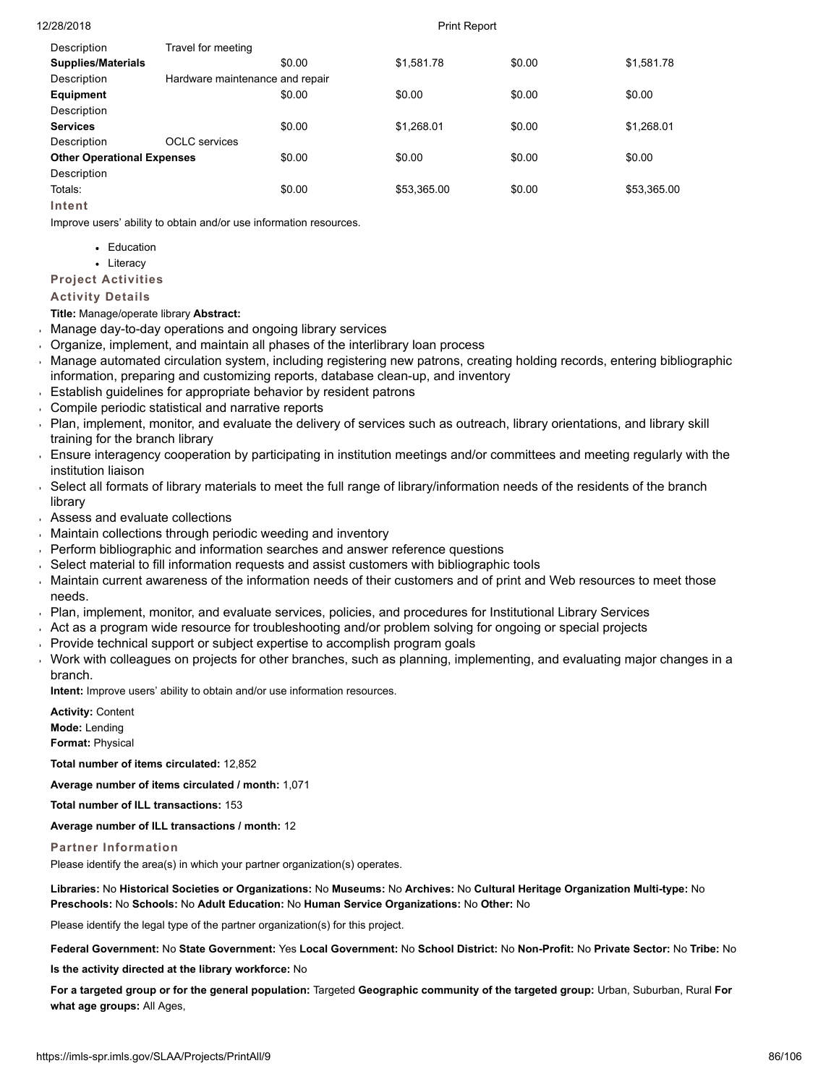| Description                       | Travel for meeting              |        |             |        |             |
|-----------------------------------|---------------------------------|--------|-------------|--------|-------------|
| <b>Supplies/Materials</b>         |                                 | \$0.00 | \$1,581.78  | \$0.00 | \$1,581.78  |
| Description                       | Hardware maintenance and repair |        |             |        |             |
| Equipment                         |                                 | \$0.00 | \$0.00      | \$0.00 | \$0.00      |
| Description                       |                                 |        |             |        |             |
| <b>Services</b>                   |                                 | \$0.00 | \$1.268.01  | \$0.00 | \$1,268.01  |
| Description                       | <b>OCLC</b> services            |        |             |        |             |
| <b>Other Operational Expenses</b> |                                 | \$0.00 | \$0.00      | \$0.00 | \$0.00      |
| Description                       |                                 |        |             |        |             |
| Totals:                           |                                 | \$0.00 | \$53,365.00 | \$0.00 | \$53,365.00 |
| Intent                            |                                 |        |             |        |             |

Improve users' ability to obtain and/or use information resources.

- Education
- Literacy

**Project Activities**

# **Activity Details**

**Title:** Manage/operate library **Abstract:**

- Manage day-to-day operations and ongoing library services j.
- Organize, implement, and maintain all phases of the interlibrary loan process
- Manage automated circulation system, including registering new patrons, creating holding records, entering bibliographic information, preparing and customizing reports, database clean-up, and inventory
- Establish guidelines for appropriate behavior by resident patrons
- Compile periodic statistical and narrative reports
- Plan, implement, monitor, and evaluate the delivery of services such as outreach, library orientations, and library skill training for the branch library
- Ensure interagency cooperation by participating in institution meetings and/or committees and meeting regularly with the institution liaison
- Select all formats of library materials to meet the full range of library/information needs of the residents of the branch library
- Assess and evaluate collections
- Maintain collections through periodic weeding and inventory
- Perform bibliographic and information searches and answer reference questions
- Select material to fill information requests and assist customers with bibliographic tools
- Maintain current awareness of the information needs of their customers and of print and Web resources to meet those needs.
- Plan, implement, monitor, and evaluate services, policies, and procedures for Institutional Library Services
- Act as a program wide resource for troubleshooting and/or problem solving for ongoing or special projects
- Provide technical support or subject expertise to accomplish program goals
- Work with colleagues on projects for other branches, such as planning, implementing, and evaluating major changes in a branch.

**Intent:** Improve users' ability to obtain and/or use information resources.

**Activity:** Content **Mode:** Lending **Format:** Physical

**Total number of items circulated:** 12,852

**Average number of items circulated / month:** 1,071

**Total number of ILL transactions:** 153

**Average number of ILL transactions / month:** 12

# **Partner Information**

Please identify the area(s) in which your partner organization(s) operates.

**Libraries:** No **Historical Societies or Organizations:** No **Museums:** No **Archives:** No **Cultural Heritage Organization Multi-type:** No **Preschools:** No **Schools:** No **Adult Education:** No **Human Service Organizations:** No **Other:** No

Please identify the legal type of the partner organization(s) for this project.

**Federal Government:** No **State Government:** Yes **Local Government:** No **School District:** No **Non-Profit:** No **Private Sector:** No **Tribe:** No

**Is the activity directed at the library workforce:** No

**For a targeted group or for the general population:** Targeted **Geographic community of the targeted group:** Urban, Suburban, Rural **For what age groups:** All Ages,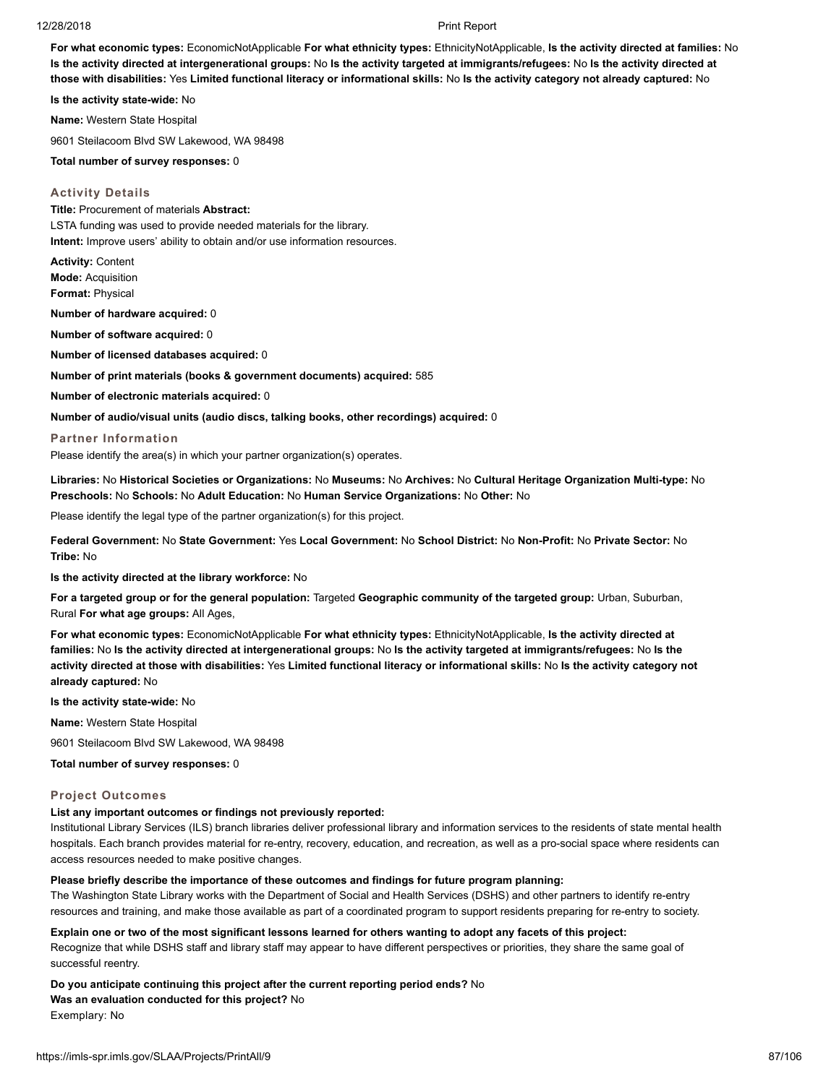**For what economic types:** EconomicNotApplicable **For what ethnicity types:** EthnicityNotApplicable, **Is the activity directed at families:** No **Is the activity directed at intergenerational groups:** No **Is the activity targeted at immigrants/refugees:** No **Is the activity directed at those with disabilities:** Yes **Limited functional literacy or informational skills:** No **Is the activity category not already captured:** No

**Is the activity state-wide:** No

**Name:** Western State Hospital

9601 Steilacoom Blvd SW Lakewood, WA 98498

**Total number of survey responses:** 0

### **Activity Details**

**Title:** Procurement of materials **Abstract:** LSTA funding was used to provide needed materials for the library. **Intent:** Improve users' ability to obtain and/or use information resources.

**Activity:** Content **Mode:** Acquisition **Format:** Physical

**Number of hardware acquired:** 0

**Number of software acquired:** 0

**Number of licensed databases acquired:** 0

**Number of print materials (books & government documents) acquired:** 585

**Number of electronic materials acquired:** 0

**Number of audio/visual units (audio discs, talking books, other recordings) acquired:** 0

### **Partner Information**

Please identify the area(s) in which your partner organization(s) operates.

**Libraries:** No **Historical Societies or Organizations:** No **Museums:** No **Archives:** No **Cultural Heritage Organization Multi-type:** No **Preschools:** No **Schools:** No **Adult Education:** No **Human Service Organizations:** No **Other:** No

Please identify the legal type of the partner organization(s) for this project.

**Federal Government:** No **State Government:** Yes **Local Government:** No **School District:** No **Non-Profit:** No **Private Sector:** No **Tribe:** No

**Is the activity directed at the library workforce:** No

**For a targeted group or for the general population:** Targeted **Geographic community of the targeted group:** Urban, Suburban, Rural **For what age groups:** All Ages,

**For what economic types:** EconomicNotApplicable **For what ethnicity types:** EthnicityNotApplicable, **Is the activity directed at families:** No **Is the activity directed at intergenerational groups:** No **Is the activity targeted at immigrants/refugees:** No **Is the activity directed at those with disabilities:** Yes **Limited functional literacy or informational skills:** No **Is the activity category not already captured:** No

**Is the activity state-wide:** No

**Name:** Western State Hospital

9601 Steilacoom Blvd SW Lakewood, WA 98498

**Total number of survey responses:** 0

### **Project Outcomes**

### **List any important outcomes or findings not previously reported:**

Institutional Library Services (ILS) branch libraries deliver professional library and information services to the residents of state mental health hospitals. Each branch provides material for re-entry, recovery, education, and recreation, as well as a pro-social space where residents can access resources needed to make positive changes.

### **Please briefly describe the importance of these outcomes and findings for future program planning:**

The Washington State Library works with the Department of Social and Health Services (DSHS) and other partners to identify re-entry resources and training, and make those available as part of a coordinated program to support residents preparing for re-entry to society.

**Explain one or two of the most significant lessons learned for others wanting to adopt any facets of this project:** Recognize that while DSHS staff and library staff may appear to have different perspectives or priorities, they share the same goal of successful reentry.

**Do you anticipate continuing this project after the current reporting period ends?** No

**Was an evaluation conducted for this project?** No

Exemplary: No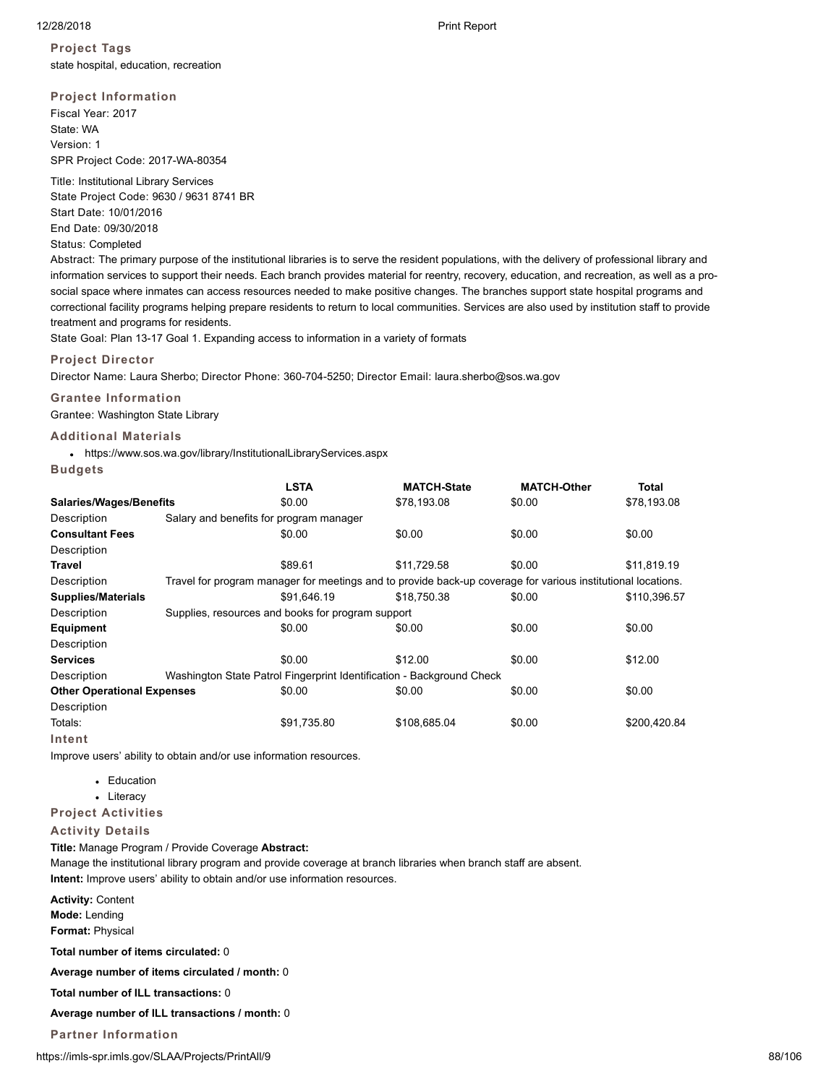**Project Tags** state hospital, education, recreation

**Project Information** Fiscal Year: 2017 State: WA Version: 1 SPR Project Code: 2017-WA-80354

Title: Institutional Library Services State Project Code: 9630 / 9631 8741 BR Start Date: 10/01/2016 End Date: 09/30/2018 Status: Completed

Abstract: The primary purpose of the institutional libraries is to serve the resident populations, with the delivery of professional library and information services to support their needs. Each branch provides material for reentry, recovery, education, and recreation, as well as a prosocial space where inmates can access resources needed to make positive changes. The branches support state hospital programs and correctional facility programs helping prepare residents to return to local communities. Services are also used by institution staff to provide treatment and programs for residents.

State Goal: Plan 13-17 Goal 1. Expanding access to information in a variety of formats

### **Project Director**

Director Name: Laura Sherbo; Director Phone: 360-704-5250; Director Email: laura.sherbo@sos.wa.gov

# **Grantee Information**

Grantee: Washington State Library

### **Additional Materials**

https://www.sos.wa.gov/library/InstitutionalLibraryServices.aspx

### **Budgets**

|                                   | <b>LSTA</b>                                                                                                  | <b>MATCH-State</b> | <b>MATCH-Other</b> | <b>Total</b> |  |  |  |
|-----------------------------------|--------------------------------------------------------------------------------------------------------------|--------------------|--------------------|--------------|--|--|--|
| <b>Salaries/Wages/Benefits</b>    | \$0.00                                                                                                       | \$78,193.08        | \$0.00             | \$78,193.08  |  |  |  |
| Description                       | Salary and benefits for program manager                                                                      |                    |                    |              |  |  |  |
| <b>Consultant Fees</b>            | \$0.00                                                                                                       | \$0.00             | \$0.00             | \$0.00       |  |  |  |
| Description                       |                                                                                                              |                    |                    |              |  |  |  |
| Travel                            | \$89.61                                                                                                      | \$11,729.58        | \$0.00             | \$11,819.19  |  |  |  |
| Description                       | Travel for program manager for meetings and to provide back-up coverage for various institutional locations. |                    |                    |              |  |  |  |
| <b>Supplies/Materials</b>         | \$91.646.19                                                                                                  | \$18,750.38        | \$0.00             | \$110,396.57 |  |  |  |
| Description                       | Supplies, resources and books for program support                                                            |                    |                    |              |  |  |  |
| <b>Equipment</b>                  | \$0.00                                                                                                       | \$0.00             | \$0.00             | \$0.00       |  |  |  |
| Description                       |                                                                                                              |                    |                    |              |  |  |  |
| <b>Services</b>                   | \$0.00                                                                                                       | \$12.00            | \$0.00             | \$12.00      |  |  |  |
| Description                       | Washington State Patrol Fingerprint Identification - Background Check                                        |                    |                    |              |  |  |  |
| <b>Other Operational Expenses</b> | \$0.00                                                                                                       | \$0.00             | \$0.00             | \$0.00       |  |  |  |
| Description                       |                                                                                                              |                    |                    |              |  |  |  |
| Totals:                           | \$91,735.80                                                                                                  | \$108,685.04       | \$0.00             | \$200,420.84 |  |  |  |
| Intent                            |                                                                                                              |                    |                    |              |  |  |  |

Improve users' ability to obtain and/or use information resources.

- Education
- Literacy
- **Project Activities**

### **Activity Details**

**Title:** Manage Program / Provide Coverage **Abstract:**

Manage the institutional library program and provide coverage at branch libraries when branch staff are absent. **Intent:** Improve users' ability to obtain and/or use information resources.

**Activity:** Content **Mode:** Lending

**Format:** Physical

**Total number of items circulated:** 0

**Average number of items circulated / month:** 0

**Total number of ILL transactions:** 0

**Average number of ILL transactions / month:** 0

# **Partner Information**

https://imls-spr.imls.gov/SLAA/Projects/PrintAll/9 88/106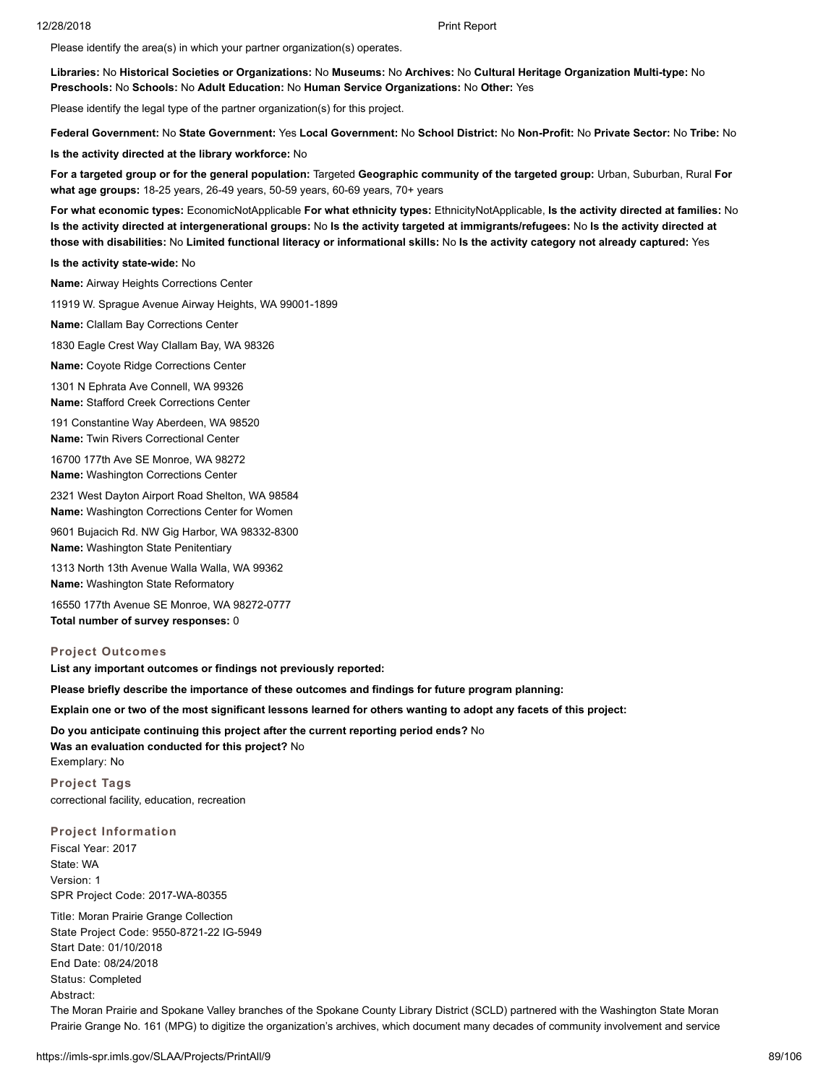Please identify the area(s) in which your partner organization(s) operates.

**Libraries:** No **Historical Societies or Organizations:** No **Museums:** No **Archives:** No **Cultural Heritage Organization Multi-type:** No **Preschools:** No **Schools:** No **Adult Education:** No **Human Service Organizations:** No **Other:** Yes

Please identify the legal type of the partner organization(s) for this project.

**Federal Government:** No **State Government:** Yes **Local Government:** No **School District:** No **Non-Profit:** No **Private Sector:** No **Tribe:** No

**Is the activity directed at the library workforce:** No

**For a targeted group or for the general population:** Targeted **Geographic community of the targeted group:** Urban, Suburban, Rural **For what age groups:** 18-25 years, 26-49 years, 50-59 years, 60-69 years, 70+ years

**For what economic types:** EconomicNotApplicable **For what ethnicity types:** EthnicityNotApplicable, **Is the activity directed at families:** No **Is the activity directed at intergenerational groups:** No **Is the activity targeted at immigrants/refugees:** No **Is the activity directed at those with disabilities:** No **Limited functional literacy or informational skills:** No **Is the activity category not already captured:** Yes

**Is the activity state-wide:** No

**Name:** Airway Heights Corrections Center

11919 W. Sprague Avenue Airway Heights, WA 99001-1899

**Name:** Clallam Bay Corrections Center

1830 Eagle Crest Way Clallam Bay, WA 98326

**Name:** Coyote Ridge Corrections Center

1301 N Ephrata Ave Connell, WA 99326 **Name:** Stafford Creek Corrections Center

191 Constantine Way Aberdeen, WA 98520 **Name:** Twin Rivers Correctional Center

16700 177th Ave SE Monroe, WA 98272 **Name:** Washington Corrections Center

2321 West Dayton Airport Road Shelton, WA 98584 **Name:** Washington Corrections Center for Women

9601 Bujacich Rd. NW Gig Harbor, WA 98332-8300 **Name:** Washington State Penitentiary

1313 North 13th Avenue Walla Walla, WA 99362 **Name:** Washington State Reformatory

16550 177th Avenue SE Monroe, WA 98272-0777 **Total number of survey responses:** 0

### **Project Outcomes**

**List any important outcomes or findings not previously reported:**

**Please briefly describe the importance of these outcomes and findings for future program planning:**

**Explain one or two of the most significant lessons learned for others wanting to adopt any facets of this project:**

**Do you anticipate continuing this project after the current reporting period ends?** No

**Was an evaluation conducted for this project?** No Exemplary: No

**Project Tags** correctional facility, education, recreation

**Project Information**

Fiscal Year: 2017 State: WA Version: 1 SPR Project Code: 2017-WA-80355

Title: Moran Prairie Grange Collection State Project Code: 9550-8721-22 IG-5949 Start Date: 01/10/2018 End Date: 08/24/2018 Status: Completed Abstract:

The Moran Prairie and Spokane Valley branches of the Spokane County Library District (SCLD) partnered with the Washington State Moran Prairie Grange No. 161 (MPG) to digitize the organization's archives, which document many decades of community involvement and service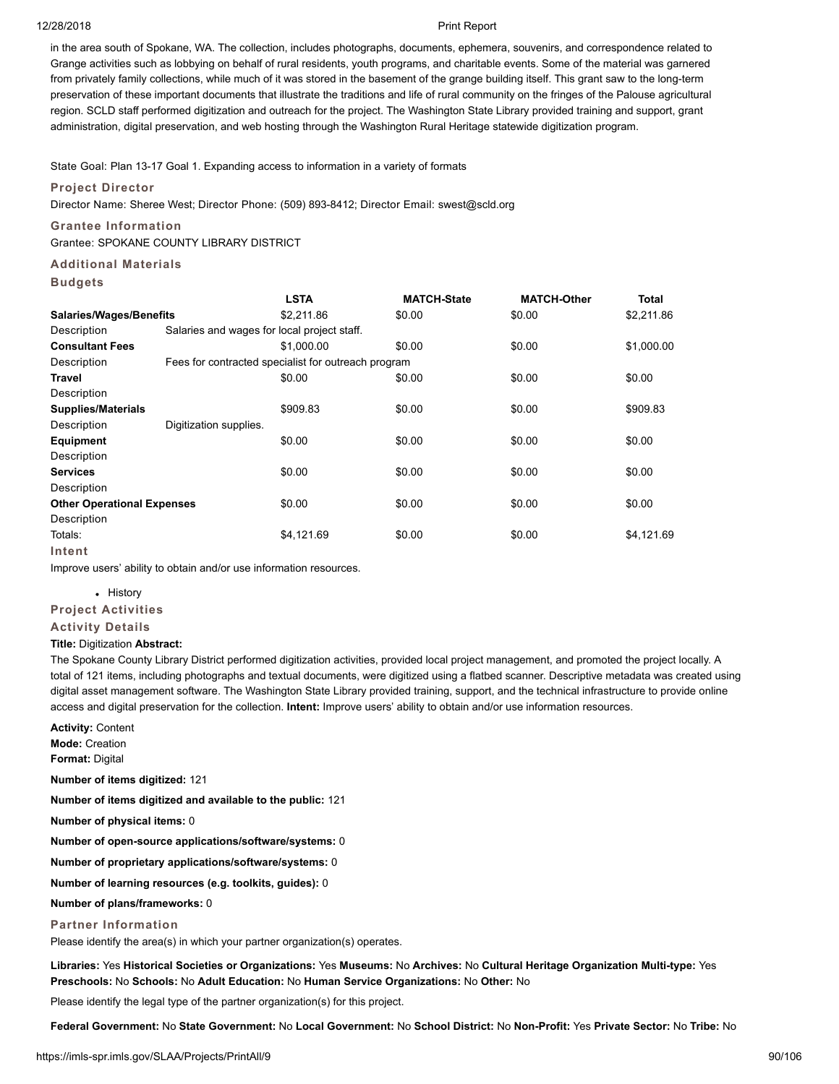in the area south of Spokane, WA. The collection, includes photographs, documents, ephemera, souvenirs, and correspondence related to Grange activities such as lobbying on behalf of rural residents, youth programs, and charitable events. Some of the material was garnered from privately family collections, while much of it was stored in the basement of the grange building itself. This grant saw to the long-term preservation of these important documents that illustrate the traditions and life of rural community on the fringes of the Palouse agricultural region. SCLD staff performed digitization and outreach for the project. The Washington State Library provided training and support, grant administration, digital preservation, and web hosting through the Washington Rural Heritage statewide digitization program.

State Goal: Plan 13-17 Goal 1. Expanding access to information in a variety of formats

### **Project Director**

Director Name: Sheree West; Director Phone: (509) 893-8412; Director Email: swest@scld.org

### **Grantee Information**

Grantee: SPOKANE COUNTY LIBRARY DISTRICT

# **Additional Materials**

### **Budgets**

|                                   |                        | <b>LSTA</b>                                         | <b>MATCH-State</b> | <b>MATCH-Other</b> | <b>Total</b> |  |  |
|-----------------------------------|------------------------|-----------------------------------------------------|--------------------|--------------------|--------------|--|--|
| <b>Salaries/Wages/Benefits</b>    |                        | \$2,211.86                                          | \$0.00             | \$0.00             | \$2,211.86   |  |  |
| Description                       |                        | Salaries and wages for local project staff.         |                    |                    |              |  |  |
| <b>Consultant Fees</b>            |                        | \$1,000.00                                          | \$0.00             | \$0.00             | \$1,000.00   |  |  |
| Description                       |                        | Fees for contracted specialist for outreach program |                    |                    |              |  |  |
| Travel                            |                        | \$0.00                                              | \$0.00             | \$0.00             | \$0.00       |  |  |
| Description                       |                        |                                                     |                    |                    |              |  |  |
| <b>Supplies/Materials</b>         |                        | \$909.83                                            | \$0.00             | \$0.00             | \$909.83     |  |  |
| Description                       | Digitization supplies. |                                                     |                    |                    |              |  |  |
| <b>Equipment</b>                  |                        | \$0.00                                              | \$0.00             | \$0.00             | \$0.00       |  |  |
| Description                       |                        |                                                     |                    |                    |              |  |  |
| <b>Services</b>                   |                        | \$0.00                                              | \$0.00             | \$0.00             | \$0.00       |  |  |
| Description                       |                        |                                                     |                    |                    |              |  |  |
| <b>Other Operational Expenses</b> |                        | \$0.00                                              | \$0.00             | \$0.00             | \$0.00       |  |  |
| Description                       |                        |                                                     |                    |                    |              |  |  |
| Totals:                           |                        | \$4,121.69                                          | \$0.00             | \$0.00             | \$4,121.69   |  |  |
| Intent                            |                        |                                                     |                    |                    |              |  |  |

Improve users' ability to obtain and/or use information resources.

### • History

# **Project Activities**

**Activity Details**

### **Title:** Digitization **Abstract:**

The Spokane County Library District performed digitization activities, provided local project management, and promoted the project locally. A total of 121 items, including photographs and textual documents, were digitized using a flatbed scanner. Descriptive metadata was created using digital asset management software. The Washington State Library provided training, support, and the technical infrastructure to provide online access and digital preservation for the collection. **Intent:** Improve users' ability to obtain and/or use information resources.

**Activity:** Content **Mode:** Creation **Format:** Digital

**Number of items digitized:** 121

**Number of items digitized and available to the public:** 121

**Number of physical items:** 0

**Number of open-source applications/software/systems:** 0

**Number of proprietary applications/software/systems:** 0

**Number of learning resources (e.g. toolkits, guides):** 0

**Number of plans/frameworks:** 0

**Partner Information**

Please identify the area(s) in which your partner organization(s) operates.

**Libraries:** Yes **Historical Societies or Organizations:** Yes **Museums:** No **Archives:** No **Cultural Heritage Organization Multi-type:** Yes **Preschools:** No **Schools:** No **Adult Education:** No **Human Service Organizations:** No **Other:** No

Please identify the legal type of the partner organization(s) for this project.

**Federal Government:** No **State Government:** No **Local Government:** No **School District:** No **Non-Profit:** Yes **Private Sector:** No **Tribe:** No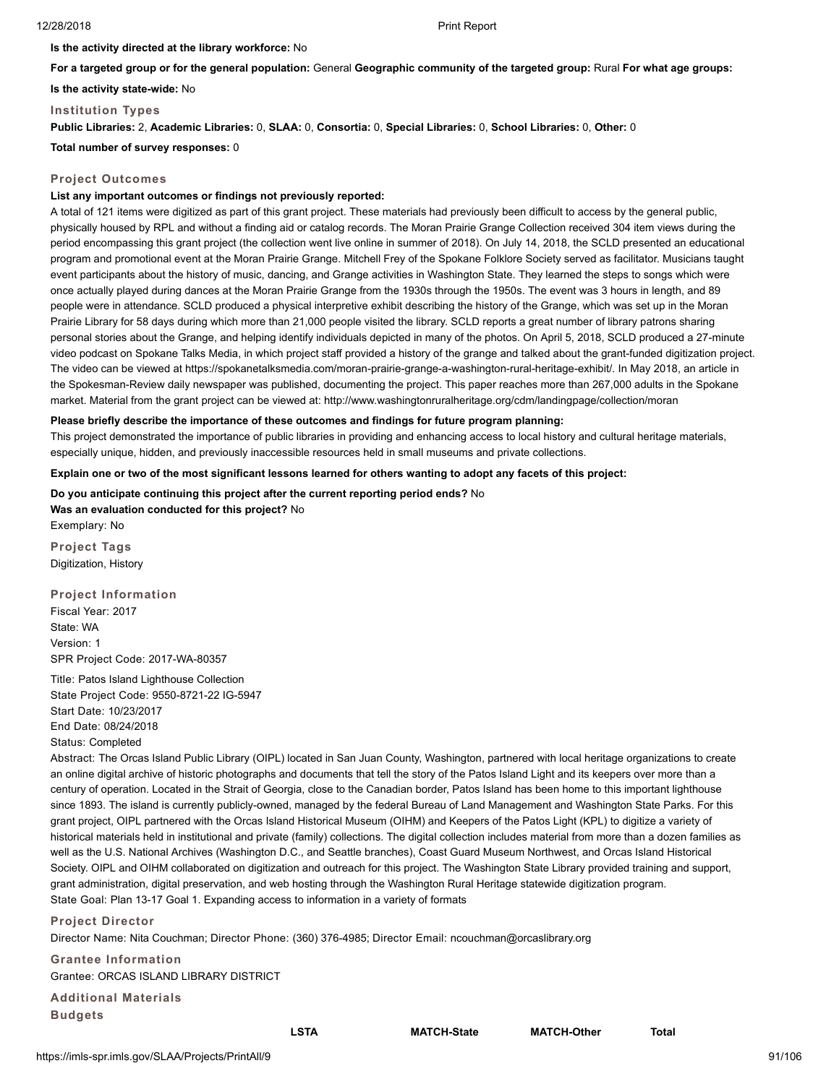**Is the activity directed at the library workforce:** No

**For a targeted group or for the general population:** General **Geographic community of the targeted group:** Rural **For what age groups:**

**Is the activity state-wide:** No

**Institution Types**

**Public Libraries:** 2, **Academic Libraries:** 0, **SLAA:** 0, **Consortia:** 0, **Special Libraries:** 0, **School Libraries:** 0, **Other:** 0

**Total number of survey responses:** 0

# **Project Outcomes**

# **List any important outcomes or findings not previously reported:**

A total of 121 items were digitized as part of this grant project. These materials had previously been difficult to access by the general public, physically housed by RPL and without a finding aid or catalog records. The Moran Prairie Grange Collection received 304 item views during the period encompassing this grant project (the collection went live online in summer of 2018). On July 14, 2018, the SCLD presented an educational program and promotional event at the Moran Prairie Grange. Mitchell Frey of the Spokane Folklore Society served as facilitator. Musicians taught event participants about the history of music, dancing, and Grange activities in Washington State. They learned the steps to songs which were once actually played during dances at the Moran Prairie Grange from the 1930s through the 1950s. The event was 3 hours in length, and 89 people were in attendance. SCLD produced a physical interpretive exhibit describing the history of the Grange, which was set up in the Moran Prairie Library for 58 days during which more than 21,000 people visited the library. SCLD reports a great number of library patrons sharing personal stories about the Grange, and helping identify individuals depicted in many of the photos. On April 5, 2018, SCLD produced a 27-minute video podcast on Spokane Talks Media, in which project staff provided a history of the grange and talked about the grant-funded digitization project. The video can be viewed at https://spokanetalksmedia.com/moran-prairie-grange-a-washington-rural-heritage-exhibit/. In May 2018, an article in the Spokesman-Review daily newspaper was published, documenting the project. This paper reaches more than 267,000 adults in the Spokane market. Material from the grant project can be viewed at: http://www.washingtonruralheritage.org/cdm/landingpage/collection/moran

# **Please briefly describe the importance of these outcomes and findings for future program planning:**

This project demonstrated the importance of public libraries in providing and enhancing access to local history and cultural heritage materials, especially unique, hidden, and previously inaccessible resources held in small museums and private collections.

**Explain one or two of the most significant lessons learned for others wanting to adopt any facets of this project:**

**Do you anticipate continuing this project after the current reporting period ends?** No **Was an evaluation conducted for this project?** No Exemplary: No

**Project Tags** Digitization, History

# **Project Information**

Fiscal Year: 2017 State: WA Version: 1 SPR Project Code: 2017-WA-80357

Title: Patos Island Lighthouse Collection State Project Code: 9550-8721-22 IG-5947 Start Date: 10/23/2017 End Date: 08/24/2018 Status: Completed

Abstract: The Orcas Island Public Library (OIPL) located in San Juan County, Washington, partnered with local heritage organizations to create an online digital archive of historic photographs and documents that tell the story of the Patos Island Light and its keepers over more than a century of operation. Located in the Strait of Georgia, close to the Canadian border, Patos Island has been home to this important lighthouse since 1893. The island is currently publicly-owned, managed by the federal Bureau of Land Management and Washington State Parks. For this grant project, OIPL partnered with the Orcas Island Historical Museum (OIHM) and Keepers of the Patos Light (KPL) to digitize a variety of historical materials held in institutional and private (family) collections. The digital collection includes material from more than a dozen families as well as the U.S. National Archives (Washington D.C., and Seattle branches), Coast Guard Museum Northwest, and Orcas Island Historical Society. OIPL and OIHM collaborated on digitization and outreach for this project. The Washington State Library provided training and support, grant administration, digital preservation, and web hosting through the Washington Rural Heritage statewide digitization program. State Goal: Plan 13-17 Goal 1. Expanding access to information in a variety of formats

# **Project Director**

Director Name: Nita Couchman; Director Phone: (360) 376-4985; Director Email: ncouchman@orcaslibrary.org

**Grantee Information** Grantee: ORCAS ISLAND LIBRARY DISTRICT

**Additional Materials Budgets**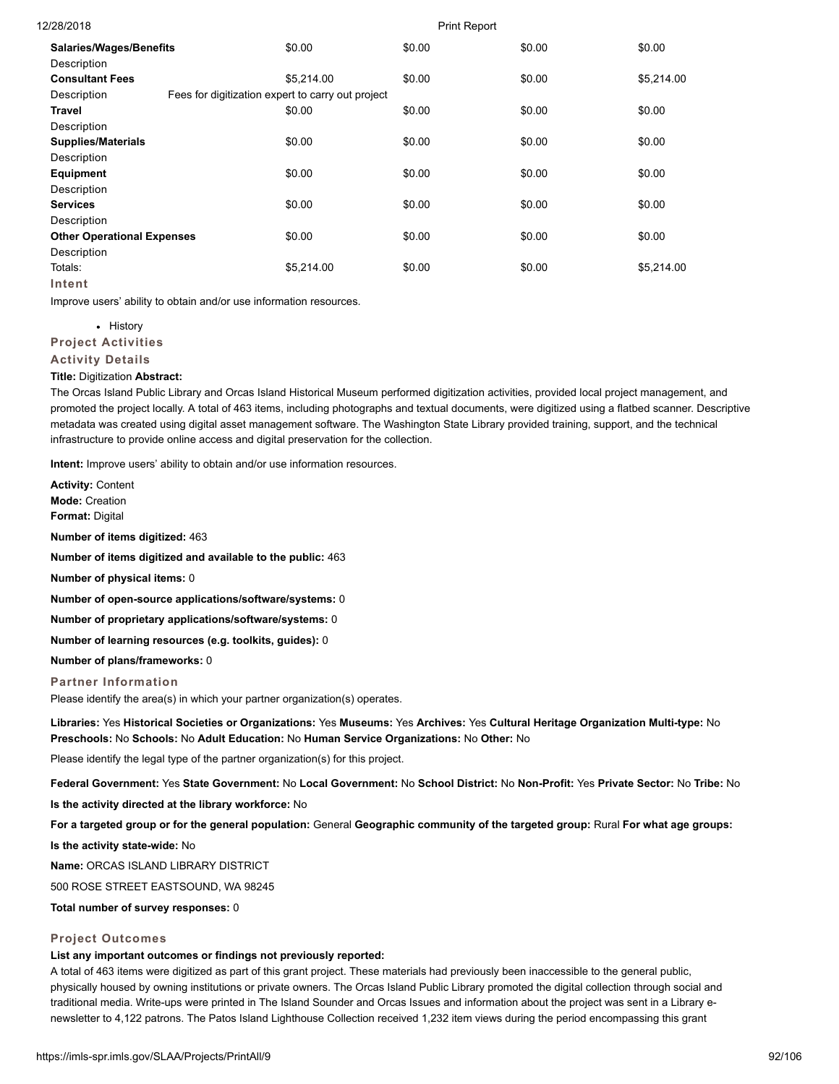| 12/28/2018                        |                                                   |            | <b>Print Report</b> |        |            |
|-----------------------------------|---------------------------------------------------|------------|---------------------|--------|------------|
| <b>Salaries/Wages/Benefits</b>    |                                                   | \$0.00     | \$0.00              | \$0.00 | \$0.00     |
| Description                       |                                                   |            |                     |        |            |
| <b>Consultant Fees</b>            |                                                   | \$5.214.00 | \$0.00              | \$0.00 | \$5,214.00 |
| Description                       | Fees for digitization expert to carry out project |            |                     |        |            |
| Travel                            |                                                   | \$0.00     | \$0.00              | \$0.00 | \$0.00     |
| Description                       |                                                   |            |                     |        |            |
| <b>Supplies/Materials</b>         |                                                   | \$0.00     | \$0.00              | \$0.00 | \$0.00     |
| Description                       |                                                   |            |                     |        |            |
| Equipment                         |                                                   | \$0.00     | \$0.00              | \$0.00 | \$0.00     |
| Description                       |                                                   |            |                     |        |            |
| <b>Services</b>                   |                                                   | \$0.00     | \$0.00              | \$0.00 | \$0.00     |
| Description                       |                                                   |            |                     |        |            |
| <b>Other Operational Expenses</b> |                                                   | \$0.00     | \$0.00              | \$0.00 | \$0.00     |
| Description                       |                                                   |            |                     |        |            |
| Totals:                           |                                                   | \$5,214.00 | \$0.00              | \$0.00 | \$5,214.00 |
| Intent                            |                                                   |            |                     |        |            |

Improve users' ability to obtain and/or use information resources.

• History

**Project Activities**

**Activity Details**

### **Title:** Digitization **Abstract:**

The Orcas Island Public Library and Orcas Island Historical Museum performed digitization activities, provided local project management, and promoted the project locally. A total of 463 items, including photographs and textual documents, were digitized using a flatbed scanner. Descriptive metadata was created using digital asset management software. The Washington State Library provided training, support, and the technical infrastructure to provide online access and digital preservation for the collection.

**Intent:** Improve users' ability to obtain and/or use information resources.

**Activity:** Content **Mode:** Creation **Format:** Digital

**Number of items digitized:** 463

**Number of items digitized and available to the public:** 463

**Number of physical items:** 0

**Number of open-source applications/software/systems:** 0

**Number of proprietary applications/software/systems:** 0

**Number of learning resources (e.g. toolkits, guides):** 0

**Number of plans/frameworks:** 0

### **Partner Information**

Please identify the area(s) in which your partner organization(s) operates.

**Libraries:** Yes **Historical Societies or Organizations:** Yes **Museums:** Yes **Archives:** Yes **Cultural Heritage Organization Multi-type:** No **Preschools:** No **Schools:** No **Adult Education:** No **Human Service Organizations:** No **Other:** No

Please identify the legal type of the partner organization(s) for this project.

**Federal Government:** Yes **State Government:** No **Local Government:** No **School District:** No **Non-Profit:** Yes **Private Sector:** No **Tribe:** No

**Is the activity directed at the library workforce:** No

**For a targeted group or for the general population:** General **Geographic community of the targeted group:** Rural **For what age groups:**

**Is the activity state-wide:** No

**Name:** ORCAS ISLAND LIBRARY DISTRICT

500 ROSE STREET EASTSOUND, WA 98245

**Total number of survey responses:** 0

### **Project Outcomes**

### **List any important outcomes or findings not previously reported:**

A total of 463 items were digitized as part of this grant project. These materials had previously been inaccessible to the general public, physically housed by owning institutions or private owners. The Orcas Island Public Library promoted the digital collection through social and traditional media. Write-ups were printed in The Island Sounder and Orcas Issues and information about the project was sent in a Library enewsletter to 4,122 patrons. The Patos Island Lighthouse Collection received 1,232 item views during the period encompassing this grant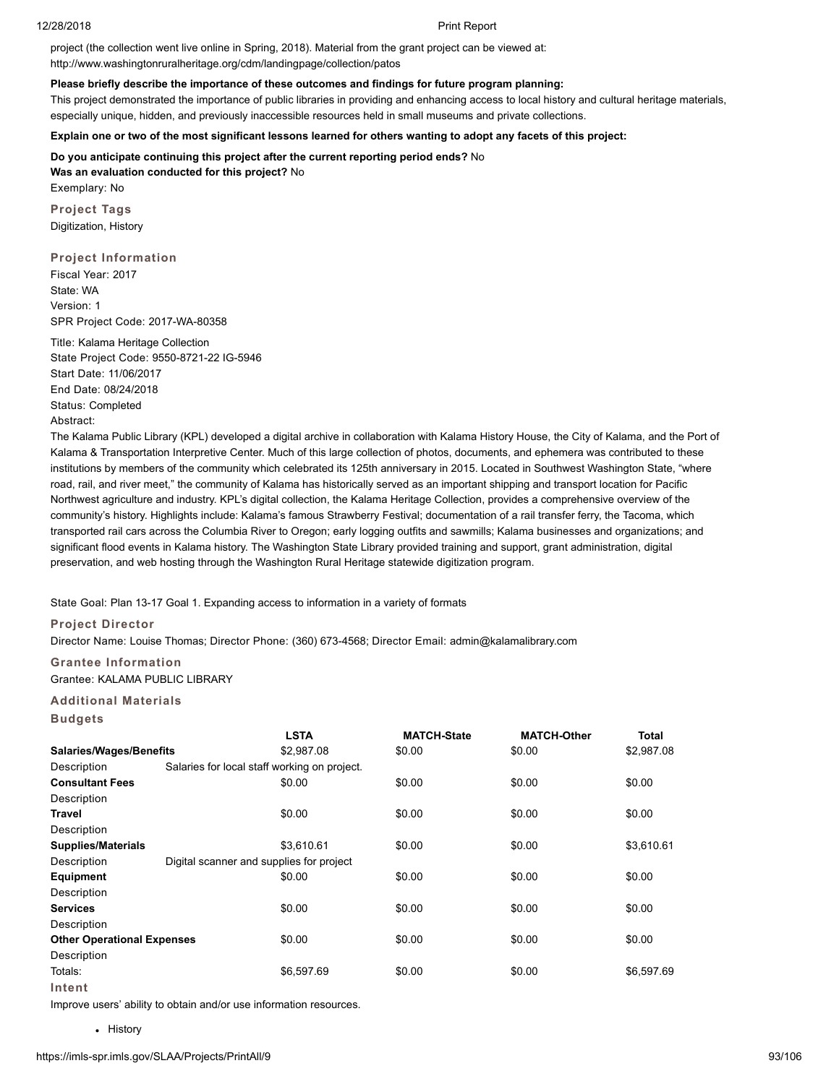project (the collection went live online in Spring, 2018). Material from the grant project can be viewed at: http://www.washingtonruralheritage.org/cdm/landingpage/collection/patos

### **Please briefly describe the importance of these outcomes and findings for future program planning:**

This project demonstrated the importance of public libraries in providing and enhancing access to local history and cultural heritage materials, especially unique, hidden, and previously inaccessible resources held in small museums and private collections.

**Explain one or two of the most significant lessons learned for others wanting to adopt any facets of this project:**

**Do you anticipate continuing this project after the current reporting period ends?** No **Was an evaluation conducted for this project?** No Exemplary: No

**Project Tags** Digitization, History

**Project Information** Fiscal Year: 2017 State: WA Version: 1 SPR Project Code: 2017-WA-80358

Title: Kalama Heritage Collection State Project Code: 9550-8721-22 IG-5946 Start Date: 11/06/2017 End Date: 08/24/2018 Status: Completed Abstract:

The Kalama Public Library (KPL) developed a digital archive in collaboration with Kalama History House, the City of Kalama, and the Port of Kalama & Transportation Interpretive Center. Much of this large collection of photos, documents, and ephemera was contributed to these institutions by members of the community which celebrated its 125th anniversary in 2015. Located in Southwest Washington State, "where road, rail, and river meet," the community of Kalama has historically served as an important shipping and transport location for Pacific Northwest agriculture and industry. KPL's digital collection, the Kalama Heritage Collection, provides a comprehensive overview of the community's history. Highlights include: Kalama's famous Strawberry Festival; documentation of a rail transfer ferry, the Tacoma, which transported rail cars across the Columbia River to Oregon; early logging outfits and sawmills; Kalama businesses and organizations; and significant flood events in Kalama history. The Washington State Library provided training and support, grant administration, digital preservation, and web hosting through the Washington Rural Heritage statewide digitization program.

State Goal: Plan 13-17 Goal 1. Expanding access to information in a variety of formats

### **Project Director**

Director Name: Louise Thomas; Director Phone: (360) 673-4568; Director Email: admin@kalamalibrary.com

# **Grantee Information**

Grantee: KALAMA PUBLIC LIBRARY

### **Additional Materials**

**Budgets**

|                                   | <b>LSTA</b>                                  | <b>MATCH-State</b> | <b>MATCH-Other</b> | <b>Total</b> |  |  |  |
|-----------------------------------|----------------------------------------------|--------------------|--------------------|--------------|--|--|--|
| <b>Salaries/Wages/Benefits</b>    | \$2,987.08                                   | \$0.00             | \$0.00             | \$2,987.08   |  |  |  |
| Description                       | Salaries for local staff working on project. |                    |                    |              |  |  |  |
| <b>Consultant Fees</b>            | \$0.00                                       | \$0.00             | \$0.00             | \$0.00       |  |  |  |
| Description                       |                                              |                    |                    |              |  |  |  |
| Travel                            | \$0.00                                       | \$0.00             | \$0.00             | \$0.00       |  |  |  |
| Description                       |                                              |                    |                    |              |  |  |  |
| <b>Supplies/Materials</b>         | \$3,610.61                                   | \$0.00             | \$0.00             | \$3,610.61   |  |  |  |
| Description                       | Digital scanner and supplies for project     |                    |                    |              |  |  |  |
| <b>Equipment</b>                  | \$0.00                                       | \$0.00             | \$0.00             | \$0.00       |  |  |  |
| Description                       |                                              |                    |                    |              |  |  |  |
| <b>Services</b>                   | \$0.00                                       | \$0.00             | \$0.00             | \$0.00       |  |  |  |
| Description                       |                                              |                    |                    |              |  |  |  |
| <b>Other Operational Expenses</b> | \$0.00                                       | \$0.00             | \$0.00             | \$0.00       |  |  |  |
| Description                       |                                              |                    |                    |              |  |  |  |
| Totals:                           | \$6,597.69                                   | \$0.00             | \$0.00             | \$6,597.69   |  |  |  |
| Intent                            |                                              |                    |                    |              |  |  |  |

Improve users' ability to obtain and/or use information resources.

• History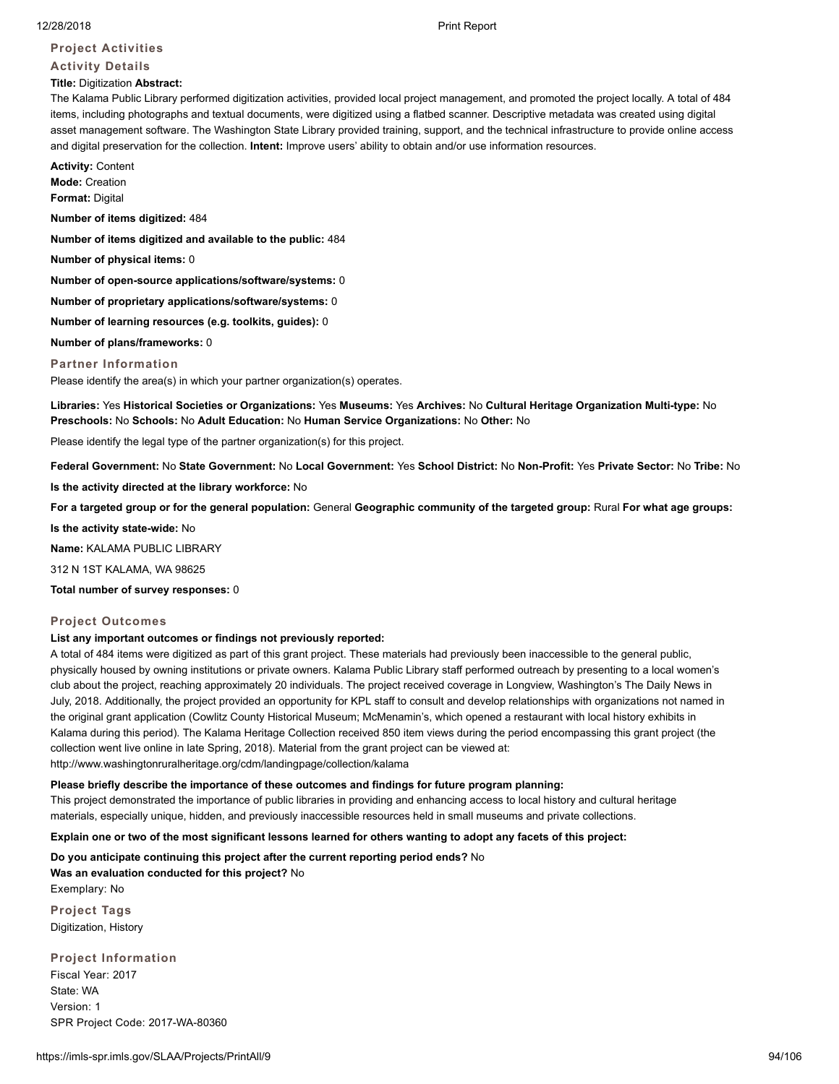### **Project Activities**

# **Activity Details**

### **Title:** Digitization **Abstract:**

The Kalama Public Library performed digitization activities, provided local project management, and promoted the project locally. A total of 484 items, including photographs and textual documents, were digitized using a flatbed scanner. Descriptive metadata was created using digital asset management software. The Washington State Library provided training, support, and the technical infrastructure to provide online access and digital preservation for the collection. **Intent:** Improve users' ability to obtain and/or use information resources.

**Activity:** Content **Mode:** Creation **Format:** Digital

**Number of items digitized:** 484

**Number of items digitized and available to the public:** 484

**Number of physical items:** 0

**Number of open-source applications/software/systems:** 0

**Number of proprietary applications/software/systems:** 0

**Number of learning resources (e.g. toolkits, guides):** 0

**Number of plans/frameworks:** 0

### **Partner Information**

Please identify the area(s) in which your partner organization(s) operates.

**Libraries:** Yes **Historical Societies or Organizations:** Yes **Museums:** Yes **Archives:** No **Cultural Heritage Organization Multi-type:** No **Preschools:** No **Schools:** No **Adult Education:** No **Human Service Organizations:** No **Other:** No

Please identify the legal type of the partner organization(s) for this project.

**Federal Government:** No **State Government:** No **Local Government:** Yes **School District:** No **Non-Profit:** Yes **Private Sector:** No **Tribe:** No

**Is the activity directed at the library workforce:** No

**For a targeted group or for the general population:** General **Geographic community of the targeted group:** Rural **For what age groups:**

**Is the activity state-wide:** No

**Name:** KALAMA PUBLIC LIBRARY

312 N 1ST KALAMA, WA 98625

**Total number of survey responses:** 0

### **Project Outcomes**

### **List any important outcomes or findings not previously reported:**

A total of 484 items were digitized as part of this grant project. These materials had previously been inaccessible to the general public, physically housed by owning institutions or private owners. Kalama Public Library staff performed outreach by presenting to a local women's club about the project, reaching approximately 20 individuals. The project received coverage in Longview, Washington's The Daily News in July, 2018. Additionally, the project provided an opportunity for KPL staff to consult and develop relationships with organizations not named in the original grant application (Cowlitz County Historical Museum; McMenamin's, which opened a restaurant with local history exhibits in Kalama during this period). The Kalama Heritage Collection received 850 item views during the period encompassing this grant project (the collection went live online in late Spring, 2018). Material from the grant project can be viewed at: http://www.washingtonruralheritage.org/cdm/landingpage/collection/kalama

### **Please briefly describe the importance of these outcomes and findings for future program planning:**

This project demonstrated the importance of public libraries in providing and enhancing access to local history and cultural heritage materials, especially unique, hidden, and previously inaccessible resources held in small museums and private collections.

**Explain one or two of the most significant lessons learned for others wanting to adopt any facets of this project:**

**Do you anticipate continuing this project after the current reporting period ends?** No

**Was an evaluation conducted for this project?** No Exemplary: No

**Project Tags** Digitization, History

**Project Information** Fiscal Year: 2017 State: WA Version: 1 SPR Project Code: 2017-WA-80360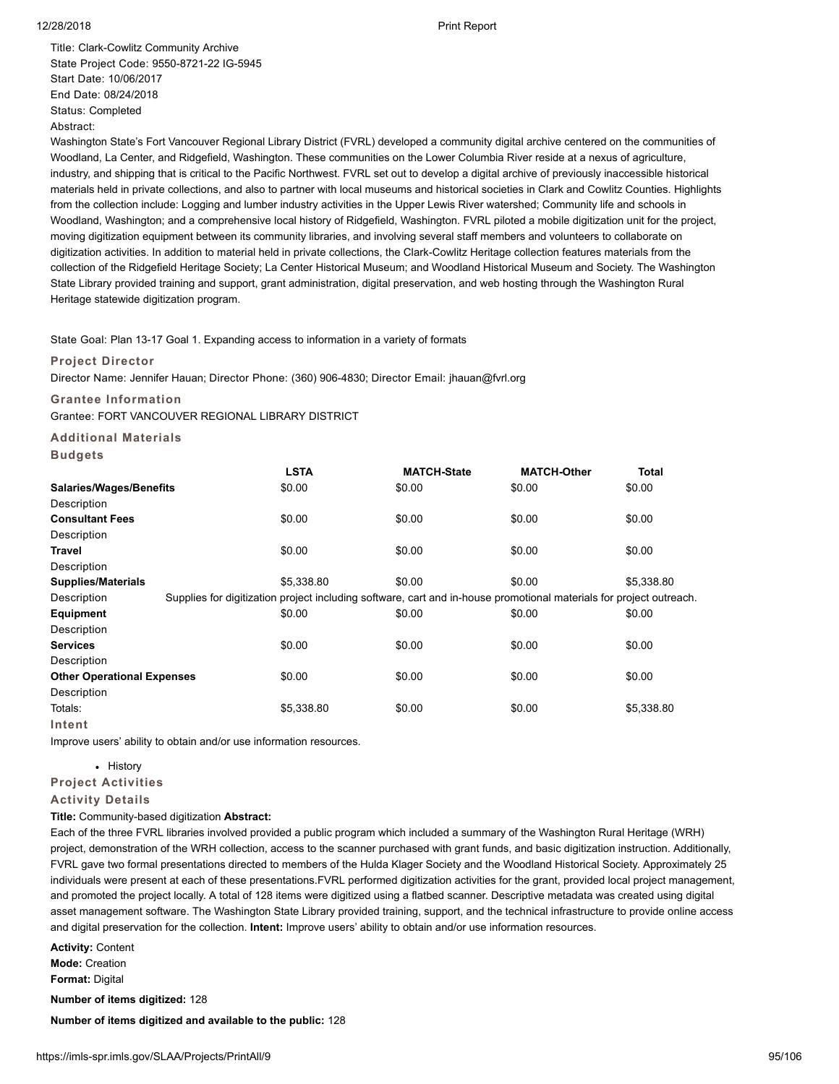Title: Clark-Cowlitz Community Archive State Project Code: 9550-8721-22 IG-5945 Start Date: 10/06/2017 End Date: 08/24/2018 Status: Completed Abstract:

Washington State's Fort Vancouver Regional Library District (FVRL) developed a community digital archive centered on the communities of Woodland, La Center, and Ridgefield, Washington. These communities on the Lower Columbia River reside at a nexus of agriculture, industry, and shipping that is critical to the Pacific Northwest. FVRL set out to develop a digital archive of previously inaccessible historical materials held in private collections, and also to partner with local museums and historical societies in Clark and Cowlitz Counties. Highlights from the collection include: Logging and lumber industry activities in the Upper Lewis River watershed; Community life and schools in Woodland, Washington; and a comprehensive local history of Ridgefield, Washington. FVRL piloted a mobile digitization unit for the project, moving digitization equipment between its community libraries, and involving several staff members and volunteers to collaborate on digitization activities. In addition to material held in private collections, the Clark-Cowlitz Heritage collection features materials from the collection of the Ridgefield Heritage Society; La Center Historical Museum; and Woodland Historical Museum and Society. The Washington State Library provided training and support, grant administration, digital preservation, and web hosting through the Washington Rural Heritage statewide digitization program.

State Goal: Plan 13-17 Goal 1. Expanding access to information in a variety of formats

### **Project Director**

Director Name: Jennifer Hauan; Director Phone: (360) 906-4830; Director Email: jhauan@fvrl.org

### **Grantee Information**

Grantee: FORT VANCOUVER REGIONAL LIBRARY DISTRICT

**Additional Materials**

**Budgets**

|                                   | <b>LSTA</b> | <b>MATCH-State</b>                                                                                                  | <b>MATCH-Other</b> | <b>Total</b> |
|-----------------------------------|-------------|---------------------------------------------------------------------------------------------------------------------|--------------------|--------------|
| <b>Salaries/Wages/Benefits</b>    | \$0.00      | \$0.00                                                                                                              | \$0.00             | \$0.00       |
| Description                       |             |                                                                                                                     |                    |              |
| <b>Consultant Fees</b>            | \$0.00      | \$0.00                                                                                                              | \$0.00             | \$0.00       |
| Description                       |             |                                                                                                                     |                    |              |
| Travel                            | \$0.00      | \$0.00                                                                                                              | \$0.00             | \$0.00       |
| Description                       |             |                                                                                                                     |                    |              |
| <b>Supplies/Materials</b>         | \$5,338.80  | \$0.00                                                                                                              | \$0.00             | \$5,338.80   |
| Description                       |             | Supplies for digitization project including software, cart and in-house promotional materials for project outreach. |                    |              |
| Equipment                         | \$0.00      | \$0.00                                                                                                              | \$0.00             | \$0.00       |
| Description                       |             |                                                                                                                     |                    |              |
| <b>Services</b>                   | \$0.00      | \$0.00                                                                                                              | \$0.00             | \$0.00       |
| Description                       |             |                                                                                                                     |                    |              |
| <b>Other Operational Expenses</b> | \$0.00      | \$0.00                                                                                                              | \$0.00             | \$0.00       |
| Description                       |             |                                                                                                                     |                    |              |
| Totals:                           | \$5,338.80  | \$0.00                                                                                                              | \$0.00             | \$5,338.80   |
| Intent                            |             |                                                                                                                     |                    |              |

Improve users' ability to obtain and/or use information resources.

# • History

# **Project Activities**

### **Activity Details**

**Title:** Community-based digitization **Abstract:**

Each of the three FVRL libraries involved provided a public program which included a summary of the Washington Rural Heritage (WRH) project, demonstration of the WRH collection, access to the scanner purchased with grant funds, and basic digitization instruction. Additionally, FVRL gave two formal presentations directed to members of the Hulda Klager Society and the Woodland Historical Society. Approximately 25 individuals were present at each of these presentations.FVRL performed digitization activities for the grant, provided local project management, and promoted the project locally. A total of 128 items were digitized using a flatbed scanner. Descriptive metadata was created using digital asset management software. The Washington State Library provided training, support, and the technical infrastructure to provide online access and digital preservation for the collection. **Intent:** Improve users' ability to obtain and/or use information resources.

**Activity:** Content **Mode:** Creation

**Format:** Digital

**Number of items digitized:** 128

**Number of items digitized and available to the public:** 128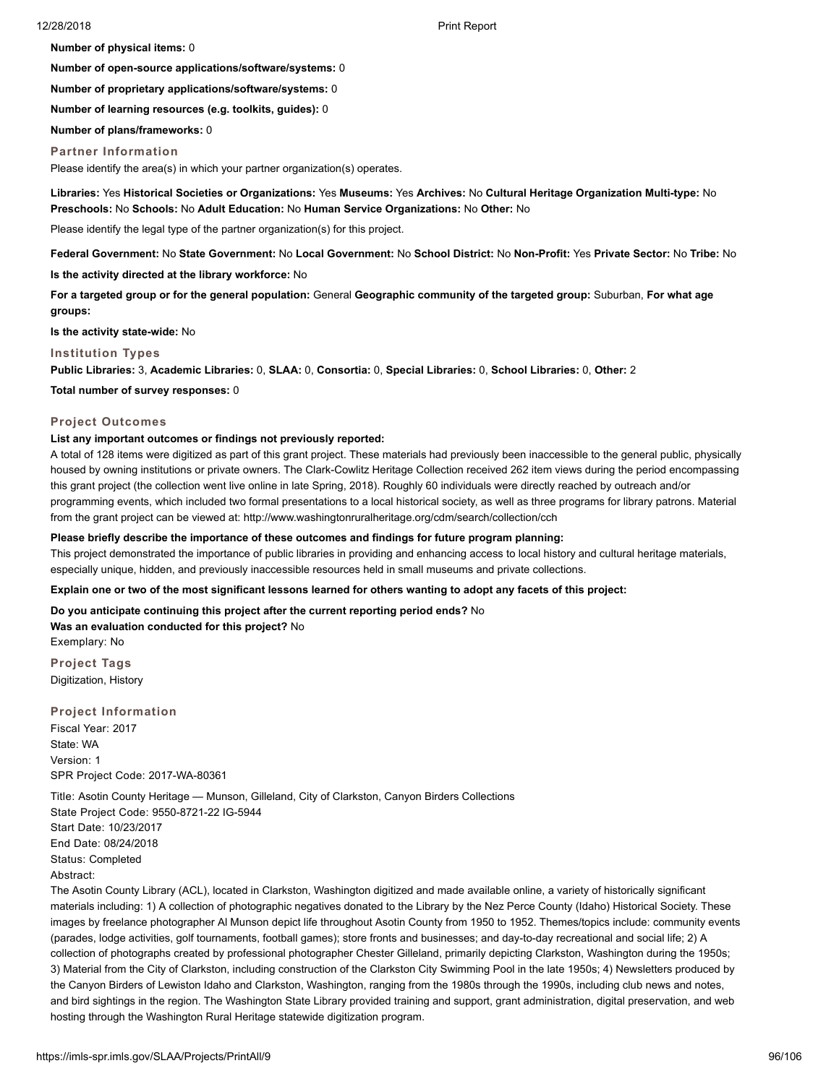**Number of physical items:** 0

**Number of open-source applications/software/systems:** 0

**Number of proprietary applications/software/systems:** 0

**Number of learning resources (e.g. toolkits, guides):** 0

**Number of plans/frameworks:** 0

### **Partner Information**

Please identify the area(s) in which your partner organization(s) operates.

**Libraries:** Yes **Historical Societies or Organizations:** Yes **Museums:** Yes **Archives:** No **Cultural Heritage Organization Multi-type:** No **Preschools:** No **Schools:** No **Adult Education:** No **Human Service Organizations:** No **Other:** No

Please identify the legal type of the partner organization(s) for this project.

**Federal Government:** No **State Government:** No **Local Government:** No **School District:** No **Non-Profit:** Yes **Private Sector:** No **Tribe:** No

**Is the activity directed at the library workforce:** No

**For a targeted group or for the general population:** General **Geographic community of the targeted group:** Suburban, **For what age groups:**

**Is the activity state-wide:** No

### **Institution Types**

**Public Libraries:** 3, **Academic Libraries:** 0, **SLAA:** 0, **Consortia:** 0, **Special Libraries:** 0, **School Libraries:** 0, **Other:** 2

**Total number of survey responses:** 0

### **Project Outcomes**

### **List any important outcomes or findings not previously reported:**

A total of 128 items were digitized as part of this grant project. These materials had previously been inaccessible to the general public, physically housed by owning institutions or private owners. The Clark-Cowlitz Heritage Collection received 262 item views during the period encompassing this grant project (the collection went live online in late Spring, 2018). Roughly 60 individuals were directly reached by outreach and/or programming events, which included two formal presentations to a local historical society, as well as three programs for library patrons. Material from the grant project can be viewed at: http://www.washingtonruralheritage.org/cdm/search/collection/cch

### **Please briefly describe the importance of these outcomes and findings for future program planning:**

This project demonstrated the importance of public libraries in providing and enhancing access to local history and cultural heritage materials, especially unique, hidden, and previously inaccessible resources held in small museums and private collections.

### **Explain one or two of the most significant lessons learned for others wanting to adopt any facets of this project:**

**Do you anticipate continuing this project after the current reporting period ends?** No **Was an evaluation conducted for this project?** No Exemplary: No

**Project Tags** Digitization, History

### **Project Information**

Fiscal Year: 2017 State: WA Version: 1 SPR Project Code: 2017-WA-80361

Title: Asotin County Heritage — Munson, Gilleland, City of Clarkston, Canyon Birders Collections State Project Code: 9550-8721-22 IG-5944 Start Date: 10/23/2017 End Date: 08/24/2018 Status: Completed Abstract:

The Asotin County Library (ACL), located in Clarkston, Washington digitized and made available online, a variety of historically significant materials including: 1) A collection of photographic negatives donated to the Library by the Nez Perce County (Idaho) Historical Society. These images by freelance photographer Al Munson depict life throughout Asotin County from 1950 to 1952. Themes/topics include: community events (parades, lodge activities, golf tournaments, football games); store fronts and businesses; and day-to-day recreational and social life; 2) A collection of photographs created by professional photographer Chester Gilleland, primarily depicting Clarkston, Washington during the 1950s; 3) Material from the City of Clarkston, including construction of the Clarkston City Swimming Pool in the late 1950s; 4) Newsletters produced by the Canyon Birders of Lewiston Idaho and Clarkston, Washington, ranging from the 1980s through the 1990s, including club news and notes, and bird sightings in the region. The Washington State Library provided training and support, grant administration, digital preservation, and web hosting through the Washington Rural Heritage statewide digitization program.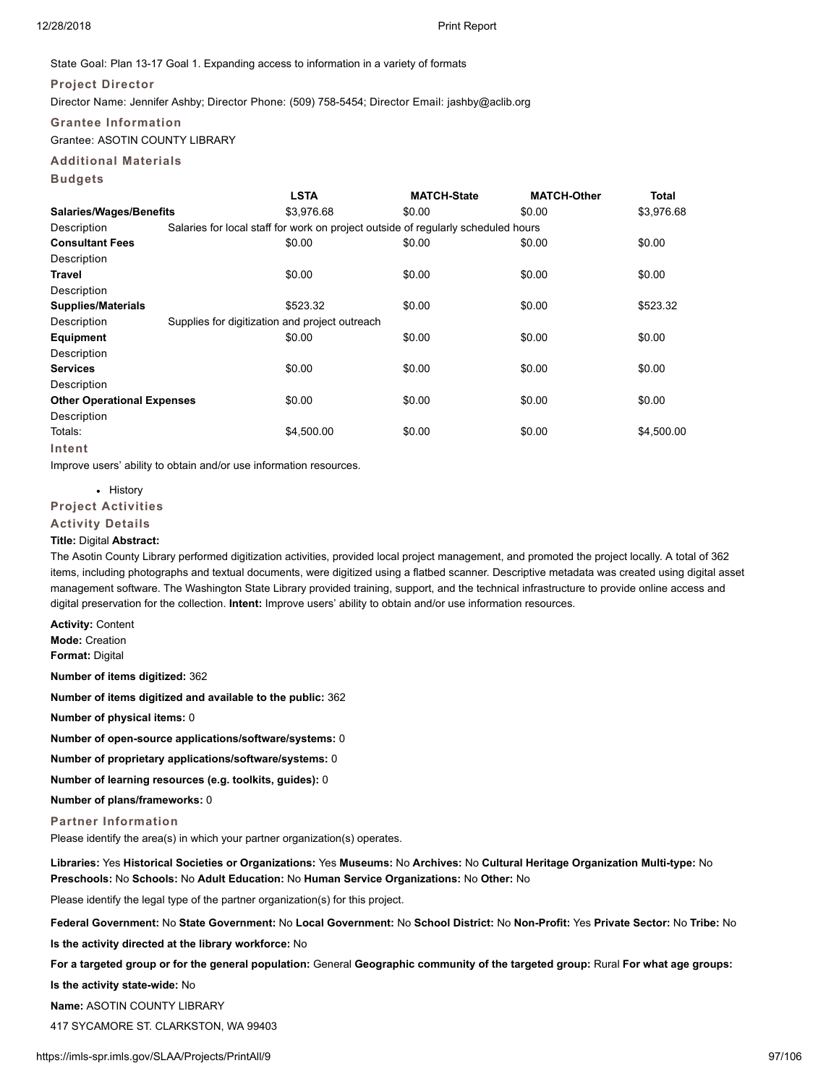### State Goal: Plan 13-17 Goal 1. Expanding access to information in a variety of formats

### **Project Director**

Director Name: Jennifer Ashby; Director Phone: (509) 758-5454; Director Email: jashby@aclib.org

### **Grantee Information**

Grantee: ASOTIN COUNTY LIBRARY

### **Additional Materials**

**Budgets**

|                                   | <b>LSTA</b>                                    | <b>MATCH-State</b>                                                                | <b>MATCH-Other</b> | <b>Total</b> |
|-----------------------------------|------------------------------------------------|-----------------------------------------------------------------------------------|--------------------|--------------|
| Salaries/Wages/Benefits           | \$3.976.68                                     | \$0.00                                                                            | \$0.00             | \$3,976.68   |
| Description                       |                                                | Salaries for local staff for work on project outside of regularly scheduled hours |                    |              |
| <b>Consultant Fees</b>            | \$0.00                                         | \$0.00                                                                            | \$0.00             | \$0.00       |
| Description                       |                                                |                                                                                   |                    |              |
| Travel                            | \$0.00                                         | \$0.00                                                                            | \$0.00             | \$0.00       |
| Description                       |                                                |                                                                                   |                    |              |
| <b>Supplies/Materials</b>         | \$523.32                                       | \$0.00                                                                            | \$0.00             | \$523.32     |
| Description                       | Supplies for digitization and project outreach |                                                                                   |                    |              |
| Equipment                         | \$0.00                                         | \$0.00                                                                            | \$0.00             | \$0.00       |
| Description                       |                                                |                                                                                   |                    |              |
| <b>Services</b>                   | \$0.00                                         | \$0.00                                                                            | \$0.00             | \$0.00       |
| Description                       |                                                |                                                                                   |                    |              |
| <b>Other Operational Expenses</b> | \$0.00                                         | \$0.00                                                                            | \$0.00             | \$0.00       |
| Description                       |                                                |                                                                                   |                    |              |
| Totals:                           | \$4,500.00                                     | \$0.00                                                                            | \$0.00             | \$4,500.00   |
| Intent                            |                                                |                                                                                   |                    |              |

Improve users' ability to obtain and/or use information resources.

### • History

**Project Activities**

### **Activity Details**

### **Title:** Digital **Abstract:**

The Asotin County Library performed digitization activities, provided local project management, and promoted the project locally. A total of 362 items, including photographs and textual documents, were digitized using a flatbed scanner. Descriptive metadata was created using digital asset management software. The Washington State Library provided training, support, and the technical infrastructure to provide online access and digital preservation for the collection. **Intent:** Improve users' ability to obtain and/or use information resources.

**Activity:** Content

**Mode:** Creation

**Format:** Digital

**Number of items digitized:** 362

**Number of items digitized and available to the public:** 362

**Number of physical items:** 0

**Number of open-source applications/software/systems:** 0

**Number of proprietary applications/software/systems:** 0

**Number of learning resources (e.g. toolkits, guides):** 0

**Number of plans/frameworks:** 0

### **Partner Information**

Please identify the area(s) in which your partner organization(s) operates.

**Libraries:** Yes **Historical Societies or Organizations:** Yes **Museums:** No **Archives:** No **Cultural Heritage Organization Multi-type:** No **Preschools:** No **Schools:** No **Adult Education:** No **Human Service Organizations:** No **Other:** No

Please identify the legal type of the partner organization(s) for this project.

**Federal Government:** No **State Government:** No **Local Government:** No **School District:** No **Non-Profit:** Yes **Private Sector:** No **Tribe:** No

**Is the activity directed at the library workforce:** No

**For a targeted group or for the general population:** General **Geographic community of the targeted group:** Rural **For what age groups:**

**Is the activity state-wide:** No

**Name:** ASOTIN COUNTY LIBRARY

417 SYCAMORE ST. CLARKSTON, WA 99403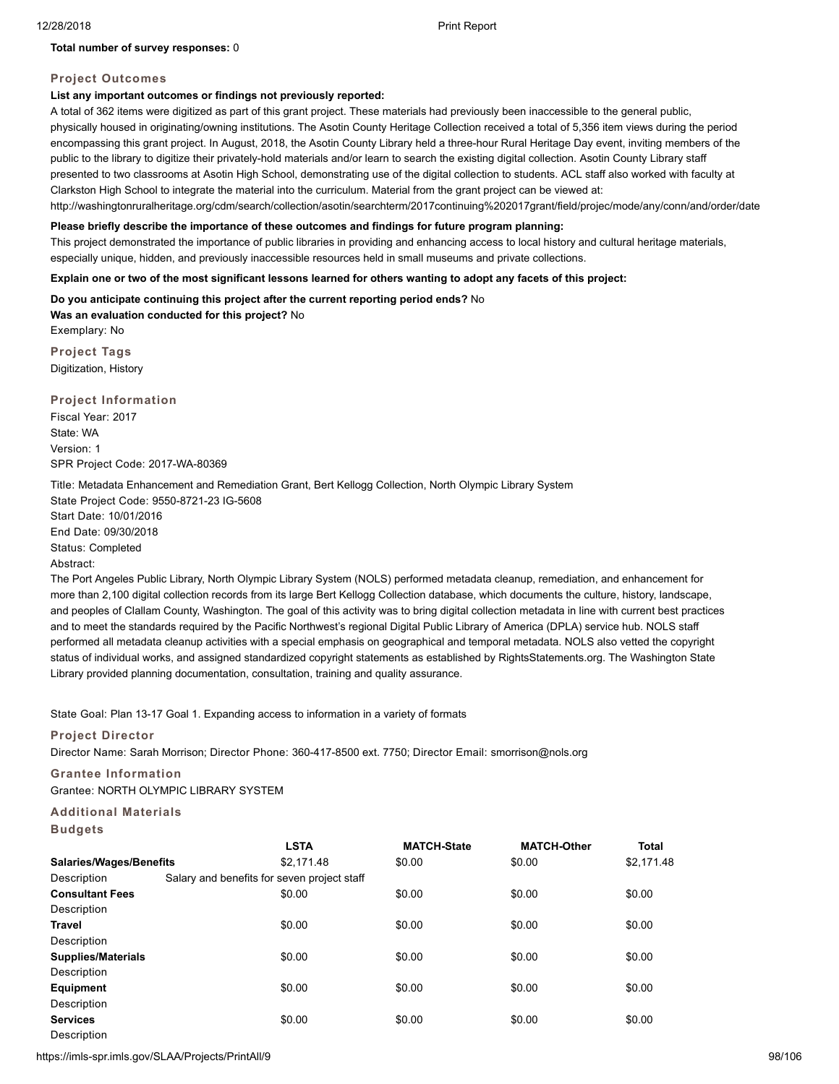### **Total number of survey responses:** 0

# **Project Outcomes**

# **List any important outcomes or findings not previously reported:**

A total of 362 items were digitized as part of this grant project. These materials had previously been inaccessible to the general public, physically housed in originating/owning institutions. The Asotin County Heritage Collection received a total of 5,356 item views during the period encompassing this grant project. In August, 2018, the Asotin County Library held a three-hour Rural Heritage Day event, inviting members of the public to the library to digitize their privately-hold materials and/or learn to search the existing digital collection. Asotin County Library staff presented to two classrooms at Asotin High School, demonstrating use of the digital collection to students. ACL staff also worked with faculty at Clarkston High School to integrate the material into the curriculum. Material from the grant project can be viewed at: http://washingtonruralheritage.org/cdm/search/collection/asotin/searchterm/2017continuing%202017grant/field/projec/mode/any/conn/and/order/date

### **Please briefly describe the importance of these outcomes and findings for future program planning:**

This project demonstrated the importance of public libraries in providing and enhancing access to local history and cultural heritage materials, especially unique, hidden, and previously inaccessible resources held in small museums and private collections.

**Explain one or two of the most significant lessons learned for others wanting to adopt any facets of this project:**

**Do you anticipate continuing this project after the current reporting period ends?** No

**Was an evaluation conducted for this project?** No Exemplary: No

**Project Tags** Digitization, History

**Project Information**

Fiscal Year: 2017 State: WA Version: 1 SPR Project Code: 2017-WA-80369

Title: Metadata Enhancement and Remediation Grant, Bert Kellogg Collection, North Olympic Library System

State Project Code: 9550-8721-23 IG-5608 Start Date: 10/01/2016 End Date: 09/30/2018 Status: Completed

### Abstract:

The Port Angeles Public Library, North Olympic Library System (NOLS) performed metadata cleanup, remediation, and enhancement for more than 2,100 digital collection records from its large Bert Kellogg Collection database, which documents the culture, history, landscape, and peoples of Clallam County, Washington. The goal of this activity was to bring digital collection metadata in line with current best practices and to meet the standards required by the Pacific Northwest's regional Digital Public Library of America (DPLA) service hub. NOLS staff performed all metadata cleanup activities with a special emphasis on geographical and temporal metadata. NOLS also vetted the copyright status of individual works, and assigned standardized copyright statements as established by RightsStatements.org. The Washington State Library provided planning documentation, consultation, training and quality assurance.

State Goal: Plan 13-17 Goal 1. Expanding access to information in a variety of formats

### **Project Director**

Director Name: Sarah Morrison; Director Phone: 360-417-8500 ext. 7750; Director Email: smorrison@nols.org

# **Grantee Information**

Grantee: NORTH OLYMPIC LIBRARY SYSTEM

# **Additional Materials**

**Budgets**

|                           |                                             | <b>LSTA</b> | <b>MATCH-State</b> | <b>MATCH-Other</b> | <b>Total</b> |
|---------------------------|---------------------------------------------|-------------|--------------------|--------------------|--------------|
| Salaries/Wages/Benefits   |                                             | \$2.171.48  | \$0.00             | \$0.00             | \$2,171.48   |
| Description               | Salary and benefits for seven project staff |             |                    |                    |              |
| <b>Consultant Fees</b>    |                                             | \$0.00      | \$0.00             | \$0.00             | \$0.00       |
| Description               |                                             |             |                    |                    |              |
| Travel                    |                                             | \$0.00      | \$0.00             | \$0.00             | \$0.00       |
| Description               |                                             |             |                    |                    |              |
| <b>Supplies/Materials</b> |                                             | \$0.00      | \$0.00             | \$0.00             | \$0.00       |
| Description               |                                             |             |                    |                    |              |
| <b>Equipment</b>          |                                             | \$0.00      | \$0.00             | \$0.00             | \$0.00       |
| Description               |                                             |             |                    |                    |              |
| <b>Services</b>           |                                             | \$0.00      | \$0.00             | \$0.00             | \$0.00       |
| Description               |                                             |             |                    |                    |              |

https://imls-spr.imls.gov/SLAA/Projects/PrintAll/9 98/106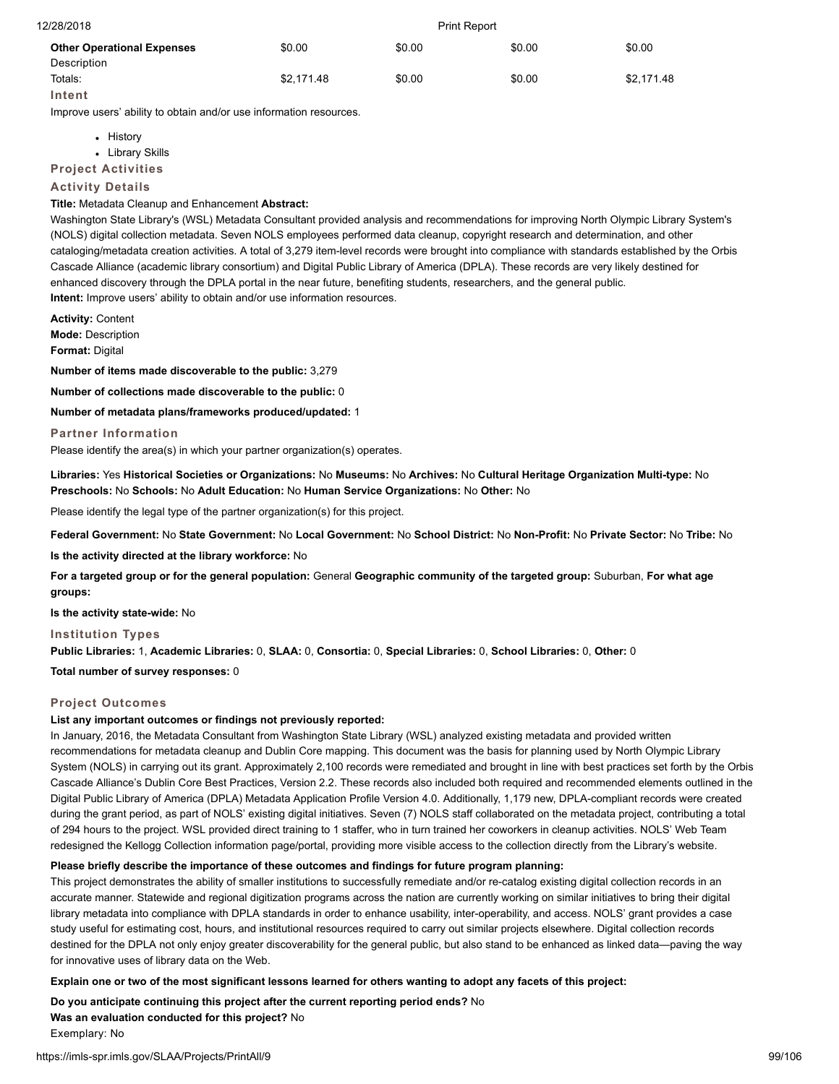| 12/28/2018                        | <b>Print Report</b> |        |        |            |
|-----------------------------------|---------------------|--------|--------|------------|
| <b>Other Operational Expenses</b> | \$0.00              | \$0.00 | \$0.00 | \$0.00     |
| Description                       |                     |        |        |            |
| Totals:                           | \$2.171.48          | \$0.00 | \$0.00 | \$2,171.48 |
| Intent                            |                     |        |        |            |

Improve users' ability to obtain and/or use information resources.

• History

Library Skills

**Project Activities**

### **Activity Details**

### **Title:** Metadata Cleanup and Enhancement **Abstract:**

Washington State Library's (WSL) Metadata Consultant provided analysis and recommendations for improving North Olympic Library System's (NOLS) digital collection metadata. Seven NOLS employees performed data cleanup, copyright research and determination, and other cataloging/metadata creation activities. A total of 3,279 item-level records were brought into compliance with standards established by the Orbis Cascade Alliance (academic library consortium) and Digital Public Library of America (DPLA). These records are very likely destined for enhanced discovery through the DPLA portal in the near future, benefiting students, researchers, and the general public. **Intent:** Improve users' ability to obtain and/or use information resources.

**Activity:** Content **Mode:** Description **Format:** Digital

**Number of items made discoverable to the public:** 3,279

**Number of collections made discoverable to the public:** 0

**Number of metadata plans/frameworks produced/updated:** 1

**Partner Information**

Please identify the area(s) in which your partner organization(s) operates.

**Libraries:** Yes **Historical Societies or Organizations:** No **Museums:** No **Archives:** No **Cultural Heritage Organization Multi-type:** No **Preschools:** No **Schools:** No **Adult Education:** No **Human Service Organizations:** No **Other:** No

Please identify the legal type of the partner organization(s) for this project.

**Federal Government:** No **State Government:** No **Local Government:** No **School District:** No **Non-Profit:** No **Private Sector:** No **Tribe:** No

**Is the activity directed at the library workforce:** No

**For a targeted group or for the general population:** General **Geographic community of the targeted group:** Suburban, **For what age groups:**

**Is the activity state-wide:** No

**Institution Types**

**Public Libraries:** 1, **Academic Libraries:** 0, **SLAA:** 0, **Consortia:** 0, **Special Libraries:** 0, **School Libraries:** 0, **Other:** 0

**Total number of survey responses:** 0

### **Project Outcomes**

### **List any important outcomes or findings not previously reported:**

In January, 2016, the Metadata Consultant from Washington State Library (WSL) analyzed existing metadata and provided written recommendations for metadata cleanup and Dublin Core mapping. This document was the basis for planning used by North Olympic Library System (NOLS) in carrying out its grant. Approximately 2,100 records were remediated and brought in line with best practices set forth by the Orbis Cascade Alliance's Dublin Core Best Practices, Version 2.2. These records also included both required and recommended elements outlined in the Digital Public Library of America (DPLA) Metadata Application Profile Version 4.0. Additionally, 1,179 new, DPLA-compliant records were created during the grant period, as part of NOLS' existing digital initiatives. Seven (7) NOLS staff collaborated on the metadata project, contributing a total of 294 hours to the project. WSL provided direct training to 1 staffer, who in turn trained her coworkers in cleanup activities. NOLS' Web Team redesigned the Kellogg Collection information page/portal, providing more visible access to the collection directly from the Library's website.

### **Please briefly describe the importance of these outcomes and findings for future program planning:**

This project demonstrates the ability of smaller institutions to successfully remediate and/or re-catalog existing digital collection records in an accurate manner. Statewide and regional digitization programs across the nation are currently working on similar initiatives to bring their digital library metadata into compliance with DPLA standards in order to enhance usability, inter-operability, and access. NOLS' grant provides a case study useful for estimating cost, hours, and institutional resources required to carry out similar projects elsewhere. Digital collection records destined for the DPLA not only enjoy greater discoverability for the general public, but also stand to be enhanced as linked data—paving the way for innovative uses of library data on the Web.

**Explain one or two of the most significant lessons learned for others wanting to adopt any facets of this project:**

**Do you anticipate continuing this project after the current reporting period ends?** No **Was an evaluation conducted for this project?** No Exemplary: No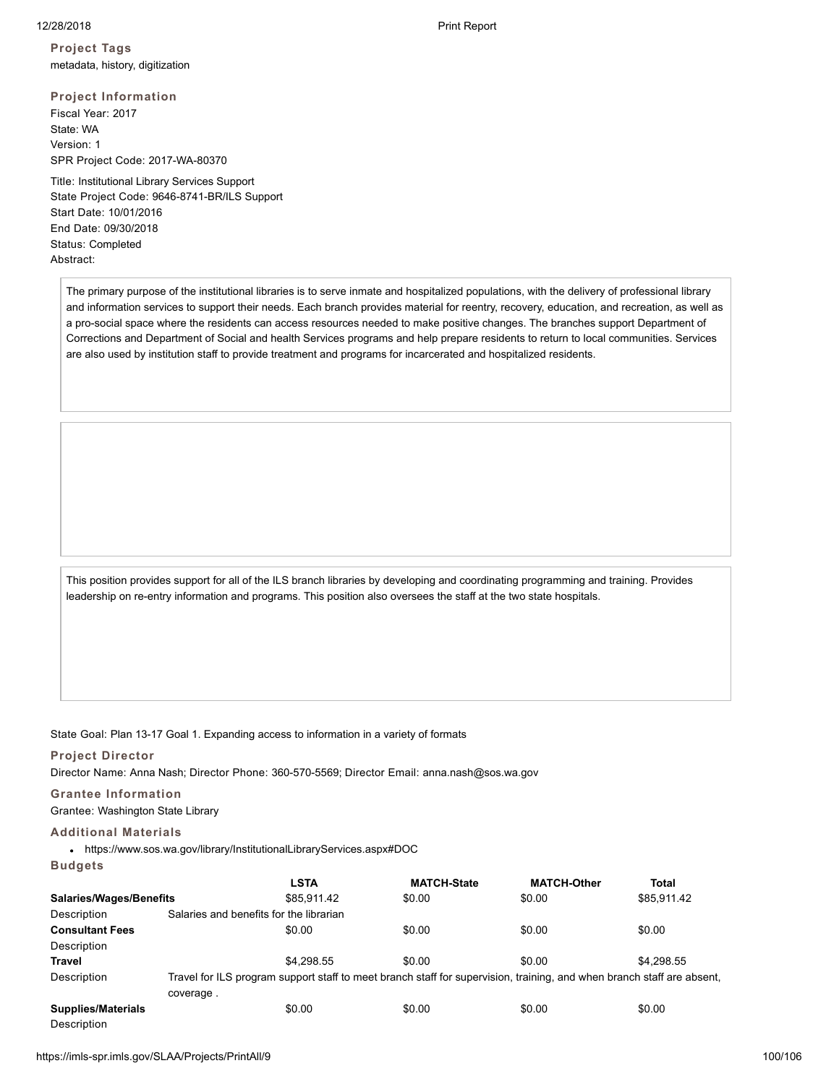**Project Tags** metadata, history, digitization

**Project Information** Fiscal Year: 2017 State: WA Version: 1 SPR Project Code: 2017-WA-80370

Title: Institutional Library Services Support State Project Code: 9646-8741-BR/ILS Support Start Date: 10/01/2016 End Date: 09/30/2018 Status: Completed Abstract:

The primary purpose of the institutional libraries is to serve inmate and hospitalized populations, with the delivery of professional library and information services to support their needs. Each branch provides material for reentry, recovery, education, and recreation, as well as a pro-social space where the residents can access resources needed to make positive changes. The branches support Department of Corrections and Department of Social and health Services programs and help prepare residents to return to local communities. Services are also used by institution staff to provide treatment and programs for incarcerated and hospitalized residents.

This position provides support for all of the ILS branch libraries by developing and coordinating programming and training. Provides leadership on re-entry information and programs. This position also oversees the staff at the two state hospitals.

State Goal: Plan 13-17 Goal 1. Expanding access to information in a variety of formats

### **Project Director**

Director Name: Anna Nash; Director Phone: 360-570-5569; Director Email: anna.nash@sos.wa.gov

# **Grantee Information**

Grantee: Washington State Library

### **Additional Materials**

https://www.sos.wa.gov/library/InstitutionalLibraryServices.aspx#DOC

### **Budgets**

|                                |           | <b>LSTA</b>                             | <b>MATCH-State</b>                                                                                                     | <b>MATCH-Other</b> | Total       |  |
|--------------------------------|-----------|-----------------------------------------|------------------------------------------------------------------------------------------------------------------------|--------------------|-------------|--|
| <b>Salaries/Wages/Benefits</b> |           | \$85,911.42                             | \$0.00                                                                                                                 | \$0.00             | \$85,911.42 |  |
| Description                    |           | Salaries and benefits for the librarian |                                                                                                                        |                    |             |  |
| <b>Consultant Fees</b>         |           | \$0.00                                  | \$0.00                                                                                                                 | \$0.00             | \$0.00      |  |
| Description                    |           |                                         |                                                                                                                        |                    |             |  |
| Travel                         |           | \$4.298.55                              | \$0.00                                                                                                                 | \$0.00             | \$4.298.55  |  |
| Description                    |           |                                         | Travel for ILS program support staff to meet branch staff for supervision, training, and when branch staff are absent, |                    |             |  |
| <b>Supplies/Materials</b>      | coverage. | \$0.00                                  | \$0.00                                                                                                                 | \$0.00             | \$0.00      |  |
| Description                    |           |                                         |                                                                                                                        |                    |             |  |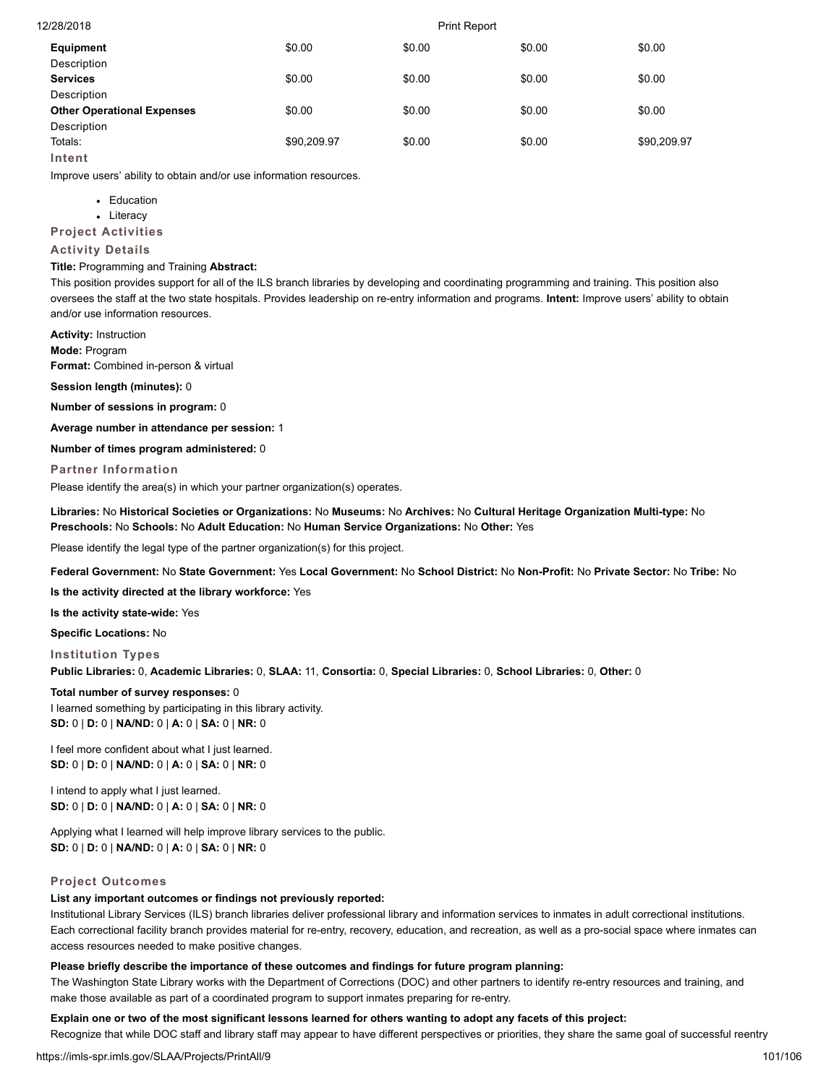| 12/28/2018                        | <b>Print Report</b> |        |        |             |
|-----------------------------------|---------------------|--------|--------|-------------|
| Equipment                         | \$0.00              | \$0.00 | \$0.00 | \$0.00      |
| Description                       |                     |        |        |             |
| <b>Services</b>                   | \$0.00              | \$0.00 | \$0.00 | \$0.00      |
| Description                       |                     |        |        |             |
| <b>Other Operational Expenses</b> | \$0.00              | \$0.00 | \$0.00 | \$0.00      |
| Description                       |                     |        |        |             |
| Totals:                           | \$90,209.97         | \$0.00 | \$0.00 | \$90,209.97 |
| Intent                            |                     |        |        |             |

Improve users' ability to obtain and/or use information resources.

- Education
- Literacy

**Project Activities**

### **Activity Details**

### **Title:** Programming and Training **Abstract:**

This position provides support for all of the ILS branch libraries by developing and coordinating programming and training. This position also oversees the staff at the two state hospitals. Provides leadership on re-entry information and programs. **Intent:** Improve users' ability to obtain and/or use information resources.

**Activity:** Instruction **Mode:** Program

**Format:** Combined in-person & virtual

**Session length (minutes):** 0

**Number of sessions in program:** 0

**Average number in attendance per session:** 1

**Number of times program administered:** 0

**Partner Information**

Please identify the area(s) in which your partner organization(s) operates.

**Libraries:** No **Historical Societies or Organizations:** No **Museums:** No **Archives:** No **Cultural Heritage Organization Multi-type:** No **Preschools:** No **Schools:** No **Adult Education:** No **Human Service Organizations:** No **Other:** Yes

Please identify the legal type of the partner organization(s) for this project.

**Federal Government:** No **State Government:** Yes **Local Government:** No **School District:** No **Non-Profit:** No **Private Sector:** No **Tribe:** No

**Is the activity directed at the library workforce:** Yes

**Is the activity state-wide:** Yes

**Specific Locations:** No

**Institution Types Public Libraries:** 0, **Academic Libraries:** 0, **SLAA:** 11, **Consortia:** 0, **Special Libraries:** 0, **School Libraries:** 0, **Other:** 0

**Total number of survey responses:** 0 I learned something by participating in this library activity. **SD:** 0 | **D:** 0 | **NA/ND:** 0 | **A:** 0 | **SA:** 0 | **NR:** 0

I feel more confident about what I just learned. **SD:** 0 | **D:** 0 | **NA/ND:** 0 | **A:** 0 | **SA:** 0 | **NR:** 0

I intend to apply what I just learned. **SD:** 0 | **D:** 0 | **NA/ND:** 0 | **A:** 0 | **SA:** 0 | **NR:** 0

Applying what I learned will help improve library services to the public. **SD:** 0 | **D:** 0 | **NA/ND:** 0 | **A:** 0 | **SA:** 0 | **NR:** 0

### **Project Outcomes**

### **List any important outcomes or findings not previously reported:**

Institutional Library Services (ILS) branch libraries deliver professional library and information services to inmates in adult correctional institutions. Each correctional facility branch provides material for re-entry, recovery, education, and recreation, as well as a pro-social space where inmates can access resources needed to make positive changes.

### **Please briefly describe the importance of these outcomes and findings for future program planning:**

The Washington State Library works with the Department of Corrections (DOC) and other partners to identify re-entry resources and training, and make those available as part of a coordinated program to support inmates preparing for re-entry.

### **Explain one or two of the most significant lessons learned for others wanting to adopt any facets of this project:**

Recognize that while DOC staff and library staff may appear to have different perspectives or priorities, they share the same goal of successful reentry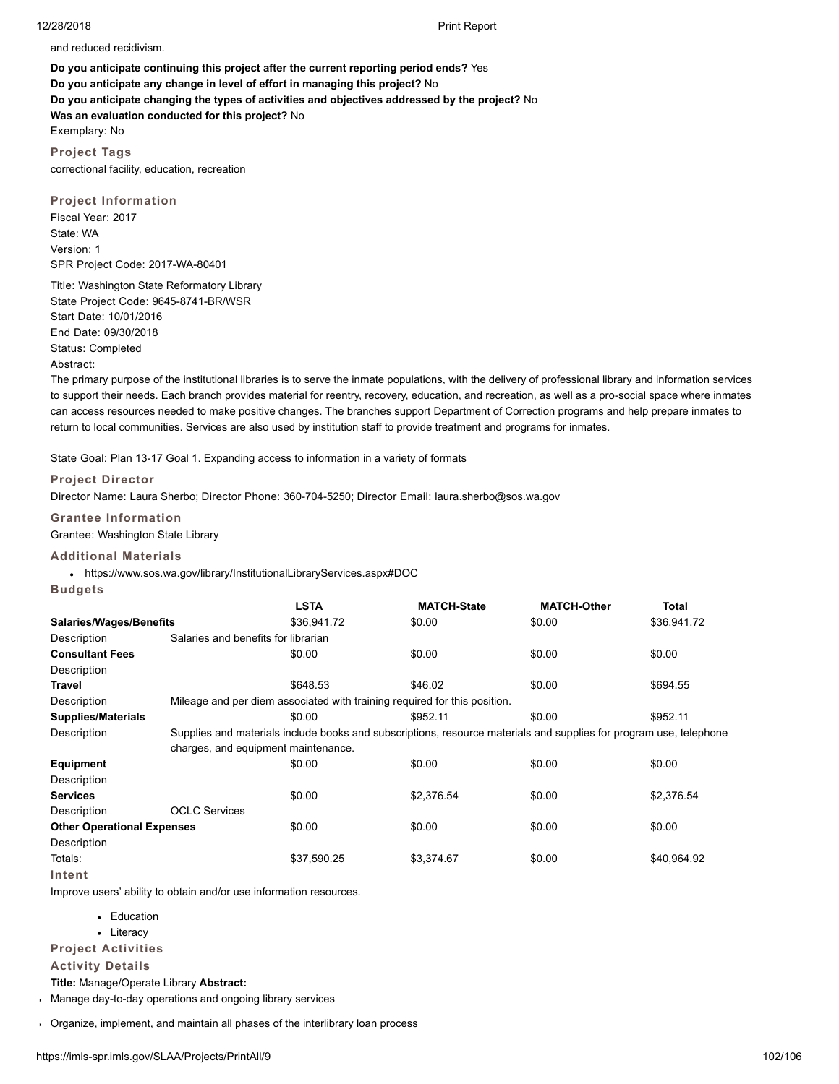and reduced recidivism.

**Do you anticipate continuing this project after the current reporting period ends?** Yes **Do you anticipate any change in level of effort in managing this project?** No **Do you anticipate changing the types of activities and objectives addressed by the project?** No **Was an evaluation conducted for this project?** No Exemplary: No

**Project Tags** correctional facility, education, recreation

**Project Information** Fiscal Year: 2017 State: WA Version: 1 SPR Project Code: 2017-WA-80401

Title: Washington State Reformatory Library State Project Code: 9645-8741-BR/WSR Start Date: 10/01/2016 End Date: 09/30/2018 Status: Completed Abstract:

The primary purpose of the institutional libraries is to serve the inmate populations, with the delivery of professional library and information services to support their needs. Each branch provides material for reentry, recovery, education, and recreation, as well as a pro-social space where inmates can access resources needed to make positive changes. The branches support Department of Correction programs and help prepare inmates to return to local communities. Services are also used by institution staff to provide treatment and programs for inmates.

State Goal: Plan 13-17 Goal 1. Expanding access to information in a variety of formats

### **Project Director**

Director Name: Laura Sherbo; Director Phone: 360-704-5250; Director Email: laura.sherbo@sos.wa.gov

**Grantee Information**

Grantee: Washington State Library

# **Additional Materials**

https://www.sos.wa.gov/library/InstitutionalLibraryServices.aspx#DOC

| Buda | P |
|------|---|
|------|---|

|                                   |                                                                                                                    | <b>LSTA</b> | <b>MATCH-State</b>                                                        | <b>MATCH-Other</b> | Total       |  |  |
|-----------------------------------|--------------------------------------------------------------------------------------------------------------------|-------------|---------------------------------------------------------------------------|--------------------|-------------|--|--|
| <b>Salaries/Wages/Benefits</b>    |                                                                                                                    | \$36,941.72 | \$0.00                                                                    | \$0.00             | \$36,941.72 |  |  |
| Description                       | Salaries and benefits for librarian                                                                                |             |                                                                           |                    |             |  |  |
| <b>Consultant Fees</b>            |                                                                                                                    | \$0.00      | \$0.00                                                                    | \$0.00             | \$0.00      |  |  |
| Description                       |                                                                                                                    |             |                                                                           |                    |             |  |  |
| Travel                            |                                                                                                                    | \$648.53    | \$46.02                                                                   | \$0.00             | \$694.55    |  |  |
| Description                       |                                                                                                                    |             | Mileage and per diem associated with training required for this position. |                    |             |  |  |
| <b>Supplies/Materials</b>         |                                                                                                                    | \$0.00      | \$952.11                                                                  | \$0.00             | \$952.11    |  |  |
| Description                       | Supplies and materials include books and subscriptions, resource materials and supplies for program use, telephone |             |                                                                           |                    |             |  |  |
|                                   | charges, and equipment maintenance.                                                                                |             |                                                                           |                    |             |  |  |
| <b>Equipment</b>                  |                                                                                                                    | \$0.00      | \$0.00                                                                    | \$0.00             | \$0.00      |  |  |
| Description                       |                                                                                                                    |             |                                                                           |                    |             |  |  |
| <b>Services</b>                   |                                                                                                                    | \$0.00      | \$2.376.54                                                                | \$0.00             | \$2.376.54  |  |  |
| Description                       | <b>OCLC Services</b>                                                                                               |             |                                                                           |                    |             |  |  |
| <b>Other Operational Expenses</b> |                                                                                                                    | \$0.00      | \$0.00                                                                    | \$0.00             | \$0.00      |  |  |
| Description                       |                                                                                                                    |             |                                                                           |                    |             |  |  |
| Totals:                           |                                                                                                                    | \$37,590.25 | \$3,374.67                                                                | \$0.00             | \$40,964.92 |  |  |
| Intent                            |                                                                                                                    |             |                                                                           |                    |             |  |  |

Improve users' ability to obtain and/or use information resources.

- Education
- Literacy
- **Project Activities**

### **Activity Details**

**Title:** Manage/Operate Library **Abstract:**

Manage day-to-day operations and ongoing library services

Organize, implement, and maintain all phases of the interlibrary loan process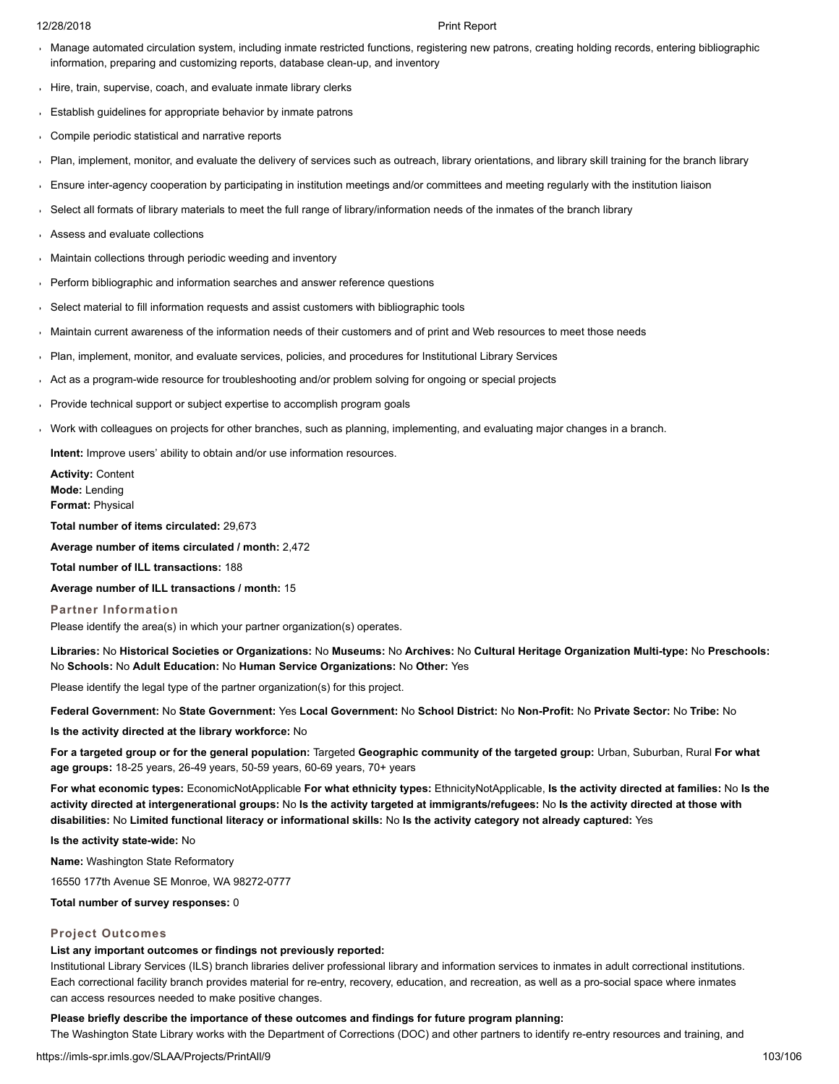- Manage automated circulation system, including inmate restricted functions, registering new patrons, creating holding records, entering bibliographic information, preparing and customizing reports, database clean-up, and inventory
- Hire, train, supervise, coach, and evaluate inmate library clerks
- Establish guidelines for appropriate behavior by inmate patrons
- Compile periodic statistical and narrative reports
- Plan, implement, monitor, and evaluate the delivery of services such as outreach, library orientations, and library skill training for the branch library
- Ensure inter-agency cooperation by participating in institution meetings and/or committees and meeting regularly with the institution liaison  $\mathbf{r}$
- Select all formats of library materials to meet the full range of library/information needs of the inmates of the branch library
- Assess and evaluate collections
- Maintain collections through periodic weeding and inventory
- Perform bibliographic and information searches and answer reference questions
- Select material to fill information requests and assist customers with bibliographic tools
- Maintain current awareness of the information needs of their customers and of print and Web resources to meet those needs
- Plan, implement, monitor, and evaluate services, policies, and procedures for Institutional Library Services
- Act as a program-wide resource for troubleshooting and/or problem solving for ongoing or special projects
- Provide technical support or subject expertise to accomplish program goals
- Work with colleagues on projects for other branches, such as planning, implementing, and evaluating major changes in a branch.

**Intent:** Improve users' ability to obtain and/or use information resources.

**Activity:** Content **Mode:** Lending **Format:** Physical

**Total number of items circulated:** 29,673

**Average number of items circulated / month:** 2,472

**Total number of ILL transactions:** 188

**Average number of ILL transactions / month:** 15

**Partner Information**

Please identify the area(s) in which your partner organization(s) operates.

**Libraries:** No **Historical Societies or Organizations:** No **Museums:** No **Archives:** No **Cultural Heritage Organization Multi-type:** No **Preschools:** No **Schools:** No **Adult Education:** No **Human Service Organizations:** No **Other:** Yes

Please identify the legal type of the partner organization(s) for this project.

**Federal Government:** No **State Government:** Yes **Local Government:** No **School District:** No **Non-Profit:** No **Private Sector:** No **Tribe:** No

**Is the activity directed at the library workforce:** No

**For a targeted group or for the general population:** Targeted **Geographic community of the targeted group:** Urban, Suburban, Rural **For what age groups:** 18-25 years, 26-49 years, 50-59 years, 60-69 years, 70+ years

**For what economic types:** EconomicNotApplicable **For what ethnicity types:** EthnicityNotApplicable, **Is the activity directed at families:** No **Is the activity directed at intergenerational groups:** No **Is the activity targeted at immigrants/refugees:** No **Is the activity directed at those with disabilities:** No **Limited functional literacy or informational skills:** No **Is the activity category not already captured:** Yes

**Is the activity state-wide:** No

**Name:** Washington State Reformatory

16550 177th Avenue SE Monroe, WA 98272-0777

### **Total number of survey responses:** 0

### **Project Outcomes**

### **List any important outcomes or findings not previously reported:**

Institutional Library Services (ILS) branch libraries deliver professional library and information services to inmates in adult correctional institutions. Each correctional facility branch provides material for re-entry, recovery, education, and recreation, as well as a pro-social space where inmates can access resources needed to make positive changes.

### **Please briefly describe the importance of these outcomes and findings for future program planning:**

The Washington State Library works with the Department of Corrections (DOC) and other partners to identify re-entry resources and training, and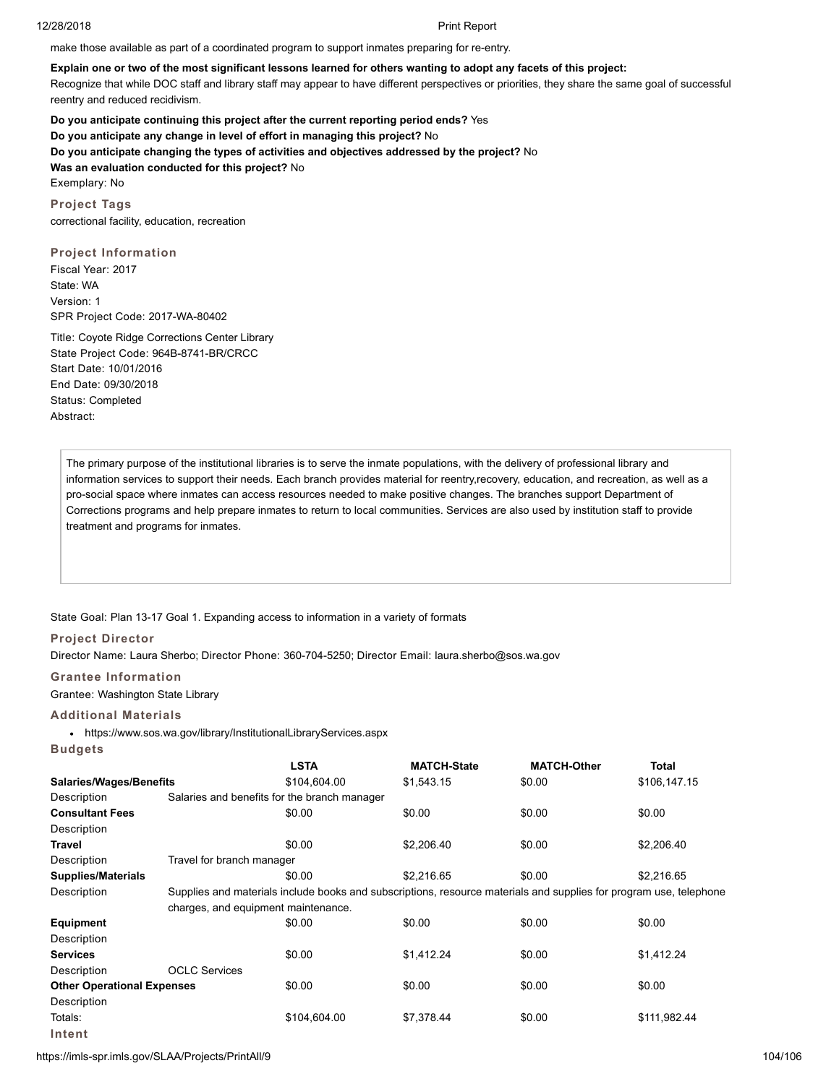make those available as part of a coordinated program to support inmates preparing for re-entry.

# **Explain one or two of the most significant lessons learned for others wanting to adopt any facets of this project:**

Recognize that while DOC staff and library staff may appear to have different perspectives or priorities, they share the same goal of successful reentry and reduced recidivism.

**Do you anticipate continuing this project after the current reporting period ends?** Yes **Do you anticipate any change in level of effort in managing this project?** No **Do you anticipate changing the types of activities and objectives addressed by the project?** No **Was an evaluation conducted for this project?** No Exemplary: No

**Project Tags** correctional facility, education, recreation

# **Project Information**

Fiscal Year: 2017 State: WA Version: 1 SPR Project Code: 2017-WA-80402

Title: Coyote Ridge Corrections Center Library State Project Code: 964B-8741-BR/CRCC Start Date: 10/01/2016 End Date: 09/30/2018 Status: Completed Abstract:

The primary purpose of the institutional libraries is to serve the inmate populations, with the delivery of professional library and information services to support their needs. Each branch provides material for reentry,recovery, education, and recreation, as well as a pro-social space where inmates can access resources needed to make positive changes. The branches support Department of Corrections programs and help prepare inmates to return to local communities. Services are also used by institution staff to provide treatment and programs for inmates.

State Goal: Plan 13-17 Goal 1. Expanding access to information in a variety of formats

# **Project Director**

Director Name: Laura Sherbo; Director Phone: 360-704-5250; Director Email: laura.sherbo@sos.wa.gov

**Grantee Information**

Grantee: Washington State Library

# **Additional Materials**

https://www.sos.wa.gov/library/InstitutionalLibraryServices.aspx

|  | <b>STATISTICS</b> |
|--|-------------------|
|--|-------------------|

|                                   |                                                                                                                    | <b>LSTA</b>  | <b>MATCH-State</b> | <b>MATCH-Other</b> | Total        |  |  |
|-----------------------------------|--------------------------------------------------------------------------------------------------------------------|--------------|--------------------|--------------------|--------------|--|--|
| <b>Salaries/Wages/Benefits</b>    |                                                                                                                    | \$104,604.00 | \$1,543.15         | \$0.00             | \$106,147.15 |  |  |
| Description                       | Salaries and benefits for the branch manager                                                                       |              |                    |                    |              |  |  |
| <b>Consultant Fees</b>            |                                                                                                                    | \$0.00       | \$0.00             | \$0.00             | \$0.00       |  |  |
| Description                       |                                                                                                                    |              |                    |                    |              |  |  |
| Travel                            |                                                                                                                    | \$0.00       | \$2,206.40         | \$0.00             | \$2,206.40   |  |  |
| Description                       | Travel for branch manager                                                                                          |              |                    |                    |              |  |  |
| <b>Supplies/Materials</b>         |                                                                                                                    | \$0.00       | \$2.216.65         | \$0.00             | \$2,216.65   |  |  |
| Description                       | Supplies and materials include books and subscriptions, resource materials and supplies for program use, telephone |              |                    |                    |              |  |  |
|                                   | charges, and equipment maintenance.                                                                                |              |                    |                    |              |  |  |
| <b>Equipment</b>                  |                                                                                                                    | \$0.00       | \$0.00             | \$0.00             | \$0.00       |  |  |
| Description                       |                                                                                                                    |              |                    |                    |              |  |  |
| <b>Services</b>                   |                                                                                                                    | \$0.00       | \$1.412.24         | \$0.00             | \$1,412.24   |  |  |
| Description                       | <b>OCLC Services</b>                                                                                               |              |                    |                    |              |  |  |
| <b>Other Operational Expenses</b> |                                                                                                                    | \$0.00       | \$0.00             | \$0.00             | \$0.00       |  |  |
| Description                       |                                                                                                                    |              |                    |                    |              |  |  |
| Totals:                           |                                                                                                                    | \$104,604.00 | \$7,378.44         | \$0.00             | \$111,982.44 |  |  |
| Intent                            |                                                                                                                    |              |                    |                    |              |  |  |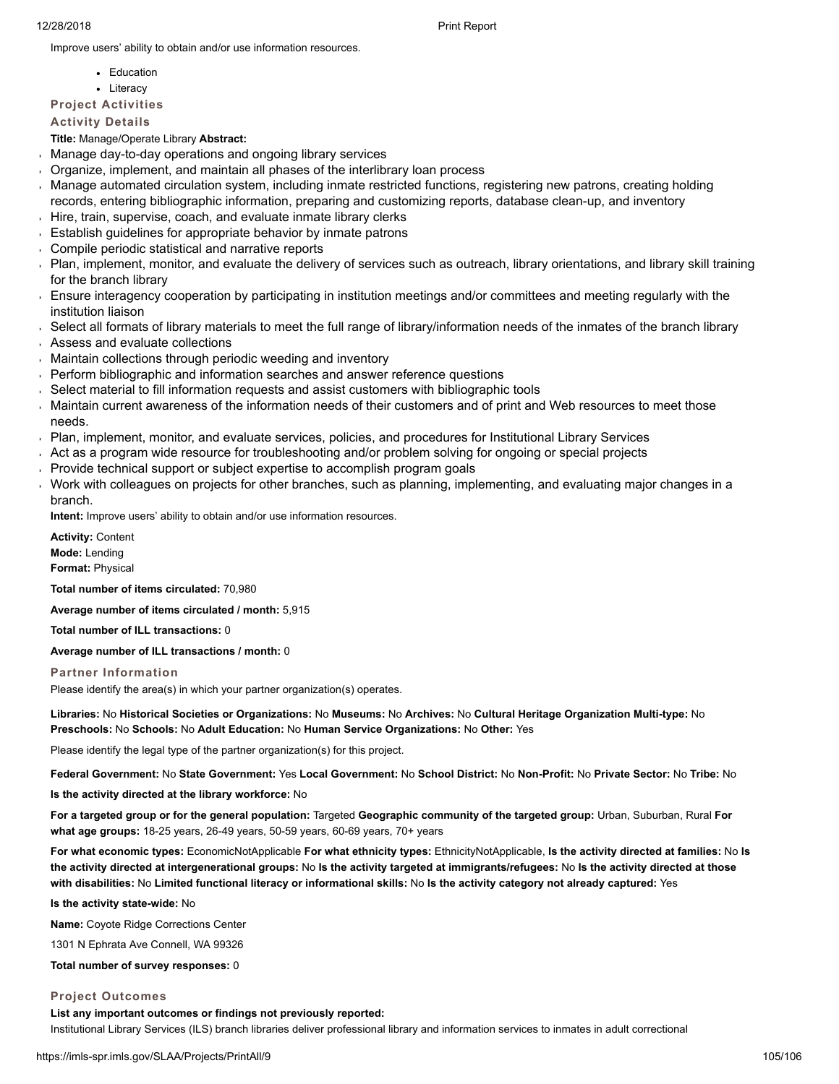Improve users' ability to obtain and/or use information resources.

- Education
- Literacy

# **Project Activities**

**Activity Details**

**Title:** Manage/Operate Library **Abstract:**

- Manage day-to-day operations and ongoing library services
- Organize, implement, and maintain all phases of the interlibrary loan process
- Manage automated circulation system, including inmate restricted functions, registering new patrons, creating holding  $\mathbf{r}$ records, entering bibliographic information, preparing and customizing reports, database clean-up, and inventory
- Hire, train, supervise, coach, and evaluate inmate library clerks
- **Establish guidelines for appropriate behavior by inmate patrons**
- Compile periodic statistical and narrative reports
- Plan, implement, monitor, and evaluate the delivery of services such as outreach, library orientations, and library skill training for the branch library
- Ensure interagency cooperation by participating in institution meetings and/or committees and meeting regularly with the institution liaison
- Select all formats of library materials to meet the full range of library/information needs of the inmates of the branch library
- Assess and evaluate collections
- Maintain collections through periodic weeding and inventory
- Perform bibliographic and information searches and answer reference questions
- Select material to fill information requests and assist customers with bibliographic tools
- Maintain current awareness of the information needs of their customers and of print and Web resources to meet those needs.
- Plan, implement, monitor, and evaluate services, policies, and procedures for Institutional Library Services
- Act as a program wide resource for troubleshooting and/or problem solving for ongoing or special projects
- Provide technical support or subject expertise to accomplish program goals
- Work with colleagues on projects for other branches, such as planning, implementing, and evaluating major changes in a branch.

**Intent:** Improve users' ability to obtain and/or use information resources.

**Activity:** Content **Mode:** Lending **Format:** Physical

**Total number of items circulated:** 70,980

**Average number of items circulated / month:** 5,915

**Total number of ILL transactions:** 0

**Average number of ILL transactions / month:** 0

**Partner Information**

Please identify the area(s) in which your partner organization(s) operates.

**Libraries:** No **Historical Societies or Organizations:** No **Museums:** No **Archives:** No **Cultural Heritage Organization Multi-type:** No **Preschools:** No **Schools:** No **Adult Education:** No **Human Service Organizations:** No **Other:** Yes

Please identify the legal type of the partner organization(s) for this project.

**Federal Government:** No **State Government:** Yes **Local Government:** No **School District:** No **Non-Profit:** No **Private Sector:** No **Tribe:** No

**Is the activity directed at the library workforce:** No

**For a targeted group or for the general population:** Targeted **Geographic community of the targeted group:** Urban, Suburban, Rural **For what age groups:** 18-25 years, 26-49 years, 50-59 years, 60-69 years, 70+ years

**For what economic types:** EconomicNotApplicable **For what ethnicity types:** EthnicityNotApplicable, **Is the activity directed at families:** No **Is the activity directed at intergenerational groups:** No **Is the activity targeted at immigrants/refugees:** No **Is the activity directed at those with disabilities:** No **Limited functional literacy or informational skills:** No **Is the activity category not already captured:** Yes

**Is the activity state-wide:** No

**Name:** Coyote Ridge Corrections Center

1301 N Ephrata Ave Connell, WA 99326

**Total number of survey responses:** 0

# **Project Outcomes**

**List any important outcomes or findings not previously reported:**

Institutional Library Services (ILS) branch libraries deliver professional library and information services to inmates in adult correctional